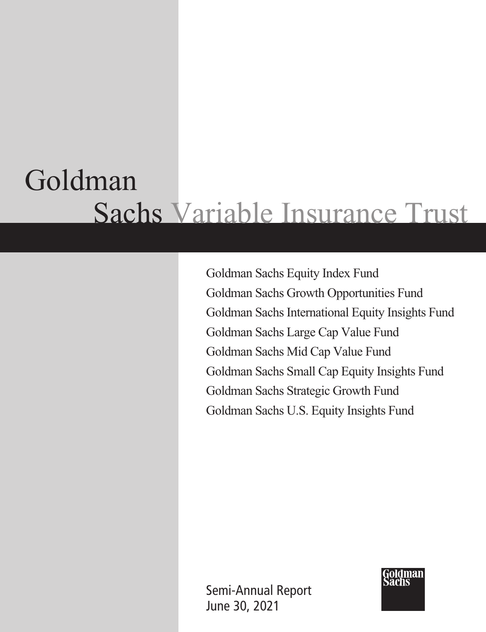# Goldman Sachs Variable Insurance Trust

Goldman Sachs Equity Index Fund Goldman Sachs Growth Opportunities Fund Goldman Sachs International Equity Insights Fund Goldman Sachs Large Cap Value Fund Goldman Sachs Mid Cap Value Fund Goldman Sachs Small Cap Equity Insights Fund Goldman Sachs Strategic Growth Fund Goldman Sachs U.S. Equity Insights Fund

Semi-Annual Report June 30, 2021

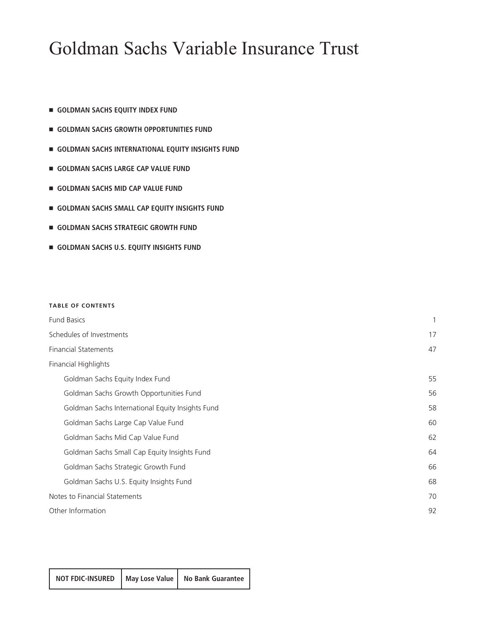# Goldman Sachs Variable Insurance Trust

- $\blacksquare$  **GOLDMAN SACHS EQUITY INDEX FUND**
- **GOLDMAN SACHS GROWTH OPPORTUNITIES FUND**
- **GOLDMAN SACHS INTERNATIONAL EQUITY INSIGHTS FUND**
- $\blacksquare$  **GOLDMAN SACHS LARGE CAP VALUE FUND**
- $\blacksquare$  **GOLDMAN SACHS MID CAP VALUE FUND**
- $\blacksquare$  GOLDMAN SACHS SMALL CAP EQUITY INSIGHTS FUND
- **GOLDMAN SACHS STRATEGIC GROWTH FUND**
- **GOLDMAN SACHS U.S. EQUITY INSIGHTS FUND**

#### **TABLE OF CONTENTS**

| <b>Fund Basics</b>                               | $\mathbf{1}$ |
|--------------------------------------------------|--------------|
| Schedules of Investments                         | 17           |
| <b>Financial Statements</b>                      | 47           |
| Financial Highlights                             |              |
| Goldman Sachs Equity Index Fund                  | 55           |
| Goldman Sachs Growth Opportunities Fund          | 56           |
| Goldman Sachs International Equity Insights Fund | 58           |
| Goldman Sachs Large Cap Value Fund               | 60           |
| Goldman Sachs Mid Cap Value Fund                 | 62           |
| Goldman Sachs Small Cap Equity Insights Fund     | 64           |
| Goldman Sachs Strategic Growth Fund              | 66           |
| Goldman Sachs U.S. Equity Insights Fund          | 68           |
| Notes to Financial Statements                    | 70           |
| Other Information                                | 92           |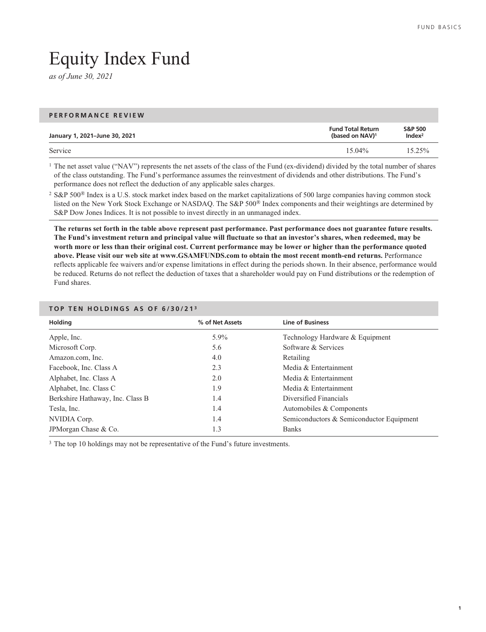# <span id="page-2-0"></span>Equity Index Fund

*as of June 30, 2021*

#### **PERFORMANCE REVIEW**

| January 1, 2021-June 30, 2021 | <b>Fund Total Return</b><br>(based on NAV) <sup>1</sup> | <b>S&amp;P 500</b><br>Index <sup>2</sup> |
|-------------------------------|---------------------------------------------------------|------------------------------------------|
| Service                       | $15.04\%$                                               | $15.25\%$                                |

<sup>1</sup> The net asset value ("NAV") represents the net assets of the class of the Fund (ex-dividend) divided by the total number of shares of the class outstanding. The Fund's performance assumes the reinvestment of dividends and other distributions. The Fund's performance does not reflect the deduction of any applicable sales charges.

<sup>2</sup> S&P 500<sup>®</sup> Index is a U.S. stock market index based on the market capitalizations of 500 large companies having common stock listed on the New York Stock Exchange or NASDAQ. The S&P 500® Index components and their weightings are determined by S&P Dow Jones Indices. It is not possible to invest directly in an unmanaged index.

**The returns set forth in the table above represent past performance. Past performance does not guarantee future results. The Fund's investment return and principal value will fluctuate so that an investor's shares, when redeemed, may be worth more or less than their original cost. Current performance may be lower or higher than the performance quoted above. Please visit our web site at www.GSAMFUNDS.com to obtain the most recent month-end returns.** Performance reflects applicable fee waivers and/or expense limitations in effect during the periods shown. In their absence, performance would be reduced. Returns do not reflect the deduction of taxes that a shareholder would pay on Fund distributions or the redemption of Fund shares.

| <b>Holding</b>                   | % of Net Assets | <b>Line of Business</b>                  |  |
|----------------------------------|-----------------|------------------------------------------|--|
| Apple, Inc.                      | $5.9\%$         | Technology Hardware & Equipment          |  |
| Microsoft Corp.                  | 5.6             | Software & Services                      |  |
| Amazon.com, Inc.                 | 4.0             | Retailing                                |  |
| Facebook, Inc. Class A           | 2.3             | Media & Entertainment                    |  |
| Alphabet, Inc. Class A           | 2.0             | Media & Entertainment                    |  |
| Alphabet, Inc. Class C           | 1.9             | Media & Entertainment                    |  |
| Berkshire Hathaway, Inc. Class B | 1.4             | Diversified Financials                   |  |
| Tesla, Inc.                      | 1.4             | Automobiles & Components                 |  |
| NVIDIA Corp.                     | 1.4             | Semiconductors & Semiconductor Equipment |  |
| JPMorgan Chase & Co.             | 1.3             | <b>Banks</b>                             |  |

### **TOP TEN HOLDINGS AS OF 6/30/21 <sup>3</sup>**

<sup>3</sup> The top 10 holdings may not be representative of the Fund's future investments.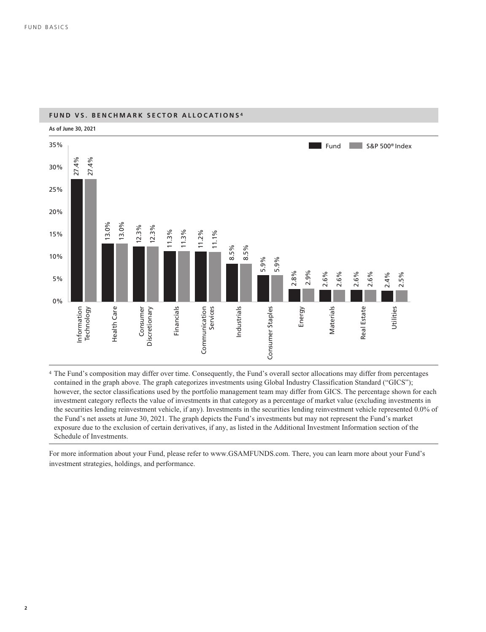

### **FUND VS. BENCHMARK SECTOR ALLOCATIONS <sup>4</sup>**

<sup>4</sup> The Fund's composition may differ over time. Consequently, the Fund's overall sector allocations may differ from percentages contained in the graph above. The graph categorizes investments using Global Industry Classification Standard ("GICS"); however, the sector classifications used by the portfolio management team may differ from GICS. The percentage shown for each investment category reflects the value of investments in that category as a percentage of market value (excluding investments in the securities lending reinvestment vehicle, if any). Investments in the securities lending reinvestment vehicle represented 0.0% of the Fund's net assets at June 30, 2021. The graph depicts the Fund's investments but may not represent the Fund's market exposure due to the exclusion of certain derivatives, if any, as listed in the Additional Investment Information section of the Schedule of Investments.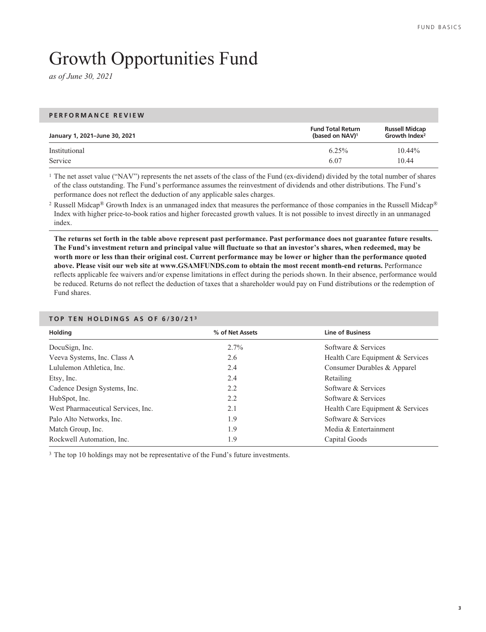# Growth Opportunities Fund

*as of June 30, 2021*

| PERFORMANCE REVIEW            |                                                         |                                                    |
|-------------------------------|---------------------------------------------------------|----------------------------------------------------|
| January 1, 2021-June 30, 2021 | <b>Fund Total Return</b><br>(based on NAV) <sup>1</sup> | <b>Russell Midcap</b><br>Growth Index <sup>2</sup> |
| Institutional                 | $6.25\%$                                                | $10.44\%$                                          |
| Service                       | 6.07                                                    | 10.44                                              |

<sup>1</sup> The net asset value ("NAV") represents the net assets of the class of the Fund (ex-dividend) divided by the total number of shares of the class outstanding. The Fund's performance assumes the reinvestment of dividends and other distributions. The Fund's performance does not reflect the deduction of any applicable sales charges.

<sup>2</sup> Russell Midcap® Growth Index is an unmanaged index that measures the performance of those companies in the Russell Midcap® Index with higher price-to-book ratios and higher forecasted growth values. It is not possible to invest directly in an unmanaged index.

**The returns set forth in the table above represent past performance. Past performance does not guarantee future results. The Fund's investment return and principal value will fluctuate so that an investor's shares, when redeemed, may be worth more or less than their original cost. Current performance may be lower or higher than the performance quoted above. Please visit our web site at www.GSAMFUNDS.com to obtain the most recent month-end returns.** Performance reflects applicable fee waivers and/or expense limitations in effect during the periods shown. In their absence, performance would be reduced. Returns do not reflect the deduction of taxes that a shareholder would pay on Fund distributions or the redemption of Fund shares.

| <b>Line of Business</b>          |
|----------------------------------|
| Software & Services              |
| Health Care Equipment & Services |
| Consumer Durables & Apparel      |
|                                  |
| Software & Services              |
| Software & Services              |
| Health Care Equipment & Services |
| Software & Services              |
| Media & Entertainment            |
|                                  |
|                                  |

### **TOP TEN HOLDINGS AS OF 6/30/21 <sup>3</sup>**

<sup>3</sup> The top 10 holdings may not be representative of the Fund's future investments.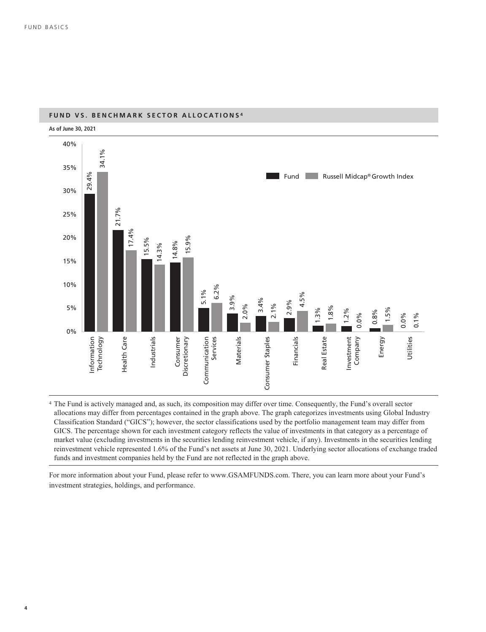

### **FUND VS. BENCHMARK SECTOR ALLOCATIONS <sup>4</sup>**

<sup>4</sup> The Fund is actively managed and, as such, its composition may differ over time. Consequently, the Fund's overall sector allocations may differ from percentages contained in the graph above. The graph categorizes investments using Global Industry Classification Standard ("GICS"); however, the sector classifications used by the portfolio management team may differ from GICS. The percentage shown for each investment category reflects the value of investments in that category as a percentage of market value (excluding investments in the securities lending reinvestment vehicle, if any). Investments in the securities lending reinvestment vehicle represented 1.6% of the Fund's net assets at June 30, 2021. Underlying sector allocations of exchange traded funds and investment companies held by the Fund are not reflected in the graph above.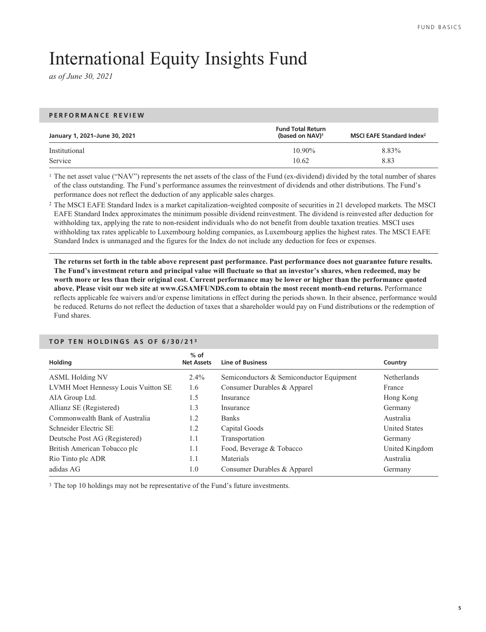# International Equity Insights Fund

*as of June 30, 2021*

### **PERFORMANCE REVIEW**

| January 1, 2021–June 30, 2021 | <b>Fund Total Return</b><br>(based on NAV) <sup>1</sup> | MSCI EAFE Standard Index <sup>2</sup> |
|-------------------------------|---------------------------------------------------------|---------------------------------------|
| Institutional                 | $10.90\%$                                               | 8.83%                                 |
| Service                       | 10.62                                                   | 8.83                                  |

<sup>1</sup> The net asset value ("NAV") represents the net assets of the class of the Fund (ex-dividend) divided by the total number of shares of the class outstanding. The Fund's performance assumes the reinvestment of dividends and other distributions. The Fund's performance does not reflect the deduction of any applicable sales charges.

<sup>2</sup> The MSCI EAFE Standard Index is a market capitalization-weighted composite of securities in 21 developed markets. The MSCI EAFE Standard Index approximates the minimum possible dividend reinvestment. The dividend is reinvested after deduction for withholding tax, applying the rate to non-resident individuals who do not benefit from double taxation treaties. MSCI uses withholding tax rates applicable to Luxembourg holding companies, as Luxembourg applies the highest rates. The MSCI EAFE Standard Index is unmanaged and the figures for the Index do not include any deduction for fees or expenses.

**The returns set forth in the table above represent past performance. Past performance does not guarantee future results. The Fund's investment return and principal value will fluctuate so that an investor's shares, when redeemed, may be worth more or less than their original cost. Current performance may be lower or higher than the performance quoted above. Please visit our web site at www.GSAMFUNDS.com to obtain the most recent month-end returns.** Performance reflects applicable fee waivers and/or expense limitations in effect during the periods shown. In their absence, performance would be reduced. Returns do not reflect the deduction of taxes that a shareholder would pay on Fund distributions or the redemption of Fund shares.

### **Holding % of Net Assets Line of Business Country** ASML Holding NV 2.4% Semiconductors & Semiconductor Equipment Netherlands LVMH Moet Hennessy Louis Vuitton SE 1.6 Consumer Durables & Apparel France AIA Group Ltd. 1.5 Insurance Hong Kong Allianz SE (Registered) 1.3 Insurance Germany Commonwealth Bank of Australia 1.2 Banks Australia Schneider Electric SE 1.2 Capital Goods United States Deutsche Post AG (Registered) 1.1 Transportation Germany British American Tobacco plc 1.1 Food, Beverage & Tobacco United Kingdom Rio Tinto plc ADR 1.1 Materials Australia adidas AG **1.0** Consumer Durables & Apparel Germany

#### **TOP TEN HOLDINGS AS OF 6/30/21 <sup>3</sup>**

<sup>3</sup> The top 10 holdings may not be representative of the Fund's future investments.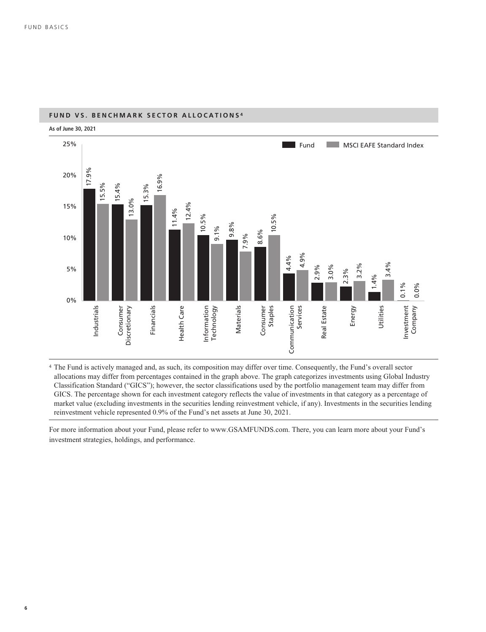

### **FUND VS. BENCHMARK SECTOR ALLOCATIONS <sup>4</sup>**

<sup>4</sup> The Fund is actively managed and, as such, its composition may differ over time. Consequently, the Fund's overall sector allocations may differ from percentages contained in the graph above. The graph categorizes investments using Global Industry Classification Standard ("GICS"); however, the sector classifications used by the portfolio management team may differ from GICS. The percentage shown for each investment category reflects the value of investments in that category as a percentage of market value (excluding investments in the securities lending reinvestment vehicle, if any). Investments in the securities lending reinvestment vehicle represented 0.9% of the Fund's net assets at June 30, 2021.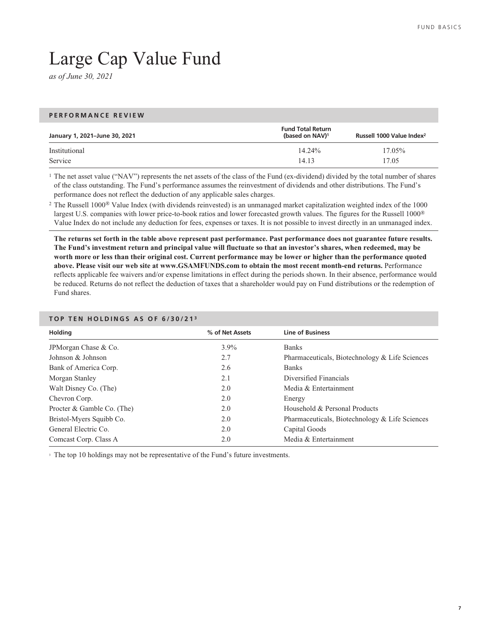# Large Cap Value Fund

*as of June 30, 2021*

### **PERFORMANCE REVIEW**

| January 1, 2021-June 30, 2021 | <b>Fund Total Return</b><br>(based on NAV) <sup>1</sup> | Russell 1000 Value Index <sup>2</sup> |
|-------------------------------|---------------------------------------------------------|---------------------------------------|
| Institutional                 | $14.24\%$                                               | $17.05\%$                             |
| Service                       | 14.13                                                   | 17.05                                 |

<sup>1</sup> The net asset value ("NAV") represents the net assets of the class of the Fund (ex-dividend) divided by the total number of shares of the class outstanding. The Fund's performance assumes the reinvestment of dividends and other distributions. The Fund's performance does not reflect the deduction of any applicable sales charges.

<sup>2</sup> The Russell 1000® Value Index (with dividends reinvested) is an unmanaged market capitalization weighted index of the 1000 largest U.S. companies with lower price-to-book ratios and lower forecasted growth values. The figures for the Russell 1000® Value Index do not include any deduction for fees, expenses or taxes. It is not possible to invest directly in an unmanaged index.

**The returns set forth in the table above represent past performance. Past performance does not guarantee future results. The Fund's investment return and principal value will fluctuate so that an investor's shares, when redeemed, may be worth more or less than their original cost. Current performance may be lower or higher than the performance quoted above. Please visit our web site at www.GSAMFUNDS.com to obtain the most recent month-end returns.** Performance reflects applicable fee waivers and/or expense limitations in effect during the periods shown. In their absence, performance would be reduced. Returns do not reflect the deduction of taxes that a shareholder would pay on Fund distributions or the redemption of Fund shares.

| <b>Holding</b>             | % of Net Assets | <b>Line of Business</b>                        |
|----------------------------|-----------------|------------------------------------------------|
| JPM organ Chase & Co.      | $3.9\%$         | <b>Banks</b>                                   |
| Johnson & Johnson          | 2.7             | Pharmaceuticals, Biotechnology & Life Sciences |
| Bank of America Corp.      | 2.6             | <b>Banks</b>                                   |
| Morgan Stanley             | 2.1             | Diversified Financials                         |
| Walt Disney Co. (The)      | 2.0             | Media & Entertainment                          |
| Chevron Corp.              | 2.0             | Energy                                         |
| Procter & Gamble Co. (The) | 2.0             | Household & Personal Products                  |
| Bristol-Myers Squibb Co.   | 2.0             | Pharmaceuticals, Biotechnology & Life Sciences |
| General Electric Co.       | 2.0             | Capital Goods                                  |
| Comcast Corp. Class A      | 2.0             | Media & Entertainment                          |

### **TOP TEN HOLDINGS AS OF 6/30/21 <sup>3</sup>**

<sup>3</sup> The top 10 holdings may not be representative of the Fund's future investments.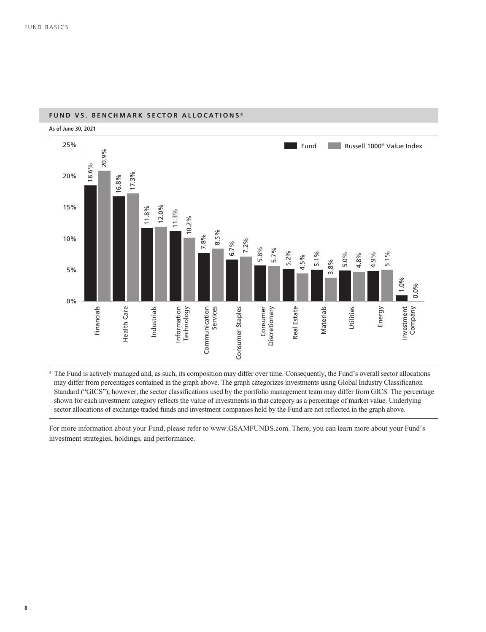

### **FUND VS. BENCHMARK SECTOR ALLOCATIONS <sup>4</sup>**

<sup>4</sup> The Fund is actively managed and, as such, its composition may differ over time. Consequently, the Fund's overall sector allocations may differ from percentages contained in the graph above. The graph categorizes investments using Global Industry Classification Standard ("GICS"); however, the sector classifications used by the portfolio management team may differ from GICS. The percentage shown for each investment category reflects the value of investments in that category as a percentage of market value. Underlying sector allocations of exchange traded funds and investment companies held by the Fund are not reflected in the graph above.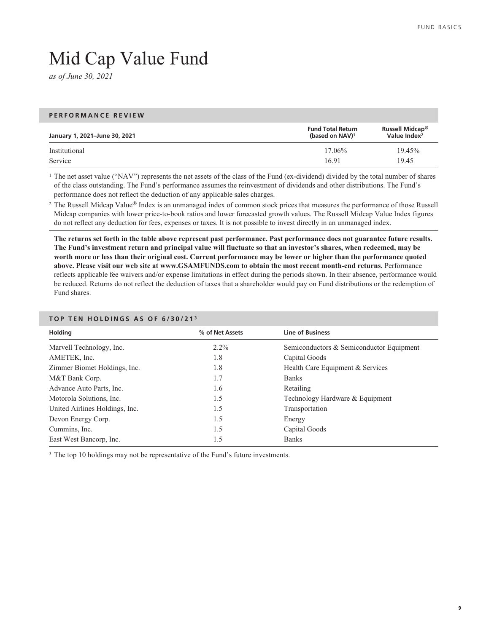**9**

# Mid Cap Value Fund

*as of June 30, 2021*

### **PERFORMANCE REVIEW**

| January 1, 2021-June 30, 2021 | <b>Fund Total Return</b><br>(based on NAV) <sup>1</sup> | Russell Midcap <sup>®</sup><br>Value Index <sup>2</sup> |
|-------------------------------|---------------------------------------------------------|---------------------------------------------------------|
| Institutional                 | $17.06\%$                                               | 19.45%                                                  |
| Service                       | 16.91                                                   | 19.45                                                   |

<sup>1</sup> The net asset value ("NAV") represents the net assets of the class of the Fund (ex-dividend) divided by the total number of shares of the class outstanding. The Fund's performance assumes the reinvestment of dividends and other distributions. The Fund's performance does not reflect the deduction of any applicable sales charges.

<sup>2</sup> The Russell Midcap Value**®** Index is an unmanaged index of common stock prices that measures the performance of those Russell Midcap companies with lower price-to-book ratios and lower forecasted growth values. The Russell Midcap Value Index figures do not reflect any deduction for fees, expenses or taxes. It is not possible to invest directly in an unmanaged index.

**The returns set forth in the table above represent past performance. Past performance does not guarantee future results. The Fund's investment return and principal value will fluctuate so that an investor's shares, when redeemed, may be worth more or less than their original cost. Current performance may be lower or higher than the performance quoted above. Please visit our web site at www.GSAMFUNDS.com to obtain the most recent month-end returns.** Performance reflects applicable fee waivers and/or expense limitations in effect during the periods shown. In their absence, performance would be reduced. Returns do not reflect the deduction of taxes that a shareholder would pay on Fund distributions or the redemption of Fund shares.

| <b>Holding</b>                 | % of Net Assets | <b>Line of Business</b>                  |
|--------------------------------|-----------------|------------------------------------------|
| Marvell Technology, Inc.       | $2.2\%$         | Semiconductors & Semiconductor Equipment |
| AMETEK, Inc.                   | 1.8             | Capital Goods                            |
| Zimmer Biomet Holdings, Inc.   | 1.8             | Health Care Equipment & Services         |
| M&T Bank Corp.                 | 1.7             | <b>Banks</b>                             |
| Advance Auto Parts, Inc.       | 1.6             | Retailing                                |
| Motorola Solutions, Inc.       | 1.5             | Technology Hardware & Equipment          |
| United Airlines Holdings, Inc. | 1.5             | Transportation                           |
| Devon Energy Corp.             | 1.5             | Energy                                   |
| Cummins, Inc.                  | 1.5             | Capital Goods                            |
| East West Bancorp, Inc.        | 1.5             | <b>Banks</b>                             |

### **TOP TEN HOLDINGS AS OF 6/30/21 <sup>3</sup>**

<sup>3</sup> The top 10 holdings may not be representative of the Fund's future investments.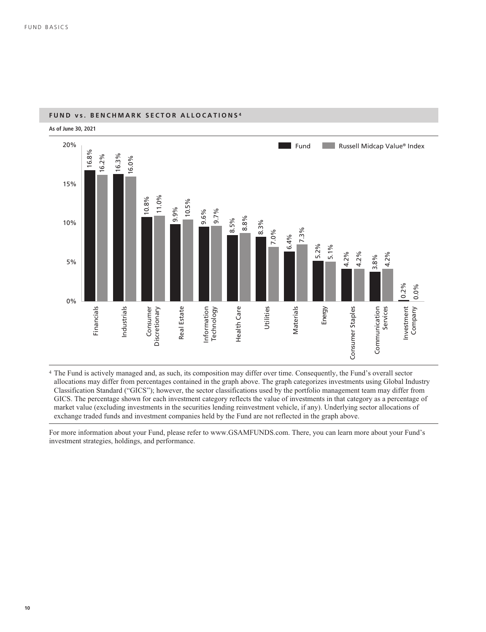

### **FUND vs. BENCHMARK SECTOR ALLOCATIONS <sup>4</sup>**

<sup>4</sup> The Fund is actively managed and, as such, its composition may differ over time. Consequently, the Fund's overall sector allocations may differ from percentages contained in the graph above. The graph categorizes investments using Global Industry Classification Standard ("GICS"); however, the sector classifications used by the portfolio management team may differ from GICS. The percentage shown for each investment category reflects the value of investments in that category as a percentage of market value (excluding investments in the securities lending reinvestment vehicle, if any). Underlying sector allocations of exchange traded funds and investment companies held by the Fund are not reflected in the graph above.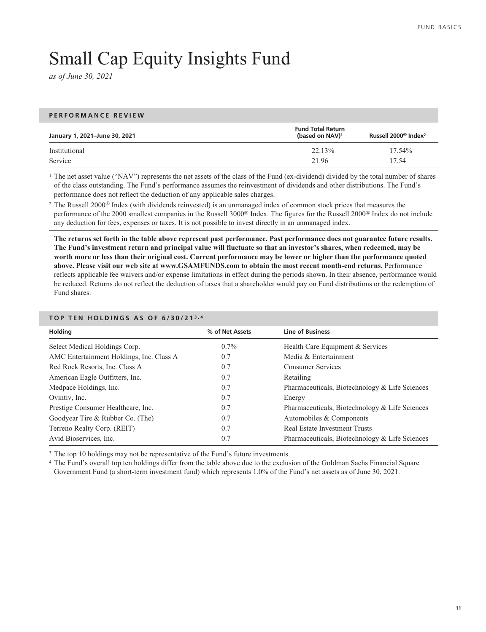# Small Cap Equity Insights Fund

*as of June 30, 2021*

#### **PERFORMANCE REVIEW**

| January 1, 2021–June 30, 2021 | <b>Fund Total Return</b><br>(based on NAV) <sup>1</sup> | Russell 2000 <sup>®</sup> Index <sup>2</sup> |
|-------------------------------|---------------------------------------------------------|----------------------------------------------|
| Institutional                 | 22.13%                                                  | $17.54\%$                                    |
| Service                       | 21.96                                                   | 17.54                                        |

<sup>1</sup> The net asset value ("NAV") represents the net assets of the class of the Fund (ex-dividend) divided by the total number of shares of the class outstanding. The Fund's performance assumes the reinvestment of dividends and other distributions. The Fund's performance does not reflect the deduction of any applicable sales charges.

<sup>2</sup> The Russell 2000® Index (with dividends reinvested) is an unmanaged index of common stock prices that measures the performance of the 2000 smallest companies in the Russell 3000® Index. The figures for the Russell 2000® Index do not include any deduction for fees, expenses or taxes. It is not possible to invest directly in an unmanaged index.

**The returns set forth in the table above represent past performance. Past performance does not guarantee future results. The Fund's investment return and principal value will fluctuate so that an investor's shares, when redeemed, may be worth more or less than their original cost. Current performance may be lower or higher than the performance quoted above. Please visit our web site at www.GSAMFUNDS.com to obtain the most recent month-end returns.** Performance reflects applicable fee waivers and/or expense limitations in effect during the periods shown. In their absence, performance would be reduced. Returns do not reflect the deduction of taxes that a shareholder would pay on Fund distributions or the redemption of Fund shares.

| % of Net Assets | <b>Line of Business</b>                        |
|-----------------|------------------------------------------------|
| $0.7\%$         | Health Care Equipment & Services               |
| 0.7             | Media & Entertainment                          |
| 0.7             | <b>Consumer Services</b>                       |
| 0.7             | Retailing                                      |
| 0.7             | Pharmaceuticals, Biotechnology & Life Sciences |
| 0.7             | Energy                                         |
| 0.7             | Pharmaceuticals, Biotechnology & Life Sciences |
| 0.7             | Automobiles & Components                       |
| 0.7             | Real Estate Investment Trusts                  |
| 0.7             | Pharmaceuticals, Biotechnology & Life Sciences |
|                 |                                                |

#### **TOP TEN HOLDINGS AS OF 6/30/21 3,4**

<sup>3</sup> The top 10 holdings may not be representative of the Fund's future investments.

<sup>4</sup> The Fund's overall top ten holdings differ from the table above due to the exclusion of the Goldman Sachs Financial Square Government Fund (a short-term investment fund) which represents 1.0% of the Fund's net assets as of June 30, 2021.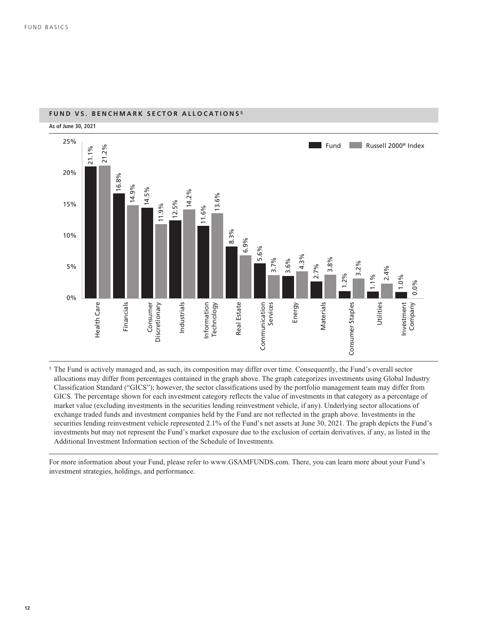

### **FUND VS. BENCHMARK SECTOR ALLOCATIONS <sup>5</sup>**

<sup>5</sup> The Fund is actively managed and, as such, its composition may differ over time. Consequently, the Fund's overall sector allocations may differ from percentages contained in the graph above. The graph categorizes investments using Global Industry Classification Standard ("GICS"); however, the sector classifications used by the portfolio management team may differ from GICS. The percentage shown for each investment category reflects the value of investments in that category as a percentage of market value (excluding investments in the securities lending reinvestment vehicle, if any). Underlying sector allocations of exchange traded funds and investment companies held by the Fund are not reflected in the graph above. Investments in the securities lending reinvestment vehicle represented 2.1% of the Fund's net assets at June 30, 2021. The graph depicts the Fund's investments but may not represent the Fund's market exposure due to the exclusion of certain derivatives, if any, as listed in the Additional Investment Information section of the Schedule of Investments.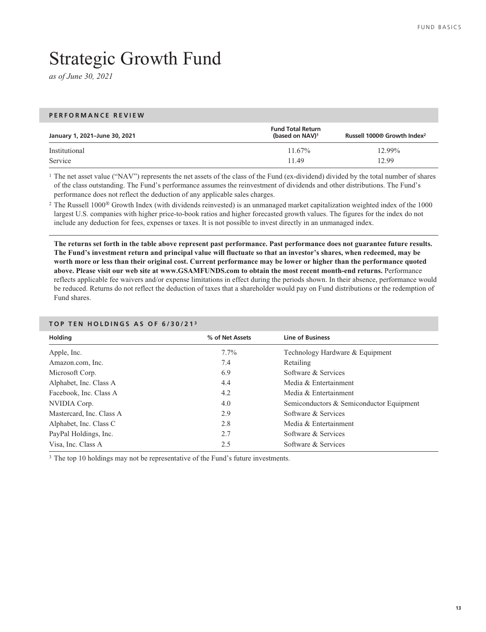# Strategic Growth Fund

*as of June 30, 2021*

### **PERFORMANCE REVIEW**

| January 1, 2021-June 30, 2021 | <b>Fund Total Return</b><br>(based on NAV) <sup>1</sup> | Russell 1000® Growth Index <sup>2</sup> |
|-------------------------------|---------------------------------------------------------|-----------------------------------------|
| Institutional                 | $11.67\%$                                               | 12.99%                                  |
| Service                       | 11.49                                                   | 12.99                                   |

<sup>1</sup> The net asset value ("NAV") represents the net assets of the class of the Fund (ex-dividend) divided by the total number of shares of the class outstanding. The Fund's performance assumes the reinvestment of dividends and other distributions. The Fund's performance does not reflect the deduction of any applicable sales charges.

<sup>2</sup> The Russell 1000<sup>®</sup> Growth Index (with dividends reinvested) is an unmanaged market capitalization weighted index of the 1000 largest U.S. companies with higher price-to-book ratios and higher forecasted growth values. The figures for the index do not include any deduction for fees, expenses or taxes. It is not possible to invest directly in an unmanaged index.

**The returns set forth in the table above represent past performance. Past performance does not guarantee future results. The Fund's investment return and principal value will fluctuate so that an investor's shares, when redeemed, may be worth more or less than their original cost. Current performance may be lower or higher than the performance quoted above. Please visit our web site at www.GSAMFUNDS.com to obtain the most recent month-end returns.** Performance reflects applicable fee waivers and/or expense limitations in effect during the periods shown. In their absence, performance would be reduced. Returns do not reflect the deduction of taxes that a shareholder would pay on Fund distributions or the redemption of Fund shares.

| Holding                  | % of Net Assets | <b>Line of Business</b>                  |
|--------------------------|-----------------|------------------------------------------|
| Apple, Inc.              | $7.7\%$         | Technology Hardware & Equipment          |
| Amazon.com, Inc.         | 7.4             | Retailing                                |
| Microsoft Corp.          | 6.9             | Software & Services                      |
| Alphabet, Inc. Class A   | 4.4             | Media & Entertainment                    |
| Facebook, Inc. Class A   | 4.2             | Media & Entertainment                    |
| NVIDIA Corp.             | 4.0             | Semiconductors & Semiconductor Equipment |
| Mastercard, Inc. Class A | 2.9             | Software & Services                      |
| Alphabet, Inc. Class C   | 2.8             | Media & Entertainment                    |
| PayPal Holdings, Inc.    | 2.7             | Software & Services                      |
| Visa, Inc. Class A       | 2.5             | Software & Services                      |

### **TOP TEN HOLDINGS AS OF 6/30/21 <sup>3</sup>**

<sup>3</sup> The top 10 holdings may not be representative of the Fund's future investments.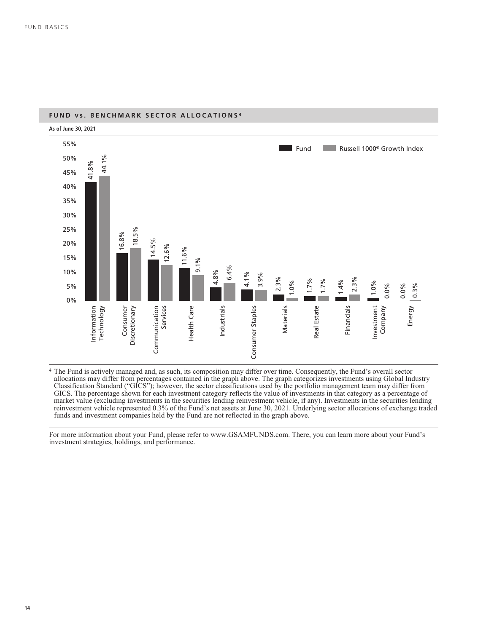

#### **FUND vs. BENCHMARK SECTOR ALLOCATIONS <sup>4</sup>**

<sup>4</sup> The Fund is actively managed and, as such, its composition may differ over time. Consequently, the Fund's overall sector allocations may differ from percentages contained in the graph above. The graph categorizes investments using Global Industry Classification Standard ("GICS"); however, the sector classifications used by the portfolio management team may differ from GICS. The percentage shown for each investment category reflects the value of investments in that category as a percentage of market value (excluding investments in the securities lending reinvestment vehicle, if any). Investments in the securities lending reinvestment vehicle represented 0.3% of the Fund's net assets at June 30, 2021. Underlying sector allocations of exchange traded funds and investment companies held by the Fund are not reflected in the graph above.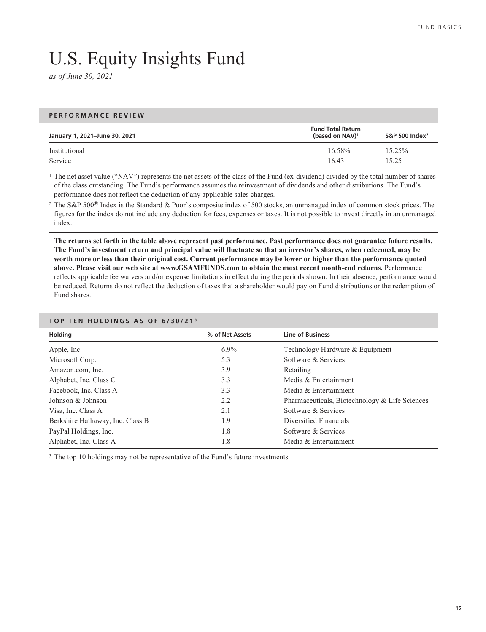# U.S. Equity Insights Fund

*as of June 30, 2021*

### **PERFORMANCE REVIEW January 1, 2021–June 30, 2021 Fund Total Return (based on NAV)1 S&P 500 Index2** Institutional 16.58% 15.25% Service 16.43 15.25

<sup>1</sup> The net asset value ("NAV") represents the net assets of the class of the Fund (ex-dividend) divided by the total number of shares of the class outstanding. The Fund's performance assumes the reinvestment of dividends and other distributions. The Fund's performance does not reflect the deduction of any applicable sales charges.

<sup>2</sup> The S&P 500® Index is the Standard & Poor's composite index of 500 stocks, an unmanaged index of common stock prices. The figures for the index do not include any deduction for fees, expenses or taxes. It is not possible to invest directly in an unmanaged index.

**The returns set forth in the table above represent past performance. Past performance does not guarantee future results. The Fund's investment return and principal value will fluctuate so that an investor's shares, when redeemed, may be worth more or less than their original cost. Current performance may be lower or higher than the performance quoted above. Please visit our web site at www.GSAMFUNDS.com to obtain the most recent month-end returns.** Performance reflects applicable fee waivers and/or expense limitations in effect during the periods shown. In their absence, performance would be reduced. Returns do not reflect the deduction of taxes that a shareholder would pay on Fund distributions or the redemption of Fund shares.

| <b>Holding</b>                   | % of Net Assets | <b>Line of Business</b>                        |
|----------------------------------|-----------------|------------------------------------------------|
| Apple, Inc.                      | $6.9\%$         | Technology Hardware & Equipment                |
| Microsoft Corp.                  | 5.3             | Software & Services                            |
| Amazon.com, Inc.                 | 3.9             | Retailing                                      |
| Alphabet, Inc. Class C           | 3.3             | Media & Entertainment                          |
| Facebook, Inc. Class A           | 3.3             | Media & Entertainment                          |
| Johnson & Johnson                | 2.2             | Pharmaceuticals, Biotechnology & Life Sciences |
| Visa, Inc. Class A               | 2.1             | Software & Services                            |
| Berkshire Hathaway, Inc. Class B | 1.9             | Diversified Financials                         |
| PayPal Holdings, Inc.            | 1.8             | Software & Services                            |
| Alphabet, Inc. Class A           | 1.8             | Media & Entertainment                          |

### **TOP TEN HOLDINGS AS OF 6/30/21 <sup>3</sup>**

<sup>3</sup> The top 10 holdings may not be representative of the Fund's future investments.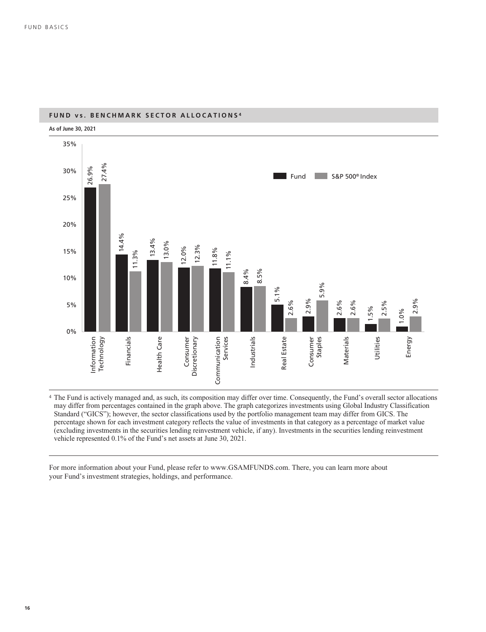

### **FUND vs. BENCHMARK SECTOR ALLOCATIONS <sup>4</sup>**

<sup>4</sup> The Fund is actively managed and, as such, its composition may differ over time. Consequently, the Fund's overall sector allocations may differ from percentages contained in the graph above. The graph categorizes investments using Global Industry Classification Standard ("GICS"); however, the sector classifications used by the portfolio management team may differ from GICS. The percentage shown for each investment category reflects the value of investments in that category as a percentage of market value (excluding investments in the securities lending reinvestment vehicle, if any). Investments in the securities lending reinvestment vehicle represented 0.1% of the Fund's net assets at June 30, 2021.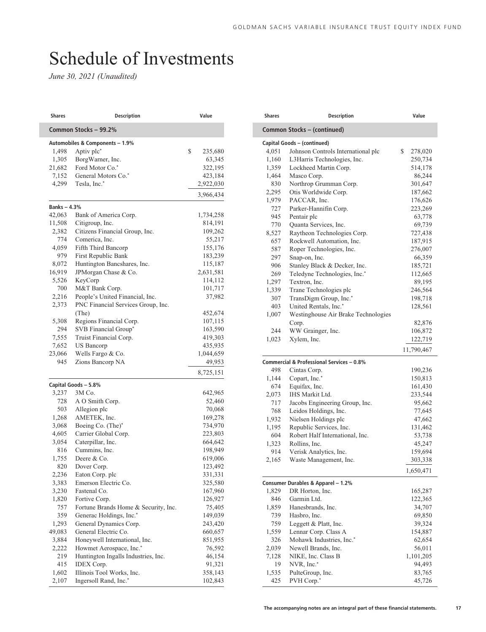# <span id="page-18-0"></span>Schedule of Investments

| Shares            | <b>Description</b>                   | Value                       |
|-------------------|--------------------------------------|-----------------------------|
|                   | Common Stocks - 99.2%                |                             |
|                   | Automobiles & Components - 1.9%      |                             |
| 1,498             | Aptiv plc*                           | \$<br>235,680               |
| 1,305             | BorgWarner, Inc.                     | 63,345                      |
| 21,682            | Ford Motor Co.*                      | 322,195                     |
| 7,152             | General Motors Co.*                  | 423,184                     |
| 4,299             | Tesla, Inc.*                         | 2,922,030                   |
|                   |                                      | 3,966,434                   |
| <b>Banks-4.3%</b> |                                      |                             |
| 42,063            | Bank of America Corp.                | 1,734,258                   |
| 11,508            | Citigroup, Inc.                      | 814,191                     |
| 2,382             | Citizens Financial Group, Inc.       | 109,262                     |
| 774               | Comerica, Inc.                       | 55,217                      |
| 4,059             | Fifth Third Bancorp                  | 155,176                     |
| 979               | First Republic Bank                  | 183,239                     |
| 8,072             | Huntington Bancshares, Inc.          | 115,187                     |
| 16,919            | JPMorgan Chase & Co.                 | 2,631,581                   |
| 5,526             | KeyCorp                              | 114,112                     |
| 700               | M&T Bank Corp.                       | 101,717                     |
| 2,216             | People's United Financial, Inc.      | 37,982                      |
| 2,373             | PNC Financial Services Group, Inc.   |                             |
|                   | (The)                                | 452,674                     |
| 5,308             | Regions Financial Corp.              | 107,115                     |
| 294               | SVB Financial Group*                 | 163,590                     |
| 7,555             | Truist Financial Corp.               | 419,303                     |
| 7,652             | <b>US Bancorp</b>                    | 435,935                     |
| 23,066            | Wells Fargo & Co.                    | 1,044,659                   |
| 945               | Zions Bancorp NA                     | 49,953                      |
|                   |                                      | 8,725,151                   |
|                   | Capital Goods - 5.8%                 |                             |
| 3,237             | 3M Co.                               | 642,965                     |
| 728               | A O Smith Corp.                      | 52,460                      |
| 503               | Allegion plc                         | 70,068                      |
| 1,268             | AMETEK, Inc.                         | 169,278                     |
| 3,068             | Boeing Co. (The)*                    | 734,970                     |
| 4,605             | Carrier Global Corp.                 | 223,803                     |
| 3,054             | Caterpillar, Inc.                    | 664,642                     |
| 816               | Cummins, Inc.                        | 198,949                     |
| 1,755             | Deere & Co.                          | 619,006                     |
| 820               | Dover Corp.                          | 123,492                     |
| 2,236             | Eaton Corp. plc                      | 331,331                     |
| 3,383             | Emerson Electric Co.                 | 325,580                     |
| 3,230             | Fastenal Co.                         | 167,960                     |
| 1,820             | Fortive Corp.                        | 126,927                     |
| 757               | Fortune Brands Home & Security, Inc. | 75,405                      |
| 359               | Generac Holdings, Inc.*              | 149,039                     |
| 1,293             | General Dynamics Corp.               | 243,420                     |
| 49,083            | General Electric Co.                 | 660,657                     |
| 3,884             | Honeywell International, Inc.        | 851,955                     |
|                   |                                      | 76,592                      |
| 2,222             | Howmet Aerospace, Inc.*              |                             |
| 219               | Huntington Ingalls Industries, Inc.  |                             |
| 415               | <b>IDEX</b> Corp.                    |                             |
| 1,602             | Illinois Tool Works, Inc.            | 46,154<br>91,321<br>358,143 |

| Shares | Description                               | Value         |
|--------|-------------------------------------------|---------------|
|        | Common Stocks - (continued)               |               |
|        | Capital Goods - (continued)               |               |
| 4,051  | Johnson Controls International plc        | \$<br>278,020 |
| 1,160  | L3Harris Technologies, Inc.               | 250,734       |
| 1,359  | Lockheed Martin Corp.                     | 514,178       |
| 1,464  | Masco Corp.                               | 86,244        |
| 830    | Northrop Grumman Corp.                    | 301,647       |
| 2,295  | Otis Worldwide Corp.                      | 187,662       |
| 1,979  | PACCAR, Inc.                              | 176,626       |
| 727    | Parker-Hannifin Corp.                     | 223,269       |
| 945    | Pentair plc                               | 63,778        |
| 770    | Quanta Services, Inc.                     | 69,739        |
| 8,527  | Raytheon Technologies Corp.               | 727,438       |
| 657    | Rockwell Automation, Inc.                 | 187,915       |
| 587    | Roper Technologies, Inc.                  | 276,007       |
| 297    | Snap-on, Inc.                             | 66,359        |
| 906    | Stanley Black & Decker, Inc.              | 185,721       |
| 269    | Teledyne Technologies, Inc.*              | 112,665       |
| 1,297  | Textron, Inc.                             | 89,195        |
| 1,339  | Trane Technologies plc                    | 246,564       |
| 307    | TransDigm Group, Inc.*                    | 198,718       |
| 403    | United Rentals, Inc.*                     | 128,561       |
| 1,007  | Westinghouse Air Brake Technologies       |               |
|        | Corp.                                     | 82,876        |
| 244    | WW Grainger, Inc.                         | 106,872       |
| 1,023  | Xylem, Inc.                               | 122,719       |
|        |                                           | 11,790,467    |
|        | Commercial & Professional Services - 0.8% |               |
| 498    | Cintas Corp.                              | 190,236       |
| 1,144  | Copart, Inc.*                             | 150,813       |
| 674    | Equifax, Inc.                             | 161,430       |
| 2,073  | <b>IHS Markit Ltd.</b>                    | 233,544       |
| 717    | Jacobs Engineering Group, Inc.            | 95,662        |
| 768    | Leidos Holdings, Inc.                     | 77,645        |
| 1,932  | Nielsen Holdings plc                      | 47,662        |
| 1,195  | Republic Services, Inc.                   | 131,462       |
| 604    | Robert Half International, Inc.           | 53,738        |
| 1,323  | Rollins, Inc.                             | 45,247        |
| 914    | Verisk Analytics, Inc.                    | 159,694       |
| 2,165  | Waste Management, Inc.                    | 303,338       |
|        |                                           | 1,650,471     |
|        |                                           |               |
|        | Consumer Durables & Apparel - 1.2%        |               |
| 1,829  | DR Horton, Inc.                           | 165,287       |
| 846    | Garmin Ltd.                               | 122,365       |
| 1,859  | Hanesbrands, Inc.                         | 34,707        |
| 739    | Hasbro, Inc.                              | 69,850        |
| 759    | Leggett & Platt, Inc.                     | 39,324        |
| 1,559  | Lennar Corp. Class A                      | 154,887       |
| 326    | Mohawk Industries, Inc.*                  | 62,654        |
| 2,039  | Newell Brands, Inc.                       | 56,011        |
| 7,128  | NIKE, Inc. Class B                        | 1,101,205     |
| 19     | NVR, Inc.*                                | 94,493        |
| 1,535  | PulteGroup, Inc.                          | 83,765        |
| 425    | PVH Corp.*                                | 45,726        |
|        |                                           |               |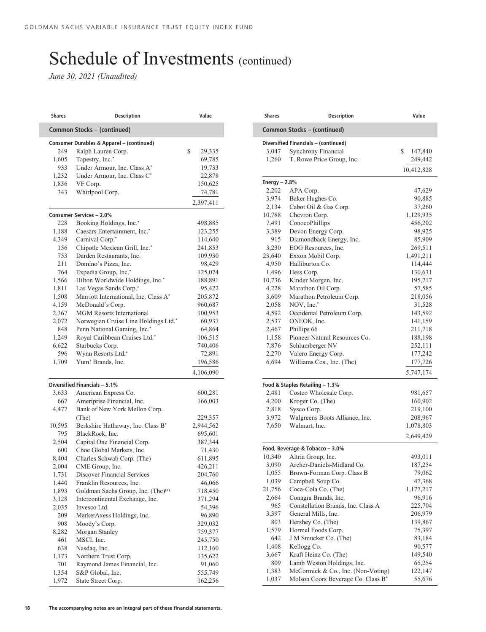| <b>Shares</b> | <b>Description</b>                                 | Value                                                                                                                                                                                                                                                               |
|---------------|----------------------------------------------------|---------------------------------------------------------------------------------------------------------------------------------------------------------------------------------------------------------------------------------------------------------------------|
|               | Common Stocks - (continued)                        |                                                                                                                                                                                                                                                                     |
|               | Consumer Durables & Apparel - (continued)          |                                                                                                                                                                                                                                                                     |
| 249           | Ralph Lauren Corp.                                 | \$<br>29,335                                                                                                                                                                                                                                                        |
| 1,605         | Tapestry, Inc.*                                    | 69,785                                                                                                                                                                                                                                                              |
| 933           | Under Armour, Inc. Class A*                        | 19,733                                                                                                                                                                                                                                                              |
| 1,232         | Under Armour, Inc. Class C*                        | 22,878                                                                                                                                                                                                                                                              |
| 1,836         | VF Corp.                                           | 150,625                                                                                                                                                                                                                                                             |
| 343           | Whirlpool Corp.                                    | 74,781                                                                                                                                                                                                                                                              |
|               |                                                    | 2,397,411                                                                                                                                                                                                                                                           |
|               | Consumer Services - 2.0%                           |                                                                                                                                                                                                                                                                     |
| 228           | Booking Holdings, Inc.*                            | 498,885                                                                                                                                                                                                                                                             |
| 1,188         | Caesars Entertainment, Inc.*                       | 123,255                                                                                                                                                                                                                                                             |
| 4,349         | Carnival Corp.*                                    | 114,640                                                                                                                                                                                                                                                             |
| 156           | Chipotle Mexican Grill, Inc.*                      | 241,853                                                                                                                                                                                                                                                             |
| 753           | Darden Restaurants, Inc.                           | 109,930                                                                                                                                                                                                                                                             |
| 211           | Domino's Pizza, Inc.                               | 98,429                                                                                                                                                                                                                                                              |
| 764           | Expedia Group, Inc.*                               | 125,074                                                                                                                                                                                                                                                             |
| 1,566         | Hilton Worldwide Holdings, Inc.*                   | 188,891                                                                                                                                                                                                                                                             |
| 1,811         | Las Vegas Sands Corp.*                             | 95,422                                                                                                                                                                                                                                                              |
| 1,508         | Marriott International, Inc. Class A*              | 205,872                                                                                                                                                                                                                                                             |
| 4,159         | McDonald's Corp.                                   | 960,687                                                                                                                                                                                                                                                             |
| 2,367         | <b>MGM Resorts International</b>                   | 100,953                                                                                                                                                                                                                                                             |
| 2,072         | Norwegian Cruise Line Holdings Ltd.*               | 60,937                                                                                                                                                                                                                                                              |
| 848           | Penn National Gaming, Inc.*                        | 64,864                                                                                                                                                                                                                                                              |
| 1,249         | Royal Caribbean Cruises Ltd.*                      | 106,515                                                                                                                                                                                                                                                             |
| 6,622         | Starbucks Corp.                                    | 740,406                                                                                                                                                                                                                                                             |
| 596           | Wynn Resorts Ltd.*                                 | 72,891                                                                                                                                                                                                                                                              |
|               |                                                    |                                                                                                                                                                                                                                                                     |
| 1,709         | Yum! Brands, Inc.                                  |                                                                                                                                                                                                                                                                     |
|               |                                                    |                                                                                                                                                                                                                                                                     |
|               | Diversified Financials - 5.1%                      |                                                                                                                                                                                                                                                                     |
| 3,633         |                                                    |                                                                                                                                                                                                                                                                     |
| 667           | American Express Co.<br>Ameriprise Financial, Inc. |                                                                                                                                                                                                                                                                     |
| 4,477         | Bank of New York Mellon Corp.                      |                                                                                                                                                                                                                                                                     |
|               | (The)                                              |                                                                                                                                                                                                                                                                     |
| 10,595        | Berkshire Hathaway, Inc. Class B*                  |                                                                                                                                                                                                                                                                     |
| 795           | BlackRock, Inc.                                    |                                                                                                                                                                                                                                                                     |
| 2,504         | Capital One Financial Corp.                        |                                                                                                                                                                                                                                                                     |
| 600           | Cboe Global Markets, Inc.                          |                                                                                                                                                                                                                                                                     |
| 8,404         | Charles Schwab Corp. (The)                         |                                                                                                                                                                                                                                                                     |
| 2,004         | CME Group, Inc.                                    |                                                                                                                                                                                                                                                                     |
| 1,731         | Discover Financial Services                        |                                                                                                                                                                                                                                                                     |
| 1,440         | Franklin Resources, Inc.                           |                                                                                                                                                                                                                                                                     |
| 1,893         | Goldman Sachs Group, Inc. (The) <sup>(a)</sup>     |                                                                                                                                                                                                                                                                     |
| 3,128         | Intercontinental Exchange, Inc.                    |                                                                                                                                                                                                                                                                     |
| 2,035         | Invesco Ltd.                                       |                                                                                                                                                                                                                                                                     |
| 209           | MarketAxess Holdings, Inc.                         |                                                                                                                                                                                                                                                                     |
| 908           | Moody's Corp.                                      |                                                                                                                                                                                                                                                                     |
| 8,282         | Morgan Stanley                                     |                                                                                                                                                                                                                                                                     |
| 461           | MSCI, Inc.                                         |                                                                                                                                                                                                                                                                     |
| 638           | Nasdaq, Inc.                                       |                                                                                                                                                                                                                                                                     |
| 1,173         | Northern Trust Corp.                               |                                                                                                                                                                                                                                                                     |
| 701<br>1,354  | Raymond James Financial, Inc.<br>S&P Global, Inc.  | 196,586<br>4,106,090<br>600,281<br>166,003<br>229,357<br>2,944,562<br>695,601<br>387,344<br>71,430<br>611,895<br>426,211<br>204,760<br>46,066<br>718,450<br>371,294<br>54,396<br>96,890<br>329,032<br>759,377<br>245,750<br>112,160<br>135,622<br>91,060<br>555,749 |

| Shares         | <b>Description</b>                                        | Value              |
|----------------|-----------------------------------------------------------|--------------------|
|                | Common Stocks - (continued)                               |                    |
|                | Diversified Financials - (continued)                      |                    |
| 3,047          | Synchrony Financial                                       | \$<br>147,840      |
| 1,260          | T. Rowe Price Group, Inc.                                 | 249,442            |
|                |                                                           | 10,412,828         |
| Energy $-2.8%$ |                                                           |                    |
| 2,202          | APA Corp.                                                 | 47,629             |
| 3,974          | Baker Hughes Co.                                          | 90,885             |
| 2,134          | Cabot Oil & Gas Corp.                                     | 37,260             |
| 10,788         | Chevron Corp.                                             | 1,129,935          |
| 7,491          | ConocoPhillips                                            | 456,202            |
| 3,389          | Devon Energy Corp.                                        | 98,925             |
| 915            | Diamondback Energy, Inc.                                  | 85,909             |
| 3,230          | EOG Resources, Inc.                                       | 269,511            |
| 23,640         | Exxon Mobil Corp.                                         | 1,491,211          |
| 4,950          | Halliburton Co.                                           | 114,444            |
| 1,496          | Hess Corp.                                                | 130,631            |
| 10,736         | Kinder Morgan, Inc.                                       | 195,717            |
| 4,228          | Marathon Oil Corp.                                        | 57,585             |
| 3,609          | Marathon Petroleum Corp.                                  | 218,056            |
| 2,058          | NOV, Inc.*                                                | 31,528             |
| 4,592          | Occidental Petroleum Corp.                                | 143,592            |
| 2,537          | ONEOK, Inc.                                               | 141,159            |
| 2,467          | Phillips 66                                               | 211,718            |
| 1,158          | Pioneer Natural Resources Co.                             | 188,198            |
| 7,876          | Schlumberger NV                                           | 252,111            |
| 2,270          | Valero Energy Corp.                                       | 177,242            |
| 6,694          | Williams Cos., Inc. (The)                                 | 177,726            |
|                |                                                           | 5,747,174          |
| 2,481          | Food & Staples Retailing - 1.3%<br>Costco Wholesale Corp. |                    |
| 4,200          |                                                           | 981,657<br>160,902 |
| 2,818          | Kroger Co. (The)<br>Sysco Corp.                           | 219,100            |
| 3,972          | Walgreens Boots Alliance, Inc.                            | 208,967            |
| 7,650          | Walmart, Inc.                                             | 1,078,803          |
|                |                                                           |                    |
|                |                                                           | 2,649,429          |
| 10,340         | Food, Beverage & Tobacco - 3.0%<br>Altria Group, Inc.     | 493,011            |
| 3,090          | Archer-Daniels-Midland Co.                                | 187,254            |
| 1,055          | Brown-Forman Corp. Class B                                | 79,062             |
| 1,039          | Campbell Soup Co.                                         | 47,368             |
| 21,756         | Coca-Cola Co. (The)                                       | 1,177,217          |
| 2,664          | Conagra Brands, Inc.                                      | 96,916             |
| 965            | Constellation Brands, Inc. Class A                        | 225,704            |
| 3,397          | General Mills, Inc.                                       | 206,979            |
| 803            | Hershey Co. (The)                                         | 139,867            |
| 1,579          | Hormel Foods Corp.                                        | 75,397             |
| 642            | J M Smucker Co. (The)                                     | 83,184             |
| 1,408          | Kellogg Co.                                               | 90,577             |
| 3,667          | Kraft Heinz Co. (The)                                     | 149,540            |
| 809            | Lamb Weston Holdings, Inc.                                | 65,254             |
|                |                                                           |                    |
| 1,383          | McCormick & Co., Inc. (Non-Voting)                        | 122,147            |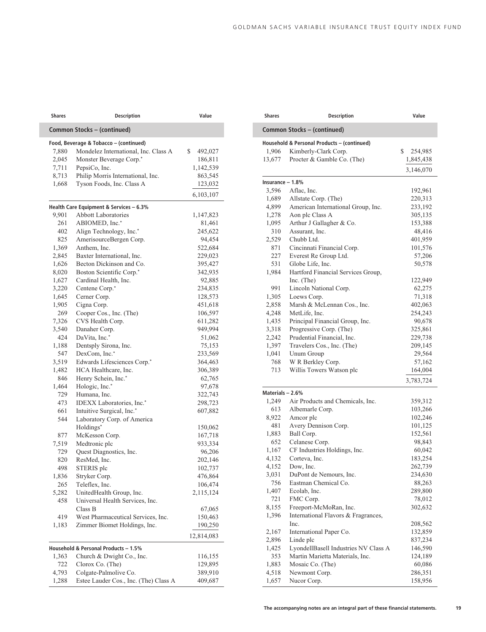| <b>Shares</b> | <b>Description</b>                            | Value              |
|---------------|-----------------------------------------------|--------------------|
|               | Common Stocks - (continued)                   |                    |
|               | Food, Beverage & Tobacco - (continued)        |                    |
| 7,880         | Mondelez International, Inc. Class A          | \$<br>492,027      |
| 2,045         | Monster Beverage Corp.*                       | 186,811            |
| 7,711         | PepsiCo, Inc.                                 | 1,142,539          |
| 8,713         | Philip Morris International, Inc.             | 863,545            |
| 1,668         | Tyson Foods, Inc. Class A                     | 123,032            |
|               |                                               | 6,103,107          |
|               | Health Care Equipment & Services - 6.3%       |                    |
| 9,901         | <b>Abbott Laboratories</b>                    | 1,147,823          |
| 261           | ABIOMED, Inc.*                                | 81,461             |
| 402           | Align Technology, Inc.*                       | 245,622            |
| 825           | AmerisourceBergen Corp.                       | 94,454             |
| 1,369         | Anthem, Inc.                                  | 522,684            |
| 2,845         | Baxter International, Inc.                    | 229,023            |
| 1,626         | Becton Dickinson and Co.                      | 395,427            |
| 8,020         | Boston Scientific Corp.*                      | 342,935            |
| 1,627         | Cardinal Health, Inc.                         | 92,885             |
| 3,220         | Centene Corp.*                                | 234,835            |
| 1,645         | Cerner Corp.                                  | 128,573            |
| 1,905         | Cigna Corp.                                   | 451,618            |
| 269           | Cooper Cos., Inc. (The)                       | 106,597            |
| 7,326         | CVS Health Corp.                              | 611,282            |
| 3,540         | Danaher Corp.                                 | 949,994            |
| 424           | DaVita, Inc.*                                 | 51,062             |
| 1,188         | Dentsply Sirona, Inc.                         | 75,153             |
| 547           | DexCom, Inc.*                                 | 233,569            |
| 3,519         | Edwards Lifesciences Corp.*                   | 364,463            |
| 1,482         | HCA Healthcare, Inc.                          | 306,389            |
| 846           | Henry Schein, Inc.*                           | 62,765             |
| 1,464         | Hologic, Inc.*                                | 97,678             |
| 729           | Humana, Inc.                                  | 322,743            |
| 473           | IDEXX Laboratories, Inc.*                     | 298,723            |
| 661           | Intuitive Surgical, Inc.*                     | 607,882            |
| 544           | Laboratory Corp. of America                   |                    |
|               | Holdings*                                     | 150,062            |
| 877           | McKesson Corp.                                | 167,718            |
| 7,519         | Medtronic plc                                 | 933,334            |
| 729           | Quest Diagnostics, Inc.                       | 96,206             |
| 820           | ResMed, Inc.                                  | 202,146            |
| 498           | STERIS plc                                    | 102,737            |
| 1,836         | Stryker Corp.                                 | 476,864            |
| 265           | Teleflex, Inc.                                | 106,474            |
| 5,282         | UnitedHealth Group, Inc.                      | 2,115,124          |
| 458           | Universal Health Services, Inc.               |                    |
|               | Class B                                       | 67,065             |
| 419           | West Pharmaceutical Services, Inc.            | 150,463            |
| 1,183         | Zimmer Biomet Holdings, Inc.                  | 190,250            |
|               |                                               | 12,814,083         |
|               |                                               |                    |
|               | Household & Personal Products - 1.5%          |                    |
| 1,363         | Church & Dwight Co., Inc.<br>Clorox Co. (The) | 116,155<br>129,895 |
|               |                                               |                    |
| 722<br>4,793  | Colgate-Palmolive Co.                         | 389,910            |

| <b>Shares</b>    | Description                                 | Value            |
|------------------|---------------------------------------------|------------------|
|                  | Common Stocks - (continued)                 |                  |
|                  | Household & Personal Products - (continued) |                  |
| 1,906            | Kimberly-Clark Corp.                        | \$<br>254,985    |
| 13,677           | Procter & Gamble Co. (The)                  | 1,845,438        |
|                  |                                             | 3,146,070        |
| Insurance - 1.8% |                                             |                  |
| 3,596            | Aflac, Inc.                                 | 192,961          |
| 1,689            | Allstate Corp. (The)                        | 220,313          |
| 4,899            | American International Group, Inc.          | 233,192          |
| 1,278            | Aon plc Class A                             | 305,135          |
| 1,095            | Arthur J Gallagher & Co.                    | 153,388          |
| 310              | Assurant, Inc.                              | 48,416           |
| 2,529            | Chubb Ltd.                                  | 401,959          |
| 871              | Cincinnati Financial Corp.                  | 101,576          |
| 227              | Everest Re Group Ltd.                       | 57,206           |
| 531              | Globe Life, Inc.                            | 50,578           |
| 1,984            | Hartford Financial Services Group,          |                  |
| 991              | Inc. (The)                                  | 122,949          |
| 1,305            | Lincoln National Corp.<br>Loews Corp.       | 62,275<br>71,318 |
| 2,858            | Marsh & McLennan Cos., Inc.                 | 402,063          |
| 4,248            | MetLife, Inc.                               | 254,243          |
| 1,435            | Principal Financial Group, Inc.             | 90,678           |
| 3,318            | Progressive Corp. (The)                     | 325,861          |
| 2,242            | Prudential Financial, Inc.                  | 229,738          |
| 1,397            | Travelers Cos., Inc. (The)                  | 209,145          |
| 1,041            | Unum Group                                  | 29,564           |
| 768              | W R Berkley Corp.                           | 57,162           |
| 713              | Willis Towers Watson plc                    | 164,004          |
|                  |                                             | 3,783,724        |
| Materials - 2.6% |                                             |                  |
| 1,249            | Air Products and Chemicals, Inc.            | 359,312          |
| 613              | Albemarle Corp.                             | 103,266          |
| 8,922            | Amcor plc                                   | 102,246          |
| 481              | Avery Dennison Corp.                        | 101,125          |
| 1,883            | Ball Corp.                                  | 152,561          |
| 652              | Celanese Corp.                              | 98,843           |
| 1,167            | CF Industries Holdings, Inc.                | 60,042           |
| 4,132            | Corteva, Inc.                               | 183,254          |
| 4,152            | Dow, Inc.                                   | 262,739          |
| 3,031            | DuPont de Nemours, Inc.                     | 234,630          |
| 756              | Eastman Chemical Co.                        | 88,263           |
| 1,407            | Ecolab, Inc.                                | 289,800          |
| 721              | FMC Corp.                                   | 78,012           |
| 8,155            | Freeport-McMoRan, Inc.                      | 302,632          |
| 1,396            | International Flavors & Fragrances,<br>Inc. | 208,562          |
| 2,167            | International Paper Co.                     | 132,859          |
| 2,896            | Linde plc                                   | 837,234          |
| 1,425            | LyondellBasell Industries NV Class A        | 146,590          |
| 353              | Martin Marietta Materials, Inc.             | 124,189          |
| 1,883            | Mosaic Co. (The)                            | 60,086           |
| 4,518            | Newmont Corp.                               | 286,351          |
|                  | Nucor Corp.                                 | 158,956          |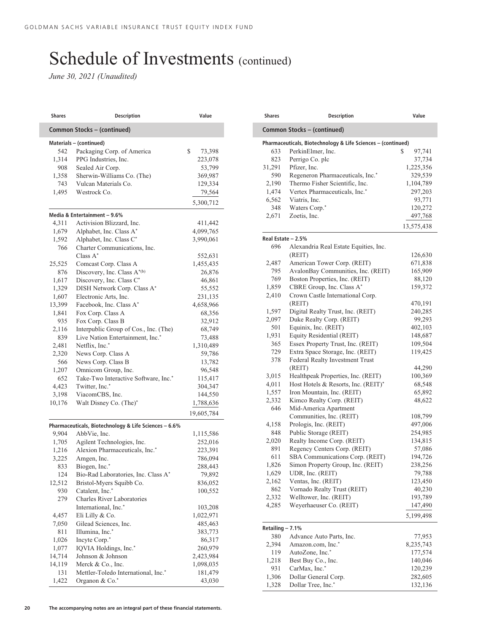| <b>Shares</b> | <b>Description</b>                                    | Value                                                                                                                                                                                         |
|---------------|-------------------------------------------------------|-----------------------------------------------------------------------------------------------------------------------------------------------------------------------------------------------|
|               | Common Stocks - (continued)                           |                                                                                                                                                                                               |
|               | Materials - (continued)                               |                                                                                                                                                                                               |
| 542           | Packaging Corp. of America                            | \$<br>73,398                                                                                                                                                                                  |
| 1,314         | PPG Industries, Inc.                                  | 223,078                                                                                                                                                                                       |
| 908           | Sealed Air Corp.                                      | 53,799                                                                                                                                                                                        |
| 1,358         | Sherwin-Williams Co. (The)                            | 369,987                                                                                                                                                                                       |
| 743           | Vulcan Materials Co.                                  | 129,334                                                                                                                                                                                       |
| 1,495         | Westrock Co.                                          | 79,564                                                                                                                                                                                        |
|               |                                                       | 5,300,712                                                                                                                                                                                     |
|               | Media & Entertainment - 9.6%                          |                                                                                                                                                                                               |
| 4,311         | Activision Blizzard, Inc.                             | 411,442                                                                                                                                                                                       |
| 1,679         | Alphabet, Inc. Class A*                               | 4,099,765                                                                                                                                                                                     |
| 1,592         | Alphabet, Inc. Class C*                               | 3,990,061                                                                                                                                                                                     |
| 766           | Charter Communications, Inc.                          |                                                                                                                                                                                               |
|               | Class $A^*$                                           | 552,631                                                                                                                                                                                       |
| 25,525        | Comcast Corp. Class A                                 | 1,455,435                                                                                                                                                                                     |
| 876           | Discovery, Inc. Class A*(b)                           | 26,876                                                                                                                                                                                        |
| 1,617         | Discovery, Inc. Class C*                              | 46,861                                                                                                                                                                                        |
| 1,329         | DISH Network Corp. Class A*                           | 55,552                                                                                                                                                                                        |
| 1,607         | Electronic Arts, Inc.                                 | 231,135                                                                                                                                                                                       |
| 13,399        | Facebook, Inc. Class A*                               | 4,658,966                                                                                                                                                                                     |
| 1,841         | Fox Corp. Class A                                     | 68,356                                                                                                                                                                                        |
| 935           | Fox Corp. Class B                                     | 32,912                                                                                                                                                                                        |
| 2,116         | Interpublic Group of Cos., Inc. (The)                 | 68,749                                                                                                                                                                                        |
| 839           | Live Nation Entertainment, Inc.*                      | 73,488                                                                                                                                                                                        |
| 2,481         | Netflix, Inc.*                                        | 1,310,489                                                                                                                                                                                     |
| 2,320         | News Corp. Class A                                    | 59,786                                                                                                                                                                                        |
| 566           | News Corp. Class B                                    | 13,782                                                                                                                                                                                        |
| 1,207         | Omnicom Group, Inc.                                   | 96,548                                                                                                                                                                                        |
| 652           | Take-Two Interactive Software, Inc.*                  | 115,417                                                                                                                                                                                       |
| 4,423         | Twitter, Inc.*                                        | 304,347                                                                                                                                                                                       |
| 3,198         | ViacomCBS, Inc.                                       | 144,550                                                                                                                                                                                       |
| 10,176        | Walt Disney Co. (The)*                                | 1,788,636                                                                                                                                                                                     |
|               |                                                       | 19,605,784                                                                                                                                                                                    |
|               | Pharmaceuticals, Biotechnology & Life Sciences - 6.6% |                                                                                                                                                                                               |
| 9,904         |                                                       |                                                                                                                                                                                               |
| 1,705         | AbbVie, Inc.                                          |                                                                                                                                                                                               |
|               | Agilent Technologies, Inc.                            |                                                                                                                                                                                               |
| 1,216         | Alexion Pharmaceuticals, Inc.*                        |                                                                                                                                                                                               |
| 3,225         | Amgen, Inc.                                           |                                                                                                                                                                                               |
| 833           | Biogen, Inc.*                                         |                                                                                                                                                                                               |
| 124           | Bio-Rad Laboratories, Inc. Class A*                   |                                                                                                                                                                                               |
| 12,512        | Bristol-Myers Squibb Co.                              |                                                                                                                                                                                               |
| 930           | Catalent, Inc.*                                       |                                                                                                                                                                                               |
| 279           | <b>Charles River Laboratories</b>                     |                                                                                                                                                                                               |
|               | International, Inc.*                                  |                                                                                                                                                                                               |
| 4,457         | Eli Lilly & Co.                                       |                                                                                                                                                                                               |
| 7,050         | Gilead Sciences, Inc.                                 |                                                                                                                                                                                               |
| 811           | Illumina, Inc.*                                       |                                                                                                                                                                                               |
| 1,026         | Incyte Corp.*                                         |                                                                                                                                                                                               |
| 1,077         | IQVIA Holdings, Inc.*                                 |                                                                                                                                                                                               |
| 14,714        | Johnson & Johnson                                     |                                                                                                                                                                                               |
| 14,119        | Merck & Co., Inc.                                     |                                                                                                                                                                                               |
| 131           | Mettler-Toledo International, Inc.*                   | 1,115,586<br>252,016<br>223,391<br>786,094<br>288,443<br>79,892<br>836,052<br>100,552<br>103,208<br>1,022,971<br>485,463<br>383,773<br>86,317<br>260,979<br>2,423,984<br>1,098,035<br>181,479 |

| Shares                      | <b>Description</b>                                           | Value              |
|-----------------------------|--------------------------------------------------------------|--------------------|
| Common Stocks - (continued) |                                                              |                    |
|                             | Pharmaceuticals, Biotechnology & Life Sciences - (continued) |                    |
| 633                         | PerkinElmer, Inc.                                            | 97,741<br>\$       |
| 823                         | Perrigo Co. plc                                              | 37,734             |
| 31,291                      | Pfizer, Inc.                                                 | 1,225,356          |
| 590                         | Regeneron Pharmaceuticals, Inc.*                             | 329,539            |
| 2,190                       | Thermo Fisher Scientific, Inc.                               | 1,104,789          |
| 1,474                       | Vertex Pharmaceuticals, Inc.*                                | 297,203            |
| 6,562                       | Viatris, Inc.                                                | 93,771             |
| 348                         | Waters Corp.*                                                | 120,272            |
| 2,671                       | Zoetis, Inc.                                                 | 497,768            |
|                             |                                                              | 13,575,438         |
| Real Estate - 2.5%          |                                                              |                    |
| 696                         | Alexandria Real Estate Equities, Inc.                        |                    |
|                             | (REIT)                                                       | 126,630            |
| 2,487                       | American Tower Corp. (REIT)                                  | 671,838            |
| 795                         | AvalonBay Communities, Inc. (REIT)                           | 165,909            |
| 769                         | Boston Properties, Inc. (REIT)                               | 88,120             |
| 1,859                       | CBRE Group, Inc. Class A*                                    | 159,372            |
| 2,410                       | Crown Castle International Corp.                             |                    |
|                             | (REIT)                                                       | 470,191            |
| 1,597                       | Digital Realty Trust, Inc. (REIT)                            | 240,285            |
| 2,097                       | Duke Realty Corp. (REIT)                                     | 99,293             |
| 501                         | Equinix, Inc. (REIT)                                         | 402,103            |
| 1,931                       | Equity Residential (REIT)                                    | 148,687            |
| 365                         | Essex Property Trust, Inc. (REIT)                            | 109,504            |
| 729                         | Extra Space Storage, Inc. (REIT)                             | 119,425            |
| 378                         | Federal Realty Investment Trust                              |                    |
|                             | (REIT)                                                       | 44,290             |
| 3,015                       | Healthpeak Properties, Inc. (REIT)                           | 100,369            |
| 4,011                       | Host Hotels & Resorts, Inc. (REIT)*                          | 68,548             |
| 1,557                       | Iron Mountain, Inc. (REIT)                                   | 65,892             |
| 2,332                       | Kimco Realty Corp. (REIT)                                    | 48,622             |
| 646                         | Mid-America Apartment                                        |                    |
|                             | Communities, Inc. (REIT)                                     | 108,799            |
| 4,158                       | Prologis, Inc. (REIT)                                        | 497,006            |
| 848                         | Public Storage (REIT)                                        | 254,985            |
| 2,020                       | Realty Income Corp. (REIT)                                   | 134,815            |
| 891                         | Regency Centers Corp. (REIT)                                 | 57,086             |
| 611                         | SBA Communications Corp. (REIT)                              | 194,726            |
| 1,826                       | Simon Property Group, Inc. (REIT)                            | 238,256            |
| 1,629                       | UDR, Inc. (REIT)                                             | 79,788             |
| 2,162                       | Ventas, Inc. (REIT)                                          | 123,450            |
| 862                         | Vornado Realty Trust (REIT)                                  | 40,230             |
| 2,332                       | Welltower, Inc. (REIT)                                       | 193,789            |
| 4,285                       | Weyerhaeuser Co. (REIT)                                      | 147,490            |
|                             |                                                              | 5,199,498          |
| Retailing - 7.1%            |                                                              |                    |
| 380                         | Advance Auto Parts, Inc.                                     | 77,953             |
| 2,394                       | Amazon.com, Inc.*                                            | 8,235,743          |
|                             | AutoZone, Inc.*                                              | 177,574            |
| 119                         |                                                              | 140,046            |
|                             |                                                              |                    |
| 1,218                       | Best Buy Co., Inc.                                           |                    |
| 931<br>1,306                | CarMax, Inc.*<br>Dollar General Corp.                        | 120,239<br>282,605 |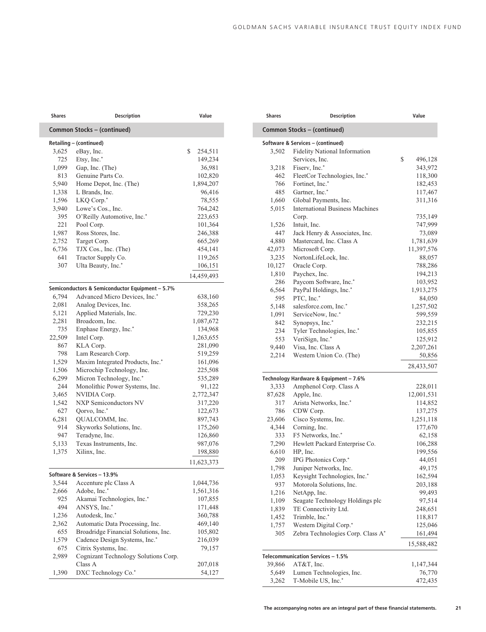| Shares | <b>Description</b>                              | Value         |
|--------|-------------------------------------------------|---------------|
|        | Common Stocks - (continued)                     |               |
|        | Retailing - (continued)                         |               |
| 3,625  | eBay, Inc.                                      | \$<br>254,511 |
| 725    | Etsy, Inc.*                                     | 149,234       |
| 1,099  | Gap, Inc. (The)                                 | 36,981        |
| 813    | Genuine Parts Co.                               | 102,820       |
| 5,940  | Home Depot, Inc. (The)                          | 1,894,207     |
| 1,338  | L Brands, Inc.                                  | 96,416        |
| 1,596  | LKQ Corp.*                                      | 78,555        |
| 3,940  | Lowe's Cos., Inc.                               | 764,242       |
| 395    | O'Reilly Automotive, Inc.*                      | 223,653       |
| 221    | Pool Corp.                                      | 101,364       |
| 1,987  | Ross Stores, Inc.                               | 246,388       |
| 2,752  | Target Corp.                                    | 665,269       |
| 6,736  | TJX Cos., Inc. (The)                            | 454,141       |
| 641    | Tractor Supply Co.                              | 119,265       |
| 307    | Ulta Beauty, Inc.*                              | 106,151       |
|        |                                                 | 14,459,493    |
|        | Semiconductors & Semiconductor Equipment - 5.7% |               |
| 6,794  | Advanced Micro Devices, Inc.*                   | 638,160       |
| 2,081  | Analog Devices, Inc.                            | 358,265       |
| 5,121  | Applied Materials, Inc.                         | 729,230       |
| 2,281  | Broadcom, Inc.                                  | 1,087,672     |
| 735    | Enphase Energy, Inc.*                           | 134,968       |
| 22,509 | Intel Corp.                                     | 1,263,655     |
| 867    | KLA Corp.                                       | 281,090       |
| 798    | Lam Research Corp.                              | 519,259       |
| 1,529  | Maxim Integrated Products, Inc.*                | 161,096       |
| 1,506  | Microchip Technology, Inc.                      | 225,508       |
| 6,299  | Micron Technology, Inc.*                        | 535,289       |
| 244    | Monolithic Power Systems, Inc.                  | 91,122        |
| 3,465  | NVIDIA Corp.                                    | 2,772,347     |
| 1,542  | NXP Semiconductors NV                           | 317,220       |
| 627    | Qorvo, Inc.*                                    | 122,673       |
| 6,281  | QUALCOMM, Inc.                                  | 897,743       |
| 914    | Skyworks Solutions, Inc.                        | 175,260       |
| 947    | Teradyne, Inc.                                  | 126,860       |
| 5,133  | Texas Instruments, Inc.                         | 987,076       |
| 1,375  | Xilinx, Inc.                                    | 198,880       |
|        |                                                 | 11,623,373    |
|        | Software & Services - 13.9%                     |               |
| 3,544  | Accenture plc Class A                           | 1,044,736     |
| 2,666  | Adobe, Inc.*                                    | 1,561,316     |
| 925    | Akamai Technologies, Inc.*                      | 107,855       |
| 494    | ANSYS, Inc.*                                    | 171,448       |
| 1,236  | Autodesk, Inc.*                                 | 360,788       |
| 2,362  | Automatic Data Processing, Inc.                 | 469,140       |
| 655    | Broadridge Financial Solutions, Inc.            | 105,802       |
| 1,579  | Cadence Design Systems, Inc.*                   | 216,039       |
| 675    | Citrix Systems, Inc.                            | 79,157        |
| 2,989  | Cognizant Technology Solutions Corp.            |               |
|        | Class A                                         | 207,018       |
| 1,390  | DXC Technology Co.*                             | 54,127        |

| <b>Shares</b> | <b>Description</b>                     | Value         |  |  |  |
|---------------|----------------------------------------|---------------|--|--|--|
|               | Common Stocks - (continued)            |               |  |  |  |
|               | Software & Services - (continued)      |               |  |  |  |
| 3,502         | Fidelity National Information          |               |  |  |  |
|               | Services, Inc.                         | \$<br>496,128 |  |  |  |
| 3,218         | Fiserv, Inc.*                          | 343,972       |  |  |  |
| 462           | FleetCor Technologies, Inc.*           | 118,300       |  |  |  |
| 766           | Fortinet, Inc.*                        | 182,453       |  |  |  |
| 485           | Gartner, Inc.*                         | 117,467       |  |  |  |
| 1,660         | Global Payments, Inc.                  | 311,316       |  |  |  |
| 5,015         | <b>International Business Machines</b> |               |  |  |  |
|               | Corp.                                  | 735,149       |  |  |  |
| 1,526         | Intuit, Inc.                           | 747,999       |  |  |  |
| 447           | Jack Henry & Associates, Inc.          | 73,089        |  |  |  |
| 4,880         | Mastercard, Inc. Class A               | 1,781,639     |  |  |  |
| 42,073        | Microsoft Corp.                        | 11,397,576    |  |  |  |
| 3,235         | NortonLifeLock, Inc.                   | 88,057        |  |  |  |
| 10,127        | Oracle Corp.                           | 788,286       |  |  |  |
| 1,810         | Paychex, Inc.                          | 194,213       |  |  |  |
| 286           | Paycom Software, Inc.*                 | 103,952       |  |  |  |
| 6,564         | PayPal Holdings, Inc.*                 | 1,913,275     |  |  |  |
| 595           | PTC, Inc.*                             | 84,050        |  |  |  |
| 5,148         | salesforce.com, Inc.*                  | 1,257,502     |  |  |  |
| 1,091         | ServiceNow, Inc.*                      | 599,559       |  |  |  |
| 842           | Synopsys, Inc.*                        | 232,215       |  |  |  |
| 234           | Tyler Technologies, Inc.*              | 105,855       |  |  |  |
| 553           | VeriSign, Inc.*                        | 125,912       |  |  |  |
| 9,440         | Visa, Inc. Class A                     | 2,207,261     |  |  |  |
| 2,214         | Western Union Co. (The)                | 50,856        |  |  |  |
|               |                                        | 28,433,507    |  |  |  |
|               | Technology Hardware & Equipment - 7.6% |               |  |  |  |
| 3,333         | Amphenol Corp. Class A                 | 228,011       |  |  |  |
| 87,628        | Apple, Inc.                            | 12,001,531    |  |  |  |
| 317           | Arista Networks, Inc.*                 | 114,852       |  |  |  |
| 786           | CDW Corp.                              | 137,275       |  |  |  |
| 23,606        | Cisco Systems, Inc.                    | 1,251,118     |  |  |  |
| 4,344         | Corning, Inc.                          | 177,670       |  |  |  |
| 333           | F5 Networks, Inc.*                     | 62,158        |  |  |  |
| 7,290         | Hewlett Packard Enterprise Co.         | 106,288       |  |  |  |
| 6,610         | HP, Inc.                               | 199,556       |  |  |  |
| 209           | IPG Photonics Corp.*                   | 44,051        |  |  |  |
| 1,798         | Juniper Networks, Inc.                 | 49,175        |  |  |  |
| 1,053         | Keysight Technologies, Inc.*           | 162,594       |  |  |  |
| 937           | Motorola Solutions, Inc.               | 203,188       |  |  |  |
| 1,216         | NetApp, Inc.                           | 99,493        |  |  |  |
| 1,109         | Seagate Technology Holdings plc        | 97,514        |  |  |  |
| 1,839         | TE Connectivity Ltd.                   | 248,651       |  |  |  |
| 1,452         | Trimble, Inc.*                         | 118,817       |  |  |  |
| 1,757         | Western Digital Corp.*                 | 125,046       |  |  |  |
| 305           | Zebra Technologies Corp. Class A*      | 161,494       |  |  |  |
|               |                                        | 15,588,482    |  |  |  |
|               | Telecommunication Services - 1.5%      |               |  |  |  |
| 39,866        | AT&T, Inc.                             | 1,147,344     |  |  |  |
| 5,649         | Lumen Technologies, Inc.               | 76,770        |  |  |  |
| 3,262         | T-Mobile US, Inc.*                     | 472,435       |  |  |  |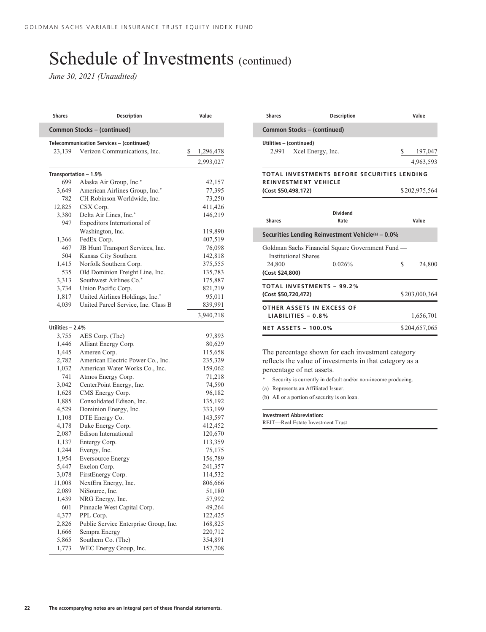*June 30, 2021 (Unaudited)*

| <b>Shares</b>                            | <b>Description</b>                               | Value            |  |  |
|------------------------------------------|--------------------------------------------------|------------------|--|--|
| Common Stocks - (continued)              |                                                  |                  |  |  |
| Telecommunication Services - (continued) |                                                  |                  |  |  |
| 23,139                                   | Verizon Communications, Inc.                     | \$<br>1,296,478  |  |  |
|                                          |                                                  | 2,993,027        |  |  |
|                                          |                                                  |                  |  |  |
|                                          | Transportation - 1.9%<br>Alaska Air Group, Inc.* |                  |  |  |
| 699<br>3,649                             | American Airlines Group, Inc.*                   | 42,157<br>77,395 |  |  |
| 782                                      | CH Robinson Worldwide, Inc.                      | 73,250           |  |  |
| 12,825                                   | CSX Corp.                                        | 411,426          |  |  |
| 3,380                                    | Delta Air Lines, Inc.*                           | 146,219          |  |  |
| 947                                      | Expeditors International of                      |                  |  |  |
|                                          | Washington, Inc.                                 | 119,890          |  |  |
| 1,366                                    | FedEx Corp.                                      | 407,519          |  |  |
| 467                                      | JB Hunt Transport Services, Inc.                 | 76,098           |  |  |
| 504                                      | Kansas City Southern                             | 142,818          |  |  |
| 1,415                                    | Norfolk Southern Corp.                           | 375,555          |  |  |
| 535                                      | Old Dominion Freight Line, Inc.                  | 135,783          |  |  |
| 3,313                                    | Southwest Airlines Co.*                          | 175,887          |  |  |
| 3,734                                    | Union Pacific Corp.                              | 821,219          |  |  |
| 1,817                                    | United Airlines Holdings, Inc.*                  | 95,011           |  |  |
| 4,039                                    | United Parcel Service, Inc. Class B              | 839,991          |  |  |
|                                          |                                                  |                  |  |  |
|                                          |                                                  | 3,940,218        |  |  |
| Utilities - 2.4%                         |                                                  |                  |  |  |
| 3,755                                    | AES Corp. (The)                                  | 97,893           |  |  |
| 1,446                                    | Alliant Energy Corp.                             | 80,629           |  |  |
| 1,445                                    | Ameren Corp.                                     | 115,658          |  |  |
| 2,782                                    | American Electric Power Co., Inc.                | 235,329          |  |  |
| 1,032                                    | American Water Works Co., Inc.                   | 159,062          |  |  |
| 741                                      | Atmos Energy Corp.                               | 71,218           |  |  |
| 3,042                                    | CenterPoint Energy, Inc.                         | 74,590           |  |  |
| 1,628                                    | CMS Energy Corp.                                 | 96,182           |  |  |
| 1,885                                    | Consolidated Edison, Inc.                        | 135,192          |  |  |
| 4,529                                    | Dominion Energy, Inc.                            | 333,199          |  |  |
| 1,108                                    | DTE Energy Co.                                   | 143,597          |  |  |
| 4,178                                    | Duke Energy Corp.                                | 412,452          |  |  |
| 2,087                                    | Edison International                             | 120,670          |  |  |
| 1,137                                    | Entergy Corp.                                    | 113,359          |  |  |
| 1,244                                    | Evergy, Inc.                                     | 75,175           |  |  |
| 1,954                                    | <b>Eversource Energy</b>                         | 156,789          |  |  |
| 5,447                                    | Exelon Corp.                                     | 241,357          |  |  |
| 3,078                                    | FirstEnergy Corp.                                | 114,532          |  |  |
| 11,008                                   | NextEra Energy, Inc.                             | 806,666          |  |  |
| 2,089                                    | NiSource, Inc.                                   | 51,180           |  |  |
| 1,439                                    | NRG Energy, Inc.                                 | 57,992           |  |  |
| 601                                      | Pinnacle West Capital Corp.                      | 49,264           |  |  |
| 4,377                                    | PPL Corp.                                        | 122,425          |  |  |
| 2,826                                    | Public Service Enterprise Group, Inc.            | 168,825          |  |  |
| 1,666                                    | Sempra Energy                                    | 220,712          |  |  |
| 5,865                                    | Southern Co. (The)                               | 354,891          |  |  |
| 1,773                                    | WEC Energy Group, Inc.                           | 157,708          |  |  |

| <b>Shares</b>                                            | <b>Description</b>                                         | Value                      |
|----------------------------------------------------------|------------------------------------------------------------|----------------------------|
| Common Stocks – (continued)                              |                                                            |                            |
| Utilities - (continued)<br>2,991 Xcel Energy, Inc.       |                                                            | \$<br>197,047<br>4,963,593 |
| <b>REINVESTMENT VEHICLE</b><br>(Cost \$50,498,172)       | TOTAL INVESTMENTS BEFORE SECURITIES LENDING                | \$202,975,564              |
| <b>Shares</b>                                            | Dividend<br>Rate                                           | Value                      |
|                                                          | Securities Lending Reinvestment Vehicle(a) - 0.0%          |                            |
| <b>Institutional Shares</b><br>24,800<br>(Cost \$24,800) | Goldman Sachs Financial Square Government Fund —<br>0.026% | S<br>24,800                |
| (Cost \$50,720,472)                                      | <b>TOTAL INVESTMENTS - 99.2%</b>                           | \$203,000,364              |
| LIABILITIES $-0.8\%$                                     | OTHER ASSETS IN EXCESS OF                                  | 1,656,701                  |
| <b>NET ASSETS - 100.0%</b>                               |                                                            | \$204,657,065              |

The percentage shown for each investment category reflects the value of investments in that category as a percentage of net assets.

Security is currently in default and/or non-income producing.

(a) Represents an Affiliated Issuer.

(b) All or a portion of security is on loan.

#### **Investment Abbreviation:**

REIT—Real Estate Investment Trust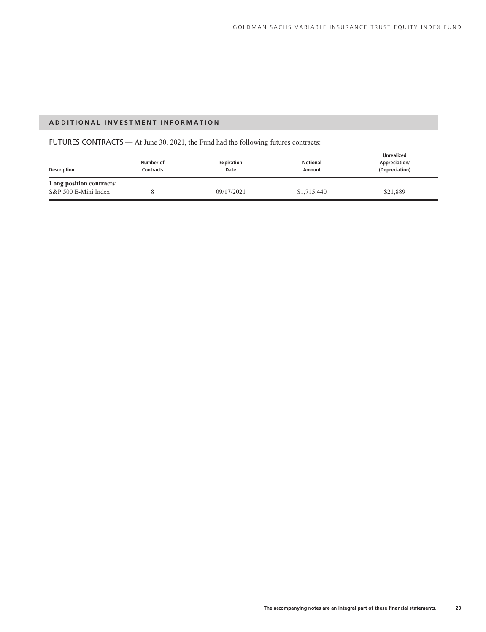### **ADDITIONAL INVESTMENT INFORMATION**

FUTURES CONTRACTS — At June 30, 2021, the Fund had the following futures contracts:

| <b>Description</b>                               | Number of<br>Contracts | <b>Expiration</b><br>Date | <b>Notional</b><br>Amount | <b>Unrealized</b><br>Appreciation/<br>(Depreciation) |
|--------------------------------------------------|------------------------|---------------------------|---------------------------|------------------------------------------------------|
| Long position contracts:<br>S&P 500 E-Mini Index |                        | 09/17/2021                | \$1,715,440               | \$21,889                                             |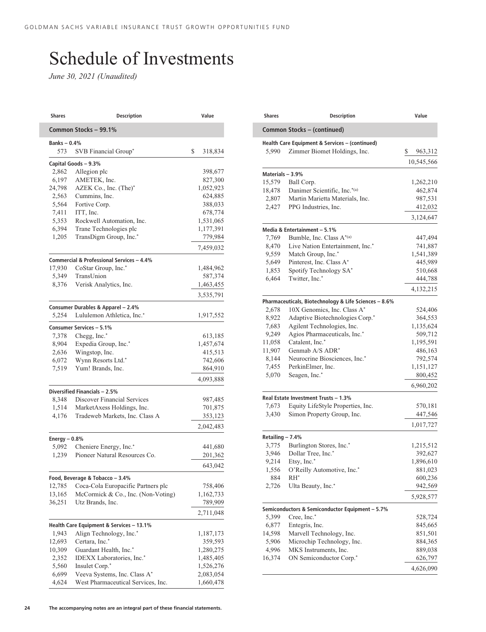# Schedule of Investments

*June 30, 2021 (Unaudited)*

| Common Stocks - 99.1%<br><b>Banks-0.4%</b><br>SVB Financial Group*<br>\$<br>573<br>318,834<br>Capital Goods - 9.3%<br>2,862<br>Allegion plc<br>398,677<br>6,197<br>AMETEK, Inc.<br>827,300<br>24,798<br>AZEK Co., Inc. (The)*<br>1,052,923<br>2,563<br>Cummins, Inc.<br>624,885<br>Fortive Corp.<br>5,564<br>388,033<br>7,411<br>ITT, Inc.<br>678,774<br>5,353<br>Rockwell Automation, Inc.<br>1,531,065<br>6,394<br>Trane Technologies plc<br>1,177,391<br>TransDigm Group, Inc.*<br>1,205<br>779,984<br>7,459,032<br>Commercial & Professional Services - 4.4%<br>17,930<br>CoStar Group, Inc.*<br>1,484,962<br>5,349<br>TransUnion<br>587,374<br>8,376<br>Verisk Analytics, Inc.<br>1,463,455<br>Consumer Durables & Apparel - 2.4%<br>5,254<br>Lululemon Athletica, Inc.*<br>1,917,552<br>Consumer Services - 5.1%<br>7,378<br>Chegg, Inc.*<br>613,185<br>Expedia Group, Inc.*<br>8,904<br>2,636<br>Wingstop, Inc.<br>Wynn Resorts Ltd.*<br>6,072<br>Yum! Brands, Inc.<br>7,519<br>Diversified Financials - 2.5%<br>8,348<br>Discover Financial Services<br>987,485<br>1,514<br>MarketAxess Holdings, Inc.<br>Tradeweb Markets, Inc. Class A<br>4,176<br>2,042,483<br>Energy $-0.8%$<br>Cheniere Energy, Inc.*<br>5,092<br>Pioneer Natural Resources Co.<br>1,239<br>Food, Beverage & Tobacco - 3.4%<br>Coca-Cola Europacific Partners plc<br>12,785<br>13,165<br>McCormick & Co., Inc. (Non-Voting)<br>36,251<br>Utz Brands, Inc.<br>Health Care Equipment & Services - 13.1%<br>1,943<br>Align Technology, Inc.*<br>1,187,173<br>Certara, Inc.*<br>12,693<br>359,593<br>Guardant Health, Inc.*<br>10,309<br>IDEXX Laboratories, Inc.*<br>2,352<br>Insulet Corp.*<br>5,560<br>6,699<br>Veeva Systems, Inc. Class A*<br>West Pharmaceutical Services, Inc.<br>4,624 | <b>Shares</b> | <b>Description</b> |  | Value     |  |  |
|-------------------------------------------------------------------------------------------------------------------------------------------------------------------------------------------------------------------------------------------------------------------------------------------------------------------------------------------------------------------------------------------------------------------------------------------------------------------------------------------------------------------------------------------------------------------------------------------------------------------------------------------------------------------------------------------------------------------------------------------------------------------------------------------------------------------------------------------------------------------------------------------------------------------------------------------------------------------------------------------------------------------------------------------------------------------------------------------------------------------------------------------------------------------------------------------------------------------------------------------------------------------------------------------------------------------------------------------------------------------------------------------------------------------------------------------------------------------------------------------------------------------------------------------------------------------------------------------------------------------------------------------------------------------------------------------------------------------------------------------------------------------------|---------------|--------------------|--|-----------|--|--|
|                                                                                                                                                                                                                                                                                                                                                                                                                                                                                                                                                                                                                                                                                                                                                                                                                                                                                                                                                                                                                                                                                                                                                                                                                                                                                                                                                                                                                                                                                                                                                                                                                                                                                                                                                                         |               |                    |  |           |  |  |
|                                                                                                                                                                                                                                                                                                                                                                                                                                                                                                                                                                                                                                                                                                                                                                                                                                                                                                                                                                                                                                                                                                                                                                                                                                                                                                                                                                                                                                                                                                                                                                                                                                                                                                                                                                         |               |                    |  |           |  |  |
|                                                                                                                                                                                                                                                                                                                                                                                                                                                                                                                                                                                                                                                                                                                                                                                                                                                                                                                                                                                                                                                                                                                                                                                                                                                                                                                                                                                                                                                                                                                                                                                                                                                                                                                                                                         |               |                    |  |           |  |  |
|                                                                                                                                                                                                                                                                                                                                                                                                                                                                                                                                                                                                                                                                                                                                                                                                                                                                                                                                                                                                                                                                                                                                                                                                                                                                                                                                                                                                                                                                                                                                                                                                                                                                                                                                                                         |               |                    |  |           |  |  |
|                                                                                                                                                                                                                                                                                                                                                                                                                                                                                                                                                                                                                                                                                                                                                                                                                                                                                                                                                                                                                                                                                                                                                                                                                                                                                                                                                                                                                                                                                                                                                                                                                                                                                                                                                                         |               |                    |  |           |  |  |
|                                                                                                                                                                                                                                                                                                                                                                                                                                                                                                                                                                                                                                                                                                                                                                                                                                                                                                                                                                                                                                                                                                                                                                                                                                                                                                                                                                                                                                                                                                                                                                                                                                                                                                                                                                         |               |                    |  |           |  |  |
|                                                                                                                                                                                                                                                                                                                                                                                                                                                                                                                                                                                                                                                                                                                                                                                                                                                                                                                                                                                                                                                                                                                                                                                                                                                                                                                                                                                                                                                                                                                                                                                                                                                                                                                                                                         |               |                    |  |           |  |  |
|                                                                                                                                                                                                                                                                                                                                                                                                                                                                                                                                                                                                                                                                                                                                                                                                                                                                                                                                                                                                                                                                                                                                                                                                                                                                                                                                                                                                                                                                                                                                                                                                                                                                                                                                                                         |               |                    |  |           |  |  |
|                                                                                                                                                                                                                                                                                                                                                                                                                                                                                                                                                                                                                                                                                                                                                                                                                                                                                                                                                                                                                                                                                                                                                                                                                                                                                                                                                                                                                                                                                                                                                                                                                                                                                                                                                                         |               |                    |  |           |  |  |
|                                                                                                                                                                                                                                                                                                                                                                                                                                                                                                                                                                                                                                                                                                                                                                                                                                                                                                                                                                                                                                                                                                                                                                                                                                                                                                                                                                                                                                                                                                                                                                                                                                                                                                                                                                         |               |                    |  |           |  |  |
|                                                                                                                                                                                                                                                                                                                                                                                                                                                                                                                                                                                                                                                                                                                                                                                                                                                                                                                                                                                                                                                                                                                                                                                                                                                                                                                                                                                                                                                                                                                                                                                                                                                                                                                                                                         |               |                    |  |           |  |  |
|                                                                                                                                                                                                                                                                                                                                                                                                                                                                                                                                                                                                                                                                                                                                                                                                                                                                                                                                                                                                                                                                                                                                                                                                                                                                                                                                                                                                                                                                                                                                                                                                                                                                                                                                                                         |               |                    |  |           |  |  |
|                                                                                                                                                                                                                                                                                                                                                                                                                                                                                                                                                                                                                                                                                                                                                                                                                                                                                                                                                                                                                                                                                                                                                                                                                                                                                                                                                                                                                                                                                                                                                                                                                                                                                                                                                                         |               |                    |  |           |  |  |
|                                                                                                                                                                                                                                                                                                                                                                                                                                                                                                                                                                                                                                                                                                                                                                                                                                                                                                                                                                                                                                                                                                                                                                                                                                                                                                                                                                                                                                                                                                                                                                                                                                                                                                                                                                         |               |                    |  |           |  |  |
|                                                                                                                                                                                                                                                                                                                                                                                                                                                                                                                                                                                                                                                                                                                                                                                                                                                                                                                                                                                                                                                                                                                                                                                                                                                                                                                                                                                                                                                                                                                                                                                                                                                                                                                                                                         |               |                    |  |           |  |  |
|                                                                                                                                                                                                                                                                                                                                                                                                                                                                                                                                                                                                                                                                                                                                                                                                                                                                                                                                                                                                                                                                                                                                                                                                                                                                                                                                                                                                                                                                                                                                                                                                                                                                                                                                                                         |               |                    |  |           |  |  |
|                                                                                                                                                                                                                                                                                                                                                                                                                                                                                                                                                                                                                                                                                                                                                                                                                                                                                                                                                                                                                                                                                                                                                                                                                                                                                                                                                                                                                                                                                                                                                                                                                                                                                                                                                                         |               |                    |  |           |  |  |
|                                                                                                                                                                                                                                                                                                                                                                                                                                                                                                                                                                                                                                                                                                                                                                                                                                                                                                                                                                                                                                                                                                                                                                                                                                                                                                                                                                                                                                                                                                                                                                                                                                                                                                                                                                         |               |                    |  |           |  |  |
| 1,457,674<br>415,513<br>742,606<br>864,910<br>4,093,888<br>701,875<br>353,123<br>441,680<br>201,362<br>643,042<br>758,406<br>1,162,733<br>789,909<br>2,711,048<br>1,280,275<br>1,485,405<br>1,526,276<br>2,083,054<br>1,660,478                                                                                                                                                                                                                                                                                                                                                                                                                                                                                                                                                                                                                                                                                                                                                                                                                                                                                                                                                                                                                                                                                                                                                                                                                                                                                                                                                                                                                                                                                                                                         |               |                    |  | 3,535,791 |  |  |
|                                                                                                                                                                                                                                                                                                                                                                                                                                                                                                                                                                                                                                                                                                                                                                                                                                                                                                                                                                                                                                                                                                                                                                                                                                                                                                                                                                                                                                                                                                                                                                                                                                                                                                                                                                         |               |                    |  |           |  |  |
|                                                                                                                                                                                                                                                                                                                                                                                                                                                                                                                                                                                                                                                                                                                                                                                                                                                                                                                                                                                                                                                                                                                                                                                                                                                                                                                                                                                                                                                                                                                                                                                                                                                                                                                                                                         |               |                    |  |           |  |  |
|                                                                                                                                                                                                                                                                                                                                                                                                                                                                                                                                                                                                                                                                                                                                                                                                                                                                                                                                                                                                                                                                                                                                                                                                                                                                                                                                                                                                                                                                                                                                                                                                                                                                                                                                                                         |               |                    |  |           |  |  |
|                                                                                                                                                                                                                                                                                                                                                                                                                                                                                                                                                                                                                                                                                                                                                                                                                                                                                                                                                                                                                                                                                                                                                                                                                                                                                                                                                                                                                                                                                                                                                                                                                                                                                                                                                                         |               |                    |  |           |  |  |
|                                                                                                                                                                                                                                                                                                                                                                                                                                                                                                                                                                                                                                                                                                                                                                                                                                                                                                                                                                                                                                                                                                                                                                                                                                                                                                                                                                                                                                                                                                                                                                                                                                                                                                                                                                         |               |                    |  |           |  |  |
|                                                                                                                                                                                                                                                                                                                                                                                                                                                                                                                                                                                                                                                                                                                                                                                                                                                                                                                                                                                                                                                                                                                                                                                                                                                                                                                                                                                                                                                                                                                                                                                                                                                                                                                                                                         |               |                    |  |           |  |  |
|                                                                                                                                                                                                                                                                                                                                                                                                                                                                                                                                                                                                                                                                                                                                                                                                                                                                                                                                                                                                                                                                                                                                                                                                                                                                                                                                                                                                                                                                                                                                                                                                                                                                                                                                                                         |               |                    |  |           |  |  |
|                                                                                                                                                                                                                                                                                                                                                                                                                                                                                                                                                                                                                                                                                                                                                                                                                                                                                                                                                                                                                                                                                                                                                                                                                                                                                                                                                                                                                                                                                                                                                                                                                                                                                                                                                                         |               |                    |  |           |  |  |
|                                                                                                                                                                                                                                                                                                                                                                                                                                                                                                                                                                                                                                                                                                                                                                                                                                                                                                                                                                                                                                                                                                                                                                                                                                                                                                                                                                                                                                                                                                                                                                                                                                                                                                                                                                         |               |                    |  |           |  |  |
|                                                                                                                                                                                                                                                                                                                                                                                                                                                                                                                                                                                                                                                                                                                                                                                                                                                                                                                                                                                                                                                                                                                                                                                                                                                                                                                                                                                                                                                                                                                                                                                                                                                                                                                                                                         |               |                    |  |           |  |  |
|                                                                                                                                                                                                                                                                                                                                                                                                                                                                                                                                                                                                                                                                                                                                                                                                                                                                                                                                                                                                                                                                                                                                                                                                                                                                                                                                                                                                                                                                                                                                                                                                                                                                                                                                                                         |               |                    |  |           |  |  |
|                                                                                                                                                                                                                                                                                                                                                                                                                                                                                                                                                                                                                                                                                                                                                                                                                                                                                                                                                                                                                                                                                                                                                                                                                                                                                                                                                                                                                                                                                                                                                                                                                                                                                                                                                                         |               |                    |  |           |  |  |
|                                                                                                                                                                                                                                                                                                                                                                                                                                                                                                                                                                                                                                                                                                                                                                                                                                                                                                                                                                                                                                                                                                                                                                                                                                                                                                                                                                                                                                                                                                                                                                                                                                                                                                                                                                         |               |                    |  |           |  |  |
|                                                                                                                                                                                                                                                                                                                                                                                                                                                                                                                                                                                                                                                                                                                                                                                                                                                                                                                                                                                                                                                                                                                                                                                                                                                                                                                                                                                                                                                                                                                                                                                                                                                                                                                                                                         |               |                    |  |           |  |  |
|                                                                                                                                                                                                                                                                                                                                                                                                                                                                                                                                                                                                                                                                                                                                                                                                                                                                                                                                                                                                                                                                                                                                                                                                                                                                                                                                                                                                                                                                                                                                                                                                                                                                                                                                                                         |               |                    |  |           |  |  |
|                                                                                                                                                                                                                                                                                                                                                                                                                                                                                                                                                                                                                                                                                                                                                                                                                                                                                                                                                                                                                                                                                                                                                                                                                                                                                                                                                                                                                                                                                                                                                                                                                                                                                                                                                                         |               |                    |  |           |  |  |
|                                                                                                                                                                                                                                                                                                                                                                                                                                                                                                                                                                                                                                                                                                                                                                                                                                                                                                                                                                                                                                                                                                                                                                                                                                                                                                                                                                                                                                                                                                                                                                                                                                                                                                                                                                         |               |                    |  |           |  |  |
|                                                                                                                                                                                                                                                                                                                                                                                                                                                                                                                                                                                                                                                                                                                                                                                                                                                                                                                                                                                                                                                                                                                                                                                                                                                                                                                                                                                                                                                                                                                                                                                                                                                                                                                                                                         |               |                    |  |           |  |  |
|                                                                                                                                                                                                                                                                                                                                                                                                                                                                                                                                                                                                                                                                                                                                                                                                                                                                                                                                                                                                                                                                                                                                                                                                                                                                                                                                                                                                                                                                                                                                                                                                                                                                                                                                                                         |               |                    |  |           |  |  |
|                                                                                                                                                                                                                                                                                                                                                                                                                                                                                                                                                                                                                                                                                                                                                                                                                                                                                                                                                                                                                                                                                                                                                                                                                                                                                                                                                                                                                                                                                                                                                                                                                                                                                                                                                                         |               |                    |  |           |  |  |
|                                                                                                                                                                                                                                                                                                                                                                                                                                                                                                                                                                                                                                                                                                                                                                                                                                                                                                                                                                                                                                                                                                                                                                                                                                                                                                                                                                                                                                                                                                                                                                                                                                                                                                                                                                         |               |                    |  |           |  |  |
|                                                                                                                                                                                                                                                                                                                                                                                                                                                                                                                                                                                                                                                                                                                                                                                                                                                                                                                                                                                                                                                                                                                                                                                                                                                                                                                                                                                                                                                                                                                                                                                                                                                                                                                                                                         |               |                    |  |           |  |  |
|                                                                                                                                                                                                                                                                                                                                                                                                                                                                                                                                                                                                                                                                                                                                                                                                                                                                                                                                                                                                                                                                                                                                                                                                                                                                                                                                                                                                                                                                                                                                                                                                                                                                                                                                                                         |               |                    |  |           |  |  |
|                                                                                                                                                                                                                                                                                                                                                                                                                                                                                                                                                                                                                                                                                                                                                                                                                                                                                                                                                                                                                                                                                                                                                                                                                                                                                                                                                                                                                                                                                                                                                                                                                                                                                                                                                                         |               |                    |  |           |  |  |
|                                                                                                                                                                                                                                                                                                                                                                                                                                                                                                                                                                                                                                                                                                                                                                                                                                                                                                                                                                                                                                                                                                                                                                                                                                                                                                                                                                                                                                                                                                                                                                                                                                                                                                                                                                         |               |                    |  |           |  |  |
|                                                                                                                                                                                                                                                                                                                                                                                                                                                                                                                                                                                                                                                                                                                                                                                                                                                                                                                                                                                                                                                                                                                                                                                                                                                                                                                                                                                                                                                                                                                                                                                                                                                                                                                                                                         |               |                    |  |           |  |  |
|                                                                                                                                                                                                                                                                                                                                                                                                                                                                                                                                                                                                                                                                                                                                                                                                                                                                                                                                                                                                                                                                                                                                                                                                                                                                                                                                                                                                                                                                                                                                                                                                                                                                                                                                                                         |               |                    |  |           |  |  |
|                                                                                                                                                                                                                                                                                                                                                                                                                                                                                                                                                                                                                                                                                                                                                                                                                                                                                                                                                                                                                                                                                                                                                                                                                                                                                                                                                                                                                                                                                                                                                                                                                                                                                                                                                                         |               |                    |  |           |  |  |
|                                                                                                                                                                                                                                                                                                                                                                                                                                                                                                                                                                                                                                                                                                                                                                                                                                                                                                                                                                                                                                                                                                                                                                                                                                                                                                                                                                                                                                                                                                                                                                                                                                                                                                                                                                         |               |                    |  |           |  |  |
|                                                                                                                                                                                                                                                                                                                                                                                                                                                                                                                                                                                                                                                                                                                                                                                                                                                                                                                                                                                                                                                                                                                                                                                                                                                                                                                                                                                                                                                                                                                                                                                                                                                                                                                                                                         |               |                    |  |           |  |  |
|                                                                                                                                                                                                                                                                                                                                                                                                                                                                                                                                                                                                                                                                                                                                                                                                                                                                                                                                                                                                                                                                                                                                                                                                                                                                                                                                                                                                                                                                                                                                                                                                                                                                                                                                                                         |               |                    |  |           |  |  |
|                                                                                                                                                                                                                                                                                                                                                                                                                                                                                                                                                                                                                                                                                                                                                                                                                                                                                                                                                                                                                                                                                                                                                                                                                                                                                                                                                                                                                                                                                                                                                                                                                                                                                                                                                                         |               |                    |  |           |  |  |

| <b>Shares</b>    | <b>Description</b>                                             | Value         |  |
|------------------|----------------------------------------------------------------|---------------|--|
|                  | Common Stocks - (continued)                                    |               |  |
|                  | Health Care Equipment & Services - (continued)                 |               |  |
| 5,990            | Zimmer Biomet Holdings, Inc.                                   | \$<br>963,312 |  |
|                  |                                                                | 10,545,566    |  |
| Materials - 3.9% |                                                                |               |  |
| 15,579           | Ball Corp.                                                     | 1,262,210     |  |
| 18,478           | Danimer Scientific, Inc.*(a)                                   | 462,874       |  |
| 2,807            | Martin Marietta Materials, Inc.                                | 987,531       |  |
| 2,427            | PPG Industries, Inc.                                           | 412,032       |  |
|                  |                                                                | 3,124,647     |  |
|                  | Media & Entertainment - 5.1%                                   |               |  |
| 7,769            | Bumble, Inc. Class A*(a)                                       | 447,494       |  |
| 8,470            | Live Nation Entertainment, Inc.*                               | 741,887       |  |
| 9,559            | Match Group, Inc.*                                             | 1,541,389     |  |
| 5,649            | Pinterest, Inc. Class A*                                       | 445,989       |  |
| 1,853            | Spotify Technology SA*                                         | 510,668       |  |
| 6,464            | Twitter, Inc.*                                                 | 444,788       |  |
|                  |                                                                | 4,132,215     |  |
|                  | Pharmaceuticals, Biotechnology & Life Sciences - 8.6%          |               |  |
| 2,678            | 10X Genomics, Inc. Class A*                                    | 524,406       |  |
| 8,922            | Adaptive Biotechnologies Corp.*                                | 364,553       |  |
| 7,683            | Agilent Technologies, Inc.                                     | 1,135,624     |  |
| 9,249            | Agios Pharmaceuticals, Inc.*                                   | 509,712       |  |
| 11,058           | Catalent, Inc.*                                                | 1,195,591     |  |
| 11,907           | Genmab A/S ADR*                                                | 486,163       |  |
| 8,144            | Neurocrine Biosciences, Inc.*                                  | 792,574       |  |
| 7,455            | PerkinElmer, Inc.                                              | 1,151,127     |  |
| 5,070            | Seagen, Inc.*                                                  | 800,452       |  |
|                  |                                                                | 6,960,202     |  |
|                  | Real Estate Investment Trusts - 1.3%                           |               |  |
| 7,673            | Equity LifeStyle Properties, Inc.                              | 570,181       |  |
| 3,430            | Simon Property Group, Inc.                                     | 447,546       |  |
|                  |                                                                | 1,017,727     |  |
| Retailing - 7.4% |                                                                |               |  |
| 3,775            | Burlington Stores, Inc.*                                       | 1,215,512     |  |
| 3,946            | Dollar Tree, Inc.*                                             | 392,627       |  |
| 9,214            | Etsy, Inc.*                                                    | 1,896,610     |  |
| 1,556            | O'Reilly Automotive, Inc.*                                     | 881,023       |  |
| 884              | $RH^*$                                                         | 600,236       |  |
| 2,726            | Ulta Beauty, Inc.*                                             | 942,569       |  |
|                  |                                                                | 5,928,577     |  |
| 5,399            | Semiconductors & Semiconductor Equipment - 5.7%<br>Cree, Inc.* | 528,724       |  |
| 6,877            | Entegris, Inc.                                                 | 845,665       |  |
| 14,598           | Marvell Technology, Inc.                                       | 851,501       |  |
| 5,906            | Microchip Technology, Inc.                                     | 884,365       |  |
| 4,996            | MKS Instruments, Inc.                                          | 889,038       |  |
| 16,374           | ON Semiconductor Corp.*                                        | 626,797       |  |
|                  |                                                                |               |  |
|                  |                                                                | 4,626,090     |  |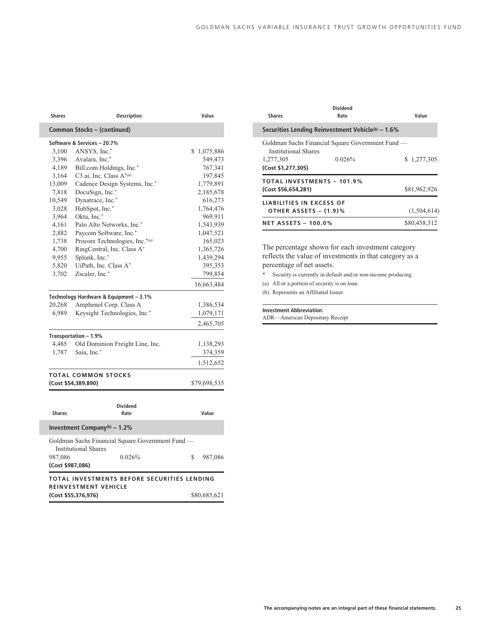| Shares        | <b>Description</b>                               | Value          |
|---------------|--------------------------------------------------|----------------|
|               | Common Stocks - (continued)                      |                |
|               | Software & Services - 20.7%                      |                |
| 3,100         | ANSYS, Inc.*                                     | S<br>1,075,886 |
| 3,396         | Avalara, Inc.*                                   | 549,473        |
| 4,189         | Bill.com Holdings, Inc.*                         | 767,341        |
| 3,164         | C <sub>3</sub> .ai, Inc. Class A*(a)             | 197,845        |
| 13,009        | Cadence Design Systems, Inc.*                    | 1,779,891      |
| 7,818         | DocuSign, Inc.*                                  | 2,185,678      |
| 10,549        | Dynatrace, Inc.*                                 | 616,273        |
| 3,028         | HubSpot, Inc.*                                   | 1,764,476      |
| 3,964         | Okta, Inc.*                                      | 969,911        |
| 4,161         | Palo Alto Networks, Inc.*                        | 1,543,939      |
| 2,882         | Paycom Software, Inc.*                           | 1,047,521      |
| 1,738         | Procore Technologies, Inc.*(a)                   | 165,023        |
| 4,700         | RingCentral, Inc. Class A*                       | 1,365,726      |
| 9,955         | Splunk, Inc.*                                    | 1,439,294      |
| 5,820         | UiPath, Inc. Class A*                            | 395,353        |
| 3,702         | Zscaler, Inc.*                                   | 799,854        |
|               |                                                  | 16,663,484     |
|               | Technology Hardware & Equipment - 3.1%           |                |
| 20,268        | Amphenol Corp. Class A                           | 1,386,534      |
| 6,989         | Keysight Technologies, Inc.*                     | 1,079,171      |
|               |                                                  | 2,465,705      |
|               | Transportation - 1.9%                            |                |
| 4,485         | Old Dominion Freight Line, Inc.                  | 1,138,293      |
| 1,787         | Saia, Inc.*                                      | 374,359        |
|               |                                                  | 1,512,652      |
|               | <b>TOTAL COMMON STOCKS</b>                       |                |
|               | (Cost \$54,389,890)                              | \$79,698,535   |
|               |                                                  |                |
|               | <b>Dividend</b>                                  |                |
| <b>Shares</b> | Rate                                             | Value          |
|               | Investment Company(b) $-1.2\%$                   |                |
|               | Goldman Sachs Financial Square Government Fund - |                |

987,086 0.026% \$ 987,086 **(Cost \$987,086) TOTAL INVESTMENTS BEFORE SECURITIES LENDING REINVESTMENT VEHICLE (Cost \$55,376,976)** \$80,685,621

Institutional Shares

l

| <b>Shares</b>                                                  | <b>Dividend</b><br>Rate                                    | Value        |
|----------------------------------------------------------------|------------------------------------------------------------|--------------|
|                                                                | Securities Lending Reinvestment Vehicle(b) – 1.6%          |              |
| <b>Institutional Shares</b><br>1,277,305<br>(Cost \$1,277,305) | Goldman Sachs Financial Square Government Fund —<br>0.026% | \$1,277,305  |
| (Cost \$56,654,281)                                            | <b>TOTAL INVESTMENTS - 101.9%</b>                          | \$81,962,926 |
| <b>LIABILITIES IN EXCESS OF</b><br>OTHER ASSETS - (1.9)%       |                                                            | (1,504,614)  |
| <b>NET ASSETS - 100.0%</b>                                     |                                                            | \$80,458,312 |

The percentage shown for each investment category reflects the value of investments in that category as a percentage of net assets.

Security is currently in default and/or non-income producing.

(a) All or a portion of security is on loan.

(b) Represents an Affiliated Issuer.

#### **Investment Abbreviation:**

ADR—American Depositary Receipt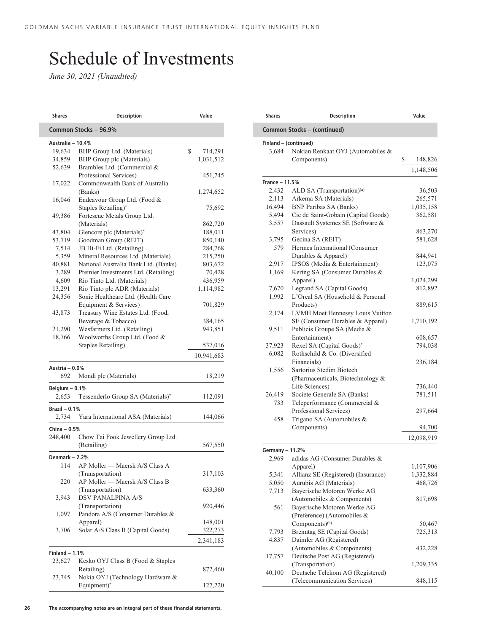# Schedule of Investments

*June 30, 2021 (Unaudited)*

| <b>Shares</b>             | <b>Description</b>                   | Value         |
|---------------------------|--------------------------------------|---------------|
|                           | Common Stocks - 96.9%                |               |
| Australia - 10.4%         |                                      |               |
| 19,634                    | BHP Group Ltd. (Materials)           | \$<br>714,291 |
| 34,859                    | BHP Group plc (Materials)            | 1,031,512     |
| 52,639                    | Brambles Ltd. (Commercial &          |               |
|                           | Professional Services)               | 451,745       |
| 17,022                    | Commonwealth Bank of Australia       |               |
|                           | (Banks)                              | 1,274,652     |
| 16,046                    | Endeavour Group Ltd. (Food &         |               |
|                           | Staples Retailing)*                  | 75,692        |
| 49,386                    | Fortescue Metals Group Ltd.          |               |
|                           | (Materials)                          | 862,720       |
| 43,804                    | Glencore plc (Materials)*            | 188,011       |
| 53,719                    | Goodman Group (REIT)                 | 850,140       |
| 7,514                     | JB Hi-Fi Ltd. (Retailing)            | 284,768       |
| 5,359                     | Mineral Resources Ltd. (Materials)   | 215,250       |
| 40,881                    | National Australia Bank Ltd. (Banks) | 803,672       |
| 3,289                     | Premier Investments Ltd. (Retailing) | 70,428        |
| 4,609                     | Rio Tinto Ltd. (Materials)           | 436,959       |
| 13,291                    | Rio Tinto plc ADR (Materials)        | 1,114,982     |
| 24,356                    | Sonic Healthcare Ltd. (Health Care   |               |
|                           | Equipment & Services)                | 701,829       |
| 43,873                    | Treasury Wine Estates Ltd. (Food,    |               |
|                           | Beverage & Tobacco)                  | 384,165       |
| 21,290                    | Wesfarmers Ltd. (Retailing)          | 943,851       |
| 18,766                    | Woolworths Group Ltd. (Food &        |               |
|                           | <b>Staples Retailing</b> )           | 537,016       |
|                           |                                      | 10,941,683    |
| Austria - 0.0%            |                                      |               |
| 692                       | Mondi plc (Materials)                | 18,219        |
| Belgium $-0.1%$           |                                      |               |
| 2,653                     | Tessenderlo Group SA (Materials)*    | 112,091       |
| Brazil $-0.1%$            |                                      |               |
| 2,734                     | Yara International ASA (Materials)   | 144,066       |
| China $-0.5%$             |                                      |               |
| 248,400                   | Chow Tai Fook Jewellery Group Ltd.   |               |
|                           | (Retailing)                          | 567,550       |
| Denmark - 2.2%            |                                      |               |
| 114                       | AP Moller - Maersk A/S Class A       |               |
|                           | (Transportation)                     | 317,103       |
| 220                       | AP Moller - Maersk A/S Class B       |               |
|                           | (Transportation)                     | 633,360       |
| 3,943                     | <b>DSV PANALPINA A/S</b>             |               |
|                           | (Transportation)                     | 920,446       |
| 1,097                     | Pandora A/S (Consumer Durables &     |               |
|                           | Apparel)                             | 148,001       |
| 3,706                     | Solar A/S Class B (Capital Goods)    | 322,273       |
|                           |                                      | 2,341,183     |
|                           |                                      |               |
| Finland $-1.1%$<br>23,627 | Kesko OYJ Class B (Food & Staples    |               |
|                           | Retailing)                           | 872,460       |
| 23,745                    | Nokia OYJ (Technology Hardware &     |               |
|                           | Equipment)*                          | 127,220       |
|                           |                                      |               |

| Common Stocks - (continued)<br>Finland - (continued)<br>3,684<br>Nokian Renkaat OYJ (Automobiles &<br>Components)<br>France - 11.5%<br>ALD SA (Transportation) <sup>(a)</sup><br>2,432<br>Arkema SA (Materials)<br>2,113<br>16,494<br><b>BNP Paribas SA (Banks)</b><br>Cie de Saint-Gobain (Capital Goods)<br>5,494<br>Dassault Systemes SE (Software &<br>3,557<br>Services)<br>Gecina SA (REIT)<br>3,795<br>579<br>Hermes International (Consumer<br>Durables & Apparel)<br>IPSOS (Media & Entertainment)<br>2,917<br>Kering SA (Consumer Durables &<br>1,169<br>Apparel)<br>7,670<br>Legrand SA (Capital Goods)<br>L'Oreal SA (Household & Personal<br>1,992<br>Products)<br>2,174<br>LVMH Moet Hennessy Louis Vuitton<br>SE (Consumer Durables & Apparel)<br>Publicis Groupe SA (Media &<br>9,511<br>Entertainment)<br>Rexel SA (Capital Goods)*<br>37,923<br>Rothschild & Co. (Diversified<br>6,082<br>Financials)<br>Sartorius Stedim Biotech<br>1,556<br>(Pharmaceuticals, Biotechnology &<br>Life Sciences)<br>Societe Generale SA (Banks)<br>26,419<br>Teleperformance (Commercial &<br>733<br>Professional Services)<br>Trigano SA (Automobiles &<br>458<br>Components)<br>Germany - 11.2%<br>adidas AG (Consumer Durables &<br>2,969<br>Apparel)<br>Allianz SE (Registered) (Insurance)<br>5,341<br>5,050<br>Aurubis AG (Materials)<br>Bayerische Motoren Werke AG<br>7,713<br>(Automobiles & Components)<br>Bayerische Motoren Werke AG<br>561<br>(Preference) (Automobiles & | \$                                        |
|-------------------------------------------------------------------------------------------------------------------------------------------------------------------------------------------------------------------------------------------------------------------------------------------------------------------------------------------------------------------------------------------------------------------------------------------------------------------------------------------------------------------------------------------------------------------------------------------------------------------------------------------------------------------------------------------------------------------------------------------------------------------------------------------------------------------------------------------------------------------------------------------------------------------------------------------------------------------------------------------------------------------------------------------------------------------------------------------------------------------------------------------------------------------------------------------------------------------------------------------------------------------------------------------------------------------------------------------------------------------------------------------------------------------------------------------------------------------------------------------|-------------------------------------------|
|                                                                                                                                                                                                                                                                                                                                                                                                                                                                                                                                                                                                                                                                                                                                                                                                                                                                                                                                                                                                                                                                                                                                                                                                                                                                                                                                                                                                                                                                                           |                                           |
|                                                                                                                                                                                                                                                                                                                                                                                                                                                                                                                                                                                                                                                                                                                                                                                                                                                                                                                                                                                                                                                                                                                                                                                                                                                                                                                                                                                                                                                                                           | 148,826<br>1,148,506                      |
|                                                                                                                                                                                                                                                                                                                                                                                                                                                                                                                                                                                                                                                                                                                                                                                                                                                                                                                                                                                                                                                                                                                                                                                                                                                                                                                                                                                                                                                                                           |                                           |
|                                                                                                                                                                                                                                                                                                                                                                                                                                                                                                                                                                                                                                                                                                                                                                                                                                                                                                                                                                                                                                                                                                                                                                                                                                                                                                                                                                                                                                                                                           |                                           |
|                                                                                                                                                                                                                                                                                                                                                                                                                                                                                                                                                                                                                                                                                                                                                                                                                                                                                                                                                                                                                                                                                                                                                                                                                                                                                                                                                                                                                                                                                           | 36,503<br>265,571<br>1,035,158            |
|                                                                                                                                                                                                                                                                                                                                                                                                                                                                                                                                                                                                                                                                                                                                                                                                                                                                                                                                                                                                                                                                                                                                                                                                                                                                                                                                                                                                                                                                                           |                                           |
|                                                                                                                                                                                                                                                                                                                                                                                                                                                                                                                                                                                                                                                                                                                                                                                                                                                                                                                                                                                                                                                                                                                                                                                                                                                                                                                                                                                                                                                                                           |                                           |
|                                                                                                                                                                                                                                                                                                                                                                                                                                                                                                                                                                                                                                                                                                                                                                                                                                                                                                                                                                                                                                                                                                                                                                                                                                                                                                                                                                                                                                                                                           |                                           |
|                                                                                                                                                                                                                                                                                                                                                                                                                                                                                                                                                                                                                                                                                                                                                                                                                                                                                                                                                                                                                                                                                                                                                                                                                                                                                                                                                                                                                                                                                           |                                           |
|                                                                                                                                                                                                                                                                                                                                                                                                                                                                                                                                                                                                                                                                                                                                                                                                                                                                                                                                                                                                                                                                                                                                                                                                                                                                                                                                                                                                                                                                                           | 362,581                                   |
|                                                                                                                                                                                                                                                                                                                                                                                                                                                                                                                                                                                                                                                                                                                                                                                                                                                                                                                                                                                                                                                                                                                                                                                                                                                                                                                                                                                                                                                                                           |                                           |
|                                                                                                                                                                                                                                                                                                                                                                                                                                                                                                                                                                                                                                                                                                                                                                                                                                                                                                                                                                                                                                                                                                                                                                                                                                                                                                                                                                                                                                                                                           | 863,270                                   |
|                                                                                                                                                                                                                                                                                                                                                                                                                                                                                                                                                                                                                                                                                                                                                                                                                                                                                                                                                                                                                                                                                                                                                                                                                                                                                                                                                                                                                                                                                           | 581,628                                   |
|                                                                                                                                                                                                                                                                                                                                                                                                                                                                                                                                                                                                                                                                                                                                                                                                                                                                                                                                                                                                                                                                                                                                                                                                                                                                                                                                                                                                                                                                                           |                                           |
|                                                                                                                                                                                                                                                                                                                                                                                                                                                                                                                                                                                                                                                                                                                                                                                                                                                                                                                                                                                                                                                                                                                                                                                                                                                                                                                                                                                                                                                                                           | 844,941<br>123,075                        |
|                                                                                                                                                                                                                                                                                                                                                                                                                                                                                                                                                                                                                                                                                                                                                                                                                                                                                                                                                                                                                                                                                                                                                                                                                                                                                                                                                                                                                                                                                           |                                           |
|                                                                                                                                                                                                                                                                                                                                                                                                                                                                                                                                                                                                                                                                                                                                                                                                                                                                                                                                                                                                                                                                                                                                                                                                                                                                                                                                                                                                                                                                                           | 1,024,299                                 |
|                                                                                                                                                                                                                                                                                                                                                                                                                                                                                                                                                                                                                                                                                                                                                                                                                                                                                                                                                                                                                                                                                                                                                                                                                                                                                                                                                                                                                                                                                           | 812,892                                   |
|                                                                                                                                                                                                                                                                                                                                                                                                                                                                                                                                                                                                                                                                                                                                                                                                                                                                                                                                                                                                                                                                                                                                                                                                                                                                                                                                                                                                                                                                                           |                                           |
|                                                                                                                                                                                                                                                                                                                                                                                                                                                                                                                                                                                                                                                                                                                                                                                                                                                                                                                                                                                                                                                                                                                                                                                                                                                                                                                                                                                                                                                                                           | 889,615                                   |
|                                                                                                                                                                                                                                                                                                                                                                                                                                                                                                                                                                                                                                                                                                                                                                                                                                                                                                                                                                                                                                                                                                                                                                                                                                                                                                                                                                                                                                                                                           |                                           |
|                                                                                                                                                                                                                                                                                                                                                                                                                                                                                                                                                                                                                                                                                                                                                                                                                                                                                                                                                                                                                                                                                                                                                                                                                                                                                                                                                                                                                                                                                           | 1,710,192                                 |
|                                                                                                                                                                                                                                                                                                                                                                                                                                                                                                                                                                                                                                                                                                                                                                                                                                                                                                                                                                                                                                                                                                                                                                                                                                                                                                                                                                                                                                                                                           |                                           |
|                                                                                                                                                                                                                                                                                                                                                                                                                                                                                                                                                                                                                                                                                                                                                                                                                                                                                                                                                                                                                                                                                                                                                                                                                                                                                                                                                                                                                                                                                           | 608,657                                   |
|                                                                                                                                                                                                                                                                                                                                                                                                                                                                                                                                                                                                                                                                                                                                                                                                                                                                                                                                                                                                                                                                                                                                                                                                                                                                                                                                                                                                                                                                                           | 794,038                                   |
|                                                                                                                                                                                                                                                                                                                                                                                                                                                                                                                                                                                                                                                                                                                                                                                                                                                                                                                                                                                                                                                                                                                                                                                                                                                                                                                                                                                                                                                                                           |                                           |
|                                                                                                                                                                                                                                                                                                                                                                                                                                                                                                                                                                                                                                                                                                                                                                                                                                                                                                                                                                                                                                                                                                                                                                                                                                                                                                                                                                                                                                                                                           | 236,184                                   |
|                                                                                                                                                                                                                                                                                                                                                                                                                                                                                                                                                                                                                                                                                                                                                                                                                                                                                                                                                                                                                                                                                                                                                                                                                                                                                                                                                                                                                                                                                           |                                           |
|                                                                                                                                                                                                                                                                                                                                                                                                                                                                                                                                                                                                                                                                                                                                                                                                                                                                                                                                                                                                                                                                                                                                                                                                                                                                                                                                                                                                                                                                                           |                                           |
|                                                                                                                                                                                                                                                                                                                                                                                                                                                                                                                                                                                                                                                                                                                                                                                                                                                                                                                                                                                                                                                                                                                                                                                                                                                                                                                                                                                                                                                                                           | 736,440                                   |
|                                                                                                                                                                                                                                                                                                                                                                                                                                                                                                                                                                                                                                                                                                                                                                                                                                                                                                                                                                                                                                                                                                                                                                                                                                                                                                                                                                                                                                                                                           | 781,511                                   |
|                                                                                                                                                                                                                                                                                                                                                                                                                                                                                                                                                                                                                                                                                                                                                                                                                                                                                                                                                                                                                                                                                                                                                                                                                                                                                                                                                                                                                                                                                           |                                           |
|                                                                                                                                                                                                                                                                                                                                                                                                                                                                                                                                                                                                                                                                                                                                                                                                                                                                                                                                                                                                                                                                                                                                                                                                                                                                                                                                                                                                                                                                                           | 297,664                                   |
|                                                                                                                                                                                                                                                                                                                                                                                                                                                                                                                                                                                                                                                                                                                                                                                                                                                                                                                                                                                                                                                                                                                                                                                                                                                                                                                                                                                                                                                                                           |                                           |
|                                                                                                                                                                                                                                                                                                                                                                                                                                                                                                                                                                                                                                                                                                                                                                                                                                                                                                                                                                                                                                                                                                                                                                                                                                                                                                                                                                                                                                                                                           | 94,700                                    |
|                                                                                                                                                                                                                                                                                                                                                                                                                                                                                                                                                                                                                                                                                                                                                                                                                                                                                                                                                                                                                                                                                                                                                                                                                                                                                                                                                                                                                                                                                           | 12,098,919                                |
|                                                                                                                                                                                                                                                                                                                                                                                                                                                                                                                                                                                                                                                                                                                                                                                                                                                                                                                                                                                                                                                                                                                                                                                                                                                                                                                                                                                                                                                                                           |                                           |
|                                                                                                                                                                                                                                                                                                                                                                                                                                                                                                                                                                                                                                                                                                                                                                                                                                                                                                                                                                                                                                                                                                                                                                                                                                                                                                                                                                                                                                                                                           |                                           |
|                                                                                                                                                                                                                                                                                                                                                                                                                                                                                                                                                                                                                                                                                                                                                                                                                                                                                                                                                                                                                                                                                                                                                                                                                                                                                                                                                                                                                                                                                           | 1,107,906                                 |
|                                                                                                                                                                                                                                                                                                                                                                                                                                                                                                                                                                                                                                                                                                                                                                                                                                                                                                                                                                                                                                                                                                                                                                                                                                                                                                                                                                                                                                                                                           | 1,332,884                                 |
|                                                                                                                                                                                                                                                                                                                                                                                                                                                                                                                                                                                                                                                                                                                                                                                                                                                                                                                                                                                                                                                                                                                                                                                                                                                                                                                                                                                                                                                                                           | 468,726                                   |
|                                                                                                                                                                                                                                                                                                                                                                                                                                                                                                                                                                                                                                                                                                                                                                                                                                                                                                                                                                                                                                                                                                                                                                                                                                                                                                                                                                                                                                                                                           |                                           |
|                                                                                                                                                                                                                                                                                                                                                                                                                                                                                                                                                                                                                                                                                                                                                                                                                                                                                                                                                                                                                                                                                                                                                                                                                                                                                                                                                                                                                                                                                           | 817,698                                   |
|                                                                                                                                                                                                                                                                                                                                                                                                                                                                                                                                                                                                                                                                                                                                                                                                                                                                                                                                                                                                                                                                                                                                                                                                                                                                                                                                                                                                                                                                                           |                                           |
| Components) <sup>(b)</sup>                                                                                                                                                                                                                                                                                                                                                                                                                                                                                                                                                                                                                                                                                                                                                                                                                                                                                                                                                                                                                                                                                                                                                                                                                                                                                                                                                                                                                                                                |                                           |
| Brenntag SE (Capital Goods)<br>7,793                                                                                                                                                                                                                                                                                                                                                                                                                                                                                                                                                                                                                                                                                                                                                                                                                                                                                                                                                                                                                                                                                                                                                                                                                                                                                                                                                                                                                                                      |                                           |
| Daimler AG (Registered)<br>4,837                                                                                                                                                                                                                                                                                                                                                                                                                                                                                                                                                                                                                                                                                                                                                                                                                                                                                                                                                                                                                                                                                                                                                                                                                                                                                                                                                                                                                                                          |                                           |
| (Automobiles & Components)                                                                                                                                                                                                                                                                                                                                                                                                                                                                                                                                                                                                                                                                                                                                                                                                                                                                                                                                                                                                                                                                                                                                                                                                                                                                                                                                                                                                                                                                |                                           |
|                                                                                                                                                                                                                                                                                                                                                                                                                                                                                                                                                                                                                                                                                                                                                                                                                                                                                                                                                                                                                                                                                                                                                                                                                                                                                                                                                                                                                                                                                           |                                           |
|                                                                                                                                                                                                                                                                                                                                                                                                                                                                                                                                                                                                                                                                                                                                                                                                                                                                                                                                                                                                                                                                                                                                                                                                                                                                                                                                                                                                                                                                                           |                                           |
|                                                                                                                                                                                                                                                                                                                                                                                                                                                                                                                                                                                                                                                                                                                                                                                                                                                                                                                                                                                                                                                                                                                                                                                                                                                                                                                                                                                                                                                                                           |                                           |
| (Telecommunication Services)                                                                                                                                                                                                                                                                                                                                                                                                                                                                                                                                                                                                                                                                                                                                                                                                                                                                                                                                                                                                                                                                                                                                                                                                                                                                                                                                                                                                                                                              | 50,467<br>725,313<br>432,228<br>1,209,335 |
| Deutsche Post AG (Registered)<br>17,757<br>(Transportation)<br>40,100<br>Deutsche Telekom AG (Registered)                                                                                                                                                                                                                                                                                                                                                                                                                                                                                                                                                                                                                                                                                                                                                                                                                                                                                                                                                                                                                                                                                                                                                                                                                                                                                                                                                                                 |                                           |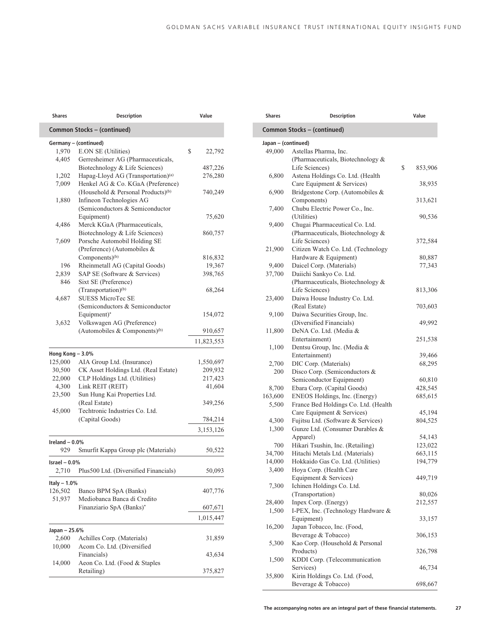| <b>Shares</b>            | <b>Description</b>                             | Value        |
|--------------------------|------------------------------------------------|--------------|
|                          | Common Stocks - (continued)                    |              |
|                          | Germany - (continued)                          |              |
| 1,970                    | E.ON SE (Utilities)                            | \$<br>22,792 |
| 4,405                    | Gerresheimer AG (Pharmaceuticals,              |              |
|                          | Biotechnology & Life Sciences)                 | 487,226      |
| 1,202                    | Hapag-Lloyd AG (Transportation) <sup>(a)</sup> | 276,280      |
| 7,009                    | Henkel AG & Co. KGaA (Preference)              |              |
|                          | (Household & Personal Products) <sup>(b)</sup> | 740,249      |
| 1,880                    | Infineon Technologies AG                       |              |
|                          | (Semiconductors & Semiconductor                |              |
|                          | Equipment)                                     | 75,620       |
| 4,486                    | Merck KGaA (Pharmaceuticals,                   |              |
|                          | Biotechnology & Life Sciences)                 | 860,757      |
| 7,609                    | Porsche Automobil Holding SE                   |              |
|                          | (Preference) (Automobiles &                    |              |
|                          | Components) <sup>(b)</sup>                     | 816,832      |
| 196                      | Rheinmetall AG (Capital Goods)                 | 19,367       |
| 2,839                    | SAP SE (Software & Services)                   | 398,765      |
| 846                      | Sixt SE (Preference)                           |              |
|                          | (Transportation) <sup>(b)</sup>                | 68,264       |
| 4,687                    | <b>SUESS MicroTec SE</b>                       |              |
|                          | (Semiconductors & Semiconductor                |              |
|                          | Equipment)*                                    | 154,072      |
| 3,632                    | Volkswagen AG (Preference)                     |              |
|                          | (Automobiles & Components) <sup>(b)</sup>      | 910,657      |
|                          |                                                | 11,823,553   |
| Hong Kong - 3.0%         |                                                |              |
| 125,000                  | AIA Group Ltd. (Insurance)                     | 1,550,697    |
| 30,500                   | CK Asset Holdings Ltd. (Real Estate)           | 209,932      |
| 22,000                   | CLP Holdings Ltd. (Utilities)                  | 217,423      |
| 4,300                    | Link REIT (REIT)                               | 41,604       |
| 23,500                   | Sun Hung Kai Properties Ltd.                   |              |
|                          | (Real Estate)                                  | 349,256      |
| 45,000                   | Techtronic Industries Co. Ltd.                 |              |
|                          | (Capital Goods)                                |              |
|                          |                                                | 784,214      |
|                          |                                                | 3,153,126    |
| Ireland $-0.0%$<br>929   | Smurfit Kappa Group plc (Materials)            | 50,522       |
|                          |                                                |              |
| Israel $-0.0\%$<br>2,710 | Plus500 Ltd. (Diversified Financials)          | 50,093       |
|                          |                                                |              |
| Italy $-1.0%$<br>126,502 | Banco BPM SpA (Banks)                          | 407,776      |
| 51,937                   | Mediobanca Banca di Credito                    |              |
|                          | Finanziario SpA (Banks)*                       | 607,671      |
|                          |                                                | 1,015,447    |
|                          |                                                |              |
| Japan - 25.6%<br>2,600   | Achilles Corp. (Materials)                     | 31,859       |
| 10,000                   | Acom Co. Ltd. (Diversified                     |              |
|                          |                                                |              |
|                          | Financials)                                    | 43,634       |
| 14,000                   | Aeon Co. Ltd. (Food & Staples                  |              |
|                          | Retailing)                                     | 375,827      |

| <b>Shares</b>       | <b>Description</b>                                                    | Value         |
|---------------------|-----------------------------------------------------------------------|---------------|
|                     | Common Stocks - (continued)                                           |               |
| Japan - (continued) |                                                                       |               |
| 49,000              | Astellas Pharma, Inc.                                                 |               |
|                     | (Pharmaceuticals, Biotechnology &                                     |               |
|                     | Life Sciences)                                                        | \$<br>853,906 |
| 6,800               | Astena Holdings Co. Ltd. (Health                                      |               |
|                     | Care Equipment & Services)                                            | 38,935        |
| 6,900               | Bridgestone Corp. (Automobiles &                                      |               |
|                     | Components)                                                           | 313,621       |
| 7,400               | Chubu Electric Power Co., Inc.                                        |               |
| 9,400               | (Utilities)<br>Chugai Pharmaceutical Co. Ltd.                         | 90,536        |
|                     | (Pharmaceuticals, Biotechnology &                                     |               |
|                     | Life Sciences)                                                        | 372,584       |
| 21,900              | Citizen Watch Co. Ltd. (Technology                                    |               |
|                     | Hardware & Equipment)                                                 | 80,887        |
| 9,400               | Daicel Corp. (Materials)                                              | 77,343        |
| 37,700              | Daiichi Sankyo Co. Ltd.                                               |               |
|                     | (Pharmaceuticals, Biotechnology &                                     |               |
|                     | Life Sciences)                                                        | 813,306       |
| 23,400              | Daiwa House Industry Co. Ltd.                                         |               |
|                     | (Real Estate)                                                         | 703,603       |
| 9,100               | Daiwa Securities Group, Inc.                                          |               |
|                     | (Diversified Financials)                                              | 49,992        |
| 11,800              | DeNA Co. Ltd. (Media &                                                |               |
|                     | Entertainment)                                                        | 251,538       |
| 1,100               | Dentsu Group, Inc. (Media &                                           |               |
|                     | Entertainment)                                                        | 39,466        |
| 2,700               | DIC Corp. (Materials)                                                 | 68,295        |
| 200                 | Disco Corp. (Semiconductors &                                         |               |
|                     | Semiconductor Equipment)                                              | 60,810        |
| 8,700<br>163,600    | Ebara Corp. (Capital Goods)                                           | 428,545       |
| 5,500               | ENEOS Holdings, Inc. (Energy)<br>France Bed Holdings Co. Ltd. (Health | 685,615       |
|                     | Care Equipment & Services)                                            | 45,194        |
| 4,300               | Fujitsu Ltd. (Software & Services)                                    | 804,525       |
| 1,300               | Gunze Ltd. (Consumer Durables &                                       |               |
|                     | Apparel)                                                              | 54,143        |
| 700                 | Hikari Tsushin, Inc. (Retailing)                                      | 123,022       |
| 34,700              | Hitachi Metals Ltd. (Materials)                                       | 663,115       |
| 14,000              | Hokkaido Gas Co. Ltd. (Utilities)                                     | 194,779       |
| 3,400               | Hoya Corp. (Health Care                                               |               |
|                     | Equipment & Services)                                                 | 449,719       |
| 7,300               | Ichinen Holdings Co. Ltd.                                             |               |
|                     | (Transportation)                                                      | 80,026        |
| 28,400              | Inpex Corp. (Energy)                                                  | 212,557       |
| 1,500               | I-PEX, Inc. (Technology Hardware &                                    |               |
|                     | Equipment)                                                            | 33,157        |
| 16,200              | Japan Tobacco, Inc. (Food,                                            |               |
|                     | Beverage & Tobacco)                                                   | 306,153       |
| 5,300               | Kao Corp. (Household & Personal                                       |               |
|                     | Products)                                                             | 326,798       |
| 1,500               | KDDI Corp. (Telecommunication                                         | 46,734        |
| 35,800              | Services)<br>Kirin Holdings Co. Ltd. (Food,                           |               |
|                     | Beverage & Tobacco)                                                   | 698,667       |
|                     |                                                                       |               |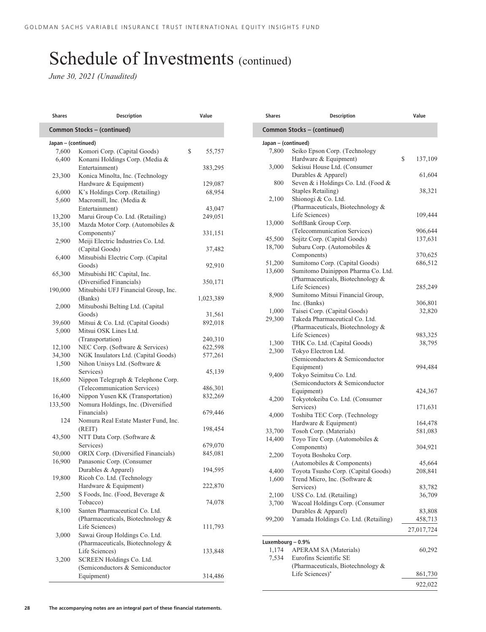| <b>Shares</b>       | <b>Description</b>                                         | Value              |
|---------------------|------------------------------------------------------------|--------------------|
|                     | Common Stocks - (continued)                                |                    |
| Japan – (continued) |                                                            |                    |
| 7,600               | Komori Corp. (Capital Goods)                               | \$<br>55,757       |
| 6,400               | Konami Holdings Corp. (Media &                             |                    |
|                     | Entertainment)                                             | 383,295            |
| 23,300              | Konica Minolta, Inc. (Technology                           |                    |
|                     | Hardware & Equipment)                                      | 129,087            |
| 6,000               | K's Holdings Corp. (Retailing)                             | 68,954             |
| 5,600               | Macromill, Inc. (Media &                                   |                    |
|                     | Entertainment)                                             | 43,047             |
| 13,200              | Marui Group Co. Ltd. (Retailing)                           | 249,051            |
| 35,100              | Mazda Motor Corp. (Automobiles &                           |                    |
|                     | Components)*                                               | 331,151            |
| 2,900               | Meiji Electric Industries Co. Ltd.                         |                    |
|                     | (Capital Goods)                                            | 37,482             |
| 6,400               | Mitsubishi Electric Corp. (Capital                         |                    |
|                     | Goods)                                                     | 92,910             |
| 65,300              | Mitsubishi HC Capital, Inc.                                |                    |
|                     | (Diversified Financials)                                   | 350,171            |
| 190,000             | Mitsubishi UFJ Financial Group, Inc.                       |                    |
|                     | (Banks)                                                    | 1,023,389          |
| 2,000               | Mitsuboshi Belting Ltd. (Capital                           |                    |
|                     | Goods)                                                     | 31,561             |
| 39,600              | Mitsui & Co. Ltd. (Capital Goods)<br>Mitsui OSK Lines Ltd. | 892,018            |
| 5,000               |                                                            |                    |
| 12,100              | (Transportation)<br>NEC Corp. (Software & Services)        | 240,310<br>622,598 |
| 34,300              | NGK Insulators Ltd. (Capital Goods)                        | 577,261            |
| 1,500               | Nihon Unisys Ltd. (Software &                              |                    |
|                     | Services)                                                  | 45,139             |
| 18,600              | Nippon Telegraph & Telephone Corp.                         |                    |
|                     | (Telecommunication Services)                               | 486,301            |
| 16,400              | Nippon Yusen KK (Transportation)                           | 832,269            |
| 133,500             | Nomura Holdings, Inc. (Diversified                         |                    |
|                     | Financials)                                                | 679,446            |
| 124                 | Nomura Real Estate Master Fund, Inc.                       |                    |
|                     | (REIT)                                                     | 198,454            |
| 43,500              | NTT Data Corp. (Software &                                 |                    |
|                     | Services)                                                  | 679,070            |
| 50,000              | ORIX Corp. (Diversified Financials)                        | 845,081            |
| 16,900              | Panasonic Corp. (Consumer                                  |                    |
|                     | Durables & Apparel)                                        | 194,595            |
| 19,800              | Ricoh Co. Ltd. (Technology                                 |                    |
|                     | Hardware & Equipment)                                      | 222,870            |
| 2,500               | S Foods, Inc. (Food, Beverage &                            |                    |
|                     | Tobacco)                                                   | 74,078             |
| 8,100               | Santen Pharmaceutical Co. Ltd.                             |                    |
|                     | (Pharmaceuticals, Biotechnology &                          |                    |
|                     | Life Sciences)                                             | 111,793            |
| 3,000               | Sawai Group Holdings Co. Ltd.                              |                    |
|                     | (Pharmaceuticals, Biotechnology &                          |                    |
|                     | Life Sciences)                                             | 133,848            |
| 3,200               | SCREEN Holdings Co. Ltd.                                   |                    |
|                     | (Semiconductors & Semiconductor                            |                    |
|                     | Equipment)                                                 | 314,486            |

| Common Stocks - (continued)<br>Japan - (continued)<br>7,800<br>Seiko Epson Corp. (Technology<br>\$<br>Hardware & Equipment)<br>3,000<br>Sekisui House Ltd. (Consumer<br>Durables & Apparel)<br>800<br>Seven & i Holdings Co. Ltd. (Food &<br><b>Staples Retailing)</b><br>Shionogi & Co. Ltd.<br>2,100<br>(Pharmaceuticals, Biotechnology &<br>Life Sciences)<br>109,444<br>SoftBank Group Corp.<br>13,000<br>(Telecommunication Services)<br>906,644<br>Sojitz Corp. (Capital Goods)<br>45,500<br>137,631<br>Subaru Corp. (Automobiles &<br>18,700<br>Components)<br>370,625<br>51,200<br>Sumitomo Corp. (Capital Goods)<br>686,512<br>13,600<br>Sumitomo Dainippon Pharma Co. Ltd.<br>(Pharmaceuticals, Biotechnology &<br>Life Sciences)<br>285,249<br>8,900<br>Sumitomo Mitsui Financial Group,<br>Inc. (Banks)<br>Taisei Corp. (Capital Goods)<br>1,000<br>29,300<br>Takeda Pharmaceutical Co. Ltd.<br>(Pharmaceuticals, Biotechnology &<br>Life Sciences)<br>1,300<br>THK Co. Ltd. (Capital Goods)<br>2,300<br>Tokyo Electron Ltd.<br>(Semiconductors & Semiconductor<br>Equipment)<br>994,484<br>Tokyo Seimitsu Co. Ltd.<br>9,400<br>(Semiconductors & Semiconductor<br>Equipment)<br>424,367<br>Tokyotokeiba Co. Ltd. (Consumer<br>4,200<br>Services)<br>171,631<br>Toshiba TEC Corp. (Technology<br>4,000<br>Hardware & Equipment)<br>164,478<br>Tosoh Corp. (Materials)<br>33,700<br>581,083<br>Toyo Tire Corp. (Automobiles &<br>14,400<br>Components)<br>304,921<br>Toyota Boshoku Corp.<br>2,200<br>(Automobiles & Components)<br>45,664<br>Toyota Tsusho Corp. (Capital Goods)<br>4,400<br>208,841<br>1,600<br>Trend Micro, Inc. (Software &<br>Services)<br>USS Co. Ltd. (Retailing)<br>2,100<br>3,700<br>Wacoal Holdings Corp. (Consumer<br>Durables & Apparel)<br>Yamada Holdings Co. Ltd. (Retailing)<br>99,200<br>Luxembourg - 0.9%<br><b>APERAM SA (Materials)</b><br>1,174<br>60,292<br>7,534<br>Eurofins Scientific SE<br>(Pharmaceuticals, Biotechnology &<br>Life Sciences)*<br>861,730 | <b>Shares</b> | <b>Description</b> | Value      |
|-----------------------------------------------------------------------------------------------------------------------------------------------------------------------------------------------------------------------------------------------------------------------------------------------------------------------------------------------------------------------------------------------------------------------------------------------------------------------------------------------------------------------------------------------------------------------------------------------------------------------------------------------------------------------------------------------------------------------------------------------------------------------------------------------------------------------------------------------------------------------------------------------------------------------------------------------------------------------------------------------------------------------------------------------------------------------------------------------------------------------------------------------------------------------------------------------------------------------------------------------------------------------------------------------------------------------------------------------------------------------------------------------------------------------------------------------------------------------------------------------------------------------------------------------------------------------------------------------------------------------------------------------------------------------------------------------------------------------------------------------------------------------------------------------------------------------------------------------------------------------------------------------------------------------------------------------------------------------------------------------------------------|---------------|--------------------|------------|
|                                                                                                                                                                                                                                                                                                                                                                                                                                                                                                                                                                                                                                                                                                                                                                                                                                                                                                                                                                                                                                                                                                                                                                                                                                                                                                                                                                                                                                                                                                                                                                                                                                                                                                                                                                                                                                                                                                                                                                                                                 |               |                    |            |
|                                                                                                                                                                                                                                                                                                                                                                                                                                                                                                                                                                                                                                                                                                                                                                                                                                                                                                                                                                                                                                                                                                                                                                                                                                                                                                                                                                                                                                                                                                                                                                                                                                                                                                                                                                                                                                                                                                                                                                                                                 |               |                    |            |
|                                                                                                                                                                                                                                                                                                                                                                                                                                                                                                                                                                                                                                                                                                                                                                                                                                                                                                                                                                                                                                                                                                                                                                                                                                                                                                                                                                                                                                                                                                                                                                                                                                                                                                                                                                                                                                                                                                                                                                                                                 |               |                    |            |
|                                                                                                                                                                                                                                                                                                                                                                                                                                                                                                                                                                                                                                                                                                                                                                                                                                                                                                                                                                                                                                                                                                                                                                                                                                                                                                                                                                                                                                                                                                                                                                                                                                                                                                                                                                                                                                                                                                                                                                                                                 |               |                    | 137,109    |
|                                                                                                                                                                                                                                                                                                                                                                                                                                                                                                                                                                                                                                                                                                                                                                                                                                                                                                                                                                                                                                                                                                                                                                                                                                                                                                                                                                                                                                                                                                                                                                                                                                                                                                                                                                                                                                                                                                                                                                                                                 |               |                    |            |
|                                                                                                                                                                                                                                                                                                                                                                                                                                                                                                                                                                                                                                                                                                                                                                                                                                                                                                                                                                                                                                                                                                                                                                                                                                                                                                                                                                                                                                                                                                                                                                                                                                                                                                                                                                                                                                                                                                                                                                                                                 |               |                    | 61,604     |
|                                                                                                                                                                                                                                                                                                                                                                                                                                                                                                                                                                                                                                                                                                                                                                                                                                                                                                                                                                                                                                                                                                                                                                                                                                                                                                                                                                                                                                                                                                                                                                                                                                                                                                                                                                                                                                                                                                                                                                                                                 |               |                    |            |
|                                                                                                                                                                                                                                                                                                                                                                                                                                                                                                                                                                                                                                                                                                                                                                                                                                                                                                                                                                                                                                                                                                                                                                                                                                                                                                                                                                                                                                                                                                                                                                                                                                                                                                                                                                                                                                                                                                                                                                                                                 |               |                    | 38,321     |
|                                                                                                                                                                                                                                                                                                                                                                                                                                                                                                                                                                                                                                                                                                                                                                                                                                                                                                                                                                                                                                                                                                                                                                                                                                                                                                                                                                                                                                                                                                                                                                                                                                                                                                                                                                                                                                                                                                                                                                                                                 |               |                    |            |
|                                                                                                                                                                                                                                                                                                                                                                                                                                                                                                                                                                                                                                                                                                                                                                                                                                                                                                                                                                                                                                                                                                                                                                                                                                                                                                                                                                                                                                                                                                                                                                                                                                                                                                                                                                                                                                                                                                                                                                                                                 |               |                    |            |
|                                                                                                                                                                                                                                                                                                                                                                                                                                                                                                                                                                                                                                                                                                                                                                                                                                                                                                                                                                                                                                                                                                                                                                                                                                                                                                                                                                                                                                                                                                                                                                                                                                                                                                                                                                                                                                                                                                                                                                                                                 |               |                    |            |
|                                                                                                                                                                                                                                                                                                                                                                                                                                                                                                                                                                                                                                                                                                                                                                                                                                                                                                                                                                                                                                                                                                                                                                                                                                                                                                                                                                                                                                                                                                                                                                                                                                                                                                                                                                                                                                                                                                                                                                                                                 |               |                    |            |
|                                                                                                                                                                                                                                                                                                                                                                                                                                                                                                                                                                                                                                                                                                                                                                                                                                                                                                                                                                                                                                                                                                                                                                                                                                                                                                                                                                                                                                                                                                                                                                                                                                                                                                                                                                                                                                                                                                                                                                                                                 |               |                    |            |
|                                                                                                                                                                                                                                                                                                                                                                                                                                                                                                                                                                                                                                                                                                                                                                                                                                                                                                                                                                                                                                                                                                                                                                                                                                                                                                                                                                                                                                                                                                                                                                                                                                                                                                                                                                                                                                                                                                                                                                                                                 |               |                    |            |
|                                                                                                                                                                                                                                                                                                                                                                                                                                                                                                                                                                                                                                                                                                                                                                                                                                                                                                                                                                                                                                                                                                                                                                                                                                                                                                                                                                                                                                                                                                                                                                                                                                                                                                                                                                                                                                                                                                                                                                                                                 |               |                    |            |
|                                                                                                                                                                                                                                                                                                                                                                                                                                                                                                                                                                                                                                                                                                                                                                                                                                                                                                                                                                                                                                                                                                                                                                                                                                                                                                                                                                                                                                                                                                                                                                                                                                                                                                                                                                                                                                                                                                                                                                                                                 |               |                    |            |
|                                                                                                                                                                                                                                                                                                                                                                                                                                                                                                                                                                                                                                                                                                                                                                                                                                                                                                                                                                                                                                                                                                                                                                                                                                                                                                                                                                                                                                                                                                                                                                                                                                                                                                                                                                                                                                                                                                                                                                                                                 |               |                    |            |
|                                                                                                                                                                                                                                                                                                                                                                                                                                                                                                                                                                                                                                                                                                                                                                                                                                                                                                                                                                                                                                                                                                                                                                                                                                                                                                                                                                                                                                                                                                                                                                                                                                                                                                                                                                                                                                                                                                                                                                                                                 |               |                    |            |
|                                                                                                                                                                                                                                                                                                                                                                                                                                                                                                                                                                                                                                                                                                                                                                                                                                                                                                                                                                                                                                                                                                                                                                                                                                                                                                                                                                                                                                                                                                                                                                                                                                                                                                                                                                                                                                                                                                                                                                                                                 |               |                    |            |
|                                                                                                                                                                                                                                                                                                                                                                                                                                                                                                                                                                                                                                                                                                                                                                                                                                                                                                                                                                                                                                                                                                                                                                                                                                                                                                                                                                                                                                                                                                                                                                                                                                                                                                                                                                                                                                                                                                                                                                                                                 |               |                    |            |
|                                                                                                                                                                                                                                                                                                                                                                                                                                                                                                                                                                                                                                                                                                                                                                                                                                                                                                                                                                                                                                                                                                                                                                                                                                                                                                                                                                                                                                                                                                                                                                                                                                                                                                                                                                                                                                                                                                                                                                                                                 |               |                    | 306,801    |
|                                                                                                                                                                                                                                                                                                                                                                                                                                                                                                                                                                                                                                                                                                                                                                                                                                                                                                                                                                                                                                                                                                                                                                                                                                                                                                                                                                                                                                                                                                                                                                                                                                                                                                                                                                                                                                                                                                                                                                                                                 |               |                    | 32,820     |
|                                                                                                                                                                                                                                                                                                                                                                                                                                                                                                                                                                                                                                                                                                                                                                                                                                                                                                                                                                                                                                                                                                                                                                                                                                                                                                                                                                                                                                                                                                                                                                                                                                                                                                                                                                                                                                                                                                                                                                                                                 |               |                    |            |
|                                                                                                                                                                                                                                                                                                                                                                                                                                                                                                                                                                                                                                                                                                                                                                                                                                                                                                                                                                                                                                                                                                                                                                                                                                                                                                                                                                                                                                                                                                                                                                                                                                                                                                                                                                                                                                                                                                                                                                                                                 |               |                    |            |
|                                                                                                                                                                                                                                                                                                                                                                                                                                                                                                                                                                                                                                                                                                                                                                                                                                                                                                                                                                                                                                                                                                                                                                                                                                                                                                                                                                                                                                                                                                                                                                                                                                                                                                                                                                                                                                                                                                                                                                                                                 |               |                    | 983,325    |
|                                                                                                                                                                                                                                                                                                                                                                                                                                                                                                                                                                                                                                                                                                                                                                                                                                                                                                                                                                                                                                                                                                                                                                                                                                                                                                                                                                                                                                                                                                                                                                                                                                                                                                                                                                                                                                                                                                                                                                                                                 |               |                    | 38,795     |
|                                                                                                                                                                                                                                                                                                                                                                                                                                                                                                                                                                                                                                                                                                                                                                                                                                                                                                                                                                                                                                                                                                                                                                                                                                                                                                                                                                                                                                                                                                                                                                                                                                                                                                                                                                                                                                                                                                                                                                                                                 |               |                    |            |
|                                                                                                                                                                                                                                                                                                                                                                                                                                                                                                                                                                                                                                                                                                                                                                                                                                                                                                                                                                                                                                                                                                                                                                                                                                                                                                                                                                                                                                                                                                                                                                                                                                                                                                                                                                                                                                                                                                                                                                                                                 |               |                    |            |
|                                                                                                                                                                                                                                                                                                                                                                                                                                                                                                                                                                                                                                                                                                                                                                                                                                                                                                                                                                                                                                                                                                                                                                                                                                                                                                                                                                                                                                                                                                                                                                                                                                                                                                                                                                                                                                                                                                                                                                                                                 |               |                    |            |
|                                                                                                                                                                                                                                                                                                                                                                                                                                                                                                                                                                                                                                                                                                                                                                                                                                                                                                                                                                                                                                                                                                                                                                                                                                                                                                                                                                                                                                                                                                                                                                                                                                                                                                                                                                                                                                                                                                                                                                                                                 |               |                    |            |
|                                                                                                                                                                                                                                                                                                                                                                                                                                                                                                                                                                                                                                                                                                                                                                                                                                                                                                                                                                                                                                                                                                                                                                                                                                                                                                                                                                                                                                                                                                                                                                                                                                                                                                                                                                                                                                                                                                                                                                                                                 |               |                    |            |
|                                                                                                                                                                                                                                                                                                                                                                                                                                                                                                                                                                                                                                                                                                                                                                                                                                                                                                                                                                                                                                                                                                                                                                                                                                                                                                                                                                                                                                                                                                                                                                                                                                                                                                                                                                                                                                                                                                                                                                                                                 |               |                    |            |
|                                                                                                                                                                                                                                                                                                                                                                                                                                                                                                                                                                                                                                                                                                                                                                                                                                                                                                                                                                                                                                                                                                                                                                                                                                                                                                                                                                                                                                                                                                                                                                                                                                                                                                                                                                                                                                                                                                                                                                                                                 |               |                    |            |
|                                                                                                                                                                                                                                                                                                                                                                                                                                                                                                                                                                                                                                                                                                                                                                                                                                                                                                                                                                                                                                                                                                                                                                                                                                                                                                                                                                                                                                                                                                                                                                                                                                                                                                                                                                                                                                                                                                                                                                                                                 |               |                    |            |
|                                                                                                                                                                                                                                                                                                                                                                                                                                                                                                                                                                                                                                                                                                                                                                                                                                                                                                                                                                                                                                                                                                                                                                                                                                                                                                                                                                                                                                                                                                                                                                                                                                                                                                                                                                                                                                                                                                                                                                                                                 |               |                    |            |
|                                                                                                                                                                                                                                                                                                                                                                                                                                                                                                                                                                                                                                                                                                                                                                                                                                                                                                                                                                                                                                                                                                                                                                                                                                                                                                                                                                                                                                                                                                                                                                                                                                                                                                                                                                                                                                                                                                                                                                                                                 |               |                    |            |
|                                                                                                                                                                                                                                                                                                                                                                                                                                                                                                                                                                                                                                                                                                                                                                                                                                                                                                                                                                                                                                                                                                                                                                                                                                                                                                                                                                                                                                                                                                                                                                                                                                                                                                                                                                                                                                                                                                                                                                                                                 |               |                    |            |
|                                                                                                                                                                                                                                                                                                                                                                                                                                                                                                                                                                                                                                                                                                                                                                                                                                                                                                                                                                                                                                                                                                                                                                                                                                                                                                                                                                                                                                                                                                                                                                                                                                                                                                                                                                                                                                                                                                                                                                                                                 |               |                    |            |
|                                                                                                                                                                                                                                                                                                                                                                                                                                                                                                                                                                                                                                                                                                                                                                                                                                                                                                                                                                                                                                                                                                                                                                                                                                                                                                                                                                                                                                                                                                                                                                                                                                                                                                                                                                                                                                                                                                                                                                                                                 |               |                    |            |
|                                                                                                                                                                                                                                                                                                                                                                                                                                                                                                                                                                                                                                                                                                                                                                                                                                                                                                                                                                                                                                                                                                                                                                                                                                                                                                                                                                                                                                                                                                                                                                                                                                                                                                                                                                                                                                                                                                                                                                                                                 |               |                    |            |
|                                                                                                                                                                                                                                                                                                                                                                                                                                                                                                                                                                                                                                                                                                                                                                                                                                                                                                                                                                                                                                                                                                                                                                                                                                                                                                                                                                                                                                                                                                                                                                                                                                                                                                                                                                                                                                                                                                                                                                                                                 |               |                    |            |
|                                                                                                                                                                                                                                                                                                                                                                                                                                                                                                                                                                                                                                                                                                                                                                                                                                                                                                                                                                                                                                                                                                                                                                                                                                                                                                                                                                                                                                                                                                                                                                                                                                                                                                                                                                                                                                                                                                                                                                                                                 |               |                    |            |
|                                                                                                                                                                                                                                                                                                                                                                                                                                                                                                                                                                                                                                                                                                                                                                                                                                                                                                                                                                                                                                                                                                                                                                                                                                                                                                                                                                                                                                                                                                                                                                                                                                                                                                                                                                                                                                                                                                                                                                                                                 |               |                    | 83,782     |
|                                                                                                                                                                                                                                                                                                                                                                                                                                                                                                                                                                                                                                                                                                                                                                                                                                                                                                                                                                                                                                                                                                                                                                                                                                                                                                                                                                                                                                                                                                                                                                                                                                                                                                                                                                                                                                                                                                                                                                                                                 |               |                    | 36,709     |
|                                                                                                                                                                                                                                                                                                                                                                                                                                                                                                                                                                                                                                                                                                                                                                                                                                                                                                                                                                                                                                                                                                                                                                                                                                                                                                                                                                                                                                                                                                                                                                                                                                                                                                                                                                                                                                                                                                                                                                                                                 |               |                    |            |
|                                                                                                                                                                                                                                                                                                                                                                                                                                                                                                                                                                                                                                                                                                                                                                                                                                                                                                                                                                                                                                                                                                                                                                                                                                                                                                                                                                                                                                                                                                                                                                                                                                                                                                                                                                                                                                                                                                                                                                                                                 |               |                    | 83,808     |
|                                                                                                                                                                                                                                                                                                                                                                                                                                                                                                                                                                                                                                                                                                                                                                                                                                                                                                                                                                                                                                                                                                                                                                                                                                                                                                                                                                                                                                                                                                                                                                                                                                                                                                                                                                                                                                                                                                                                                                                                                 |               |                    | 458,713    |
|                                                                                                                                                                                                                                                                                                                                                                                                                                                                                                                                                                                                                                                                                                                                                                                                                                                                                                                                                                                                                                                                                                                                                                                                                                                                                                                                                                                                                                                                                                                                                                                                                                                                                                                                                                                                                                                                                                                                                                                                                 |               |                    | 27,017,724 |
|                                                                                                                                                                                                                                                                                                                                                                                                                                                                                                                                                                                                                                                                                                                                                                                                                                                                                                                                                                                                                                                                                                                                                                                                                                                                                                                                                                                                                                                                                                                                                                                                                                                                                                                                                                                                                                                                                                                                                                                                                 |               |                    |            |
|                                                                                                                                                                                                                                                                                                                                                                                                                                                                                                                                                                                                                                                                                                                                                                                                                                                                                                                                                                                                                                                                                                                                                                                                                                                                                                                                                                                                                                                                                                                                                                                                                                                                                                                                                                                                                                                                                                                                                                                                                 |               |                    |            |
|                                                                                                                                                                                                                                                                                                                                                                                                                                                                                                                                                                                                                                                                                                                                                                                                                                                                                                                                                                                                                                                                                                                                                                                                                                                                                                                                                                                                                                                                                                                                                                                                                                                                                                                                                                                                                                                                                                                                                                                                                 |               |                    |            |
|                                                                                                                                                                                                                                                                                                                                                                                                                                                                                                                                                                                                                                                                                                                                                                                                                                                                                                                                                                                                                                                                                                                                                                                                                                                                                                                                                                                                                                                                                                                                                                                                                                                                                                                                                                                                                                                                                                                                                                                                                 |               |                    |            |
|                                                                                                                                                                                                                                                                                                                                                                                                                                                                                                                                                                                                                                                                                                                                                                                                                                                                                                                                                                                                                                                                                                                                                                                                                                                                                                                                                                                                                                                                                                                                                                                                                                                                                                                                                                                                                                                                                                                                                                                                                 |               |                    |            |
|                                                                                                                                                                                                                                                                                                                                                                                                                                                                                                                                                                                                                                                                                                                                                                                                                                                                                                                                                                                                                                                                                                                                                                                                                                                                                                                                                                                                                                                                                                                                                                                                                                                                                                                                                                                                                                                                                                                                                                                                                 |               |                    | 922,022    |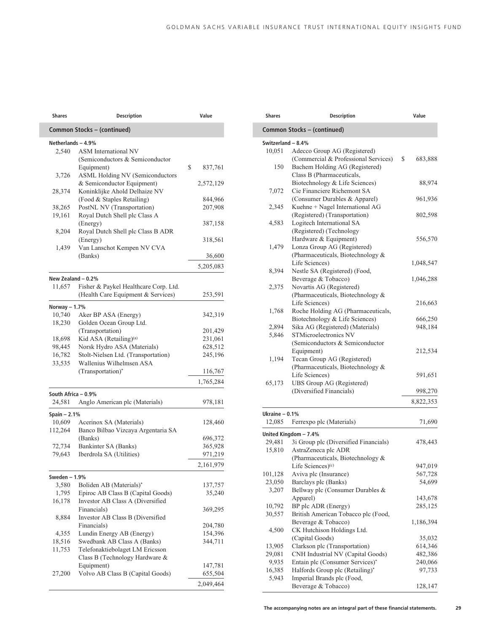| <b>Shares</b>       | <b>Description</b>                                          | Value              |
|---------------------|-------------------------------------------------------------|--------------------|
|                     | Common Stocks - (continued)                                 |                    |
| Netherlands - 4.9%  |                                                             |                    |
| 2,540               | <b>ASM</b> International NV                                 |                    |
|                     | (Semiconductors & Semiconductor                             |                    |
|                     | Equipment)                                                  | \$<br>837,761      |
| 3,726               | <b>ASML Holding NV (Semiconductors</b>                      |                    |
| 28,374              | & Semiconductor Equipment)<br>Koninklijke Ahold Delhaize NV | 2,572,129          |
|                     | (Food & Staples Retailing)                                  | 844,966            |
| 38,265              | PostNL NV (Transportation)                                  | 207,908            |
| 19,161              | Royal Dutch Shell plc Class A                               |                    |
|                     | (Energy)                                                    | 387,158            |
| 8,204               | Royal Dutch Shell plc Class B ADR                           |                    |
|                     | (Energy)                                                    | 318,561            |
| 1,439               | Van Lanschot Kempen NV CVA                                  |                    |
|                     | (Banks)                                                     | 36,600             |
|                     |                                                             | 5,205,083          |
| New Zealand - 0.2%  |                                                             |                    |
| 11,657              | Fisher & Paykel Healthcare Corp. Ltd.                       |                    |
|                     | (Health Care Equipment & Services)                          | 253,591            |
| Norway $- 1.7%$     |                                                             |                    |
| 10,740              | Aker BP ASA (Energy)                                        | 342,319            |
| 18,230              | Golden Ocean Group Ltd.                                     |                    |
|                     | (Transportation)                                            | 201,429            |
| 18,698              | Kid ASA (Retailing) <sup>(a)</sup>                          | 231,061            |
| 98,445              | Norsk Hydro ASA (Materials)                                 | 628,512            |
| 16,782              | Stolt-Nielsen Ltd. (Transportation)                         | 245,196            |
| 33,535              | Wallenius Wilhelmsen ASA                                    |                    |
|                     | (Transportation)*                                           | 116,767            |
|                     |                                                             | 1,765,284          |
| South Africa - 0.9% |                                                             |                    |
| 24,581              | Anglo American plc (Materials)                              | 978,181            |
| Spain - 2.1%        |                                                             |                    |
| 10,609              | Acerinox SA (Materials)                                     | 128,460            |
| 112,264             | Banco Bilbao Vizcaya Argentaria SA                          |                    |
|                     | (Banks)                                                     | 696,372            |
| 72,734              | Bankinter SA (Banks)                                        | 365,928            |
| 79,643              | Iberdrola SA (Utilities)                                    | 971,219            |
|                     |                                                             | 2,161,979          |
| Sweden – 1.9%       |                                                             |                    |
| 3,580               | Boliden AB (Materials)*                                     | 137,757            |
| 1,795               | Epiroc AB Class B (Capital Goods)                           | 35,240             |
| 16,178              | Investor AB Class A (Diversified                            |                    |
|                     | Financials)                                                 | 369,295            |
| 8,884               | Investor AB Class B (Diversified                            |                    |
|                     | Financials)                                                 | 204,780            |
| 4,355               | Lundin Energy AB (Energy)                                   | 154,396            |
| 18,516              | Swedbank AB Class A (Banks)                                 | 344,711            |
| 11,753              | Telefonaktiebolaget LM Ericsson                             |                    |
|                     | Class B (Technology Hardware &                              |                    |
|                     | Equipment)<br>Volvo AB Class B (Capital Goods)              | 147,781<br>655,504 |
| 27,200              |                                                             |                    |
|                     |                                                             | 2,049,464          |

|                    | <b>Description</b>                                            | Value                                                                                                                                                             |
|--------------------|---------------------------------------------------------------|-------------------------------------------------------------------------------------------------------------------------------------------------------------------|
|                    | Common Stocks - (continued)                                   |                                                                                                                                                                   |
| Switzerland - 8.4% |                                                               |                                                                                                                                                                   |
| 10,051             | Adecco Group AG (Registered)                                  |                                                                                                                                                                   |
|                    | (Commercial & Professional Services)                          | \$<br>683,888                                                                                                                                                     |
| 150                | Bachem Holding AG (Registered)                                |                                                                                                                                                                   |
|                    | Class B (Pharmaceuticals,                                     |                                                                                                                                                                   |
|                    | Biotechnology & Life Sciences)                                | 88,974                                                                                                                                                            |
| 7,072              | Cie Financiere Richemont SA                                   |                                                                                                                                                                   |
|                    | (Consumer Durables & Apparel)                                 | 961,936                                                                                                                                                           |
| 2,345              | Kuehne + Nagel International AG                               |                                                                                                                                                                   |
|                    | (Registered) (Transportation)                                 | 802,598                                                                                                                                                           |
| 4,583              | Logitech International SA                                     |                                                                                                                                                                   |
|                    | (Registered) (Technology                                      |                                                                                                                                                                   |
|                    | Hardware & Equipment)                                         | 556,570                                                                                                                                                           |
| 1,479              | Lonza Group AG (Registered)                                   |                                                                                                                                                                   |
|                    | (Pharmaceuticals, Biotechnology &                             |                                                                                                                                                                   |
|                    | Life Sciences)                                                | 1,048,547                                                                                                                                                         |
| 8,394              | Nestle SA (Registered) (Food,                                 |                                                                                                                                                                   |
|                    | Beverage & Tobacco)                                           | 1,046,288                                                                                                                                                         |
| 2,375              | Novartis AG (Registered)                                      |                                                                                                                                                                   |
|                    | (Pharmaceuticals, Biotechnology &                             |                                                                                                                                                                   |
|                    | Life Sciences)                                                |                                                                                                                                                                   |
| 1,768              | Roche Holding AG (Pharmaceuticals,                            | 216,663                                                                                                                                                           |
|                    |                                                               |                                                                                                                                                                   |
|                    | Biotechnology & Life Sciences)                                | 666,250                                                                                                                                                           |
| 2,894              | Sika AG (Registered) (Materials)                              | 948,184                                                                                                                                                           |
| 5,846              | STMicroelectronics NV                                         |                                                                                                                                                                   |
|                    | (Semiconductors & Semiconductor                               |                                                                                                                                                                   |
|                    | Equipment)                                                    | 212,534                                                                                                                                                           |
| 1,194              | Tecan Group AG (Registered)                                   |                                                                                                                                                                   |
|                    | (Pharmaceuticals, Biotechnology &                             |                                                                                                                                                                   |
|                    | Life Sciences)                                                | 591,651                                                                                                                                                           |
| 65,173             | UBS Group AG (Registered)                                     |                                                                                                                                                                   |
|                    |                                                               |                                                                                                                                                                   |
|                    | (Diversified Financials)                                      |                                                                                                                                                                   |
|                    |                                                               |                                                                                                                                                                   |
|                    |                                                               |                                                                                                                                                                   |
| 12,085             | Ferrexpo plc (Materials)                                      |                                                                                                                                                                   |
| Ukraine $-0.1%$    | United Kingdom - 7.4%                                         |                                                                                                                                                                   |
| 29,481             | 3i Group plc (Diversified Financials)                         |                                                                                                                                                                   |
| 15,810             | AstraZeneca plc ADR                                           |                                                                                                                                                                   |
|                    | (Pharmaceuticals, Biotechnology &                             |                                                                                                                                                                   |
|                    | Life Sciences) <sup>(c)</sup>                                 |                                                                                                                                                                   |
| 101,128            | Aviva plc (Insurance)                                         |                                                                                                                                                                   |
| 23,050             | Barclays plc (Banks)                                          |                                                                                                                                                                   |
| 3,207              | Bellway plc (Consumer Durables &                              |                                                                                                                                                                   |
|                    | Apparel)                                                      |                                                                                                                                                                   |
| 10,792             | BP plc ADR (Energy)                                           |                                                                                                                                                                   |
| 30,557             | British American Tobacco plc (Food,                           |                                                                                                                                                                   |
|                    | Beverage & Tobacco)                                           |                                                                                                                                                                   |
| 4,500              | CK Hutchison Holdings Ltd.                                    |                                                                                                                                                                   |
|                    | (Capital Goods)                                               |                                                                                                                                                                   |
| 13,905             |                                                               |                                                                                                                                                                   |
| 29,081             | Clarkson plc (Transportation)                                 |                                                                                                                                                                   |
|                    | CNH Industrial NV (Capital Goods)                             |                                                                                                                                                                   |
| 9,935              | Entain plc (Consumer Services)*                               |                                                                                                                                                                   |
| 16,385<br>5,943    | Halfords Group plc (Retailing)*<br>Imperial Brands plc (Food, | 998,270<br>8,822,353<br>71,690<br>478,443<br>947,019<br>567,728<br>54,699<br>143,678<br>285,125<br>1,186,394<br>35,032<br>614,346<br>482,386<br>240,066<br>97,733 |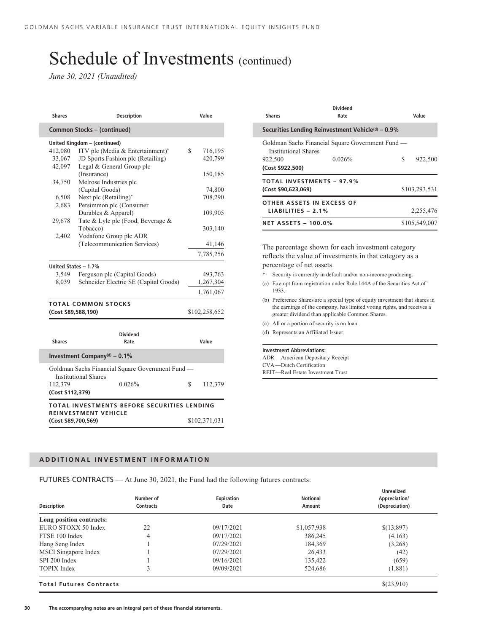*June 30, 2021 (Unaudited)*

| <b>Shares</b>       | <b>Description</b>                                                              | Value         |
|---------------------|---------------------------------------------------------------------------------|---------------|
|                     | Common Stocks - (continued)                                                     |               |
|                     | United Kingdom - (continued)                                                    |               |
| 412,080             | ITV plc (Media & Entertainment)*                                                | \$<br>716,195 |
| 33,067              | JD Sports Fashion plc (Retailing)                                               | 420,799       |
| 42,097              | Legal & General Group plc                                                       |               |
|                     | (Insurance)                                                                     | 150,185       |
| 34,750              | Melrose Industries plc                                                          |               |
|                     | (Capital Goods)                                                                 | 74,800        |
| 6,508               | Next plc (Retailing)*                                                           | 708,290       |
| 2,683               | Persimmon plc (Consumer                                                         |               |
|                     | Durables & Apparel)                                                             | 109,905       |
| 29,678              | Tate & Lyle plc (Food, Beverage &                                               |               |
|                     | Tobacco)                                                                        | 303,140       |
| 2,402               | Vodafone Group plc ADR                                                          |               |
|                     | (Telecommunication Services)                                                    | 41,146        |
|                     |                                                                                 | 7,785,256     |
|                     | United States - 1.7%                                                            |               |
| 3,549               | Ferguson plc (Capital Goods)                                                    | 493,763       |
| 8,039               | Schneider Electric SE (Capital Goods)                                           | 1,267,304     |
|                     |                                                                                 | 1,761,067     |
|                     | TOTAL COMMON STOCKS                                                             |               |
| (Cost \$89,588,190) |                                                                                 | \$102,258,652 |
|                     |                                                                                 |               |
|                     | <b>Dividend</b>                                                                 |               |
| <b>Shares</b>       | Rate                                                                            | Value         |
|                     | Investment Company <sup>(d)</sup> - 0.1%                                        |               |
|                     | Goldman Sachs Financial Square Government Fund -<br><b>Institutional Shares</b> |               |
| 112,379             | 0.026%                                                                          | \$<br>112,379 |
| (Cost \$112,379)    |                                                                                 |               |
|                     | TOTAL INVESTMENTS BEFORE SECURITIES LENDING                                     |               |
| (Cost \$89,700,569) | <b>REINVESTMENT VEHICLE</b>                                                     | \$102,371,031 |
|                     |                                                                                 |               |

| <b>Shares</b>                                           | Dividend<br>Rate                                           |   | Value         |
|---------------------------------------------------------|------------------------------------------------------------|---|---------------|
|                                                         | Securities Lending Reinvestment Vehicle $(d)$ – 0.9%       |   |               |
| <b>Institutional Shares</b><br>922,500                  | Goldman Sachs Financial Square Government Fund —<br>0.026% | S | 922,500       |
| (Cost \$922,500)                                        |                                                            |   |               |
| <b>TOTAL INVESTMENTS - 97.9%</b><br>(Cost \$90,623,069) |                                                            |   | \$103,293,531 |
| OTHER ASSETS IN EXCESS OF<br>LIABILITIES $-2.1\%$       |                                                            |   | 2,255,476     |
| <b>NET ASSETS - 100.0%</b>                              |                                                            |   | \$105,549,007 |

The percentage shown for each investment category reflects the value of investments in that category as a percentage of net assets.

- Security is currently in default and/or non-income producing.
- (a) Exempt from registration under Rule 144A of the Securities Act of 1933.
- (b) Preference Shares are a special type of equity investment that shares in the earnings of the company, has limited voting rights, and receives a greater dividend than applicable Common Shares.
- (c) All or a portion of security is on loan.
- (d) Represents an Affiliated Issuer.

#### **Investment Abbreviations:**

ADR—American Depositary Receipt CVA—Dutch Certification REIT—Real Estate Investment Trust

#### **ADDITIONAL INVESTMENT INFORMATION**

FUTURES CONTRACTS — At June 30, 2021, the Fund had the following futures contracts:

|                                | Number of        | <b>Expiration</b> | <b>Notional</b> | <b>Unrealized</b><br>Appreciation/ |
|--------------------------------|------------------|-------------------|-----------------|------------------------------------|
| <b>Description</b>             | <b>Contracts</b> | Date              | Amount          | (Depreciation)                     |
| Long position contracts:       |                  |                   |                 |                                    |
| EURO STOXX 50 Index            | 22               | 09/17/2021        | \$1,057,938     | \$(13,897)                         |
| FTSE 100 Index                 | 4                | 09/17/2021        | 386,245         | (4,163)                            |
| Hang Seng Index                |                  | 07/29/2021        | 184,369         | (3,268)                            |
| MSCI Singapore Index           |                  | 07/29/2021        | 26,433          | (42)                               |
| SPI 200 Index                  |                  | 09/16/2021        | 135,422         | (659)                              |
| <b>TOPIX</b> Index             | 3                | 09/09/2021        | 524,686         | (1,881)                            |
| <b>Total Futures Contracts</b> |                  |                   |                 | \$(23,910)                         |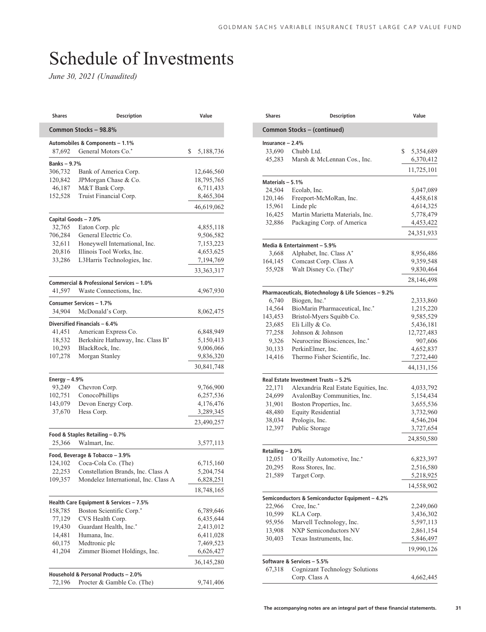# Schedule of Investments

| Shares            | <b>Description</b>                        | Value           |
|-------------------|-------------------------------------------|-----------------|
|                   | Common Stocks - 98.8%                     |                 |
|                   | Automobiles & Components - 1.1%           |                 |
| 87,692            | General Motors Co.*                       | \$<br>5,188,736 |
| <b>Banks-9.7%</b> |                                           |                 |
| 306,732           | Bank of America Corp.                     | 12,646,560      |
| 120,842           | JPMorgan Chase & Co.                      | 18,795,765      |
| 46,187            | M&T Bank Corp.                            | 6,711,433       |
| 152,528           | Truist Financial Corp.                    | 8,465,304       |
|                   |                                           | 46,619,062      |
|                   | Capital Goods - 7.0%                      |                 |
| 32,765            | Eaton Corp. plc                           | 4,855,118       |
| 706,284           | General Electric Co.                      | 9,506,582       |
| 32,611            | Honeywell International, Inc.             | 7,153,223       |
| 20,816            | Illinois Tool Works, Inc.                 | 4,653,625       |
| 33,286            | L3Harris Technologies, Inc.               | 7,194,769       |
|                   |                                           | 33, 363, 317    |
|                   |                                           |                 |
|                   | Commercial & Professional Services - 1.0% |                 |
| 41,597            | Waste Connections, Inc.                   | 4,967,930       |
|                   | Consumer Services - 1.7%                  |                 |
| 34.904            | McDonald's Corp.                          | 8,062,475       |
|                   | Diversified Financials - 6.4%             |                 |
| 41,451            | American Express Co.                      | 6,848,949       |
| 18,532            | Berkshire Hathaway, Inc. Class B*         | 5,150,413       |
| 10,293            | BlackRock, Inc.                           | 9,006,066       |
| 107,278           | Morgan Stanley                            | 9,836,320       |
|                   |                                           | 30,841,748      |
| Energy $-4.9%$    |                                           |                 |
| 93,249            | Chevron Corp.                             | 9,766,900       |
| 102,751           | ConocoPhillips                            | 6,257,536       |
| 143,079           | Devon Energy Corp.                        | 4,176,476       |
| 37,670            | Hess Corp.                                | 3,289,345       |
|                   |                                           | 23,490,257      |
|                   | Food & Staples Retailing - 0.7%           |                 |
| 25,366            | Walmart, Inc.                             | 3,577,113       |
|                   | Food, Beverage & Tobacco - 3.9%           |                 |
| 124,102           | Coca-Cola Co. (The)                       | 6,715,160       |
| 22,253            | Constellation Brands, Inc. Class A        | 5,204,754       |
| 109,357           | Mondelez International, Inc. Class A      | 6,828,251       |
|                   |                                           | 18,748,165      |
|                   | Health Care Equipment & Services - 7.5%   |                 |
| 158,785           | Boston Scientific Corp.*                  | 6,789,646       |
| 77,129            | CVS Health Corp.                          | 6,435,644       |
| 19,430            | Guardant Health, Inc.*                    | 2,413,012       |
|                   | Humana, Inc.                              | 6,411,028       |
| 14,481<br>60,175  | Medtronic plc                             | 7,469,523       |
|                   |                                           |                 |
| 41,204            | Zimmer Biomet Holdings, Inc.              | 6,626,427       |
|                   |                                           | 36,145,280      |
|                   | Household & Personal Products - 2.0%      |                 |
| 72,196            | Procter & Gamble Co. (The)                | 9,741,406       |
|                   |                                           |                 |

| Shares            | Description                                                    | Value                  |
|-------------------|----------------------------------------------------------------|------------------------|
|                   | Common Stocks - (continued)                                    |                        |
| Insurance $-2.4%$ |                                                                |                        |
| 33,690            | Chubb Ltd.                                                     | \$<br>5,354,689        |
| 45,283            | Marsh & McLennan Cos., Inc.                                    | 6,370,412              |
|                   |                                                                | 11,725,101             |
| Materials - 5.1%  |                                                                |                        |
| 24,504            | Ecolab, Inc.                                                   | 5,047,089              |
| 120,146           | Freeport-McMoRan, Inc.                                         | 4,458,618              |
| 15,961            | Linde plc                                                      | 4,614,325              |
| 16,425            | Martin Marietta Materials, Inc.                                | 5,778,479              |
| 32,886            | Packaging Corp. of America                                     | 4,453,422              |
|                   |                                                                | 24, 351, 933           |
|                   | Media & Entertainment - 5.9%                                   |                        |
| 3,668             | Alphabet, Inc. Class A*                                        | 8,956,486              |
| 164,145           | Comcast Corp. Class A                                          | 9,359,548              |
| 55,928            | Walt Disney Co. (The)*                                         | 9,830,464              |
|                   |                                                                | 28,146,498             |
|                   | Pharmaceuticals, Biotechnology & Life Sciences - 9.2%          |                        |
| 6,740             | Biogen, Inc.*                                                  | 2,333,860              |
| 14,564            | BioMarin Pharmaceutical, Inc.*                                 | 1,215,220              |
| 143,453           | Bristol-Myers Squibb Co.                                       | 9,585,529              |
| 23,685            | Eli Lilly & Co.                                                | 5,436,181              |
| 77,258            | Johnson & Johnson                                              | 12,727,483             |
| 9,326             | Neurocrine Biosciences, Inc.*                                  | 907,606                |
| 30,133            | PerkinElmer, Inc.                                              | 4,652,837              |
| 14,416            | Thermo Fisher Scientific, Inc.                                 | 7,272,440              |
|                   |                                                                | 44, 131, 156           |
|                   | Real Estate Investment Trusts - 5.2%                           |                        |
| 22,171            | Alexandria Real Estate Equities, Inc.                          | 4,033,792              |
| 24,699            | AvalonBay Communities, Inc.                                    | 5,154,434              |
| 31,901            | Boston Properties, Inc.                                        | 3,655,536              |
| 48,480            | <b>Equity Residential</b>                                      | 3,732,960              |
| 38,034            | Prologis, Inc.                                                 | 4,546,204              |
| 12,397            | Public Storage                                                 | 3,727,654              |
|                   |                                                                | 24,850,580             |
| Retailing - 3.0%  |                                                                |                        |
| 12,051<br>20,295  | O'Reilly Automotive, Inc.*<br>Ross Stores, Inc.                | 6,823,397<br>2,516,580 |
| 21,589            | Target Corp.                                                   | 5,218,925              |
|                   |                                                                | 14,558,902             |
|                   |                                                                |                        |
| 22,966            | Semiconductors & Semiconductor Equipment - 4.2%<br>Cree, Inc.* | 2,249,060              |
| 10,599            | KLA Corp.                                                      | 3,436,302              |
| 95,956            | Marvell Technology, Inc.                                       | 5,597,113              |
| 13,908            | <b>NXP Semiconductors NV</b>                                   | 2,861,154              |
| 30,403            | Texas Instruments, Inc.                                        | 5,846,497              |
|                   |                                                                | 19,990,126             |
|                   | Software & Services - 5.5%                                     |                        |
| 67,318            | <b>Cognizant Technology Solutions</b>                          |                        |
|                   | Corp. Class A                                                  | 4,662,445              |
|                   |                                                                |                        |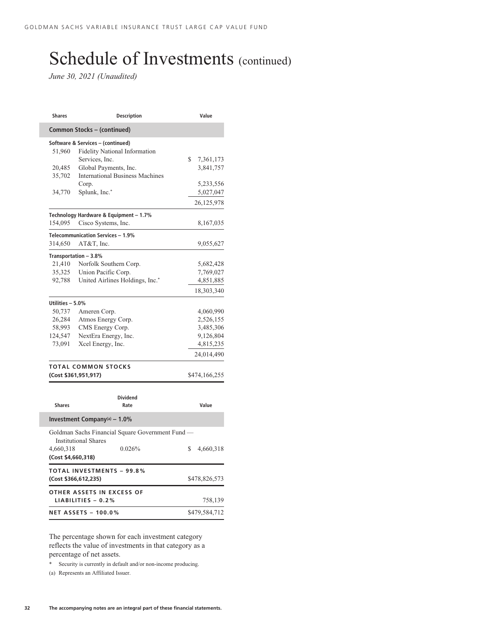*June 30, 2021 (Unaudited)*

| <b>Shares</b>                   | <b>Description</b>                                                              | Value           |
|---------------------------------|---------------------------------------------------------------------------------|-----------------|
|                                 | Common Stocks - (continued)                                                     |                 |
| 51,960                          | Software & Services - (continued)<br><b>Fidelity National Information</b>       |                 |
|                                 | Services, Inc.                                                                  | \$<br>7,361,173 |
| 20,485                          | Global Payments, Inc.                                                           | 3,841,757       |
| 35,702                          | <b>International Business Machines</b>                                          |                 |
|                                 | Corp.                                                                           | 5,233,556       |
| 34,770                          | Splunk, Inc.*                                                                   | 5,027,047       |
|                                 |                                                                                 | 26,125,978      |
|                                 | Technology Hardware & Equipment - 1.7%                                          |                 |
| 154,095                         | Cisco Systems, Inc.                                                             | 8,167,035       |
|                                 | Telecommunication Services - 1.9%                                               |                 |
| 314,650                         | AT&T, Inc.                                                                      | 9,055,627       |
|                                 | Transportation - 3.8%                                                           |                 |
| 21,410                          | Norfolk Southern Corp.                                                          | 5,682,428       |
| 35,325                          | Union Pacific Corp.                                                             | 7,769,027       |
| 92,788                          | United Airlines Holdings, Inc.*                                                 | 4,851,885       |
|                                 |                                                                                 | 18,303,340      |
|                                 |                                                                                 |                 |
| Utilities - 5.0%                |                                                                                 |                 |
| 50,737                          | Ameren Corp.                                                                    | 4,060,990       |
| 26,284                          | Atmos Energy Corp.                                                              | 2,526,155       |
| 58,993                          | CMS Energy Corp.                                                                | 3,485,306       |
| 124,547<br>73,091               | NextEra Energy, Inc.                                                            | 9,126,804       |
|                                 | Xcel Energy, Inc.                                                               | 4,815,235       |
|                                 |                                                                                 | 24,014,490      |
|                                 | <b>TOTAL COMMON STOCKS</b>                                                      |                 |
|                                 | (Cost \$361,951,917)                                                            | \$474,166,255   |
|                                 |                                                                                 |                 |
|                                 | <b>Dividend</b>                                                                 |                 |
| <b>Shares</b>                   | Rate                                                                            | Value           |
|                                 | Investment Company <sup>(a)</sup> - $1.0\%$                                     |                 |
|                                 | Goldman Sachs Financial Square Government Fund —<br><b>Institutional Shares</b> |                 |
| 4,660,318<br>(Cost \$4,660,318) | 0.026%                                                                          | \$<br>4,660,318 |
|                                 | <b>TOTAL INVESTMENTS - 99.8%</b><br>(Cost \$366,612,235)                        | \$478,826,573   |
|                                 |                                                                                 |                 |
|                                 | OTHER ASSETS IN EXCESS OF                                                       |                 |
|                                 | $LIABILITIES - 0.2%$                                                            | 758,139         |
|                                 | <b>NET ASSETS - 100.0%</b>                                                      | \$479,584,712   |

The percentage shown for each investment category reflects the value of investments in that category as a percentage of net assets.

\* Security is currently in default and/or non-income producing.

(a) Represents an Affiliated Issuer.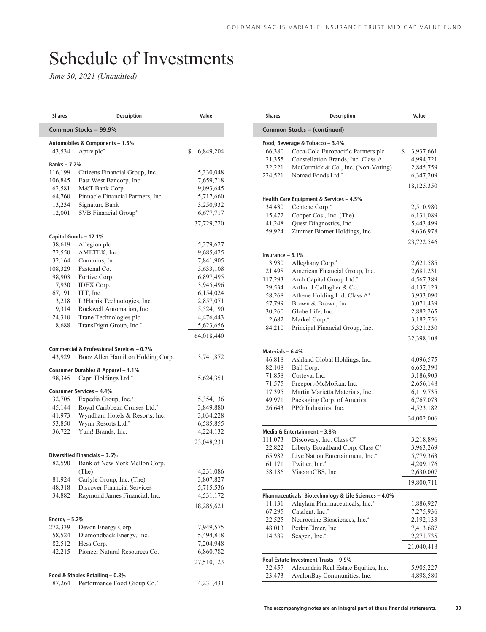# Schedule of Investments

*June 30, 2021 (Unaudited)*

| Shares            | <b>Description</b>                                         | Value           |
|-------------------|------------------------------------------------------------|-----------------|
|                   | Common Stocks - 99.9%                                      |                 |
|                   | Automobiles & Components - 1.3%                            |                 |
| 43,534            | Aptiv plc*                                                 | \$<br>6,849,204 |
| <b>Banks-7.2%</b> |                                                            |                 |
| 116,199           | Citizens Financial Group, Inc.                             | 5,330,048       |
| 106,845           | East West Bancorp, Inc.                                    | 7,659,718       |
| 62,581            | M&T Bank Corp.                                             | 9,093,645       |
| 64,760            | Pinnacle Financial Partners, Inc.                          | 5,717,660       |
| 13,234            | Signature Bank                                             | 3,250,932       |
| 12,001            | SVB Financial Group*                                       | 6,677,717       |
|                   |                                                            | 37,729,720      |
|                   | Capital Goods - 12.1%                                      |                 |
| 38,619            | Allegion plc                                               | 5,379,627       |
| 72,550            | AMETEK, Inc.                                               | 9,685,425       |
| 32,164            | Cummins, Inc.                                              | 7,841,905       |
| 108,329           | Fastenal Co.                                               | 5,633,108       |
| 98,903            | Fortive Corp.                                              | 6,897,495       |
| 17,930            | <b>IDEX</b> Corp.                                          | 3,945,496       |
| 67,191            | ITT, Inc.                                                  | 6,154,024       |
| 13,218            | L3Harris Technologies, Inc.                                | 2,857,071       |
| 19,314            | Rockwell Automation, Inc.                                  | 5,524,190       |
| 24,310            | Trane Technologies plc                                     | 4,476,443       |
| 8,688             | TransDigm Group, Inc.*                                     | 5,623,656       |
|                   |                                                            | 64,018,440      |
|                   | Commercial & Professional Services - 0.7%                  |                 |
| 43,929            | Booz Allen Hamilton Holding Corp.                          | 3,741,872       |
|                   |                                                            |                 |
| 98,345            | Consumer Durables & Apparel - 1.1%<br>Capri Holdings Ltd.* | 5,624,351       |
|                   |                                                            |                 |
|                   | Consumer Services - 4.4%                                   |                 |
| 32,705            | Expedia Group, Inc.*                                       | 5,354,136       |
| 45,144            | Royal Caribbean Cruises Ltd.*                              | 3,849,880       |
| 41,973            | Wyndham Hotels & Resorts, Inc.                             | 3,034,228       |
| 53,850            | Wynn Resorts Ltd.*<br>Yum! Brands, Inc.                    | 6,585,855       |
| 36,722            |                                                            | 4,224,132       |
|                   |                                                            | 23,048,231      |
|                   | Diversified Financials - 3.5%                              |                 |
| 82,590            | Bank of New York Mellon Corp.                              |                 |
|                   | (The)                                                      | 4,231,086       |
| 81,924            | Carlyle Group, Inc. (The)                                  | 3,807,827       |
| 48,318            | Discover Financial Services                                | 5,715,536       |
| 34,882            | Raymond James Financial, Inc.                              | 4,531,172       |
|                   |                                                            | 18,285,621      |
| Energy $-5.2%$    |                                                            |                 |
| 272,339           | Devon Energy Corp.                                         | 7,949,575       |
| 58,524            | Diamondback Energy, Inc.                                   | 5,494,818       |
| 82,512            | Hess Corp.                                                 | 7,204,948       |
| 42,215            | Pioneer Natural Resources Co.                              | 6,860,782       |
|                   |                                                            | 27,510,123      |
|                   | Food & Staples Retailing - 0.8%                            |                 |
| 87,264            | Performance Food Group Co.*                                | 4,231,431       |
|                   |                                                            |                 |

| <b>Shares</b>              | <b>Description</b>                                       | Value           |
|----------------------------|----------------------------------------------------------|-----------------|
|                            | Common Stocks - (continued)                              |                 |
|                            | Food, Beverage & Tobacco - 3.4%                          |                 |
| 66,380                     | Coca-Cola Europacific Partners plc                       | \$<br>3,937,661 |
| 21,355                     | Constellation Brands, Inc. Class A                       | 4,994,721       |
| 32,221                     | McCormick & Co., Inc. (Non-Voting)                       | 2,845,759       |
| 224,521                    | Nomad Foods Ltd.*                                        | 6,347,209       |
|                            |                                                          | 18,125,350      |
|                            | Health Care Equipment & Services - 4.5%                  |                 |
| 34,430                     | Centene Corp.*                                           | 2,510,980       |
| 15,472                     | Cooper Cos., Inc. (The)                                  | 6, 131, 089     |
| 41,248                     | Quest Diagnostics, Inc.                                  | 5,443,499       |
| 59,924                     | Zimmer Biomet Holdings, Inc.                             | 9,636,978       |
|                            |                                                          | 23,722,546      |
|                            |                                                          |                 |
| Insurance $-6.1%$<br>3,930 | Alleghany Corp.*                                         | 2,621,585       |
|                            |                                                          |                 |
| 21,498                     | American Financial Group, Inc.                           | 2,681,231       |
| 117,293                    | Arch Capital Group Ltd.*                                 | 4,567,389       |
| 29,534                     | Arthur J Gallagher & Co.                                 | 4,137,123       |
| 58,268                     | Athene Holding Ltd. Class A*                             | 3,933,090       |
| 57,799                     | Brown & Brown, Inc.                                      | 3,071,439       |
| 30,260                     | Globe Life, Inc.                                         | 2,882,265       |
| 2,682                      | Markel Corp.*                                            | 3,182,756       |
| 84,210                     | Principal Financial Group, Inc.                          | 5,321,230       |
|                            |                                                          | 32,398,108      |
| Materials - 6.4%           |                                                          |                 |
| 46,818                     | Ashland Global Holdings, Inc.                            | 4,096,575       |
| 82,108                     | Ball Corp.                                               | 6,652,390       |
| 71,858                     | Corteva, Inc.                                            | 3,186,903       |
| 71,575                     | Freeport-McMoRan, Inc.                                   | 2,656,148       |
| 17,395                     | Martin Marietta Materials, Inc.                          | 6,119,735       |
| 49,971                     | Packaging Corp. of America                               | 6,767,073       |
| 26,643                     | PPG Industries, Inc.                                     | 4,523,182       |
|                            |                                                          | 34,002,006      |
|                            |                                                          |                 |
| 111,073                    | Media & Entertainment - 3.8%<br>Discovery, Inc. Class C* | 3,218,896       |
| 22,822                     | Liberty Broadband Corp. Class C*                         | 3,963,269       |
|                            | Live Nation Entertainment, Inc.*                         |                 |
| 65,982                     |                                                          | 5,779,363       |
| 61,171                     | Twitter, Inc.*                                           | 4,209,176       |
| 58,186                     | ViacomCBS, Inc.                                          | 2,630,007       |
|                            |                                                          | 19,800,711      |
|                            | Pharmaceuticals, Biotechnology & Life Sciences - 4.0%    |                 |
| 11,131                     | Alnylam Pharmaceuticals, Inc.*                           | 1,886,927       |
| 67,295                     | Catalent, Inc.*                                          | 7,275,936       |
| 22,525                     | Neurocrine Biosciences, Inc.*                            | 2,192,133       |
| 48,013                     | PerkinElmer, Inc.                                        | 7,413,687       |
| 14,389                     | Seagen, Inc.*                                            | 2,271,735       |
|                            |                                                          | 21,040,418      |
|                            | Real Estate Investment Trusts - 9.9%                     |                 |
| 32,457                     | Alexandria Real Estate Equities, Inc.                    | 5,905,227       |
|                            |                                                          |                 |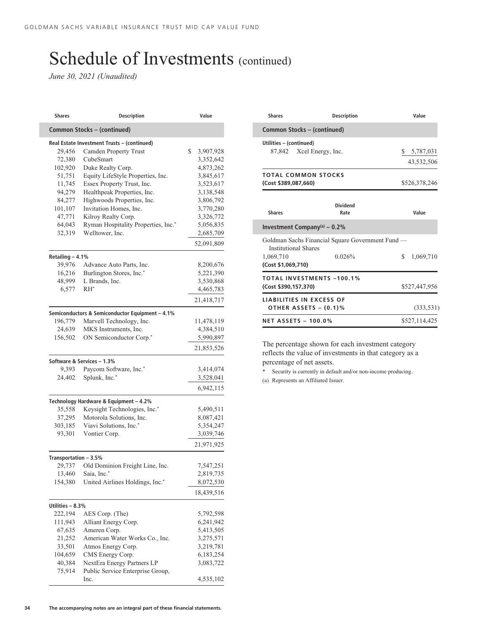*June 30, 2021 (Unaudited)*

| <b>Shares</b>               | <b>Description</b>                              | Value                  |  |
|-----------------------------|-------------------------------------------------|------------------------|--|
| Common Stocks - (continued) |                                                 |                        |  |
|                             | Real Estate Investment Trusts - (continued)     |                        |  |
| 29,456                      | Camden Property Trust                           | \$<br>3,907,928        |  |
| 72,380                      | CubeSmart                                       | 3,352,642              |  |
| 102,920                     | Duke Realty Corp.                               | 4,873,262              |  |
| 51,751                      | Equity LifeStyle Properties, Inc.               | 3,845,617              |  |
| 11,745                      | Essex Property Trust, Inc.                      | 3,523,617              |  |
| 94,279                      | Healthpeak Properties, Inc.                     | 3,138,548              |  |
| 84,277                      | Highwoods Properties, Inc.                      |                        |  |
| 101,107                     | Invitation Homes, Inc.                          | 3,806,792<br>3,770,280 |  |
| 47,771                      | Kilroy Realty Corp.                             |                        |  |
| 64,043                      | Ryman Hospitality Properties, Inc.*             | 3,326,772              |  |
|                             | Welltower, Inc.                                 | 5,056,835              |  |
| 32,319                      |                                                 | 2,685,709              |  |
|                             |                                                 | 52,091,809             |  |
| Retailing - 4.1%            |                                                 |                        |  |
| 39,976                      | Advance Auto Parts, Inc.                        | 8,200,676              |  |
| 16,216                      | Burlington Stores, Inc.*                        | 5,221,390              |  |
| 48,999                      | L Brands, Inc.                                  | 3,530,868              |  |
| 6,577                       | $RH^*$                                          | 4,465,783              |  |
|                             |                                                 | 21,418,717             |  |
|                             | Semiconductors & Semiconductor Equipment - 4.1% |                        |  |
| 196,779                     | Marvell Technology, Inc.                        | 11,478,119             |  |
| 24,639                      | MKS Instruments, Inc.                           | 4,384,510              |  |
| 156,502                     | ON Semiconductor Corp.*                         | 5,990,897              |  |
|                             |                                                 | 21,853,526             |  |
|                             |                                                 |                        |  |
|                             | Software & Services - 1.3%                      |                        |  |
| 9,393                       | Paycom Software, Inc.*                          | 3,414,074              |  |
| 24,402                      | Splunk, Inc.*                                   | 3,528,041              |  |
|                             |                                                 | 6,942,115              |  |
|                             | Technology Hardware & Equipment - 4.2%          |                        |  |
| 35,558                      | Keysight Technologies, Inc.*                    | 5,490,511              |  |
| 37,295                      | Motorola Solutions, Inc.                        | 8,087,421              |  |
| 303,185                     | Viavi Solutions, Inc.*                          | 5,354,247              |  |
| 93,301                      | Vontier Corp.                                   | 3,039,746              |  |
|                             |                                                 | 21,971,925             |  |
| Transportation - 3.5%       |                                                 |                        |  |
| 29,737                      | Old Dominion Freight Line, Inc.                 | 7,547,251              |  |
| 13,460                      | Saia, Inc.*                                     | 2,819,735              |  |
| 154,380                     | United Airlines Holdings, Inc.*                 | 8,072,530              |  |
|                             |                                                 | 18,439,516             |  |
|                             |                                                 |                        |  |
| Utilities - 8.3%            |                                                 |                        |  |
| 222,194                     | AES Corp. (The)                                 | 5,792,598              |  |
| 111,943                     | Alliant Energy Corp.                            | 6,241,942              |  |
| 67,635                      | Ameren Corp.                                    | 5,413,505              |  |
| 21,252                      | American Water Works Co., Inc.                  | 3,275,571              |  |
| 33,501                      | Atmos Energy Corp.                              | 3,219,781              |  |
| 104,659                     | CMS Energy Corp.                                | 6,183,254              |  |
| 40,384                      | NextEra Energy Partners LP                      | 3,083,722              |  |
| 75,914                      | Public Service Enterprise Group,                |                        |  |
|                             | Inc.                                            | 4,535,102              |  |

| <b>Shares</b>                                                   | <b>Description</b>                                         | Value                         |  |  |
|-----------------------------------------------------------------|------------------------------------------------------------|-------------------------------|--|--|
| Common Stocks – (continued)                                     |                                                            |                               |  |  |
| Utilities - (continued)<br>87,842 Xcel Energy, Inc.             |                                                            | 5,787,031<br>S.<br>43,532,506 |  |  |
| <b>TOTAL COMMON STOCKS</b><br>(Cost \$389,087,660)              |                                                            | \$526,378,246                 |  |  |
| <b>Shares</b>                                                   | <b>Dividend</b><br>Rate                                    | Value                         |  |  |
| Investment Company(a) $-0.2%$                                   |                                                            |                               |  |  |
| <b>Institutional Shares</b><br>1,069,710<br>(Cost \$1,069,710)  | Goldman Sachs Financial Square Government Fund —<br>0.026% | \$<br>1,069,710               |  |  |
| <b>TOTAL INVESTMENTS -100.1%</b><br>(Cost \$390,157,370)        |                                                            | \$527,447,956                 |  |  |
| <b>LIABILITIES IN EXCESS OF</b><br><b>OTHER ASSETS - (0.1)%</b> |                                                            | (333, 531)                    |  |  |
| <b>NET ASSETS - 100.0%</b>                                      |                                                            | \$527,114,425                 |  |  |

The percentage shown for each investment category reflects the value of investments in that category as a percentage of net assets.

\* Security is currently in default and/or non-income producing. (a) Represents an Affiliated Issuer.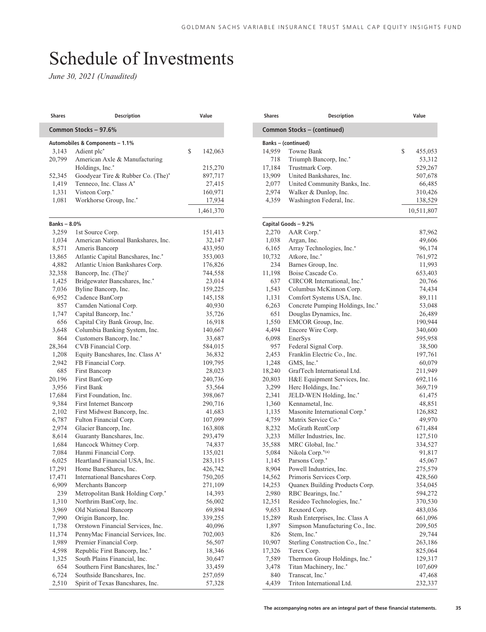## Schedule of Investments

*June 30, 2021 (Unaudited)*

| Shares            | <b>Description</b>                 | Value         |
|-------------------|------------------------------------|---------------|
|                   | Common Stocks - 97.6%              |               |
|                   | Automobiles & Components - 1.1%    |               |
| 3,143             | Adient plc*                        | \$<br>142,063 |
| 20,799            | American Axle & Manufacturing      |               |
|                   | Holdings, Inc.*                    | 215,270       |
| 52,345            | Goodyear Tire & Rubber Co. (The)*  | 897,717       |
| 1,419             | Tenneco, Inc. Class A*             | 27,415        |
| 1,331             | Visteon Corp.*                     | 160,971       |
| 1,081             | Workhorse Group, Inc.*             | 17,934        |
|                   |                                    | 1,461,370     |
| <b>Banks-8.0%</b> |                                    |               |
| 3,259             | 1st Source Corp.                   | 151,413       |
| 1,034             | American National Bankshares, Inc. | 32,147        |
| 8,571             | Ameris Bancorp                     | 433,950       |
| 13,865            | Atlantic Capital Bancshares, Inc.* | 353,003       |
| 4,882             | Atlantic Union Bankshares Corp.    | 176,826       |
| 32,358            | Bancorp, Inc. (The)*               | 744,558       |
| 1,425             | Bridgewater Bancshares, Inc.*      | 23,014        |
| 7,036             | Byline Bancorp, Inc.               | 159,225       |
| 6,952             | Cadence BanCorp                    | 145,158       |
| 857               | Camden National Corp.              | 40,930        |
| 1,747             | Capital Bancorp, Inc.*             | 35,726        |
| 656               | Capital City Bank Group, Inc.      | 16,918        |
| 3,648             | Columbia Banking System, Inc.      | 140,667       |
| 864               | Customers Bancorp, Inc.*           | 33,687        |
| 28,364            | CVB Financial Corp.                | 584,015       |
| 1,208             | Equity Bancshares, Inc. Class A*   | 36,832        |
| 2,942             | FB Financial Corp.                 | 109,795       |
| 685               | First Bancorp                      | 28,023        |
| 20,196            | First BanCorp                      | 240,736       |
| 3,956             | First Bank                         | 53,564        |
| 17,684            | First Foundation, Inc.             | 398,067       |
| 9,384             | First Internet Bancorp             | 290,716       |
| 2,102             | First Midwest Bancorp, Inc.        | 41,683        |
| 6,787             | Fulton Financial Corp.             | 107,099       |
| 2,974             | Glacier Bancorp, Inc.              | 163,808       |
| 8,614             | Guaranty Bancshares, Inc.          | 293,479       |
| 1,684             | Hancock Whitney Corp.              | 74,837        |
| 7,084             | Hanmi Financial Corp.              | 135,021       |
| 6,025             | Heartland Financial USA, Inc.      | 283,115       |
| 17,291            | Home BancShares, Inc.              | 426,742       |
| 17,471            | International Bancshares Corp.     | 750,205       |
| 6,909             | Merchants Bancorp                  | 271,109       |
| 239               | Metropolitan Bank Holding Corp.*   | 14,393        |
| 1,310             | Northrim BanCorp, Inc.             | 56,002        |
| 3,969             | Old National Bancorp               | 69,894        |
| 7,990             | Origin Bancorp, Inc.               | 339,255       |
| 1,738             | Orrstown Financial Services, Inc.  | 40,096        |
| 11,374            | PennyMac Financial Services, Inc.  | 702,003       |
| 1,989             | Premier Financial Corp.            | 56,507        |
| 4,598             | Republic First Bancorp, Inc.*      | 18,346        |
| 1,325             | South Plains Financial, Inc.       | 30,647        |
| 654               | Southern First Bancshares, Inc.*   | 33,459        |
| 6,724             | Southside Bancshares, Inc.         | 257,059       |
| 2,510             | Spirit of Texas Bancshares, Inc.   | 57,328        |

| <b>Shares</b> | <b>Description</b>               | Value         |
|---------------|----------------------------------|---------------|
|               | Common Stocks – (continued)      |               |
|               | <b>Banks-(continued)</b>         |               |
| 14,959        | Towne Bank                       | \$<br>455,053 |
| 718           | Triumph Bancorp, Inc.*           | 53,312        |
| 17,184        | Trustmark Corp.                  | 529,267       |
| 13,909        | United Bankshares, Inc.          | 507,678       |
| 2,077         | United Community Banks, Inc.     | 66,485        |
| 2,974         | Walker & Dunlop, Inc.            | 310,426       |
| 4,359         | Washington Federal, Inc.         | 138,529       |
|               |                                  | 10,511,807    |
|               | Capital Goods - 9.2%             |               |
| 2,270         | AAR Corp.*                       | 87,962        |
| 1,038         | Argan, Inc.                      | 49,606        |
| 6,165         | Array Technologies, Inc.*        | 96,174        |
| 10,732        | Atkore, Inc.*                    | 761,972       |
| 234           | Barnes Group, Inc.               | 11,993        |
| 11,198        | Boise Cascade Co.                | 653,403       |
| 637           | CIRCOR International, Inc.*      | 20,766        |
| 1,543         | Columbus McKinnon Corp.          | 74,434        |
| 1,131         | Comfort Systems USA, Inc.        | 89,111        |
| 6,263         | Concrete Pumping Holdings, Inc.* | 53,048        |
| 651           | Douglas Dynamics, Inc.           | 26,489        |
| 1,550         | EMCOR Group, Inc.                | 190,944       |
| 4,494         | Encore Wire Corp.                | 340,600       |
| 6,098         | EnerSys                          | 595,958       |
| 957           | Federal Signal Corp.             | 38,500        |
| 2,453         | Franklin Electric Co., Inc.      | 197,761       |
| 1,248         | GMS, Inc.*                       | 60,079        |
| 18,240        | GrafTech International Ltd.      | 211,949       |
| 20,803        | H&E Equipment Services, Inc.     | 692,116       |
| 3,299         | Herc Holdings, Inc.*             | 369,719       |
| 2,341         | JELD-WEN Holding, Inc.*          | 61,475        |
| 1,360         | Kennametal, Inc.                 | 48,851        |
| 1,135         | Masonite International Corp.*    | 126,882       |
| 4,759         | Matrix Service Co.*              | 49,970        |
| 8,232         | McGrath RentCorp                 | 671,484       |
| 3,233         | Miller Industries, Inc.          | 127,510       |
| 35,588        | MRC Global, Inc.*                | 334,527       |
| 5,084         | Nikola Corp.*(a)                 | 91,817        |
| 1,145         | Parsons Corp.*                   | 45,067        |
| 8,904         | Powell Industries, Inc.          | 275,579       |
| 14,562        | Primoris Services Corp.          | 428,560       |
| 14,253        | Quanex Building Products Corp.   | 354,045       |
| 2,980         | RBC Bearings, Inc.*              | 594,272       |
| 12,351        | Resideo Technologies, Inc.*      | 370,530       |
| 9,653         | Rexnord Corp.                    | 483,036       |
| 15,289        | Rush Enterprises, Inc. Class A   | 661,096       |
| 1,897         | Simpson Manufacturing Co., Inc.  | 209,505       |
| 826           | Stem, Inc.*                      | 29,744        |
| 10,907        | Sterling Construction Co., Inc.* | 263,186       |
| 17,326        | Terex Corp.                      | 825,064       |
| 7,589         | Thermon Group Holdings, Inc.*    | 129,317       |
| 3,478         | Titan Machinery, Inc.*           | 107,609       |
| 840           | Transcat, Inc.*                  | 47,468        |
| 4,439         | Triton International Ltd.        | 232,337       |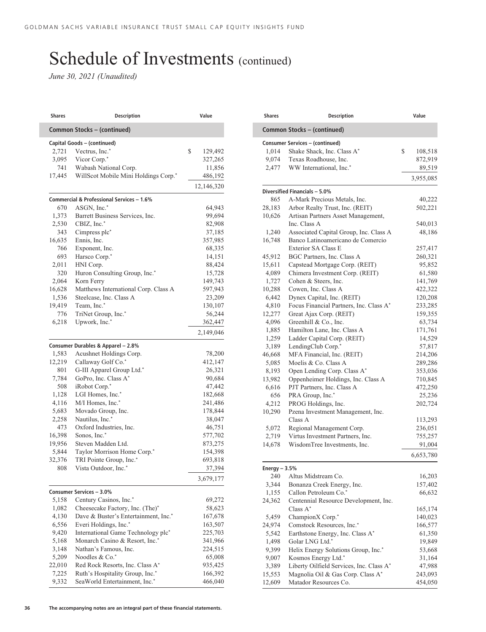*June 30, 2021 (Unaudited)*

| <b>Shares</b>  | <b>Description</b>                                               | Value              |
|----------------|------------------------------------------------------------------|--------------------|
|                | Common Stocks - (continued)                                      |                    |
|                | Capital Goods - (continued)                                      |                    |
| 2,721          | Vectrus, Inc.*                                                   | \$<br>129,492      |
| 3,095          | Vicor Corp.*                                                     | 327,265            |
| 741            | Wabash National Corp.                                            | 11,856             |
| 17,445         | WillScot Mobile Mini Holdings Corp.*                             | 486,192            |
|                |                                                                  | 12,146,320         |
|                | Commercial & Professional Services - 1.6%                        |                    |
| 670            | ASGN, Inc.*                                                      | 64,943             |
| 1,373          | Barrett Business Services, Inc.                                  | 99,694             |
| 2,530          | CBIZ, Inc.*                                                      | 82,908             |
| 343            | Cimpress plc <sup>*</sup>                                        | 37,185             |
| 16,635         | Ennis, Inc.                                                      | 357,985            |
| 766            | Exponent, Inc.                                                   | 68,335             |
| 693            | Harsco Corp.*                                                    | 14,151             |
| 2,011          | HNI Corp.                                                        | 88,424             |
| 320            | Huron Consulting Group, Inc.*                                    | 15,728             |
| 2,064          | Korn Ferry                                                       | 149,743            |
| 16,628         | Matthews International Corp. Class A                             | 597,943            |
| 1,536          | Steelcase, Inc. Class A                                          | 23,209             |
| 19,419         | Team, Inc.*                                                      | 130,107            |
| 776            | TriNet Group, Inc.*                                              | 56,244             |
| 6,218          | Upwork, Inc.*                                                    | 362,447            |
|                |                                                                  | 2,149,046          |
|                |                                                                  |                    |
|                | Consumer Durables & Apparel - 2.8%                               |                    |
| 1,583          | Acushnet Holdings Corp.                                          | 78,200             |
| 12,219         | Callaway Golf Co.*                                               | 412,147            |
| 801            | G-III Apparel Group Ltd.*                                        | 26,321             |
| 7,784<br>508   | GoPro, Inc. Class A*<br>iRobot Corp.*                            | 90,684             |
|                |                                                                  | 47,442             |
| 1,128          | LGI Homes, Inc.*<br>M/I Homes, Inc.*                             | 182,668            |
| 4,116          |                                                                  | 241,486            |
| 5,683          | Movado Group, Inc.                                               | 178,844            |
| 2,258          | Nautilus, Inc.*                                                  | 38,047             |
| 473            | Oxford Industries, Inc.<br>Sonos, Inc.*                          | 46,751             |
| 16,398         | Steven Madden Ltd.                                               | 577,702            |
| 19,956         |                                                                  | 873,275            |
| 5,844          | Taylor Morrison Home Corp.*<br>TRI Pointe Group, Inc.*           | 154,398            |
| 32,376<br>808  | Vista Outdoor, Inc.*                                             | 693,818<br>37,394  |
|                |                                                                  | 3,679,177          |
|                |                                                                  |                    |
| 5,158          | Consumer Services - 3.0%<br>Century Casinos, Inc.*               | 69,272             |
| 1,082          | Cheesecake Factory, Inc. (The)*                                  | 58,623             |
| 4,130          | Dave & Buster's Entertainment, Inc.*                             | 167,678            |
|                | Everi Holdings, Inc.*                                            |                    |
| 6,556<br>9,420 | International Game Technology plc*                               | 163,507<br>225,703 |
| 5,168          |                                                                  |                    |
|                | Monarch Casino & Resort, Inc.*                                   | 341,966            |
| 3,148          | Nathan's Famous, Inc.                                            | 224,515            |
| 5,209          | Noodles & Co.*                                                   | 65,008             |
| 22,010         | Red Rock Resorts, Inc. Class A*                                  | 935,425            |
|                |                                                                  |                    |
| 7,225<br>9,332 | Ruth's Hospitality Group, Inc.*<br>SeaWorld Entertainment, Inc.* | 166,392<br>466,040 |

| Shares                      | <b>Description</b>                                                    | Value              |  |  |  |
|-----------------------------|-----------------------------------------------------------------------|--------------------|--|--|--|
| Common Stocks - (continued) |                                                                       |                    |  |  |  |
|                             | <b>Consumer Services - (continued)</b>                                |                    |  |  |  |
| 1,014                       | Shake Shack, Inc. Class A*                                            | \$<br>108,518      |  |  |  |
| 9,074                       | Texas Roadhouse, Inc.                                                 | 872,919            |  |  |  |
| 2,477                       | WW International, Inc.*                                               | 89,519             |  |  |  |
|                             |                                                                       | 3,955,085          |  |  |  |
|                             | Diversified Financials - 5.0%                                         |                    |  |  |  |
| 865                         | A-Mark Precious Metals, Inc.                                          | 40,222             |  |  |  |
| 28,183                      | Arbor Realty Trust, Inc. (REIT)                                       | 502,221            |  |  |  |
| 10,626                      | Artisan Partners Asset Management,                                    |                    |  |  |  |
|                             | Inc. Class A                                                          | 540,013            |  |  |  |
| 1,240                       | Associated Capital Group, Inc. Class A                                | 48,186             |  |  |  |
| 16,748                      | Banco Latinoamericano de Comercio                                     |                    |  |  |  |
|                             | <b>Exterior SA Class E</b>                                            | 257,417            |  |  |  |
| 45,912                      | BGC Partners, Inc. Class A                                            | 260,321            |  |  |  |
| 15,611                      | Capstead Mortgage Corp. (REIT)                                        | 95,852             |  |  |  |
| 4,089                       | Chimera Investment Corp. (REIT)                                       | 61,580             |  |  |  |
| 1,727                       | Cohen & Steers, Inc.                                                  | 141,769            |  |  |  |
| 10,288                      | Cowen, Inc. Class A                                                   | 422,322            |  |  |  |
| 6,442                       | Dynex Capital, Inc. (REIT)<br>Focus Financial Partners, Inc. Class A* | 120,208            |  |  |  |
| 4,810<br>12,277             |                                                                       | 233,285            |  |  |  |
|                             | Great Ajax Corp. (REIT)<br>Greenhill & Co., Inc.                      | 159,355<br>63,734  |  |  |  |
| 4,096<br>1,885              | Hamilton Lane, Inc. Class A                                           |                    |  |  |  |
| 1,259                       | Ladder Capital Corp. (REIT)                                           | 171,761<br>14,529  |  |  |  |
| 3,189                       | LendingClub Corp.*                                                    | 57,817             |  |  |  |
| 46,668                      | MFA Financial, Inc. (REIT)                                            | 214,206            |  |  |  |
| 5,085                       | Moelis & Co. Class A                                                  | 289,286            |  |  |  |
| 8,193                       | Open Lending Corp. Class A*                                           | 353,036            |  |  |  |
| 13,982                      | Oppenheimer Holdings, Inc. Class A                                    | 710,845            |  |  |  |
| 6,616                       | PJT Partners, Inc. Class A                                            | 472,250            |  |  |  |
| 656                         | PRA Group, Inc.*                                                      | 25,236             |  |  |  |
| 4,212                       | PROG Holdings, Inc.                                                   | 202,724            |  |  |  |
| 10,290                      | Pzena Investment Management, Inc.                                     |                    |  |  |  |
|                             | Class A                                                               | 113,293            |  |  |  |
| 5,072                       | Regional Management Corp.                                             | 236,051            |  |  |  |
| 2,719                       | Virtus Investment Partners, Inc.                                      | 755,257            |  |  |  |
| 14,678                      | WisdomTree Investments, Inc.                                          | 91,004             |  |  |  |
|                             |                                                                       | 6,653,780          |  |  |  |
| Energy $-3.5%$              |                                                                       |                    |  |  |  |
| 240                         | Altus Midstream Co.                                                   | 16,203             |  |  |  |
| 3,344                       | Bonanza Creek Energy, Inc.                                            | 157,402            |  |  |  |
| 1,155                       | Callon Petroleum Co.*                                                 | 66,632             |  |  |  |
| 24,362                      | Centennial Resource Development, Inc.<br>Class $A^*$                  |                    |  |  |  |
|                             | ChampionX Corp.*                                                      | 165,174            |  |  |  |
| 5,459<br>24,974             | Comstock Resources, Inc.*                                             | 140,023<br>166,577 |  |  |  |
| 5,542                       | Earthstone Energy, Inc. Class A*                                      | 61,350             |  |  |  |
| 1,498                       | Golar LNG Ltd.*                                                       | 19,849             |  |  |  |
| 9,399                       | Helix Energy Solutions Group, Inc.*                                   | 53,668             |  |  |  |
| 9,007                       | Kosmos Energy Ltd.*                                                   | 31,164             |  |  |  |
| 3,389                       | Liberty Oilfield Services, Inc. Class A*                              | 47,988             |  |  |  |
| 15,553                      | Magnolia Oil & Gas Corp. Class A*                                     | 243,093            |  |  |  |
| 12,609                      | Matador Resources Co.                                                 | 454,050            |  |  |  |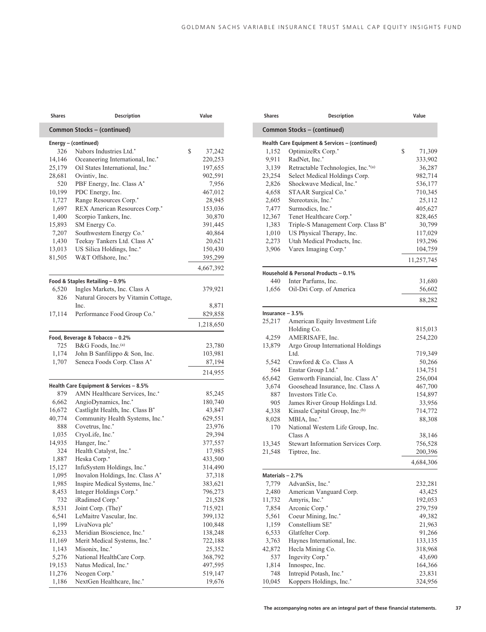| <b>Shares</b>   | <b>Description</b>                                                        | Value                                   |
|-----------------|---------------------------------------------------------------------------|-----------------------------------------|
|                 | Common Stocks - (continued)                                               |                                         |
|                 | Energy - (continued)                                                      |                                         |
| 326             | Nabors Industries Ltd.*                                                   | \$<br>37,242                            |
| 14,146          | Oceaneering International, Inc.*                                          | 220,253                                 |
| 25,179          | Oil States International, Inc.*                                           | 197,655                                 |
| 28,681          | Ovintiv, Inc.                                                             | 902,591                                 |
| 520             | PBF Energy, Inc. Class A*                                                 | 7,956                                   |
| 10,199          | PDC Energy, Inc.                                                          | 467,012                                 |
| 1,727           | Range Resources Corp.*                                                    | 28,945                                  |
| 1,697           | REX American Resources Corp.*                                             | 153,036                                 |
| 1,400           | Scorpio Tankers, Inc.                                                     | 30,870                                  |
| 15,893          | SM Energy Co.                                                             | 391,445                                 |
| 7,207           | Southwestern Energy Co.*                                                  | 40,864                                  |
| 1,430<br>13,013 | Teekay Tankers Ltd. Class A*<br>US Silica Holdings, Inc.*                 | 20,621<br>150,430                       |
| 81,505          | W&T Offshore, Inc.*                                                       | 395,299                                 |
|                 |                                                                           | 4,667,392                               |
|                 |                                                                           |                                         |
| 6,520           | Food & Staples Retailing - 0.9%<br>Ingles Markets, Inc. Class A           | 379,921                                 |
| 826             | Natural Grocers by Vitamin Cottage,                                       |                                         |
|                 | Inc.                                                                      | 8,871                                   |
| 17,114          | Performance Food Group Co.*                                               | 829,858                                 |
|                 |                                                                           | 1,218,650                               |
|                 |                                                                           |                                         |
| 725             | Food, Beverage & Tobacco - 0.2%<br>B&G Foods, Inc. <sup>(a)</sup>         |                                         |
| 1,174           | John B Sanfilippo & Son, Inc.                                             | 23,780                                  |
| 1,707           | Seneca Foods Corp. Class A*                                               | 103,981<br>87,194                       |
|                 |                                                                           | 214,955                                 |
|                 |                                                                           |                                         |
| 879             | Health Care Equipment & Services - 8.5%<br>AMN Healthcare Services, Inc.* | 85,245                                  |
| 6,662           | AngioDynamics, Inc.*                                                      | 180,740                                 |
| 16,672          | Castlight Health, Inc. Class B*                                           | 43,847                                  |
| 40,774          | Community Health Systems, Inc.*                                           | 629,551                                 |
| 888             | Covetrus, Inc.*                                                           | 23,976                                  |
| 1,035           | CryoLife, Inc.*                                                           | 29,394                                  |
| 14,935          | Hanger, Inc.*                                                             | 377,557                                 |
| 324             | Health Catalyst, Inc.*                                                    | 17,985                                  |
| 1,887           | Heska Corp.*                                                              | 433,500                                 |
| 15,127          | InfuSystem Holdings, Inc.*                                                | 314,490                                 |
| 1,095           | Inovalon Holdings, Inc. Class A*                                          | 37,318                                  |
| 1,985           | Inspire Medical Systems, Inc.*                                            | 383,621                                 |
| 8,453           | Integer Holdings Corp.*                                                   | 796,273                                 |
| 732             | iRadimed Corp.*                                                           | 21,528                                  |
| 8,531           | Joint Corp. (The)*                                                        | 715,921                                 |
| 6,541           | LeMaitre Vascular, Inc.                                                   | 399,132                                 |
| 1,199           | LivaNova plc*                                                             | 100,848                                 |
| 6,233           | Meridian Bioscience, Inc.*                                                | 138,248                                 |
| 11,169          | Merit Medical Systems, Inc.*                                              | 722,188                                 |
|                 |                                                                           |                                         |
| 1,143           | Misonix, Inc.*                                                            |                                         |
| 5,276           | National HealthCare Corp.                                                 |                                         |
| 19,153          | Natus Medical, Inc.*                                                      |                                         |
| 11,276          | Neogen Corp.*<br>NextGen Healthcare, Inc.*                                | 25,352<br>368,792<br>497,595<br>519,147 |

| <b>Shares</b>    | <b>Description</b>                             | Value        |
|------------------|------------------------------------------------|--------------|
|                  | Common Stocks - (continued)                    |              |
|                  | Health Care Equipment & Services - (continued) |              |
| 1,152            | OptimizeRx Corp.*                              | \$<br>71,309 |
| 9,911            | RadNet, Inc.*                                  | 333,902      |
| 3,139            | Retractable Technologies, Inc.*(a)             | 36,287       |
| 23,254           | Select Medical Holdings Corp.                  | 982,714      |
| 2,826            | Shockwave Medical, Inc.*                       | 536,177      |
| 4,658            | STAAR Surgical Co.*                            | 710,345      |
| 2,605            | Stereotaxis, Inc.*                             | 25,112       |
| 7,477            | Surmodics, Inc.*                               | 405,627      |
| 12,367           | Tenet Healthcare Corp.*                        | 828,465      |
| 1,383            | Triple-S Management Corp. Class B*             | 30,799       |
| 1,010            | US Physical Therapy, Inc.                      | 117,029      |
| 2,273            | Utah Medical Products, Inc.                    | 193,296      |
| 3,906            | Varex Imaging Corp.*                           | 104,759      |
|                  |                                                | 11,257,745   |
|                  | Household & Personal Products - 0.1%           |              |
| 440              | Inter Parfums, Inc.                            | 31,680       |
| 1,656            | Oil-Dri Corp. of America                       | 56,602       |
|                  |                                                | 88,282       |
| Insurance - 3.5% |                                                |              |
| 25,217           | American Equity Investment Life                |              |
|                  | Holding Co.                                    | 815,013      |
| 4,259            | AMERISAFE, Inc.                                | 254,220      |
| 13,879           | Argo Group International Holdings              |              |
|                  | Ltd.                                           | 719,349      |
| 5,542            | Crawford & Co. Class A                         | 50,266       |
| 564              | Enstar Group Ltd.*                             | 134,751      |
| 65,642           | Genworth Financial, Inc. Class A*              | 256,004      |
| 3,674            | Goosehead Insurance, Inc. Class A              | 467,700      |
| 887              | Investors Title Co.                            | 154,897      |
| 905              | James River Group Holdings Ltd.                | 33,956       |
| 4,338            | Kinsale Capital Group, Inc.(b)                 | 714,772      |
| 8,028            | MBIA, Inc.*                                    | 88,308       |
| 170              | National Western Life Group, Inc.              |              |
|                  | Class A                                        | 38,146       |
| 13,345           | Stewart Information Services Corp.             | 756,528      |
| 21,548           | Tiptree, Inc.                                  | 200,396      |
|                  |                                                | 4,684,306    |
| Materials - 2.7% |                                                |              |
| 7,779            | AdvanSix, Inc.*                                | 232,281      |
| 2,480            | American Vanguard Corp.                        | 43,425       |
| 11,732           | Amyris, Inc.*                                  | 192,053      |
| 7,854            | Arconic Corp.*                                 | 279,759      |
| 5,561            | Coeur Mining, Inc.*                            | 49,382       |
| 1,159            | Constellium SE*                                | 21,963       |
| 6,533            | Glatfelter Corp.                               | 91,266       |
| 3,763            | Haynes International, Inc.                     | 133,135      |
| 42,872           | Hecla Mining Co.                               | 318,968      |
| 537              | Ingevity Corp.*                                | 43,690       |
| 1,814            | Innospec, Inc.                                 | 164,366      |
| 748              | Intrepid Potash, Inc.*                         | 23,831       |
| 10,045           | Koppers Holdings, Inc.*                        | 324,956      |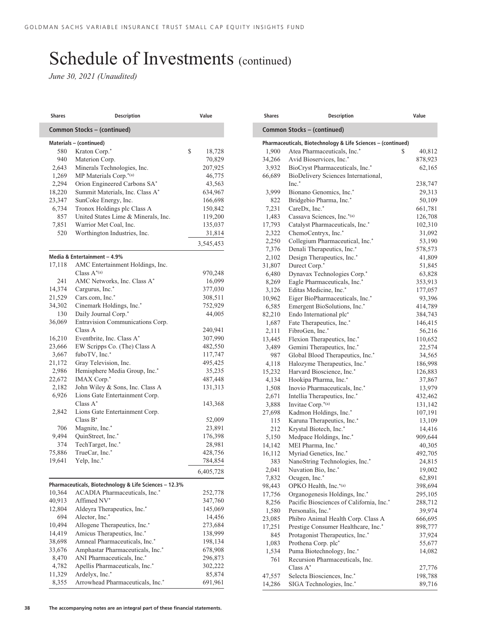*June 30, 2021 (Unaudited)*

| <b>Shares</b>           | <b>Description</b>                                     | Value        |  |  |  |
|-------------------------|--------------------------------------------------------|--------------|--|--|--|
|                         | Common Stocks - (continued)                            |              |  |  |  |
| Materials - (continued) |                                                        |              |  |  |  |
| 580                     | Kraton Corp.*                                          | \$<br>18,728 |  |  |  |
| 940                     | Materion Corp.                                         | 70,829       |  |  |  |
| 2,643                   | Minerals Technologies, Inc.                            | 207,925      |  |  |  |
| 1,269                   | MP Materials Corp.*(a)                                 | 46,775       |  |  |  |
| 2,294                   | Orion Engineered Carbons SA*                           | 43,563       |  |  |  |
| 18,220                  | Summit Materials, Inc. Class A*                        | 634,967      |  |  |  |
| 23,347                  | SunCoke Energy, Inc.                                   | 166,698      |  |  |  |
| 6,734                   | Tronox Holdings plc Class A                            | 150,842      |  |  |  |
| 857                     | United States Lime & Minerals, Inc.                    | 119,200      |  |  |  |
| 7,851                   | Warrior Met Coal, Inc.                                 | 135,037      |  |  |  |
| 520                     | Worthington Industries, Inc.                           |              |  |  |  |
|                         |                                                        | 31,814       |  |  |  |
|                         |                                                        | 3,545,453    |  |  |  |
|                         | Media & Entertainment - 4.9%                           |              |  |  |  |
| 17,118                  | AMC Entertainment Holdings, Inc.                       |              |  |  |  |
|                         | Class $A^{*(a)}$                                       | 970,248      |  |  |  |
| 241                     | AMC Networks, Inc. Class A*                            | 16,099       |  |  |  |
| 14,374                  | Cargurus, Inc.*                                        | 377,030      |  |  |  |
| 21,529                  | Cars.com, Inc.*                                        | 308,511      |  |  |  |
| 34,302                  | Cinemark Holdings, Inc.*                               | 752,929      |  |  |  |
| 130                     | Daily Journal Corp.*                                   | 44,005       |  |  |  |
| 36,069                  | Entravision Communications Corp.                       |              |  |  |  |
|                         | Class A                                                | 240,941      |  |  |  |
| 16,210                  | Eventbrite, Inc. Class A*                              | 307,990      |  |  |  |
| 23,666                  | EW Scripps Co. (The) Class A                           | 482,550      |  |  |  |
| 3,667                   | fuboTV, Inc.*                                          | 117,747      |  |  |  |
| 21,172                  | Gray Television, Inc.                                  | 495,425      |  |  |  |
| 2,986                   | Hemisphere Media Group, Inc.*                          | 35,235       |  |  |  |
| 22,672                  | IMAX Corp.*                                            | 487,448      |  |  |  |
| 2,182                   | John Wiley & Sons, Inc. Class A                        | 131,313      |  |  |  |
| 6,926                   | Lions Gate Entertainment Corp.                         |              |  |  |  |
|                         | Class $A^*$                                            | 143,368      |  |  |  |
| 2,842                   | Lions Gate Entertainment Corp.                         |              |  |  |  |
|                         | Class $B^*$                                            | 52,009       |  |  |  |
| 706                     | Magnite, Inc.*                                         | 23,891       |  |  |  |
| 9,494                   | QuinStreet, Inc.*                                      | 176,398      |  |  |  |
| 374                     | TechTarget, Inc.*                                      | 28,981       |  |  |  |
| 75,886                  | TrueCar, Inc.*                                         | 428,756      |  |  |  |
| 19,641                  | Yelp, Inc.*                                            | 784,854      |  |  |  |
|                         |                                                        | 6,405,728    |  |  |  |
|                         | Pharmaceuticals, Biotechnology & Life Sciences - 12.3% |              |  |  |  |
| 10,364                  | ACADIA Pharmaceuticals, Inc.*                          | 252,778      |  |  |  |
| 40,913                  | Affimed NV*                                            | 347,760      |  |  |  |
| 12,804                  | Aldeyra Therapeutics, Inc.*                            | 145,069      |  |  |  |
| 694                     | Alector, Inc.*                                         | 14,456       |  |  |  |
| 10,494                  | Allogene Therapeutics, Inc.*                           | 273,684      |  |  |  |
| 14,419                  | Amicus Therapeutics, Inc.*                             | 138,999      |  |  |  |
| 38,698                  | Amneal Pharmaceuticals, Inc.*                          | 198,134      |  |  |  |
| 33,676                  | Amphastar Pharmaceuticals, Inc.*                       | 678,908      |  |  |  |
| 8,470                   | ANI Pharmaceuticals, Inc.*                             | 296,873      |  |  |  |
| 4,782                   | Apellis Pharmaceuticals, Inc.*                         | 302,222      |  |  |  |
| 11,329                  | Ardelyx, Inc.*                                         | 85,874       |  |  |  |
| 8,355                   | Arrowhead Pharmaceuticals, Inc.*                       | 691,961      |  |  |  |
|                         |                                                        |              |  |  |  |

| Shares          | <b>Description</b>                                           | Value            |  |  |  |
|-----------------|--------------------------------------------------------------|------------------|--|--|--|
|                 | Common Stocks - (continued)                                  |                  |  |  |  |
|                 | Pharmaceuticals, Biotechnology & Life Sciences - (continued) |                  |  |  |  |
| 1,900           | Atea Pharmaceuticals, Inc.*<br>S                             | 40,812           |  |  |  |
| 34,266          | Avid Bioservices, Inc.*                                      | 878,923          |  |  |  |
| 3,932           | BioCryst Pharmaceuticals, Inc.*                              | 62,165           |  |  |  |
| 66,689          | BioDelivery Sciences International,                          |                  |  |  |  |
|                 | Inc.                                                         | 238,747          |  |  |  |
| 3,999           | Bionano Genomics, Inc.*                                      | 29,313           |  |  |  |
| 822             | Bridgebio Pharma, Inc.*                                      | 50,109           |  |  |  |
| 7,231           | CareDx, Inc.*                                                | 661,781          |  |  |  |
| 1,483           | Cassava Sciences, Inc.*(a)                                   | 126,708          |  |  |  |
| 17,793          | Catalyst Pharmaceuticals, Inc.*                              | 102,310          |  |  |  |
| 2,322           | ChemoCentryx, Inc.*                                          | 31,092           |  |  |  |
| 2,250           | Collegium Pharmaceutical, Inc.*                              | 53,190           |  |  |  |
| 7,376           | Denali Therapeutics, Inc.*                                   | 578,573          |  |  |  |
| 2,102           | Design Therapeutics, Inc.*                                   | 41,809           |  |  |  |
| 31,807          | Durect Corp.*                                                | 51,845           |  |  |  |
| 6,480           | Dynavax Technologies Corp.*                                  | 63,828           |  |  |  |
| 8,269           | Eagle Pharmaceuticals, Inc.*                                 | 353,913          |  |  |  |
| 3,126           | Editas Medicine, Inc.*                                       | 177,057          |  |  |  |
| 10,962          | Eiger BioPharmaceuticals, Inc.*                              | 93,396           |  |  |  |
| 6,585           | Emergent BioSolutions, Inc.*                                 | 414,789          |  |  |  |
| 82,210          | Endo International plc*                                      | 384,743          |  |  |  |
| 1,687           | Fate Therapeutics, Inc.*                                     | 146,415          |  |  |  |
| 2,111           | FibroGen, Inc.*                                              | 56,216           |  |  |  |
| 13,445<br>3,489 | Flexion Therapeutics, Inc.*<br>Gemini Therapeutics, Inc.*    | 110,652          |  |  |  |
| 987             | Global Blood Therapeutics, Inc.*                             | 22,574<br>34,565 |  |  |  |
| 4,118           | Halozyme Therapeutics, Inc.*                                 | 186,998          |  |  |  |
| 15,232          | Harvard Bioscience, Inc.*                                    | 126,883          |  |  |  |
| 4,134           | Hookipa Pharma, Inc.*                                        | 37,867           |  |  |  |
| 1,508           | Inovio Pharmaceuticals, Inc.*                                | 13,979           |  |  |  |
| 2,671           | Intellia Therapeutics, Inc.*                                 | 432,462          |  |  |  |
| 3,888           | Invitae Corp.*(a)                                            | 131,142          |  |  |  |
| 27,698          | Kadmon Holdings, Inc.*                                       | 107,191          |  |  |  |
| 115             | Karuna Therapeutics, Inc.*                                   | 13,109           |  |  |  |
| 212             | Krystal Biotech, Inc.*                                       | 14,416           |  |  |  |
| 5,150           | Medpace Holdings, Inc.*                                      | 909,644          |  |  |  |
| 14,142          | MEI Pharma, Inc.*                                            | 40,305           |  |  |  |
| 16,112          | Myriad Genetics, Inc.*                                       | 492,705          |  |  |  |
| 383             | NanoString Technologies, Inc.*                               | 24,815           |  |  |  |
| 2,041           | Nuvation Bio, Inc.*                                          | 19,002           |  |  |  |
| 7,832           | Ocugen, Inc.*                                                | 62,891           |  |  |  |
| 98,443          | OPKO Health, Inc.*(a)                                        | 398,694          |  |  |  |
| 17,756          | Organogenesis Holdings, Inc.*                                | 295,105          |  |  |  |
| 8,256           | Pacific Biosciences of California, Inc.*                     | 288,712          |  |  |  |
| 1,580           | Personalis, Inc.*                                            | 39,974           |  |  |  |
| 23,085          | Phibro Animal Health Corp. Class A                           | 666,695          |  |  |  |
| 17,251          | Prestige Consumer Healthcare, Inc.*                          | 898,777          |  |  |  |
| 845             | Protagonist Therapeutics, Inc.*                              | 37,924           |  |  |  |
| 1,083           | Prothena Corp. plc*                                          | 55,677           |  |  |  |
| 1,534           | Puma Biotechnology, Inc.*                                    | 14,082           |  |  |  |
| 761             | Recursion Pharmaceuticals, Inc.                              |                  |  |  |  |
|                 | Class $A^*$                                                  | 27,776           |  |  |  |
| 47,557          | Selecta Biosciences, Inc.*                                   | 198,788          |  |  |  |
| 14,286          | SIGA Technologies, Inc.*                                     | 89,716           |  |  |  |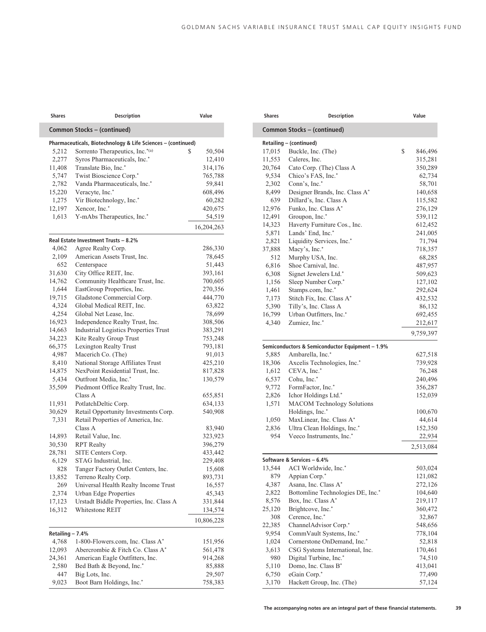| Shares            | <b>Description</b>                                           | Value        |
|-------------------|--------------------------------------------------------------|--------------|
|                   | Common Stocks - (continued)                                  |              |
|                   | Pharmaceuticals, Biotechnology & Life Sciences - (continued) |              |
| 5,212             | Sorrento Therapeutics, Inc.*(a)                              | \$<br>50,504 |
| 2,277             | Syros Pharmaceuticals, Inc.*                                 | 12,410       |
| 11,408            | Translate Bio, Inc.*                                         | 314,176      |
| 5,747             | Twist Bioscience Corp.*                                      | 765,788      |
| 2,782             | Vanda Pharmaceuticals, Inc.*                                 | 59,841       |
| 15,220            | Veracyte, Inc.*                                              | 608,496      |
| 1,275             | Vir Biotechnology, Inc.*                                     | 60,282       |
| 12,197            | Xencor, Inc.*                                                | 420,675      |
| 1,613             | Y-mAbs Therapeutics, Inc.*                                   | 54,519       |
|                   |                                                              | 16,204,263   |
|                   | Real Estate Investment Trusts - 8.2%                         |              |
| 4,062             | Agree Realty Corp.                                           | 286,330      |
| 2,109             | American Assets Trust, Inc.                                  | 78,645       |
| 652               | Centerspace                                                  | 51,443       |
| 31,630            | City Office REIT, Inc.                                       | 393,161      |
| 14,762            | Community Healthcare Trust, Inc.                             | 700,605      |
| 1,644             | EastGroup Properties, Inc.                                   | 270,356      |
| 19,715            | Gladstone Commercial Corp.                                   | 444,770      |
| 4,324             | Global Medical REIT, Inc.                                    | 63,822       |
| 4,254             | Global Net Lease, Inc.                                       | 78,699       |
| 16,923            | Independence Realty Trust, Inc.                              | 308,506      |
| 14,663            | <b>Industrial Logistics Properties Trust</b>                 | 383,291      |
| 34,223            | Kite Realty Group Trust                                      | 753,248      |
| 66,375            | Lexington Realty Trust                                       | 793,181      |
| 4,987             | Macerich Co. (The)                                           | 91,013       |
| 8,410             | National Storage Affiliates Trust                            | 425,210      |
| 14,875            | NexPoint Residential Trust, Inc.                             | 817,828      |
| 5,434             | Outfront Media, Inc.*                                        | 130,579      |
| 35,509            | Piedmont Office Realty Trust, Inc.                           |              |
|                   | Class A                                                      | 655,851      |
| 11,931            | PotlatchDeltic Corp.                                         | 634,133      |
| 30,629            | Retail Opportunity Investments Corp.                         | 540,908      |
| 7,331             | Retail Properties of America, Inc.<br>Class A                | 83,940       |
| 14,893            | Retail Value, Inc.                                           | 323,923      |
| 30,530            | <b>RPT</b> Realty                                            | 396,279      |
| 28,781            | SITE Centers Corp.                                           | 433,442      |
| 6,129             | STAG Industrial, Inc.                                        | 229,408      |
| 828               | Tanger Factory Outlet Centers, Inc.                          | 15,608       |
| 13,852            | Terreno Realty Corp.                                         | 893,731      |
| 269               | Universal Health Realty Income Trust                         | 16,557       |
| 2,374             | <b>Urban Edge Properties</b>                                 | 45,343       |
| 17,123            | Urstadt Biddle Properties, Inc. Class A                      |              |
| 16,312            | Whitestone REIT                                              | 331,844      |
|                   |                                                              | 134,574      |
|                   |                                                              | 10,806,228   |
| Retailing $-7.4%$ |                                                              |              |
| 4,768             | 1-800-Flowers.com, Inc. Class A*                             | 151,956      |
| 12,093            | Abercrombie & Fitch Co. Class A*                             | 561,478      |
| 24,361            | American Eagle Outfitters, Inc.                              | 914,268      |
| 2,580             | Bed Bath & Beyond, Inc.*                                     | 85,888       |
| 447               | Big Lots, Inc.                                               | 29,507       |
| 9,023             | Boot Barn Holdings, Inc.*                                    | 758,383      |

| <b>Shares</b> | <b>Description</b>                              | Value             |
|---------------|-------------------------------------------------|-------------------|
|               | Common Stocks - (continued)                     |                   |
|               | Retailing - (continued)                         |                   |
| 17,015        | Buckle, Inc. (The)                              | \$<br>846,496     |
| 11,553        | Caleres, Inc.                                   | 315,281           |
| 20,764        | Cato Corp. (The) Class A                        | 350,289           |
| 9,534         | Chico's FAS, Inc.*                              | 62,734            |
| 2,302         | Conn's, Inc.*                                   | 58,701            |
| 8,499         | Designer Brands, Inc. Class A*                  | 140,658           |
| 639           | Dillard's, Inc. Class A                         | 115,582           |
| 12,976        | Funko, Inc. Class A*                            | 276,129           |
| 12,491        | Groupon, Inc.*                                  | 539,112           |
| 14,323        | Haverty Furniture Cos., Inc.                    | 612,452           |
| 5,871         | Lands' End, Inc.*                               | 241,005           |
| 2,821         | Liquidity Services, Inc.*                       | 71,794            |
| 37,888        | Macy's, Inc.*                                   | 718,357           |
| 512           | Murphy USA, Inc.                                | 68,285            |
| 6,816         | Shoe Carnival, Inc.                             | 487,957           |
| 6,308         | Signet Jewelers Ltd.*                           | 509,623           |
| 1,156         | Sleep Number Corp.*                             | 127,102           |
| 1,461         | Stamps.com, Inc.*                               | 292,624           |
| 7,173         | Stitch Fix, Inc. Class A*                       | 432,532           |
| 5,390         | Tilly's, Inc. Class A                           | 86,132            |
| 16,799        | Urban Outfitters, Inc.*                         | 692,455           |
| 4,340         | Zumiez, Inc.*                                   | 212,617           |
|               |                                                 | 9,759,397         |
|               | Semiconductors & Semiconductor Equipment - 1.9% |                   |
| 5,885         | Ambarella, Inc.*                                | 627,518           |
| 18,306        | Axcelis Technologies, Inc.*                     | 739,928           |
| 1,612         | CEVA, Inc.*                                     | 76,248            |
| 6,537         | Cohu, Inc.*                                     | 240,496           |
| 9,772         | FormFactor, Inc.*                               | 356,287           |
| 2,826         | Ichor Holdings Ltd.*                            | 152,039           |
| 1,571         | <b>MACOM Technology Solutions</b>               |                   |
|               | Holdings, Inc.*                                 | 100,670           |
| 1,050         | MaxLinear, Inc. Class A*                        | 44,614            |
| 2,836         | Ultra Clean Holdings, Inc.*                     | 152,350           |
| 954           | Veeco Instruments, Inc.*                        | 22,934            |
|               |                                                 | 2,513,084         |
|               | Software & Services - 6.4%                      |                   |
| 13,544        | ACI Worldwide, Inc.*                            | 503,024           |
| 879           | Appian Corp.*                                   | 121,082           |
| 4,387         | Asana, Inc. Class A*                            | 272,126           |
| 2,822         | Bottomline Technologies DE, Inc.*               | 104,640           |
| 8,576         | Box, Inc. Class A*                              | 219,117           |
| 25,120        | Brightcove, Inc.*                               | 360,472           |
| 308           | Cerence, Inc.*                                  | 32,867            |
| 22,385        | ChannelAdvisor Corp.*                           | 548,656           |
| 9,954         | CommVault Systems, Inc.*                        | 778,104           |
| 1,024         | Cornerstone OnDemand, Inc.*                     | 52,818            |
| 3,613         | CSG Systems International, Inc.                 | 170,461           |
| 980           | Digital Turbine, Inc.*                          | 74,510            |
| 5,110         | Domo, Inc. Class B*<br>eGain Corp.*             | 413,041<br>77,490 |
| 6,750         | Hackett Group, Inc. (The)                       |                   |
| 3,170         |                                                 | 57,124            |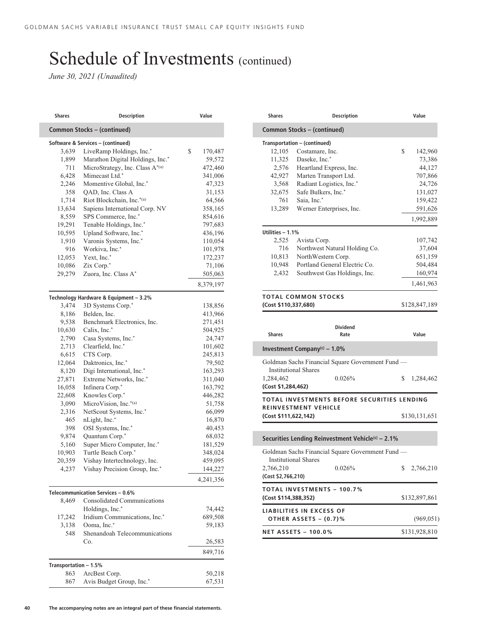*June 30, 2021 (Unaudited)*

| Shares                | <b>Description</b>                     | Value         |
|-----------------------|----------------------------------------|---------------|
|                       | Common Stocks - (continued)            |               |
|                       | Software & Services - (continued)      |               |
| 3,639                 | LiveRamp Holdings, Inc.*               | \$<br>170,487 |
| 1,899                 | Marathon Digital Holdings, Inc.*       | 59,572        |
| 711                   | MicroStrategy, Inc. Class A*(a)        | 472,460       |
| 6,428                 | Mimecast Ltd.*                         | 341,006       |
| 2,246                 | Momentive Global, Inc.*                | 47,323        |
| 358                   | QAD, Inc. Class A                      | 31,153        |
| 1,714                 | Riot Blockchain, Inc.*(a)              | 64,566        |
| 13,634                | Sapiens International Corp. NV         | 358,165       |
| 8,559                 | SPS Commerce, Inc.*                    | 854,616       |
| 19,291                | Tenable Holdings, Inc.*                | 797,683       |
| 10,595                | Upland Software, Inc.*                 | 436,196       |
| 1,910                 | Varonis Systems, Inc.*                 | 110,054       |
| 916                   | Workiva, Inc.*                         | 101,978       |
| 12,053                | Yext, Inc.*                            | 172,237       |
| 10,086                | Zix Corp.*                             | 71,106        |
| 29,279                | Zuora, Inc. Class A*                   | 505,063       |
|                       |                                        | 8,379,197     |
|                       | Technology Hardware & Equipment - 3.2% |               |
| 3,474                 | 3D Systems Corp.*                      | 138,856       |
| 8,186                 | Belden, Inc.                           | 413,966       |
| 9,538                 | Benchmark Electronics, Inc.            | 271,451       |
| 10,630                | Calix, Inc.*                           | 504,925       |
| 2,790                 | Casa Systems, Inc.*                    | 24,747        |
| 2,713                 | Clearfield, Inc.*                      | 101,602       |
| 6,615                 | CTS Corp.                              | 245,813       |
| 12,064                | Daktronics, Inc.*                      | 79,502        |
| 8,120                 | Digi International, Inc.*              | 163,293       |
| 27,871                | Extreme Networks, Inc.*                | 311,040       |
| 16,058                | Infinera Corp.*                        | 163,792       |
| 22,608                | Knowles Corp.*                         | 446,282       |
| 3,090                 | MicroVision, Inc.*(a)                  | 51,758        |
| 2,316                 | NetScout Systems, Inc.*                | 66,099        |
| 465                   | nLight, Inc.*                          | 16,870        |
| 398                   | OSI Systems, Inc.*                     | 40,453        |
| 9,874                 | Quantum Corp.*                         | 68,032        |
| 5,160                 | Super Micro Computer, Inc.*            | 181,529       |
| 10,903                | Turtle Beach Corp.*                    | 348,024       |
| 20,359                | Vishay Intertechnology, Inc.           | 459,095       |
| 4,237                 | Vishay Precision Group, Inc.*          | 144,227       |
|                       |                                        | 4,241,356     |
|                       | Telecommunication Services - 0.6%      |               |
| 8,469                 | <b>Consolidated Communications</b>     |               |
|                       | Holdings, Inc.*                        | 74,442        |
| 17,242                | Iridium Communications, Inc.*          | 689,508       |
| 3,138                 | Ooma, Inc.*                            | 59,183        |
| 548                   | Shenandoah Telecommunications          |               |
|                       | Co.                                    | 26,583        |
|                       |                                        | 849,716       |
| Transportation - 1.5% |                                        |               |
| 863                   | ArcBest Corp.                          | 50,218        |
| 867                   | Avis Budget Group, Inc.*               | 67,531        |

| <b>Shares</b>        | <b>Description</b>            | Value         |
|----------------------|-------------------------------|---------------|
|                      | Common Stocks – (continued)   |               |
|                      | Transportation - (continued)  |               |
| 12,105               | Costamare, Inc.               | \$<br>142,960 |
| 11,325               | Daseke, Inc.*                 | 73,386        |
| 2,576                | Heartland Express, Inc.       | 44,127        |
| 42,927               | Marten Transport Ltd.         | 707,866       |
| 3,568                | Radiant Logistics, Inc.*      | 24,726        |
| 32,675               | Safe Bulkers, Inc.*           | 131,027       |
| 761                  | Saia, Inc.*                   | 159,422       |
| 13,289               | Werner Enterprises, Inc.      | 591,626       |
|                      |                               | 1,992,889     |
| Utilities $-1.1\%$   |                               |               |
| 2,525                | Avista Corp.                  | 107,742       |
| 716                  | Northwest Natural Holding Co. | 37,604        |
| 10,813               | NorthWestern Corp.            | 651,159       |
| 10,948               | Portland General Electric Co. | 504,484       |
| 2,432                | Southwest Gas Holdings, Inc.  | 160,974       |
|                      |                               | 1,461,963     |
|                      | <b>TOTAL COMMON STOCKS</b>    |               |
| (Cost \$110,337,680) |                               | \$128,847,189 |

| <b>Shares</b>                                       | <b>Dividend</b><br>Rate                          |   | Value         |
|-----------------------------------------------------|--------------------------------------------------|---|---------------|
| Investment Company <sup>(c)</sup> – 1.0%            |                                                  |   |               |
| <b>Institutional Shares</b>                         | Goldman Sachs Financial Square Government Fund — |   |               |
| 1,284,462<br>(Cost \$1,284,462)                     | 0.026%                                           | S | 1,284,462     |
|                                                     | TOTAL INVESTMENTS BEFORE SECURITIES LENDING      |   |               |
| <b>REINVESTMENT VEHICLE</b><br>(Cost \$111,622,142) |                                                  |   | \$130,131,651 |

|                                 | Securities Lending Reinvestment Vehicle <sup>(c)</sup> – 2.1% |    |               |
|---------------------------------|---------------------------------------------------------------|----|---------------|
| <b>Institutional Shares</b>     | Goldman Sachs Financial Square Government Fund —              |    |               |
| 2,766,210                       | 0.026%                                                        | S. | 2,766,210     |
| (Cost \$2,766,210)              |                                                               |    |               |
|                                 | <b>TOTAL INVESTMENTS - 100.7%</b>                             |    |               |
| (Cost \$114,388,352)            |                                                               |    | \$132,897,861 |
| <b>LIABILITIES IN EXCESS OF</b> |                                                               |    |               |
| OTHER ASSETS - (0.7)%           |                                                               |    | (969, 051)    |
| <b>NET ASSETS - 100.0%</b>      |                                                               |    | \$131,928,810 |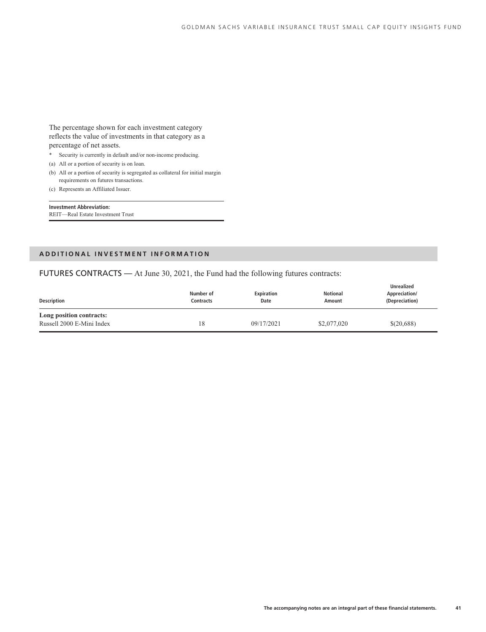The percentage shown for each investment category reflects the value of investments in that category as a percentage of net assets.

- \* Security is currently in default and/or non-income producing.
- (a) All or a portion of security is on loan.
- (b) All or a portion of security is segregated as collateral for initial margin requirements on futures transactions.
- (c) Represents an Affiliated Issuer.

**Investment Abbreviation:** REIT—Real Estate Investment Trust

#### **ADDITIONAL INVESTMENT INFORMATION**

#### FUTURES CONTRACTS — At June 30, 2021, the Fund had the following futures contracts:

| Description                                           | Number of<br>Contracts | <b>Expiration</b><br>Date | <b>Notional</b><br>Amount | Unrealized<br>Appreciation/<br>(Depreciation) |
|-------------------------------------------------------|------------------------|---------------------------|---------------------------|-----------------------------------------------|
| Long position contracts:<br>Russell 2000 E-Mini Index | 18                     | 09/17/2021                | \$2,077,020               | \$(20,688)                                    |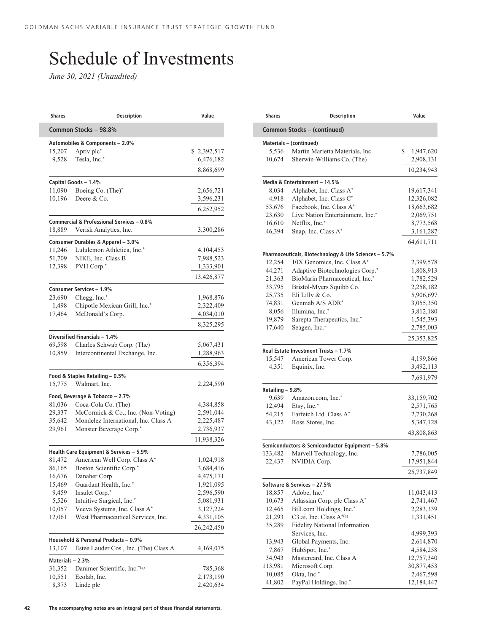## Schedule of Investments

*June 30, 2021 (Unaudited)*

| <b>Shares</b>    | <b>Description</b>                                              | Value                   |
|------------------|-----------------------------------------------------------------|-------------------------|
|                  | Common Stocks - 98.8%                                           |                         |
|                  | Automobiles & Components - 2.0%                                 |                         |
| 15,207           | Aptiv plc*                                                      | \$2,392,517             |
| 9,528            | Tesla, Inc.*                                                    | 6,476,182               |
|                  |                                                                 | 8,868,699               |
|                  | Capital Goods - 1.4%                                            |                         |
| 11,090           | Boeing Co. (The)*                                               | 2,656,721               |
| 10,196           | Deere & Co.                                                     | 3,596,231<br>6,252,952  |
|                  | Commercial & Professional Services - 0.8%                       |                         |
| 18,889           | Verisk Analytics, Inc.                                          | 3,300,286               |
|                  | Consumer Durables & Apparel - 3.0%                              |                         |
| 11,246           | Lululemon Athletica, Inc.*                                      | 4,104,453               |
| 51,709           | NIKE, Inc. Class B                                              | 7,988,523               |
| 12,398           | PVH Corp.*                                                      | 1,333,901               |
|                  |                                                                 | 13,426,877              |
|                  | Consumer Services - 1.9%                                        |                         |
| 23,690           | Chegg, Inc.*                                                    | 1,968,876               |
| 1,498<br>17,464  | Chipotle Mexican Grill, Inc.*<br>McDonald's Corp.               | 2,322,409<br>4,034,010  |
|                  |                                                                 |                         |
|                  |                                                                 | 8,325,295               |
| 69,598           | Diversified Financials - 1.4%<br>Charles Schwab Corp. (The)     | 5,067,431               |
| 10,859           | Intercontinental Exchange, Inc.                                 | 1,288,963               |
|                  |                                                                 | 6,356,394               |
|                  | Food & Staples Retailing - 0.5%                                 |                         |
| 15,775           | Walmart, Inc.                                                   | 2,224,590               |
|                  | Food, Beverage & Tobacco - 2.7%                                 |                         |
| 81,036           | Coca-Cola Co. (The)                                             | 4,384,858               |
| 29,337           | McCormick & Co., Inc. (Non-Voting)                              | 2,591,044               |
| 35,642           | Mondelez International, Inc. Class A<br>Monster Beverage Corp.* | 2,225,487               |
| 29,961           |                                                                 | 2,736,937<br>11,938,326 |
|                  | Health Care Equipment & Services - 5.9%                         |                         |
| 81,472           | American Well Corp. Class A*                                    | 1,024,918               |
| 86,165           | Boston Scientific Corp.*                                        | 3,684,416               |
| 16,676           | Danaher Corp.                                                   | 4,475,171               |
| 15,469           | Guardant Health, Inc.*                                          | 1,921,095               |
| 9,459            | Insulet Corp.*                                                  | 2,596,590               |
| 5,526            | Intuitive Surgical, Inc.*                                       | 5,081,931               |
| 10,057           | Veeva Systems, Inc. Class A*                                    | 3,127,224               |
| 12,061           | West Pharmaceutical Services, Inc.                              | 4,331,105               |
|                  |                                                                 | 26,242,450              |
|                  | Household & Personal Products - 0.9%                            |                         |
| 13,107           | Estee Lauder Cos., Inc. (The) Class A                           | 4,169,075               |
| Materials - 2.3% |                                                                 |                         |
| 31,352<br>10,551 | Danimer Scientific, Inc.*(a)<br>Ecolab, Inc.                    | 785,368<br>2,173,190    |
| 8,373            | Linde plc                                                       | 2,420,634               |
|                  |                                                                 |                         |

| <b>Shares</b>               | <b>Description</b>                                           | Value           |  |  |
|-----------------------------|--------------------------------------------------------------|-----------------|--|--|
| Common Stocks - (continued) |                                                              |                 |  |  |
|                             | Materials - (continued)                                      |                 |  |  |
| 5,536                       | Martin Marietta Materials, Inc.                              | \$<br>1,947,620 |  |  |
| 10,674                      | Sherwin-Williams Co. (The)                                   | 2,908,131       |  |  |
|                             |                                                              | 10,234,943      |  |  |
|                             | Media & Entertainment - 14.5%                                |                 |  |  |
| 8,034                       | Alphabet, Inc. Class A*                                      | 19,617,341      |  |  |
| 4,918                       | Alphabet, Inc. Class C*                                      | 12,326,082      |  |  |
| 53,676                      | Facebook, Inc. Class A*                                      | 18,663,682      |  |  |
| 23,630                      | Live Nation Entertainment, Inc.*                             | 2,069,751       |  |  |
| 16,610                      | Netflix, Inc.*                                               | 8,773,568       |  |  |
| 46,394                      | Snap, Inc. Class A*                                          | 3,161,287       |  |  |
|                             |                                                              | 64,611,711      |  |  |
|                             | Pharmaceuticals, Biotechnology & Life Sciences - 5.7%        |                 |  |  |
| 12,254                      | 10X Genomics, Inc. Class A*                                  | 2,399,578       |  |  |
| 44,271                      | Adaptive Biotechnologies Corp.*                              | 1,808,913       |  |  |
| 21,363                      | BioMarin Pharmaceutical, Inc.*                               | 1,782,529       |  |  |
| 33,795                      | Bristol-Myers Squibb Co.                                     | 2,258,182       |  |  |
| 25,735                      | Eli Lilly & Co.                                              | 5,906,697       |  |  |
| 74,831                      | Genmab A/S ADR*                                              | 3,055,350       |  |  |
| 8,056                       | Illumina, Inc.*                                              | 3,812,180       |  |  |
| 19,879                      | Sarepta Therapeutics, Inc.*                                  | 1,545,393       |  |  |
| 17,640                      | Seagen, Inc.*                                                | 2,785,003       |  |  |
|                             |                                                              | 25,353,825      |  |  |
|                             |                                                              |                 |  |  |
| 15,547                      | Real Estate Investment Trusts - 1.7%<br>American Tower Corp. | 4,199,866       |  |  |
| 4,351                       | Equinix, Inc.                                                | 3,492,113       |  |  |
|                             |                                                              | 7,691,979       |  |  |
|                             |                                                              |                 |  |  |
| Retailing - 9.8%            |                                                              |                 |  |  |
| 9,639                       | Amazon.com, Inc.*                                            | 33,159,702      |  |  |
| 12,494                      | Etsy, Inc.*                                                  | 2,571,765       |  |  |
| 54,215                      | Farfetch Ltd. Class A*                                       | 2,730,268       |  |  |
| 43,122                      | Ross Stores, Inc.                                            | 5,347,128       |  |  |
|                             |                                                              | 43,808,863      |  |  |
|                             | Semiconductors & Semiconductor Equipment - 5.8%              |                 |  |  |
| 133,482                     | Marvell Technology, Inc.                                     | 7,786,005       |  |  |
| 22,437                      | NVIDIA Corp.                                                 | 17,951,844      |  |  |
|                             |                                                              | 25,737,849      |  |  |
|                             | Software & Services - 27.5%                                  |                 |  |  |
| 18,857                      | Adobe, Inc.*                                                 | 11,043,413      |  |  |
| 10,673                      | Atlassian Corp. plc Class A*                                 | 2,741,467       |  |  |
| 12,465                      | Bill.com Holdings, Inc.*                                     | 2,283,339       |  |  |
| 21,293                      | C <sub>3</sub> .ai, Inc. Class A*(a)                         | 1,331,451       |  |  |
| 35,289                      | <b>Fidelity National Information</b>                         |                 |  |  |
|                             | Services, Inc.                                               | 4,999,393       |  |  |
| 13,943                      | Global Payments, Inc.                                        | 2,614,870       |  |  |
| 7,867                       | HubSpot, Inc.*                                               | 4,584,258       |  |  |
| 34,943                      | Mastercard, Inc. Class A                                     | 12,757,340      |  |  |
| 113,981                     | Microsoft Corp.                                              | 30,877,453      |  |  |
| 10,085                      | Okta, Inc.*                                                  | 2,467,598       |  |  |
| 41,802                      | PayPal Holdings, Inc.*                                       | 12,184,447      |  |  |
|                             |                                                              |                 |  |  |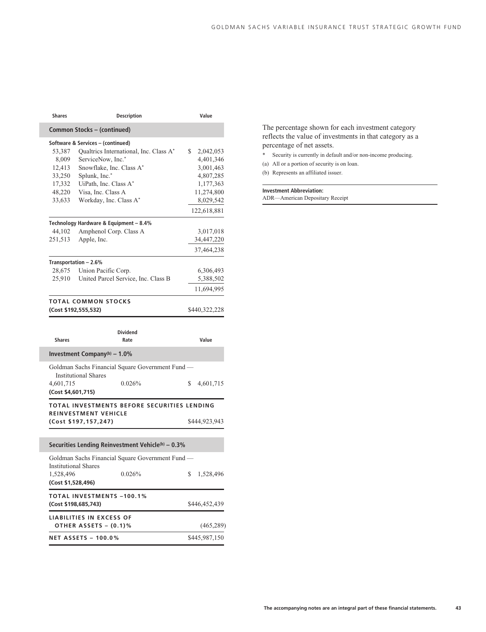| Shares                          |                                                          | <b>Description</b>                                | Value           |
|---------------------------------|----------------------------------------------------------|---------------------------------------------------|-----------------|
|                                 | Common Stocks - (continued)                              |                                                   |                 |
|                                 | Software & Services - (continued)                        |                                                   |                 |
| 53,387                          |                                                          | Qualtrics International, Inc. Class A*            | \$<br>2,042,053 |
| 8,009                           | ServiceNow, Inc.*                                        |                                                   | 4,401,346       |
| 12,413                          | Snowflake, Inc. Class A*                                 |                                                   | 3,001,463       |
| 33,250                          | Splunk, Inc.*                                            |                                                   | 4,807,285       |
| 17,332                          | UiPath, Inc. Class A*                                    |                                                   | 1,177,363       |
| 48,220                          | Visa, Inc. Class A                                       |                                                   | 11,274,800      |
| 33,633                          | Workday, Inc. Class A*                                   |                                                   | 8,029,542       |
|                                 |                                                          |                                                   | 122,618,881     |
|                                 |                                                          |                                                   |                 |
|                                 | Technology Hardware & Equipment - 8.4%                   |                                                   |                 |
| 44,102                          | Amphenol Corp. Class A                                   |                                                   | 3,017,018       |
| 251,513                         | Apple, Inc.                                              |                                                   | 34,447,220      |
|                                 |                                                          |                                                   | 37,464,238      |
|                                 | Transportation - 2.6%                                    |                                                   |                 |
| 28,675                          | Union Pacific Corp.                                      |                                                   | 6,306,493       |
| 25,910                          |                                                          | United Parcel Service, Inc. Class B               | 5,388,502       |
|                                 |                                                          |                                                   | 11,694,995      |
|                                 | <b>TOTAL COMMON STOCKS</b>                               |                                                   |                 |
|                                 | (Cost \$192,555,532)                                     |                                                   | \$440,322,228   |
|                                 |                                                          |                                                   |                 |
|                                 |                                                          | <b>Dividend</b>                                   | Value           |
| <b>Shares</b>                   |                                                          | Rate                                              |                 |
|                                 | Investment Company(b) $-1.0\%$                           |                                                   |                 |
|                                 | <b>Institutional Shares</b>                              | Goldman Sachs Financial Square Government Fund -  |                 |
| 4,601,715                       |                                                          | 0.026%                                            | \$<br>4,601,715 |
| (Cost \$4,601,715)              |                                                          |                                                   |                 |
|                                 | REINVESTMENT VEHICLE                                     | TOTAL INVESTMENTS BEFORE SECURITIES LENDING       |                 |
|                                 | (Cost \$197,157,247)                                     |                                                   | \$444,923,943   |
|                                 |                                                          |                                                   |                 |
|                                 |                                                          | Securities Lending Reinvestment Vehicle(b) - 0.3% |                 |
|                                 |                                                          | Goldman Sachs Financial Square Government Fund -  |                 |
|                                 | <b>Institutional Shares</b>                              |                                                   |                 |
| 1,528,496<br>(Cost \$1,528,496) |                                                          | 0.026%                                            | \$<br>1,528,496 |
|                                 |                                                          |                                                   |                 |
|                                 | <b>TOTAL INVESTMENTS -100.1%</b><br>(Cost \$198,685,743) |                                                   | \$446,452,439   |
|                                 | <b>LIABILITIES IN EXCESS OF</b>                          |                                                   |                 |
|                                 | OTHER ASSETS - (0.1)%                                    |                                                   | (465, 289)      |
|                                 | <b>NET ASSETS - 100.0%</b>                               |                                                   | \$445,987,150   |
|                                 |                                                          |                                                   |                 |

I

The percentage shown for each investment category reflects the value of investments in that category as a percentage of net assets.

- \* Security is currently in default and/or non-income producing.
- (a) All or a portion of security is on loan.

(b) Represents an affiliated issuer.

#### **Investment Abbreviation:**

ADR—American Depositary Receipt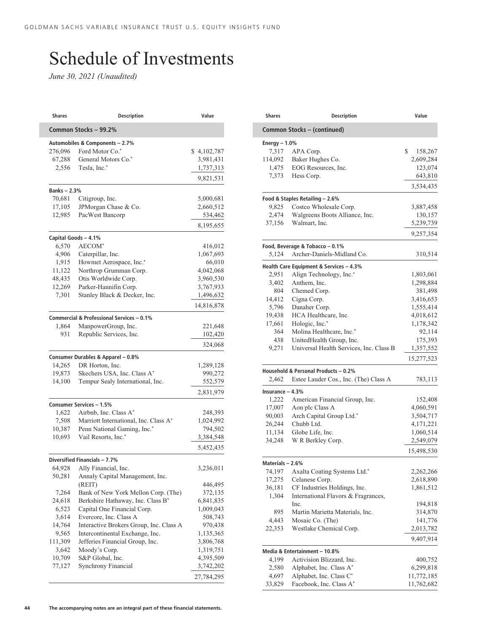## Schedule of Investments

*June 30, 2021 (Unaudited)*

| <b>Shares</b>     | <b>Description</b>                            | Value              |
|-------------------|-----------------------------------------------|--------------------|
|                   | Common Stocks - 99.2%                         |                    |
|                   | Automobiles & Components - 2.7%               |                    |
| 276,096           | Ford Motor Co.*                               | \$4,102,787        |
| 67,288            | General Motors Co.*                           | 3,981,431          |
| 2,556             | Tesla, Inc.*                                  | 1,737,313          |
|                   |                                               | 9,821,531          |
| <b>Banks-2.3%</b> |                                               |                    |
| 70,681            | Citigroup, Inc.                               | 5,000,681          |
| 17,105            | JPMorgan Chase & Co.                          | 2,660,512          |
| 12,985            | PacWest Bancorp                               | 534,462            |
|                   |                                               | 8,195,655          |
|                   | Capital Goods - 4.1%                          |                    |
| 6,570             | AECOM <sup>*</sup>                            | 416,012            |
| 4,906             | Caterpillar, Inc.                             | 1,067,693          |
| 1,915             | Howmet Aerospace, Inc.*                       | 66,010             |
| 11,122            | Northrop Grumman Corp.                        | 4,042,068          |
| 48,435            | Otis Worldwide Corp.                          | 3,960,530          |
| 12,269            | Parker-Hannifin Corp.                         | 3,767,933          |
| 7,301             | Stanley Black & Decker, Inc.                  | 1,496,632          |
|                   |                                               | 14,816,878         |
|                   | Commercial & Professional Services - 0.1%     |                    |
| 1,864             | ManpowerGroup, Inc.                           | 221,648            |
| 931               | Republic Services, Inc.                       | 102,420            |
|                   |                                               | 324,068            |
|                   | Consumer Durables & Apparel - 0.8%            |                    |
| 14,265            | DR Horton, Inc.                               | 1,289,128          |
| 19,873            | Skechers USA, Inc. Class A*                   | 990,272            |
| 14,100            | Tempur Sealy International, Inc.              | 552,579            |
|                   |                                               | 2,831,979          |
|                   | Consumer Services - 1.5%                      |                    |
| 1,622             | Airbnb, Inc. Class A*                         | 248,393            |
| 7,508             | Marriott International, Inc. Class A*         | 1,024,992          |
| 10,387            | Penn National Gaming, Inc.*                   | 794,502            |
| 10,693            | Vail Resorts, Inc.*                           | 3,384,548          |
|                   |                                               | 5,452,435          |
|                   | Diversified Financials - 7.7%                 |                    |
| 64,928            | Ally Financial, Inc.                          | 3,236,011          |
|                   | 50,281 Annaly Capital Management, Inc.        |                    |
| 7,264             | (REIT)<br>Bank of New York Mellon Corp. (The) | 446,495<br>372,135 |
| 24,618            | Berkshire Hathaway, Inc. Class B*             | 6,841,835          |
| 6,523             | Capital One Financial Corp.                   | 1,009,043          |
| 3,614             | Evercore, Inc. Class A                        | 508,743            |
| 14,764            | Interactive Brokers Group, Inc. Class A       | 970,438            |
| 9,565             | Intercontinental Exchange, Inc.               | 1,135,365          |
| 111,309           | Jefferies Financial Group, Inc.               | 3,806,768          |
| 3,642             | Moody's Corp.                                 | 1,319,751          |
| 10,709            | S&P Global, Inc.                              | 4,395,509          |
| 77,127            | Synchrony Financial                           | 3,742,202          |
|                   |                                               | 27,784,295         |
|                   |                                               |                    |

| Shares            | <b>Description</b>                                            |                                                                                                                                                        |
|-------------------|---------------------------------------------------------------|--------------------------------------------------------------------------------------------------------------------------------------------------------|
|                   | Common Stocks - (continued)                                   |                                                                                                                                                        |
| Energy $-1.0%$    |                                                               |                                                                                                                                                        |
| 7,317             | APA Corp.                                                     | \$<br>158,267                                                                                                                                          |
| 114,092           | Baker Hughes Co.                                              | 2,609,284                                                                                                                                              |
| 1,475             | EOG Resources, Inc.                                           | 123,074                                                                                                                                                |
| 7,373             | Hess Corp.                                                    | 643,810                                                                                                                                                |
|                   |                                                               | 3,534,435                                                                                                                                              |
|                   | Food & Staples Retailing - 2.6%                               |                                                                                                                                                        |
| 9,825             | Costco Wholesale Corp.                                        | 3,887,458                                                                                                                                              |
| 2,474             | Walgreens Boots Alliance, Inc.                                | 130,157                                                                                                                                                |
| 37,156            | Walmart, Inc.                                                 | 5,239,739<br>9,257,354                                                                                                                                 |
|                   |                                                               |                                                                                                                                                        |
| 5,124             | Food, Beverage & Tobacco - 0.1%<br>Archer-Daniels-Midland Co. | 310,514                                                                                                                                                |
|                   | Health Care Equipment & Services - 4.3%                       |                                                                                                                                                        |
| 2,951             | Align Technology, Inc.*                                       | 1,803,061                                                                                                                                              |
| 3,402             | Anthem, Inc.                                                  | 1,298,884                                                                                                                                              |
| 804               | Chemed Corp.                                                  | 381,498                                                                                                                                                |
| 14,412            | Cigna Corp.                                                   | 3,416,653                                                                                                                                              |
| 5,796             | Danaher Corp.                                                 | 1,555,414                                                                                                                                              |
| 19,438            | HCA Healthcare, Inc.                                          | 4,018,612                                                                                                                                              |
| 17,661            | Hologic, Inc.*                                                | 1,178,342                                                                                                                                              |
|                   | Molina Healthcare, Inc.*                                      | 92,114                                                                                                                                                 |
| 364               |                                                               |                                                                                                                                                        |
| 438               | UnitedHealth Group, Inc.                                      |                                                                                                                                                        |
| 9,271             | Universal Health Services, Inc. Class B                       | 175,393<br>1,357,552                                                                                                                                   |
|                   |                                                               |                                                                                                                                                        |
|                   | Household & Personal Products - 0.2%                          |                                                                                                                                                        |
| 2,462             | Estee Lauder Cos., Inc. (The) Class A                         |                                                                                                                                                        |
| Insurance $-4.3%$ |                                                               |                                                                                                                                                        |
| 1,222             | American Financial Group, Inc.                                |                                                                                                                                                        |
| 17,007            | Aon plc Class A                                               |                                                                                                                                                        |
| 90,003            | Arch Capital Group Ltd.*                                      |                                                                                                                                                        |
| 26,244            | Chubb Ltd.                                                    |                                                                                                                                                        |
| 11,134            | Globe Life, Inc.                                              |                                                                                                                                                        |
| 34,248            | W R Berkley Corp.                                             |                                                                                                                                                        |
|                   |                                                               |                                                                                                                                                        |
| Materials - 2.6%  |                                                               |                                                                                                                                                        |
| 74,197            | Axalta Coating Systems Ltd.*                                  |                                                                                                                                                        |
|                   | 17,275 Celanese Corp.                                         |                                                                                                                                                        |
| 36,181            | CF Industries Holdings, Inc.                                  |                                                                                                                                                        |
| 1,304             | International Flavors & Fragrances,                           | 15,277,523<br>783,113<br>152,408<br>4,060,591<br>3,504,717<br>4,171,221<br>1,060,514<br>2,549,079<br>15,498,530<br>2,262,266<br>2,618,890<br>1,861,512 |
|                   | Inc.                                                          |                                                                                                                                                        |
| 895               | Martin Marietta Materials, Inc.                               |                                                                                                                                                        |
| 4,443             | Mosaic Co. (The)                                              |                                                                                                                                                        |
| 22,353            | Westlake Chemical Corp.                                       |                                                                                                                                                        |
|                   |                                                               |                                                                                                                                                        |
|                   | Media & Entertainment – 10.8%                                 |                                                                                                                                                        |
| 4,199             | Activision Blizzard, Inc.                                     |                                                                                                                                                        |
| 2,580<br>4,697    | Alphabet, Inc. Class A*<br>Alphabet, Inc. Class C*            | 194,818<br>314,870<br>141,776<br>2,013,782<br>9,407,914<br>400,752<br>6,299,818<br>11,772,185                                                          |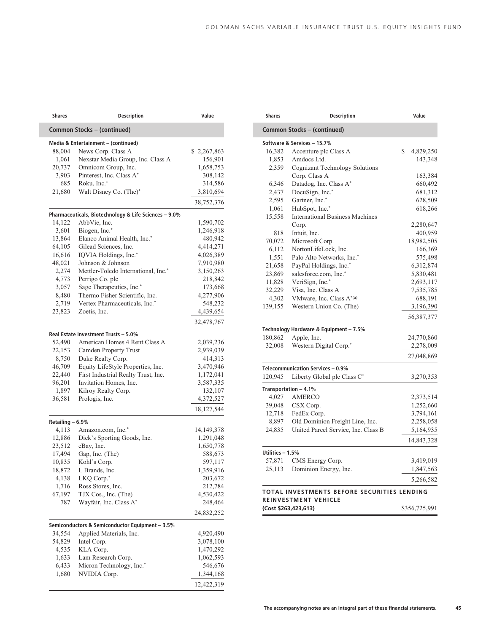| Shares           | <b>Description</b>                                    | Value        |
|------------------|-------------------------------------------------------|--------------|
|                  | Common Stocks - (continued)                           |              |
|                  | Media & Entertainment - (continued)                   |              |
| 88,004           | News Corp. Class A                                    | \$2,267,863  |
| 1,061            | Nexstar Media Group, Inc. Class A                     | 156,901      |
| 20,737           | Omnicom Group, Inc.                                   | 1,658,753    |
| 3,903            | Pinterest, Inc. Class A*                              | 308,142      |
| 685              | Roku, Inc.*                                           | 314,586      |
| 21,680           | Walt Disney Co. (The)*                                | 3,810,694    |
|                  |                                                       | 38,752,376   |
|                  | Pharmaceuticals, Biotechnology & Life Sciences - 9.0% |              |
| 14,122           | AbbVie, Inc.                                          | 1,590,702    |
| 3,601            | Biogen, Inc.*                                         | 1,246,918    |
| 13,864           | Elanco Animal Health, Inc.*                           | 480,942      |
| 64,105           | Gilead Sciences, Inc.                                 | 4,414,271    |
| 16,616           | IQVIA Holdings, Inc.*                                 | 4,026,389    |
| 48,021           | Johnson & Johnson                                     | 7,910,980    |
| 2,274            | Mettler-Toledo International, Inc.*                   | 3,150,263    |
| 4,773            | Perrigo Co. plc                                       | 218,842      |
| 3,057            | Sage Therapeutics, Inc.*                              | 173,668      |
| 8,480            | Thermo Fisher Scientific, Inc.                        | 4,277,906    |
| 2,719            | Vertex Pharmaceuticals, Inc.*                         | 548,232      |
| 23,823           | Zoetis, Inc.                                          | 4,439,654    |
|                  |                                                       | 32,478,767   |
|                  | Real Estate Investment Trusts - 5.0%                  |              |
| 52,490           | American Homes 4 Rent Class A                         | 2,039,236    |
| 22,153           | Camden Property Trust                                 | 2,939,039    |
| 8,750            | Duke Realty Corp.                                     | 414,313      |
| 46,709           | Equity LifeStyle Properties, Inc.                     | 3,470,946    |
| 22,440           | First Industrial Realty Trust, Inc.                   | 1,172,041    |
| 96,201           | Invitation Homes, Inc.                                | 3,587,335    |
| 1,897            | Kilroy Realty Corp.                                   | 132,107      |
| 36,581           | Prologis, Inc.                                        | 4,372,527    |
|                  |                                                       | 18,127,544   |
| Retailing - 6.9% |                                                       |              |
| 4,113            | Amazon.com, Inc.*                                     | 14, 149, 378 |
| 12,886           | Dick's Sporting Goods, Inc.                           | 1,291,048    |
| 23,512           | eBay, Inc.                                            | 1,650,778    |
| 17,494           | Gap, Inc. (The)                                       | 588,673      |
| 10,835           | Kohl's Corp.                                          | 597,117      |
| 18,872           | L Brands, Inc.                                        | 1,359,916    |
| 4,138            | LKQ Corp.*                                            | 203,672      |
| 1,716            | Ross Stores, Inc.                                     | 212,784      |
| 67,197           | TJX Cos., Inc. (The)                                  | 4,530,422    |
| 787              | Wayfair, Inc. Class A*                                | 248,464      |
|                  |                                                       | 24,832,252   |
|                  | Semiconductors & Semiconductor Equipment - 3.5%       |              |
| 34,554           | Applied Materials, Inc.                               | 4,920,490    |
| 54,829           | Intel Corp.                                           | 3,078,100    |
| 4,535            | KLA Corp.                                             | 1,470,292    |
| 1,633            | Lam Research Corp.                                    | 1,062,593    |
| 6,433            | Micron Technology, Inc.*                              | 546,676      |
| 1,680            | NVIDIA Corp.                                          | 1,344,168    |
|                  |                                                       |              |
|                  |                                                       | 12,422,319   |

| <b>Shares</b>    | <b>Description</b>                          | Value           |
|------------------|---------------------------------------------|-----------------|
|                  | Common Stocks - (continued)                 |                 |
|                  | Software & Services - 15.7%                 |                 |
| 16,382           | Accenture plc Class A                       | \$<br>4,829,250 |
| 1,853            | Amdocs Ltd.                                 | 143,348         |
| 2,359            | Cognizant Technology Solutions              |                 |
|                  | Corp. Class A                               | 163,384         |
| 6,346            | Datadog, Inc. Class A*                      | 660,492         |
| 2,437            | DocuSign, Inc.*                             | 681,312         |
| 2,595            | Gartner, Inc.*                              | 628,509         |
| 1,061            | HubSpot, Inc.*                              | 618,266         |
| 15,558           | <b>International Business Machines</b>      |                 |
|                  | Corp.                                       | 2,280,647       |
| 818              | Intuit, Inc.                                | 400,959         |
| 70,072           | Microsoft Corp.                             | 18,982,505      |
| 6,112            | NortonLifeLock, Inc.                        | 166,369         |
| 1,551            | Palo Alto Networks, Inc.*                   | 575,498         |
| 21,658           | PayPal Holdings, Inc.*                      | 6,312,874       |
| 23,869           | salesforce.com, Inc.*                       | 5,830,481       |
| 11,828           | VeriSign, Inc.*                             | 2,693,117       |
| 32,229           | Visa, Inc. Class A                          | 7,535,785       |
| 4,302            | VMware, Inc. Class A*(a)                    | 688,191         |
| 139,155          | Western Union Co. (The)                     | 3,196,390       |
|                  |                                             | 56,387,377      |
|                  | Technology Hardware & Equipment - 7.5%      |                 |
| 180,862          | Apple, Inc.                                 | 24,770,860      |
| 32,008           | Western Digital Corp.*                      | 2,278,009       |
|                  |                                             |                 |
|                  |                                             | 27,048,869      |
|                  | Telecommunication Services - 0.9%           |                 |
| 120,945          | Liberty Global plc Class C*                 | 3,270,353       |
|                  | Transportation - 4.1%                       |                 |
| 4,027            | <b>AMERCO</b>                               | 2,373,514       |
| 39,048           | CSX Corp.                                   | 1,252,660       |
| 12,718           | FedEx Corp.                                 | 3,794,161       |
| 8,897            | Old Dominion Freight Line, Inc.             | 2,258,058       |
| 24,835           | United Parcel Service, Inc. Class B         | 5,164,935       |
|                  |                                             | 14,843,328      |
| Utilities - 1.5% |                                             |                 |
| 57,871           | CMS Energy Corp.                            | 3,419,019       |
| 25,113           | Dominion Energy, Inc.                       | 1,847,563       |
|                  |                                             | 5,266,582       |
|                  | TOTAL INVESTMENTS BEFORE SECURITIES LENDING |                 |
|                  | <b>REINVESTMENT VEHICLE</b>                 |                 |
|                  | (Cost \$263,423,613)                        | \$356,725,991   |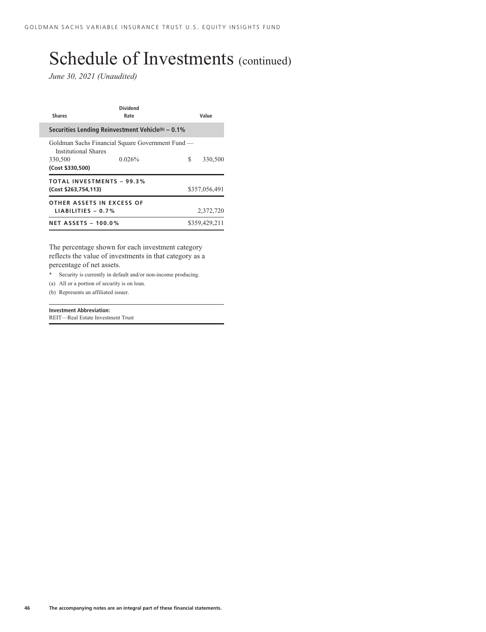*June 30, 2021 (Unaudited)*

| <b>Shares</b>                                            | <b>Dividend</b><br>Rate                                       | Value         |
|----------------------------------------------------------|---------------------------------------------------------------|---------------|
|                                                          | Securities Lending Reinvestment Vehicle <sup>(b)</sup> - 0.1% |               |
| Institutional Shares<br>330,500<br>(Cost \$330,500)      | Goldman Sachs Financial Square Government Fund —<br>0.026%    | S<br>330,500  |
| <b>TOTAL INVESTMENTS - 99.3%</b><br>(Cost \$263,754,113) |                                                               | \$357,056,491 |
| OTHER ASSETS IN EXCESS OF<br>LIABILITIES $-0.7%$         |                                                               | 2,372,720     |
| <b>NET ASSETS - 100.0%</b>                               |                                                               | \$359,429.211 |

The percentage shown for each investment category reflects the value of investments in that category as a percentage of net assets.

- Security is currently in default and/or non-income producing.
- (a) All or a portion of security is on loan.

(b) Represents an affiliated issuer.

#### **Investment Abbreviation:** REIT—Real Estate Investment Trust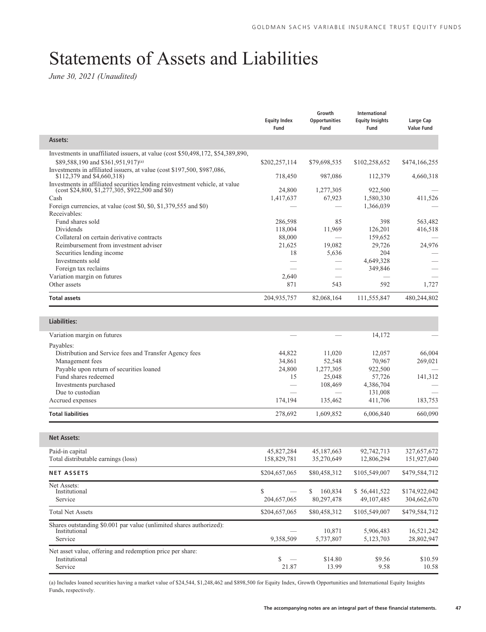## Statements of Assets and Liabilities

*June 30, 2021 (Unaudited)*

|                                                                                                                                                       | <b>Equity Index</b><br>Fund | Growth<br><b>Opportunities</b><br>Fund | International<br><b>Equity Insights</b><br>Fund | Large Cap<br><b>Value Fund</b> |
|-------------------------------------------------------------------------------------------------------------------------------------------------------|-----------------------------|----------------------------------------|-------------------------------------------------|--------------------------------|
| Assets:                                                                                                                                               |                             |                                        |                                                 |                                |
| Investments in unaffiliated issuers, at value (cost \$50,498,172, \$54,389,890,<br>\$89,588,190 and \$361,951,917)(a)                                 | \$202,257,114               | \$79,698,535                           | \$102,258,652                                   | \$474,166,255                  |
| Investments in affiliated issuers, at value (cost \$197,500, \$987,086,<br>\$112,379 and \$4,660,318)                                                 | 718,450                     | 987,086                                | 112,379                                         | 4,660,318                      |
| Investments in affiliated securities lending reinvestment vehicle, at value<br>$(\text{cost } $24,800, $1,277,305, $922,500 \text{ and } $0)$<br>Cash | 24,800<br>1,417,637         | 1,277,305<br>67,923                    | 922,500<br>1,580,330                            | 411,526                        |
| Foreign currencies, at value (cost \$0, \$0, \$1,379,555 and \$0)<br>Receivables:                                                                     |                             |                                        | 1,366,039                                       |                                |
| Fund shares sold                                                                                                                                      | 286,598                     | 85                                     | 398                                             | 563,482                        |
| Dividends                                                                                                                                             | 118,004                     | 11,969                                 | 126,201                                         | 416,518                        |
| Collateral on certain derivative contracts                                                                                                            | 88,000                      |                                        | 159,652                                         |                                |
| Reimbursement from investment adviser                                                                                                                 | 21,625                      | 19,082                                 | 29,726                                          | 24,976                         |
| Securities lending income<br>Investments sold                                                                                                         | 18                          | 5,636                                  | 204<br>4,649,328                                |                                |
| Foreign tax reclaims                                                                                                                                  |                             |                                        | 349,846                                         |                                |
| Variation margin on futures                                                                                                                           | 2,640                       |                                        |                                                 |                                |
| Other assets                                                                                                                                          | 871                         | 543                                    | 592                                             | 1,727                          |
| <b>Total assets</b>                                                                                                                                   | 204,935,757                 | 82,068,164                             | 111,555,847                                     | 480,244,802                    |
|                                                                                                                                                       |                             |                                        |                                                 |                                |
| Liabilities:                                                                                                                                          |                             |                                        |                                                 |                                |
| Variation margin on futures                                                                                                                           |                             |                                        | 14,172                                          |                                |
| Payables:<br>Distribution and Service fees and Transfer Agency fees                                                                                   | 44,822                      | 11,020                                 | 12,057                                          | 66,004                         |
| Management fees                                                                                                                                       | 34,861                      | 52,548                                 | 70,967                                          | 269,021                        |
| Payable upon return of securities loaned                                                                                                              | 24,800                      | 1,277,305                              | 922,500                                         |                                |
| Fund shares redeemed                                                                                                                                  | 15                          | 25,048                                 | 57,726                                          | 141,312                        |
| Investments purchased                                                                                                                                 |                             | 108,469                                | 4,386,704                                       |                                |
| Due to custodian                                                                                                                                      |                             |                                        | 131,008                                         |                                |
| Accrued expenses                                                                                                                                      | 174,194                     | 135,462                                | 411,706                                         | 183,753                        |
| <b>Total liabilities</b>                                                                                                                              | 278,692                     | 1,609,852                              | 6,006,840                                       | 660,090                        |
| <b>Net Assets:</b>                                                                                                                                    |                             |                                        |                                                 |                                |
| Paid-in capital                                                                                                                                       | 45,827,284                  | 45, 187, 663                           | 92,742,713                                      | 327,657,672                    |
| Total distributable earnings (loss)                                                                                                                   | 158,829,781                 | 35,270,649                             | 12,806,294                                      | 151,927,040                    |
| <b>NET ASSETS</b>                                                                                                                                     | \$204,657,065               | \$80,458,312                           | \$105,549,007                                   | \$479,584,712                  |
| Net Assets:<br>Institutional                                                                                                                          | \$                          | 160,834<br>\$                          | \$56,441,522                                    | \$174,922,042                  |
| Service                                                                                                                                               | 204,657,065                 | 80,297,478                             | 49,107,485                                      | 304,662,670                    |
| <b>Total Net Assets</b>                                                                                                                               | \$204,657,065               | \$80,458,312                           | \$105,549,007                                   | \$479,584,712                  |
| Shares outstanding \$0.001 par value (unlimited shares authorized):<br>Institutional<br>Service                                                       | 9,358,509                   | 10,871<br>5,737,807                    | 5,906,483<br>5,123,703                          | 16,521,242<br>28,802,947       |
| Net asset value, offering and redemption price per share:                                                                                             |                             |                                        |                                                 |                                |
| Institutional                                                                                                                                         | \$                          | \$14.80                                | \$9.56                                          | \$10.59                        |
| Service                                                                                                                                               | 21.87                       | 13.99                                  | 9.58                                            | 10.58                          |

(a) Includes loaned securities having a market value of \$24,544, \$1,248,462 and \$898,500 for Equity Index, Growth Opportunities and International Equity Insights Funds, respectively.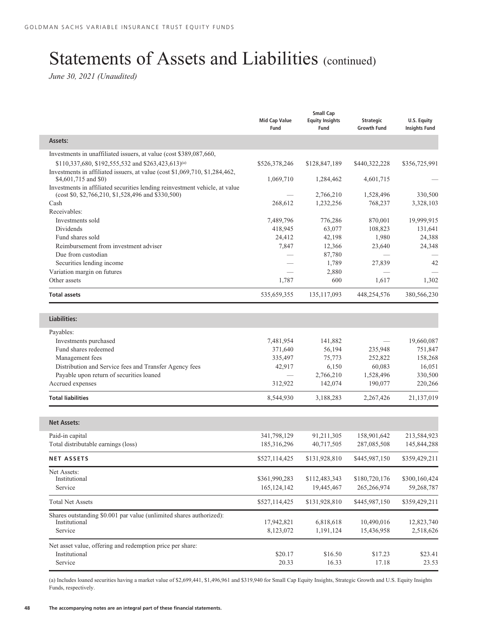## Statements of Assets and Liabilities (continued)

*June 30, 2021 (Unaudited)*

I

|                                                                                                                                   | Mid Cap Value<br>Fund          | <b>Small Cap</b><br><b>Equity Insights</b><br>Fund | <b>Strategic</b><br><b>Growth Fund</b> | U.S. Equity<br><b>Insights Fund</b> |
|-----------------------------------------------------------------------------------------------------------------------------------|--------------------------------|----------------------------------------------------|----------------------------------------|-------------------------------------|
| Assets:                                                                                                                           |                                |                                                    |                                        |                                     |
| Investments in unaffiliated issuers, at value (cost \$389,087,660,                                                                |                                |                                                    |                                        |                                     |
| \$110,337,680, \$192,555,532 and \$263,423,613)(a)                                                                                | \$526,378,246                  | \$128,847,189                                      | \$440,322,228                          | \$356,725,991                       |
| Investments in affiliated issuers, at value (cost \$1,069,710, \$1,284,462,                                                       |                                |                                                    |                                        |                                     |
| \$4,601,715 and \$0)                                                                                                              | 1,069,710                      | 1,284,462                                          | 4,601,715                              |                                     |
| Investments in affiliated securities lending reinvestment vehicle, at value<br>(cost \$0, \$2,766,210, \$1,528,496 and \$330,500) |                                | 2,766,210                                          | 1,528,496                              | 330,500                             |
| Cash                                                                                                                              | 268,612                        | 1,232,256                                          | 768,237                                | 3,328,103                           |
| Receivables:                                                                                                                      |                                |                                                    |                                        |                                     |
| Investments sold                                                                                                                  | 7,489,796                      | 776,286                                            | 870,001                                | 19,999,915                          |
| Dividends                                                                                                                         | 418,945                        | 63,077                                             | 108,823                                | 131,641                             |
| Fund shares sold                                                                                                                  | 24,412                         | 42,198                                             | 1,980                                  | 24,388                              |
| Reimbursement from investment adviser                                                                                             | 7,847                          | 12,366                                             | 23,640                                 | 24,348                              |
| Due from custodian                                                                                                                |                                | 87,780                                             |                                        |                                     |
| Securities lending income                                                                                                         |                                | 1,789                                              | 27,839                                 | 42                                  |
| Variation margin on futures                                                                                                       |                                | 2,880                                              |                                        |                                     |
| Other assets                                                                                                                      | 1,787                          | 600                                                | 1,617                                  | 1,302                               |
| <b>Total assets</b>                                                                                                               | 535,659,355                    | 135, 117, 093                                      | 448,254,576                            | 380,566,230                         |
|                                                                                                                                   |                                |                                                    |                                        |                                     |
| Liabilities:                                                                                                                      |                                |                                                    |                                        |                                     |
| Payables:                                                                                                                         |                                |                                                    |                                        |                                     |
| Investments purchased                                                                                                             | 7,481,954                      | 141,882                                            |                                        | 19,660,087                          |
| Fund shares redeemed                                                                                                              | 371,640                        | 56,194                                             | 235,948                                | 751,847                             |
| Management fees                                                                                                                   | 335,497                        | 75,773                                             | 252,822                                | 158,268                             |
| Distribution and Service fees and Transfer Agency fees                                                                            | 42,917                         | 6,150                                              | 60,083                                 | 16,051                              |
| Payable upon return of securities loaned                                                                                          |                                | 2,766,210                                          | 1,528,496                              | 330,500                             |
| Accrued expenses                                                                                                                  | 312,922                        | 142,074                                            | 190,077                                | 220,266                             |
| <b>Total liabilities</b>                                                                                                          | 8,544,930                      | 3,188,283                                          | 2,267,426                              | 21,137,019                          |
| <b>Net Assets:</b>                                                                                                                |                                |                                                    |                                        |                                     |
|                                                                                                                                   |                                |                                                    |                                        |                                     |
| Paid-in capital                                                                                                                   | 341,798,129                    | 91,211,305                                         | 158,901,642                            | 213,584,923                         |
| Total distributable earnings (loss)                                                                                               | 185,316,296                    | 40,717,505                                         | 287,085,508                            | 145,844,288                         |
| <b>NET ASSETS</b>                                                                                                                 | \$527,114,425                  | \$131,928,810                                      | \$445,987,150                          | \$359,429,211                       |
| Net Assets:<br>Institutional                                                                                                      |                                |                                                    | \$180,720,176                          |                                     |
| Service                                                                                                                           | \$361,990,283<br>165, 124, 142 | \$112,483,343<br>19,445,467                        | 265,266,974                            | \$300,160,424<br>59,268,787         |
|                                                                                                                                   |                                |                                                    |                                        |                                     |
| <b>Total Net Assets</b>                                                                                                           | \$527,114,425                  | \$131,928,810                                      | \$445,987,150                          | \$359,429,211                       |
| Shares outstanding \$0.001 par value (unlimited shares authorized):                                                               |                                |                                                    |                                        |                                     |
| Institutional                                                                                                                     | 17,942,821                     | 6,818,618                                          | 10,490,016                             | 12,823,740                          |
| Service                                                                                                                           | 8,123,072                      | 1,191,124                                          | 15,436,958                             | 2,518,626                           |
| Net asset value, offering and redemption price per share:                                                                         |                                |                                                    |                                        |                                     |
| Institutional                                                                                                                     | \$20.17                        | \$16.50                                            | \$17.23                                | \$23.41                             |
| Service                                                                                                                           | 20.33                          | 16.33                                              | 17.18                                  | 23.53                               |

(a) Includes loaned securities having a market value of \$2,699,441, \$1,496,961 and \$319,940 for Small Cap Equity Insights, Strategic Growth and U.S. Equity Insights Funds, respectively.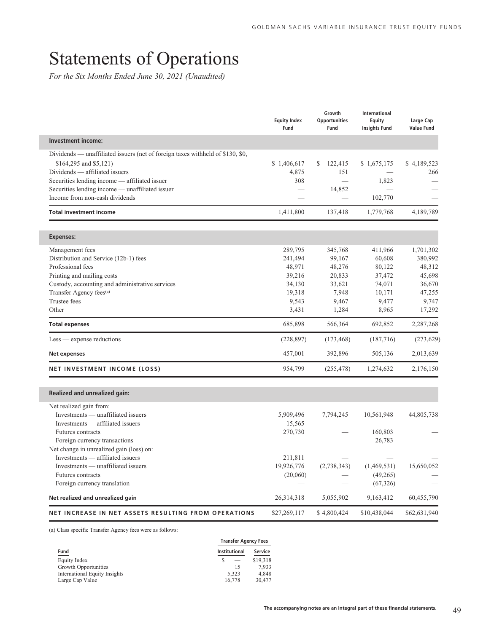## Statements of Operations

*For the Six Months Ended June 30, 2021 (Unaudited)*

|                                                                                        | <b>Equity Index</b><br>Fund | Growth<br><b>Opportunities</b><br>Fund | International<br>Equity<br><b>Insights Fund</b> | Large Cap<br><b>Value Fund</b> |
|----------------------------------------------------------------------------------------|-----------------------------|----------------------------------------|-------------------------------------------------|--------------------------------|
| Investment income:                                                                     |                             |                                        |                                                 |                                |
| Dividends — unaffiliated issuers (net of foreign taxes withheld of \$130, \$0,         |                             |                                        |                                                 |                                |
| \$164,295 and \$5,121)                                                                 | \$1,406,617                 | \$<br>122,415                          | \$1,675,175                                     | \$4,189,523                    |
| Dividends — affiliated issuers                                                         | 4,875                       | 151                                    |                                                 | 266                            |
| Securities lending income — affiliated issuer                                          | 308                         | $\equiv$                               | 1,823                                           |                                |
| Securities lending income — unaffiliated issuer                                        |                             | 14,852                                 |                                                 |                                |
| Income from non-cash dividends                                                         |                             |                                        | 102,770                                         |                                |
| <b>Total investment income</b>                                                         | 1,411,800                   | 137,418                                | 1,779,768                                       | 4,189,789                      |
|                                                                                        |                             |                                        |                                                 |                                |
| Expenses:                                                                              |                             |                                        |                                                 |                                |
| Management fees                                                                        | 289,795                     | 345,768                                | 411,966                                         | 1,701,302                      |
| Distribution and Service (12b-1) fees                                                  | 241,494                     | 99,167                                 | 60,608                                          | 380,992                        |
| Professional fees                                                                      | 48,971                      | 48,276                                 | 80,122                                          | 48,312                         |
| Printing and mailing costs                                                             | 39,216                      | 20,833                                 | 37,472<br>74,071                                | 45,698                         |
| Custody, accounting and administrative services<br>Transfer Agency fees <sup>(a)</sup> | 34,130<br>19,318            | 33,621<br>7,948                        | 10,171                                          | 36,670<br>47,255               |
| Trustee fees                                                                           | 9,543                       | 9,467                                  | 9,477                                           | 9,747                          |
| Other                                                                                  | 3,431                       | 1,284                                  | 8,965                                           | 17,292                         |
| <b>Total expenses</b>                                                                  | 685,898                     | 566,364                                | 692,852                                         | 2,287,268                      |
| $Less$ - expense reductions                                                            | (228, 897)                  | (173, 468)                             | (187,716)                                       | (273, 629)                     |
| Net expenses                                                                           | 457,001                     | 392,896                                | 505,136                                         | 2,013,639                      |
| NET INVESTMENT INCOME (LOSS)                                                           | 954,799                     | (255, 478)                             | 1,274,632                                       | 2,176,150                      |
| Realized and unrealized gain:                                                          |                             |                                        |                                                 |                                |
| Net realized gain from:                                                                |                             |                                        |                                                 |                                |
| Investments — unaffiliated issuers                                                     | 5,909,496                   | 7,794,245                              | 10,561,948                                      | 44,805,738                     |
| Investments — affiliated issuers                                                       | 15,565                      |                                        |                                                 |                                |
| <b>Futures</b> contracts                                                               | 270,730                     |                                        | 160,803                                         |                                |
| Foreign currency transactions                                                          |                             |                                        | 26,783                                          |                                |
| Net change in unrealized gain (loss) on:                                               |                             |                                        |                                                 |                                |
| Investments — affiliated issuers                                                       | 211,811                     |                                        |                                                 |                                |
| Investments — unaffiliated issuers                                                     | 19,926,776                  | (2,738,343)                            | (1,469,531)                                     | 15,650,052                     |
| Futures contracts                                                                      | (20,060)                    |                                        | (49,265)                                        |                                |
| Foreign currency translation                                                           |                             |                                        | (67, 326)                                       |                                |
| Net realized and unrealized gain                                                       | 26,314,318                  | 5,055,902                              | 9,163,412                                       | 60,455,790                     |
| NET INCREASE IN NET ASSETS RESULTING FROM OPERATIONS                                   | \$27,269,117                | \$4,800,424                            | \$10,438,044                                    | \$62,631,940                   |

(a) Class specific Transfer Agency fees were as follows:

|                                      | <b>Transfer Agency Fees</b> |          |  |  |  |  |
|--------------------------------------|-----------------------------|----------|--|--|--|--|
| Fund                                 | <b>Institutional</b>        |          |  |  |  |  |
| Equity Index                         | $\hspace{0.05cm}$           | \$19,318 |  |  |  |  |
| Growth Opportunities                 | 15                          | 7.933    |  |  |  |  |
| <b>International Equity Insights</b> | 5.323                       | 4.848    |  |  |  |  |
| Large Cap Value                      | 16.778                      | 30,477   |  |  |  |  |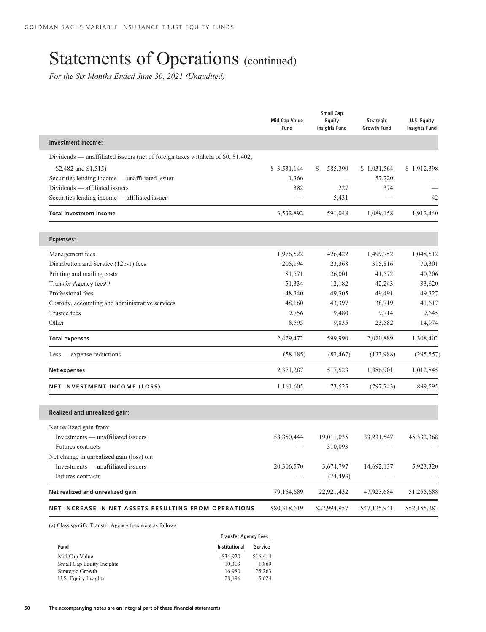## Statements of Operations (continued)

*For the Six Months Ended June 30, 2021 (Unaudited)*

|                                                                                  | <b>Mid Cap Value</b><br>Fund | <b>Small Cap</b><br><b>Equity</b><br><b>Insights Fund</b> | Strategic<br><b>Growth Fund</b> | U.S. Equity<br><b>Insights Fund</b> |
|----------------------------------------------------------------------------------|------------------------------|-----------------------------------------------------------|---------------------------------|-------------------------------------|
| <b>Investment income:</b>                                                        |                              |                                                           |                                 |                                     |
| Dividends — unaffiliated issuers (net of foreign taxes withheld of \$0, \$1,402, |                              |                                                           |                                 |                                     |
| \$2,482 and \$1,515)                                                             | \$ 3,531,144                 | S<br>585,390                                              | \$1,031,564                     | \$1,912,398                         |
| Securities lending income - unaffiliated issuer                                  | 1,366                        |                                                           | 57,220                          |                                     |
| Dividends - affiliated issuers                                                   | 382                          | 227                                                       | 374                             |                                     |
| Securities lending income — affiliated issuer                                    |                              | 5,431                                                     |                                 | 42                                  |
| <b>Total investment income</b>                                                   | 3,532,892                    | 591,048                                                   | 1,089,158                       | 1,912,440                           |
| <b>Expenses:</b>                                                                 |                              |                                                           |                                 |                                     |
| Management fees                                                                  | 1,976,522                    | 426,422                                                   | 1,499,752                       | 1,048,512                           |
| Distribution and Service (12b-1) fees                                            | 205,194                      | 23,368                                                    | 315,816                         | 70,301                              |
| Printing and mailing costs                                                       | 81,571                       | 26,001                                                    | 41,572                          | 40,206                              |
| Transfer Agency fees <sup>(a)</sup>                                              | 51,334                       | 12,182                                                    | 42,243                          | 33,820                              |
| Professional fees                                                                | 48,340                       | 49,305                                                    | 49,491                          | 49,327                              |
| Custody, accounting and administrative services                                  | 48,160                       | 43,397                                                    | 38,719                          | 41,617                              |
| Trustee fees                                                                     | 9,756                        | 9,480                                                     | 9,714                           | 9,645                               |
| Other                                                                            | 8,595                        | 9,835                                                     | 23,582                          | 14,974                              |
| <b>Total expenses</b>                                                            | 2,429,472                    | 599,990                                                   | 2,020,889                       | 1,308,402                           |
| $Less$ - expense reductions                                                      | (58, 185)                    | (82, 467)                                                 | (133,988)                       | (295, 557)                          |
| <b>Net expenses</b>                                                              | 2,371,287                    | 517,523                                                   | 1,886,901                       | 1,012,845                           |
| NET INVESTMENT INCOME (LOSS)                                                     | 1,161,605                    | 73,525                                                    | (797, 743)                      | 899,595                             |
| Realized and unrealized gain:                                                    |                              |                                                           |                                 |                                     |
| Net realized gain from:                                                          |                              |                                                           |                                 |                                     |
| Investments - unaffiliated issuers                                               | 58,850,444                   | 19,011,035                                                | 33,231,547                      | 45,332,368                          |
| Futures contracts                                                                |                              | 310,093                                                   |                                 |                                     |
| Net change in unrealized gain (loss) on:                                         |                              |                                                           |                                 |                                     |
| Investments — unaffiliated issuers                                               | 20,306,570                   | 3,674,797                                                 | 14,692,137                      | 5,923,320                           |
| <b>Futures contracts</b>                                                         |                              | (74, 493)                                                 |                                 |                                     |
| Net realized and unrealized gain                                                 | 79,164,689                   | 22,921,432                                                | 47,923,684                      | 51,255,688                          |
| NET INCREASE IN NET ASSETS RESULTING FROM OPERATIONS                             | \$80,318,619                 | \$22,994,957                                              | \$47,125,941                    | \$52,155,283                        |

(a) Class specific Transfer Agency fees were as follows:

|                           | <b>Transfer Agency Fees</b> |          |  |  |  |
|---------------------------|-----------------------------|----------|--|--|--|
| Fund                      | <b>Institutional</b>        | Service  |  |  |  |
| Mid Cap Value             | \$34,920                    | \$16,414 |  |  |  |
| Small Cap Equity Insights | 10,313                      | 1,869    |  |  |  |
| Strategic Growth          | 16.980                      | 25,263   |  |  |  |
| U.S. Equity Insights      | 28,196                      | 5,624    |  |  |  |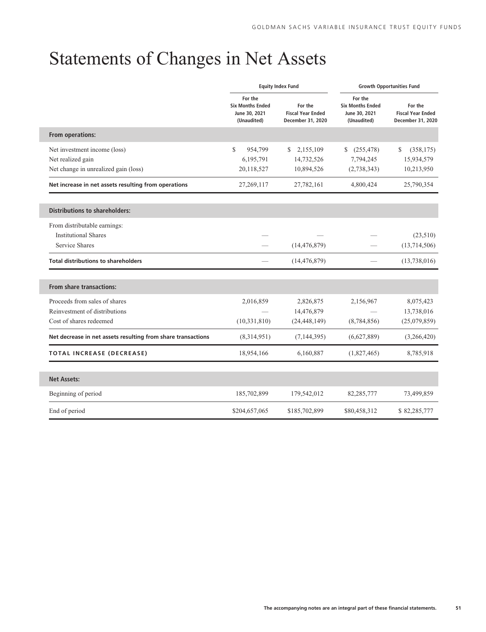## Statements of Changes in Net Assets

|                                                              |                                                                    | <b>Equity Index Fund</b>                                 | <b>Growth Opportunities Fund</b>                                   |                                                          |  |  |
|--------------------------------------------------------------|--------------------------------------------------------------------|----------------------------------------------------------|--------------------------------------------------------------------|----------------------------------------------------------|--|--|
|                                                              | For the<br><b>Six Months Ended</b><br>June 30, 2021<br>(Unaudited) | For the<br><b>Fiscal Year Ended</b><br>December 31, 2020 | For the<br><b>Six Months Ended</b><br>June 30, 2021<br>(Unaudited) | For the<br><b>Fiscal Year Ended</b><br>December 31, 2020 |  |  |
| From operations:                                             |                                                                    |                                                          |                                                                    |                                                          |  |  |
| Net investment income (loss)                                 | $\mathbb{S}$<br>954,799                                            | 2,155,109<br>S                                           | (255, 478)<br>S.                                                   | \$<br>(358, 175)                                         |  |  |
| Net realized gain                                            | 6,195,791                                                          | 14,732,526                                               | 7,794,245                                                          | 15,934,579                                               |  |  |
| Net change in unrealized gain (loss)                         | 20,118,527                                                         | 10,894,526                                               | (2,738,343)                                                        | 10,213,950                                               |  |  |
| Net increase in net assets resulting from operations         | 27,269,117                                                         | 27,782,161                                               | 4,800,424                                                          | 25,790,354                                               |  |  |
| <b>Distributions to shareholders:</b>                        |                                                                    |                                                          |                                                                    |                                                          |  |  |
| From distributable earnings:                                 |                                                                    |                                                          |                                                                    |                                                          |  |  |
| <b>Institutional Shares</b>                                  |                                                                    |                                                          |                                                                    | (23,510)                                                 |  |  |
| <b>Service Shares</b>                                        |                                                                    | (14, 476, 879)                                           |                                                                    | (13,714,506)                                             |  |  |
| <b>Total distributions to shareholders</b>                   |                                                                    | (14, 476, 879)                                           |                                                                    | (13,738,016)                                             |  |  |
| From share transactions:                                     |                                                                    |                                                          |                                                                    |                                                          |  |  |
| Proceeds from sales of shares                                | 2,016,859                                                          | 2,826,875                                                | 2,156,967                                                          | 8,075,423                                                |  |  |
| Reinvestment of distributions                                |                                                                    | 14,476,879                                               |                                                                    | 13,738,016                                               |  |  |
| Cost of shares redeemed                                      | (10, 331, 810)                                                     | (24, 448, 149)                                           | (8,784,856)                                                        | (25,079,859)                                             |  |  |
| Net decrease in net assets resulting from share transactions | (8,314,951)                                                        | (7, 144, 395)                                            | (6,627,889)                                                        | (3,266,420)                                              |  |  |
| <b>TOTAL INCREASE (DECREASE)</b>                             | 18,954,166                                                         | 6,160,887                                                | (1,827,465)                                                        | 8,785,918                                                |  |  |
| <b>Net Assets:</b>                                           |                                                                    |                                                          |                                                                    |                                                          |  |  |
| Beginning of period                                          | 185,702,899                                                        | 179,542,012                                              | 82,285,777                                                         | 73,499,859                                               |  |  |
| End of period                                                | \$204,657,065                                                      | \$185,702,899                                            | \$80,458,312                                                       | \$82,285,777                                             |  |  |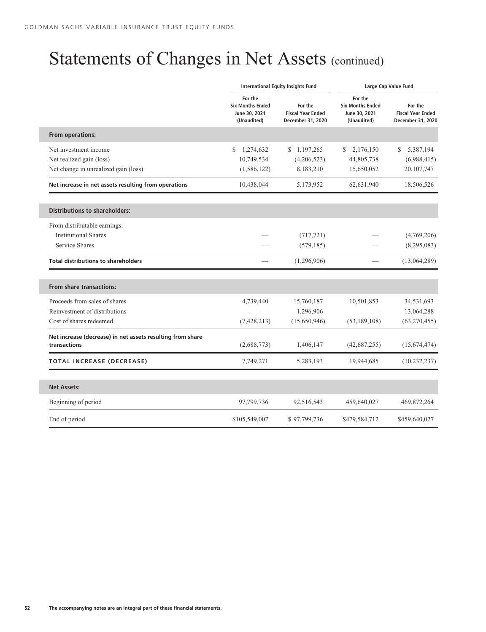l

## Statements of Changes in Net Assets (continued)

|                                                                            |                                                                    | <b>International Equity Insights Fund</b>                | Large Cap Value Fund                                               |                                                          |  |  |
|----------------------------------------------------------------------------|--------------------------------------------------------------------|----------------------------------------------------------|--------------------------------------------------------------------|----------------------------------------------------------|--|--|
|                                                                            | For the<br><b>Six Months Ended</b><br>June 30, 2021<br>(Unaudited) | For the<br><b>Fiscal Year Ended</b><br>December 31, 2020 | For the<br><b>Six Months Ended</b><br>June 30, 2021<br>(Unaudited) | For the<br><b>Fiscal Year Ended</b><br>December 31, 2020 |  |  |
| From operations:                                                           |                                                                    |                                                          |                                                                    |                                                          |  |  |
| Net investment income                                                      | S<br>1,274,632                                                     | \$1,197,265                                              | 2,176,150<br>S.                                                    | 5,387,194<br>\$                                          |  |  |
| Net realized gain (loss)                                                   | 10,749,534                                                         | (4,206,523)                                              | 44,805,738                                                         | (6,988,415)                                              |  |  |
| Net change in unrealized gain (loss)                                       | (1, 586, 122)                                                      | 8,183,210                                                | 15,650,052                                                         | 20,107,747                                               |  |  |
| Net increase in net assets resulting from operations                       | 10,438,044                                                         | 5,173,952                                                | 62,631,940                                                         | 18,506,526                                               |  |  |
| <b>Distributions to shareholders:</b>                                      |                                                                    |                                                          |                                                                    |                                                          |  |  |
| From distributable earnings:                                               |                                                                    |                                                          |                                                                    |                                                          |  |  |
| <b>Institutional Shares</b>                                                |                                                                    | (717, 721)                                               |                                                                    | (4,769,206)                                              |  |  |
| Service Shares                                                             |                                                                    | (579, 185)                                               |                                                                    | (8,295,083)                                              |  |  |
| <b>Total distributions to shareholders</b>                                 |                                                                    | (1,296,906)                                              |                                                                    | (13,064,289)                                             |  |  |
| <b>From share transactions:</b>                                            |                                                                    |                                                          |                                                                    |                                                          |  |  |
| Proceeds from sales of shares                                              | 4,739,440                                                          | 15,760,187                                               | 10,501,853                                                         | 34,531,693                                               |  |  |
| Reinvestment of distributions                                              |                                                                    | 1,296,906                                                |                                                                    | 13,064,288                                               |  |  |
| Cost of shares redeemed                                                    | (7, 428, 213)                                                      | (15,650,946)                                             | (53, 189, 108)                                                     | (63,270,455)                                             |  |  |
| Net increase (decrease) in net assets resulting from share<br>transactions | (2,688,773)                                                        | 1,406,147                                                | (42, 687, 255)                                                     | (15,674,474)                                             |  |  |
| TOTAL INCREASE (DECREASE)                                                  | 7,749,271                                                          | 5,283,193                                                | 19,944,685                                                         | (10, 232, 237)                                           |  |  |
| <b>Net Assets:</b>                                                         |                                                                    |                                                          |                                                                    |                                                          |  |  |
| Beginning of period                                                        | 97,799,736                                                         | 92,516,543                                               | 459,640,027                                                        | 469,872,264                                              |  |  |
| End of period                                                              | \$105,549,007                                                      | \$97,799,736                                             | \$479,584,712                                                      | \$459,640,027                                            |  |  |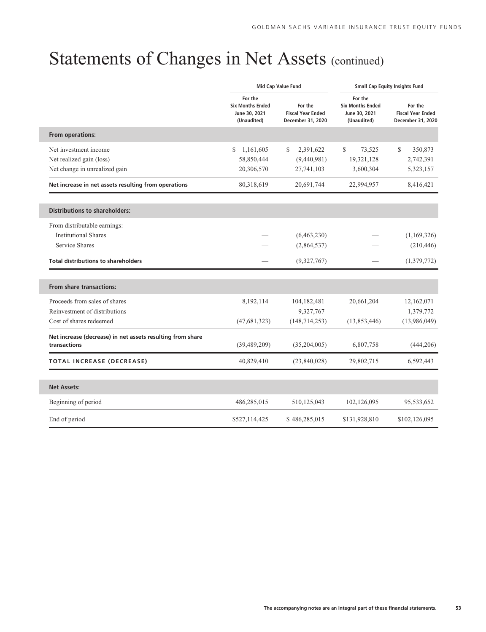## Statements of Changes in Net Assets (continued)

I

I

|                                                                            |                 | Mid Cap Value Fund                                       | <b>Small Cap Equity Insights Fund</b>                              |                                                          |  |  |
|----------------------------------------------------------------------------|-----------------|----------------------------------------------------------|--------------------------------------------------------------------|----------------------------------------------------------|--|--|
| For the<br><b>Six Months Ended</b><br>June 30, 2021<br>(Unaudited)         |                 | For the<br><b>Fiscal Year Ended</b><br>December 31, 2020 | For the<br><b>Six Months Ended</b><br>June 30, 2021<br>(Unaudited) | For the<br><b>Fiscal Year Ended</b><br>December 31, 2020 |  |  |
| From operations:                                                           |                 |                                                          |                                                                    |                                                          |  |  |
| Net investment income                                                      | \$<br>1,161,605 | 2,391,622<br>S                                           | \$<br>73,525                                                       | \$<br>350,873                                            |  |  |
| Net realized gain (loss)                                                   | 58,850,444      | (9,440,981)                                              | 19,321,128                                                         | 2,742,391                                                |  |  |
| Net change in unrealized gain                                              | 20,306,570      | 27,741,103                                               | 3,600,304                                                          | 5,323,157                                                |  |  |
| Net increase in net assets resulting from operations                       | 80,318,619      | 20,691,744                                               | 22,994,957                                                         | 8,416,421                                                |  |  |
| <b>Distributions to shareholders:</b>                                      |                 |                                                          |                                                                    |                                                          |  |  |
| From distributable earnings:                                               |                 |                                                          |                                                                    |                                                          |  |  |
| <b>Institutional Shares</b>                                                |                 | (6,463,230)                                              |                                                                    | (1,169,326)                                              |  |  |
| Service Shares                                                             |                 | (2,864,537)                                              |                                                                    | (210, 446)                                               |  |  |
| <b>Total distributions to shareholders</b>                                 |                 | (9,327,767)                                              |                                                                    | (1,379,772)                                              |  |  |
| From share transactions:                                                   |                 |                                                          |                                                                    |                                                          |  |  |
| Proceeds from sales of shares                                              | 8,192,114       | 104,182,481                                              | 20,661,204                                                         | 12,162,071                                               |  |  |
| Reinvestment of distributions                                              |                 | 9,327,767                                                |                                                                    | 1,379,772                                                |  |  |
| Cost of shares redeemed                                                    | (47, 681, 323)  | (148, 714, 253)                                          | (13,853,446)                                                       | (13,986,049)                                             |  |  |
| Net increase (decrease) in net assets resulting from share<br>transactions | (39, 489, 209)  | (35,204,005)                                             | 6,807,758                                                          | (444, 206)                                               |  |  |
| <b>TOTAL INCREASE (DECREASE)</b>                                           | 40,829,410      | (23,840,028)                                             | 29,802,715                                                         | 6,592,443                                                |  |  |
| <b>Net Assets:</b>                                                         |                 |                                                          |                                                                    |                                                          |  |  |
| Beginning of period                                                        | 486,285,015     | 510,125,043                                              | 102,126,095                                                        | 95,533,652                                               |  |  |
| End of period                                                              | \$527,114,425   | \$486,285,015                                            | \$131,928,810                                                      | \$102,126,095                                            |  |  |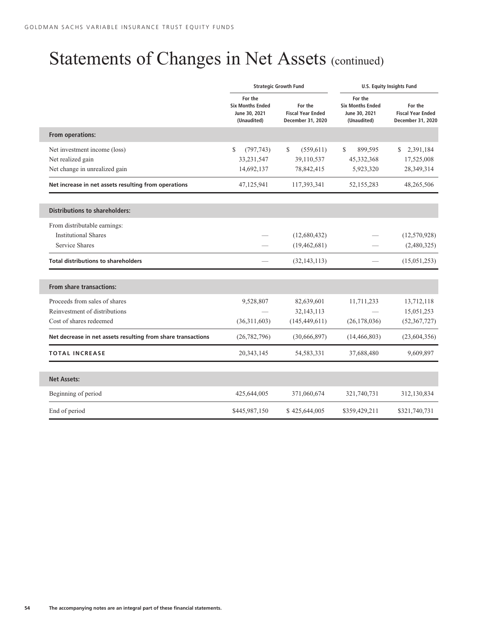l

l

## Statements of Changes in Net Assets (continued)

|                                                                    |                  | <b>Strategic Growth Fund</b>                             | <b>U.S. Equity Insights Fund</b>                                   |                                                          |  |  |
|--------------------------------------------------------------------|------------------|----------------------------------------------------------|--------------------------------------------------------------------|----------------------------------------------------------|--|--|
| For the<br><b>Six Months Ended</b><br>June 30, 2021<br>(Unaudited) |                  | For the<br><b>Fiscal Year Ended</b><br>December 31, 2020 | For the<br><b>Six Months Ended</b><br>June 30, 2021<br>(Unaudited) | For the<br><b>Fiscal Year Ended</b><br>December 31, 2020 |  |  |
| From operations:                                                   |                  |                                                          |                                                                    |                                                          |  |  |
| Net investment income (loss)                                       | \$<br>(797, 743) | S.<br>(559, 611)                                         | \$.<br>899,595                                                     | 2,391,184<br>S                                           |  |  |
| Net realized gain                                                  | 33,231,547       | 39,110,537                                               | 45,332,368                                                         | 17,525,008                                               |  |  |
| Net change in unrealized gain                                      | 14,692,137       | 78,842,415                                               | 5,923,320                                                          | 28,349,314                                               |  |  |
| Net increase in net assets resulting from operations               | 47,125,941       | 117,393,341                                              | 52,155,283                                                         | 48,265,506                                               |  |  |
| <b>Distributions to shareholders:</b>                              |                  |                                                          |                                                                    |                                                          |  |  |
| From distributable earnings:                                       |                  |                                                          |                                                                    |                                                          |  |  |
| <b>Institutional Shares</b>                                        |                  | (12,680,432)                                             |                                                                    | (12,570,928)                                             |  |  |
| <b>Service Shares</b>                                              |                  | (19, 462, 681)                                           |                                                                    | (2,480,325)                                              |  |  |
| <b>Total distributions to shareholders</b>                         |                  | (32, 143, 113)                                           |                                                                    | (15,051,253)                                             |  |  |
| <b>From share transactions:</b>                                    |                  |                                                          |                                                                    |                                                          |  |  |
| Proceeds from sales of shares                                      | 9,528,807        | 82,639,601                                               | 11,711,233                                                         | 13,712,118                                               |  |  |
| Reinvestment of distributions                                      |                  | 32,143,113                                               |                                                                    | 15,051,253                                               |  |  |
| Cost of shares redeemed                                            | (36,311,603)     | (145, 449, 611)                                          | (26, 178, 036)                                                     | (52, 367, 727)                                           |  |  |
| Net decrease in net assets resulting from share transactions       | (26, 782, 796)   | (30,666,897)                                             | (14, 466, 803)                                                     | (23,604,356)                                             |  |  |
| <b>TOTAL INCREASE</b>                                              | 20, 343, 145     | 54, 583, 331                                             | 37,688,480                                                         | 9,609,897                                                |  |  |
| <b>Net Assets:</b>                                                 |                  |                                                          |                                                                    |                                                          |  |  |
| Beginning of period                                                | 425,644,005      | 371,060,674                                              | 321,740,731                                                        | 312,130,834                                              |  |  |
| End of period                                                      | \$445,987,150    | \$425,644,005                                            | \$359,429,211                                                      | \$321,740,731                                            |  |  |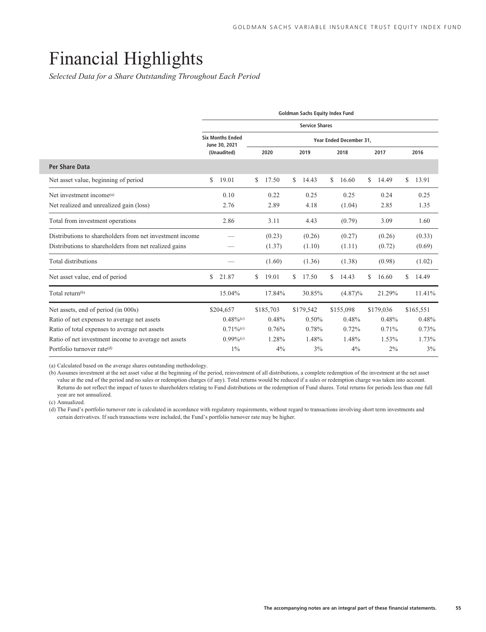### Financial Highlights

*Selected Data for a Share Outstanding Throughout Each Period*

|                                                          | <b>Goldman Sachs Equity Index Fund</b> |                                          |    |           |    |           |      |                         |      |           |   |           |
|----------------------------------------------------------|----------------------------------------|------------------------------------------|----|-----------|----|-----------|------|-------------------------|------|-----------|---|-----------|
|                                                          | <b>Service Shares</b>                  |                                          |    |           |    |           |      |                         |      |           |   |           |
|                                                          |                                        | <b>Six Months Ended</b><br>June 30, 2021 |    |           |    |           |      | Year Ended December 31, |      |           |   |           |
|                                                          |                                        | (Unaudited)                              |    | 2020      |    | 2019      | 2018 |                         | 2017 |           |   | 2016      |
| Per Share Data                                           |                                        |                                          |    |           |    |           |      |                         |      |           |   |           |
| Net asset value, beginning of period                     | \$                                     | 19.01                                    | \$ | 17.50     | \$ | 14.43     | \$   | 16.60                   | \$   | 14.49     | S | 13.91     |
| Net investment income <sup>(a)</sup>                     |                                        | 0.10                                     |    | 0.22      |    | 0.25      |      | 0.25                    |      | 0.24      |   | 0.25      |
| Net realized and unrealized gain (loss)                  |                                        | 2.76                                     |    | 2.89      |    | 4.18      |      | (1.04)                  |      | 2.85      |   | 1.35      |
| Total from investment operations                         |                                        | 2.86                                     |    | 3.11      |    | 4.43      |      | (0.79)                  |      | 3.09      |   | 1.60      |
| Distributions to shareholders from net investment income |                                        |                                          |    | (0.23)    |    | (0.26)    |      | (0.27)                  |      | (0.26)    |   | (0.33)    |
| Distributions to shareholders from net realized gains    |                                        |                                          |    | (1.37)    |    | (1.10)    |      | (1.11)                  |      | (0.72)    |   | (0.69)    |
| Total distributions                                      |                                        |                                          |    | (1.60)    |    | (1.36)    |      | (1.38)                  |      | (0.98)    |   | (1.02)    |
| Net asset value, end of period                           | \$                                     | 21.87                                    | S  | 19.01     | S  | 17.50     | S    | 14.43                   | \$   | 16.60     | S | 14.49     |
| Total return <sup>(b)</sup>                              |                                        | 15.04%                                   |    | 17.84%    |    | 30.85%    |      | $(4.87)\%$              |      | 21.29%    |   | 11.41%    |
| Net assets, end of period (in 000s)                      |                                        | \$204,657                                |    | \$185,703 |    | \$179,542 |      | \$155,098               |      | \$179,036 |   | \$165,551 |
| Ratio of net expenses to average net assets              |                                        | $0.48\%$ <sup>(c)</sup>                  |    | 0.48%     |    | 0.50%     |      | 0.48%                   |      | 0.48%     |   | 0.48%     |
| Ratio of total expenses to average net assets            |                                        | $0.71\%$ <sup>(c)</sup>                  |    | 0.76%     |    | 0.78%     |      | 0.72%                   |      | 0.71%     |   | 0.73%     |
| Ratio of net investment income to average net assets     |                                        | $0.99\%$ <sup>(c)</sup>                  |    | 1.28%     |    | 1.48%     |      | 1.48%                   |      | 1.53%     |   | 1.73%     |
| Portfolio turnover rate <sup>(d)</sup>                   |                                        | $1\%$                                    |    | 4%        |    | 3%        |      | 4%                      |      | 2%        |   | 3%        |

(a) Calculated based on the average shares outstanding methodology.

(b) Assumes investment at the net asset value at the beginning of the period, reinvestment of all distributions, a complete redemption of the investment at the net asset value at the end of the period and no sales or redemption charges (if any). Total returns would be reduced if a sales or redemption charge was taken into account. Returns do not reflect the impact of taxes to shareholders relating to Fund distributions or the redemption of Fund shares. Total returns for periods less than one full year are not annualized.

(c) Annualized.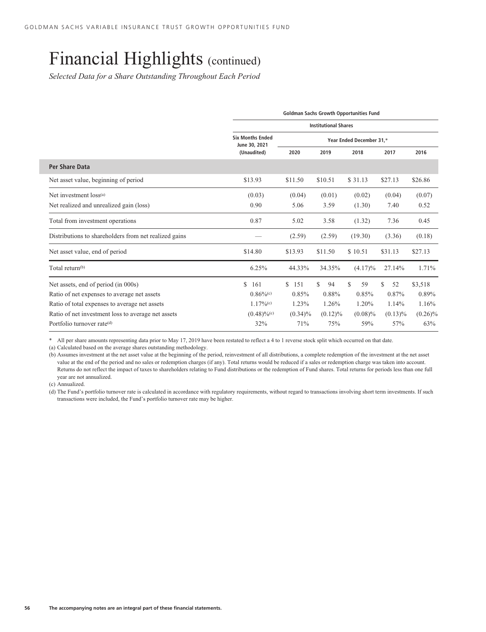*Selected Data for a Share Outstanding Throughout Each Period*

|                                                       | <b>Goldman Sachs Growth Opportunities Fund</b> |              |                          |            |            |            |  |  |
|-------------------------------------------------------|------------------------------------------------|--------------|--------------------------|------------|------------|------------|--|--|
|                                                       | <b>Institutional Shares</b>                    |              |                          |            |            |            |  |  |
|                                                       | <b>Six Months Ended</b><br>June 30, 2021       |              | Year Ended December 31,* |            |            |            |  |  |
|                                                       | (Unaudited)                                    | 2020         | 2019                     | 2018       |            | 2016       |  |  |
| Per Share Data                                        |                                                |              |                          |            |            |            |  |  |
| Net asset value, beginning of period                  | \$13.93                                        | \$11.50      | \$10.51                  | \$31.13    | \$27.13    | \$26.86    |  |  |
| Net investment loss(a)                                | (0.03)                                         | (0.04)       | (0.01)                   | (0.02)     | (0.04)     | (0.07)     |  |  |
| Net realized and unrealized gain (loss)               | 0.90                                           | 5.06<br>3.59 |                          | (1.30)     | 7.40       | 0.52       |  |  |
| Total from investment operations                      | 0.87                                           | 5.02         | 3.58                     | (1.32)     | 7.36       | 0.45       |  |  |
| Distributions to shareholders from net realized gains |                                                | (2.59)       | (2.59)                   | (19.30)    | (3.36)     | (0.18)     |  |  |
| Net asset value, end of period                        | \$14.80                                        | \$13.93      | \$11.50                  | \$10.51    | \$31.13    | \$27.13    |  |  |
| Total return <sup>(b)</sup>                           | 6.25%                                          | 44.33%       | 34.35%                   | $(4.17)\%$ | 27.14%     | 1.71%      |  |  |
| Net assets, end of period (in 000s)                   | \$.<br>161                                     | 151<br>S.    | S<br>94                  | \$<br>59   | S.<br>52   | \$3,518    |  |  |
| Ratio of net expenses to average net assets           | $0.86\%$ <sup>(c)</sup>                        | 0.85%        | 0.88%                    | 0.85%      | 0.87%      | 0.89%      |  |  |
| Ratio of total expenses to average net assets         | $1.17\%$ <sup>(c)</sup>                        | 1.23%        | 1.26%                    | 1.20%      | 1.14%      | 1.16%      |  |  |
| Ratio of net investment loss to average net assets    | $(0.48)\%$ <sup>(c)</sup>                      | $(0.34)\%$   | $(0.12)\%$               | $(0.08)\%$ | $(0.13)\%$ | $(0.26)\%$ |  |  |
| Portfolio turnover rate(d)                            | 32%                                            | 71%          | 75%                      | 59%        | 57%        | 63%        |  |  |

\* All per share amounts representing data prior to May 17, 2019 have been restated to reflect a 4 to 1 reverse stock split which occurred on that date.

(a) Calculated based on the average shares outstanding methodology.

(b) Assumes investment at the net asset value at the beginning of the period, reinvestment of all distributions, a complete redemption of the investment at the net asset value at the end of the period and no sales or redemption charges (if any). Total returns would be reduced if a sales or redemption charge was taken into account. Returns do not reflect the impact of taxes to shareholders relating to Fund distributions or the redemption of Fund shares. Total returns for periods less than one full year are not annualized.

(c) Annualized.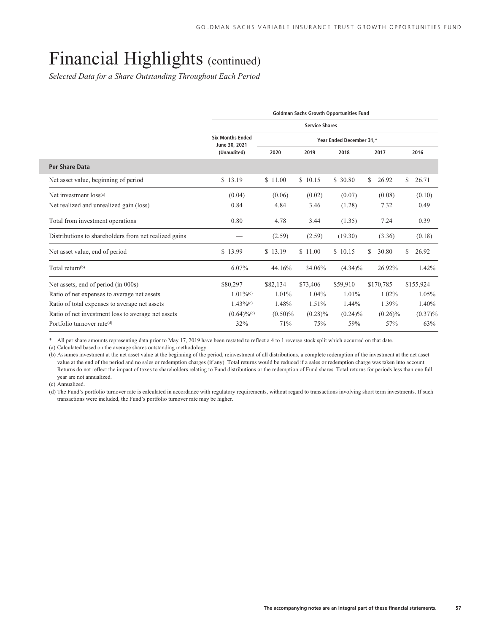*Selected Data for a Share Outstanding Throughout Each Period*

|                                                       | <b>Goldman Sachs Growth Opportunities Fund</b> |            |                          |            |             |              |  |  |  |
|-------------------------------------------------------|------------------------------------------------|------------|--------------------------|------------|-------------|--------------|--|--|--|
|                                                       | <b>Service Shares</b>                          |            |                          |            |             |              |  |  |  |
|                                                       | <b>Six Months Ended</b><br>June 30, 2021       |            | Year Ended December 31,* |            |             |              |  |  |  |
|                                                       | (Unaudited)                                    | 2020       | 2019                     | 2018       | 2017        | 2016         |  |  |  |
| Per Share Data                                        |                                                |            |                          |            |             |              |  |  |  |
| Net asset value, beginning of period                  | \$13.19                                        | \$11.00    | \$10.15                  | \$ 30.80   | \$<br>26.92 | \$.<br>26.71 |  |  |  |
| Net investment loss(a)                                | (0.04)                                         | (0.06)     | (0.02)                   | (0.07)     | (0.08)      | (0.10)       |  |  |  |
| Net realized and unrealized gain (loss)               | 0.84                                           | 4.84       | 3.46                     | (1.28)     | 7.32        | 0.49         |  |  |  |
| Total from investment operations                      | 0.80                                           | 4.78       | 3.44                     | (1.35)     | 7.24        | 0.39         |  |  |  |
| Distributions to shareholders from net realized gains |                                                | (2.59)     | (2.59)                   | (19.30)    | (3.36)      | (0.18)       |  |  |  |
| Net asset value, end of period                        | \$13.99                                        | \$13.19    | \$11.00                  | \$10.15    | 30.80<br>\$ | \$<br>26.92  |  |  |  |
| Total return <sup>(b)</sup>                           | 6.07%                                          | 44.16%     | 34.06%                   | $(4.34)\%$ | 26.92%      | 1.42%        |  |  |  |
| Net assets, end of period (in 000s)                   | \$80,297                                       | \$82,134   | \$73,406                 | \$59,910   | \$170,785   | \$155,924    |  |  |  |
| Ratio of net expenses to average net assets           | $1.01\%$ <sup>(c)</sup>                        | 1.01%      | 1.04%                    | 1.01%      | 1.02%       | 1.05%        |  |  |  |
| Ratio of total expenses to average net assets         | $1.43\%$ <sup>(c)</sup>                        | 1.48%      | 1.51%                    | 1.44%      | 1.39%       | 1.40%        |  |  |  |
| Ratio of net investment loss to average net assets    | $(0.64)\%$ <sup>(c)</sup>                      | $(0.50)\%$ | $(0.28)\%$               | $(0.24)\%$ | $(0.26)\%$  | $(0.37)\%$   |  |  |  |
| Portfolio turnover rate <sup>(d)</sup>                | 32%                                            | 71%        | 75%                      | 59%        | 57%         | 63%          |  |  |  |

\* All per share amounts representing data prior to May 17, 2019 have been restated to reflect a 4 to 1 reverse stock split which occurred on that date.

(a) Calculated based on the average shares outstanding methodology.

(b) Assumes investment at the net asset value at the beginning of the period, reinvestment of all distributions, a complete redemption of the investment at the net asset value at the end of the period and no sales or redemption charges (if any). Total returns would be reduced if a sales or redemption charge was taken into account. Returns do not reflect the impact of taxes to shareholders relating to Fund distributions or the redemption of Fund shares. Total returns for periods less than one full year are not annualized.

(c) Annualized.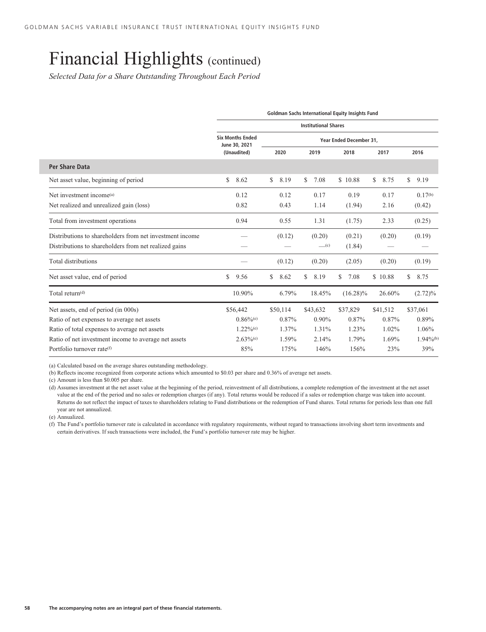*Selected Data for a Share Outstanding Throughout Each Period*

|                                                          |                                          |            | <b>Goldman Sachs International Equity Insights Fund</b> |                         |            |                         |
|----------------------------------------------------------|------------------------------------------|------------|---------------------------------------------------------|-------------------------|------------|-------------------------|
|                                                          |                                          |            | <b>Institutional Shares</b>                             |                         |            |                         |
|                                                          | <b>Six Months Ended</b><br>June 30, 2021 |            |                                                         | Year Ended December 31. |            |                         |
|                                                          | (Unaudited)                              | 2020       | 2019                                                    | 2018                    | 2017       | 2016                    |
| Per Share Data                                           |                                          |            |                                                         |                         |            |                         |
| Net asset value, beginning of period                     | 8.62<br>\$                               | \$<br>8.19 | \$<br>7.08                                              | \$10.88                 | \$<br>8.75 | \$<br>9.19              |
| Net investment income <sup>(a)</sup>                     | 0.12                                     | 0.12       | 0.17                                                    | 0.19                    | 0.17       | $0.17^{(b)}$            |
| Net realized and unrealized gain (loss)                  | 0.82                                     | 0.43       | 1.14                                                    | (1.94)                  | 2.16       | (0.42)                  |
| Total from investment operations                         | 0.94                                     | 0.55       | 1.31                                                    | (1.75)                  | 2.33       | (0.25)                  |
| Distributions to shareholders from net investment income |                                          | (0.12)     | (0.20)                                                  | (0.21)                  | (0.20)     | (0.19)                  |
| Distributions to shareholders from net realized gains    |                                          |            | $\underline{\hspace{1cm}}(c)$                           | (1.84)                  |            |                         |
| Total distributions                                      |                                          | (0.12)     | (0.20)                                                  | (2.05)                  | (0.20)     | (0.19)                  |
| Net asset value, end of period                           | \$<br>9.56                               | S<br>8.62  | \$<br>8.19                                              | S<br>7.08               | \$10.88    | \$<br>8.75              |
| Total return(d)                                          | 10.90%                                   | 6.79%      | 18.45%                                                  | $(16.28)\%$             | 26.60%     | $(2.72)\%$              |
| Net assets, end of period (in 000s)                      | \$56,442                                 | \$50,114   | \$43,632                                                | \$37,829                | \$41,512   | \$37,061                |
| Ratio of net expenses to average net assets              | $0.86\%$ <sup>(e)</sup>                  | 0.87%      | $0.90\%$                                                | 0.87%                   | 0.87%      | 0.89%                   |
| Ratio of total expenses to average net assets            | $1.22\%$ <sup>(e)</sup>                  | 1.37%      | 1.31%                                                   | 1.23%                   | 1.02%      | 1.06%                   |
| Ratio of net investment income to average net assets     | $2.63\%$ <sup>(e)</sup>                  | 1.59%      | 2.14%                                                   | 1.79%                   | 1.69%      | $1.94\%$ <sup>(b)</sup> |
| Portfolio turnover rate <sup>(f)</sup>                   | 85%                                      | 175%       | 146%                                                    | 156%                    | 23%        | 39%                     |

(a) Calculated based on the average shares outstanding methodology.

(b) Reflects income recognized from corporate actions which amounted to \$0.03 per share and 0.36% of average net assets.

(c) Amount is less than \$0.005 per share.

(d) Assumes investment at the net asset value at the beginning of the period, reinvestment of all distributions, a complete redemption of the investment at the net asset value at the end of the period and no sales or redemption charges (if any). Total returns would be reduced if a sales or redemption charge was taken into account. Returns do not reflect the impact of taxes to shareholders relating to Fund distributions or the redemption of Fund shares. Total returns for periods less than one full year are not annualized.

(e) Annualized.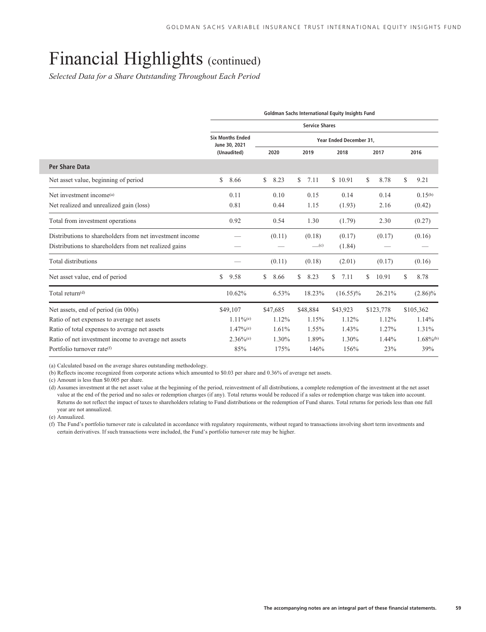*Selected Data for a Share Outstanding Throughout Each Period*

|                                                          | Goldman Sachs International Equity Insights Fund |            |                               |                         |             |                         |  |  |  |  |  |  |  |
|----------------------------------------------------------|--------------------------------------------------|------------|-------------------------------|-------------------------|-------------|-------------------------|--|--|--|--|--|--|--|
|                                                          |                                                  |            | <b>Service Shares</b>         |                         |             |                         |  |  |  |  |  |  |  |
|                                                          | <b>Six Months Ended</b><br>June 30, 2021         |            |                               | Year Ended December 31. |             |                         |  |  |  |  |  |  |  |
|                                                          | (Unaudited)                                      | 2020       | 2019                          | 2018                    | 2017        | 2016                    |  |  |  |  |  |  |  |
| Per Share Data                                           |                                                  |            |                               |                         |             |                         |  |  |  |  |  |  |  |
| Net asset value, beginning of period                     | \$<br>8.66                                       | \$<br>8.23 | \$<br>7.11                    | \$10.91                 | S<br>8.78   | \$<br>9.21              |  |  |  |  |  |  |  |
| Net investment income <sup>(a)</sup>                     | 0.11                                             | 0.10       | 0.15                          | 0.14                    | 0.14        | $0.15^{(b)}$            |  |  |  |  |  |  |  |
| Net realized and unrealized gain (loss)                  | 0.81                                             | 0.44       | 1.15                          | (1.93)                  | 2.16        | (0.42)                  |  |  |  |  |  |  |  |
| Total from investment operations                         | 0.92                                             | 0.54       | 1.30                          | (1.79)                  | 2.30        | (0.27)                  |  |  |  |  |  |  |  |
| Distributions to shareholders from net investment income |                                                  | (0.11)     | (0.18)                        | (0.17)                  | (0.17)      | (0.16)                  |  |  |  |  |  |  |  |
| Distributions to shareholders from net realized gains    |                                                  |            | $\underline{\hspace{1cm}}(c)$ | (1.84)                  |             |                         |  |  |  |  |  |  |  |
| Total distributions                                      |                                                  | (0.11)     | (0.18)                        | (2.01)                  | (0.17)      | (0.16)                  |  |  |  |  |  |  |  |
| Net asset value, end of period                           | 9.58<br>\$                                       | 8.66<br>S  | \$<br>8.23                    | 7.11<br>\$              | 10.91<br>\$ | \$<br>8.78              |  |  |  |  |  |  |  |
| Total return <sup>(d)</sup>                              | 10.62%                                           | 6.53%      | 18.23%                        | $(16.55)\%$             | 26.21%      | $(2.86)\%$              |  |  |  |  |  |  |  |
| Net assets, end of period (in 000s)                      | \$49,107                                         | \$47,685   | \$48,884                      | \$43,923                | \$123,778   | \$105,362               |  |  |  |  |  |  |  |
| Ratio of net expenses to average net assets              | $1.11\%$ <sup>(e)</sup>                          | 1.12%      | 1.15%                         | 1.12%                   | 1.12%       | 1.14%                   |  |  |  |  |  |  |  |
| Ratio of total expenses to average net assets            | $1.47\%$ <sup>(e)</sup>                          | 1.61%      | 1.55%                         | 1.43%                   | 1.27%       | 1.31%                   |  |  |  |  |  |  |  |
| Ratio of net investment income to average net assets     | $2.36\%$ <sup>(e)</sup>                          | 1.30%      | 1.89%                         | 1.30%                   | 1.44%       | $1.68\%$ <sup>(b)</sup> |  |  |  |  |  |  |  |
| Portfolio turnover rate <sup>(f)</sup>                   | 85%                                              | 175%       | 146%                          | 156%                    | 23%         | 39%                     |  |  |  |  |  |  |  |

(a) Calculated based on the average shares outstanding methodology.

(b) Reflects income recognized from corporate actions which amounted to \$0.03 per share and 0.36% of average net assets.

(c) Amount is less than \$0.005 per share.

(d) Assumes investment at the net asset value at the beginning of the period, reinvestment of all distributions, a complete redemption of the investment at the net asset value at the end of the period and no sales or redemption charges (if any). Total returns would be reduced if a sales or redemption charge was taken into account. Returns do not reflect the impact of taxes to shareholders relating to Fund distributions or the redemption of Fund shares. Total returns for periods less than one full year are not annualized.

(e) Annualized.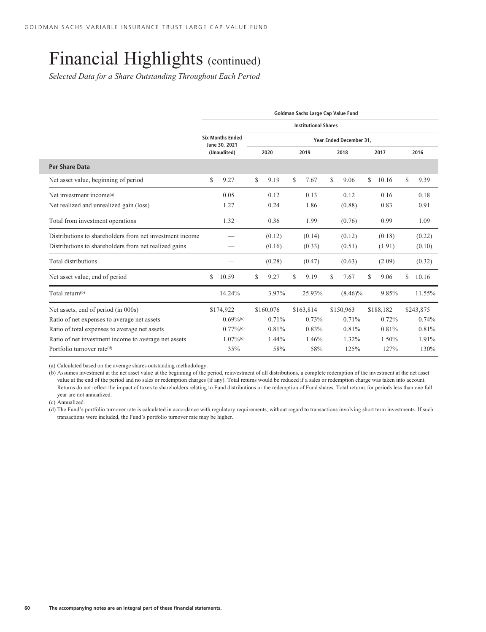*Selected Data for a Share Outstanding Throughout Each Period*

|                                                          | Goldman Sachs Large Cap Value Fund |                                          |    |           |    |                             |    |                         |   |           |    |           |  |
|----------------------------------------------------------|------------------------------------|------------------------------------------|----|-----------|----|-----------------------------|----|-------------------------|---|-----------|----|-----------|--|
|                                                          |                                    |                                          |    |           |    | <b>Institutional Shares</b> |    |                         |   |           |    |           |  |
|                                                          |                                    | <b>Six Months Ended</b><br>June 30, 2021 |    |           |    |                             |    | Year Ended December 31, |   |           |    |           |  |
|                                                          |                                    | (Unaudited)                              |    | 2020      |    | 2019                        |    | 2018                    |   | 2017      |    | 2016      |  |
| Per Share Data                                           |                                    |                                          |    |           |    |                             |    |                         |   |           |    |           |  |
| Net asset value, beginning of period                     | \$                                 | 9.27                                     | \$ | 9.19      | S  | 7.67                        | S. | 9.06                    | S | 10.16     | \$ | 9.39      |  |
| Net investment income <sup>(a)</sup>                     |                                    | 0.05                                     |    | 0.12      |    | 0.13                        |    | 0.12                    |   | 0.16      |    | 0.18      |  |
| Net realized and unrealized gain (loss)                  |                                    | 1.27                                     |    | 0.24      |    | 1.86                        |    | (0.88)                  |   | 0.83      |    | 0.91      |  |
| Total from investment operations                         |                                    | 1.32                                     |    | 0.36      |    | 1.99                        |    | (0.76)                  |   | 0.99      |    | 1.09      |  |
| Distributions to shareholders from net investment income |                                    |                                          |    | (0.12)    |    | (0.14)                      |    | (0.12)                  |   | (0.18)    |    | (0.22)    |  |
| Distributions to shareholders from net realized gains    |                                    |                                          |    | (0.16)    |    | (0.33)                      |    | (0.51)                  |   | (1.91)    |    | (0.10)    |  |
| Total distributions                                      |                                    |                                          |    | (0.28)    |    | (0.47)                      |    | (0.63)                  |   | (2.09)    |    | (0.32)    |  |
| Net asset value, end of period                           | \$                                 | 10.59                                    | \$ | 9.27      | \$ | 9.19                        | \$ | 7.67                    | S | 9.06      | S  | 10.16     |  |
| Total return <sup>(b)</sup>                              |                                    | 14.24%                                   |    | 3.97%     |    | 25.93%                      |    | $(8.46)\%$              |   | 9.85%     |    | 11.55%    |  |
| Net assets, end of period (in 000s)                      |                                    | \$174,922                                |    | \$160,076 |    | \$163,814                   |    | \$150,963               |   | \$188,182 |    | \$243,875 |  |
| Ratio of net expenses to average net assets              |                                    | $0.69\%$ <sup>(c)</sup>                  |    | 0.71%     |    | 0.73%                       |    | 0.71%                   |   | 0.72%     |    | 0.74%     |  |
| Ratio of total expenses to average net assets            |                                    | $0.77\%$ <sup>(c)</sup>                  |    | 0.81%     |    | 0.83%                       |    | 0.81%                   |   | 0.81%     |    | 0.81%     |  |
| Ratio of net investment income to average net assets     |                                    | $1.07\%$ <sup>(c)</sup>                  |    | 1.44%     |    | 1.46%                       |    | 1.32%                   |   | 1.50%     |    | 1.91%     |  |
| Portfolio turnover rate(d)                               |                                    | 35%                                      |    | 58%       |    | 58%                         |    | 125%                    |   | 127%      |    | 130%      |  |

(a) Calculated based on the average shares outstanding methodology.

(b) Assumes investment at the net asset value at the beginning of the period, reinvestment of all distributions, a complete redemption of the investment at the net asset value at the end of the period and no sales or redemption charges (if any). Total returns would be reduced if a sales or redemption charge was taken into account. Returns do not reflect the impact of taxes to shareholders relating to Fund distributions or the redemption of Fund shares. Total returns for periods less than one full year are not annualized.

(c) Annualized.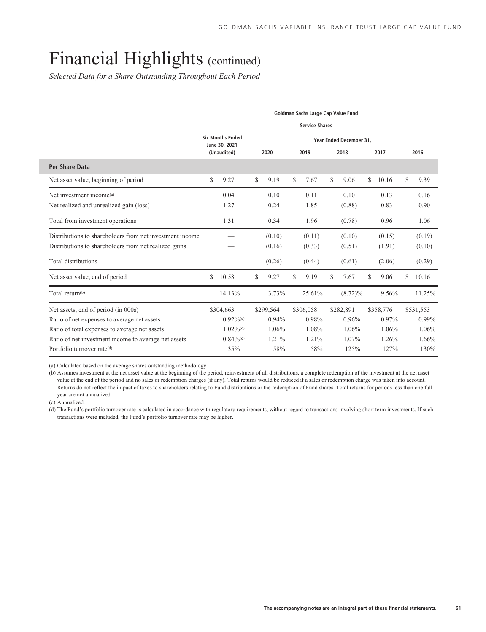*Selected Data for a Share Outstanding Throughout Each Period*

|                                                          | Goldman Sachs Large Cap Value Fund |                                          |    |           |    |                       |    |                         |   |           |    |           |  |
|----------------------------------------------------------|------------------------------------|------------------------------------------|----|-----------|----|-----------------------|----|-------------------------|---|-----------|----|-----------|--|
|                                                          |                                    |                                          |    |           |    | <b>Service Shares</b> |    |                         |   |           |    |           |  |
|                                                          |                                    | <b>Six Months Ended</b><br>June 30, 2021 |    |           |    |                       |    | Year Ended December 31, |   |           |    |           |  |
|                                                          |                                    | (Unaudited)                              |    | 2020      |    | 2019                  |    | 2018                    |   | 2017      |    | 2016      |  |
| <b>Per Share Data</b>                                    |                                    |                                          |    |           |    |                       |    |                         |   |           |    |           |  |
| Net asset value, beginning of period                     | \$                                 | 9.27                                     | \$ | 9.19      | \$ | 7.67                  | S. | 9.06                    | S | 10.16     | S  | 9.39      |  |
| Net investment income <sup>(a)</sup>                     |                                    | 0.04                                     |    | 0.10      |    | 0.11                  |    | 0.10                    |   | 0.13      |    | 0.16      |  |
| Net realized and unrealized gain (loss)                  |                                    | 1.27                                     |    | 0.24      |    | 1.85                  |    | (0.88)                  |   | 0.83      |    | 0.90      |  |
| Total from investment operations                         |                                    | 1.31                                     |    | 0.34      |    | 1.96                  |    | (0.78)                  |   | 0.96      |    | 1.06      |  |
| Distributions to shareholders from net investment income |                                    |                                          |    | (0.10)    |    | (0.11)                |    | (0.10)                  |   | (0.15)    |    | (0.19)    |  |
| Distributions to shareholders from net realized gains    |                                    |                                          |    | (0.16)    |    | (0.33)                |    | (0.51)                  |   | (1.91)    |    | (0.10)    |  |
| Total distributions                                      |                                    |                                          |    | (0.26)    |    | (0.44)                |    | (0.61)                  |   | (2.06)    |    | (0.29)    |  |
| Net asset value, end of period                           | \$                                 | 10.58                                    | \$ | 9.27      | \$ | 9.19                  | \$ | 7.67                    | S | 9.06      | \$ | 10.16     |  |
| Total return <sup>(b)</sup>                              |                                    | 14.13%                                   |    | 3.73%     |    | 25.61%                |    | $(8.72)\%$              |   | 9.56%     |    | 11.25%    |  |
| Net assets, end of period (in 000s)                      |                                    | \$304,663                                |    | \$299,564 |    | \$306,058             |    | \$282,891               |   | \$358,776 |    | \$531,553 |  |
| Ratio of net expenses to average net assets              |                                    | $0.92\%$ <sup>(c)</sup>                  |    | 0.94%     |    | 0.98%                 |    | 0.96%                   |   | 0.97%     |    | 0.99%     |  |
| Ratio of total expenses to average net assets            |                                    | $1.02\%$ <sup>(c)</sup>                  |    | 1.06%     |    | 1.08%                 |    | 1.06%                   |   | 1.06%     |    | 1.06%     |  |
| Ratio of net investment income to average net assets     |                                    | $0.84\%$ <sup>(c)</sup>                  |    | 1.21%     |    | 1.21%                 |    | 1.07%                   |   | 1.26%     |    | 1.66%     |  |
| Portfolio turnover rate(d)                               |                                    | 35%                                      |    | 58%       |    | 58%                   |    | 125%                    |   | 127%      |    | 130%      |  |

(a) Calculated based on the average shares outstanding methodology.

(b) Assumes investment at the net asset value at the beginning of the period, reinvestment of all distributions, a complete redemption of the investment at the net asset value at the end of the period and no sales or redemption charges (if any). Total returns would be reduced if a sales or redemption charge was taken into account. Returns do not reflect the impact of taxes to shareholders relating to Fund distributions or the redemption of Fund shares. Total returns for periods less than one full year are not annualized.

(c) Annualized.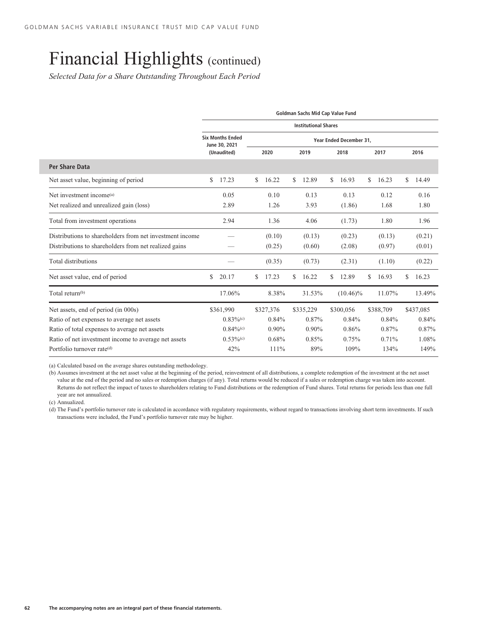*Selected Data for a Share Outstanding Throughout Each Period*

|                                                          | Goldman Sachs Mid Cap Value Fund         |             |                             |                         |             |              |  |  |  |  |  |  |  |
|----------------------------------------------------------|------------------------------------------|-------------|-----------------------------|-------------------------|-------------|--------------|--|--|--|--|--|--|--|
|                                                          |                                          |             | <b>Institutional Shares</b> |                         |             |              |  |  |  |  |  |  |  |
|                                                          | <b>Six Months Ended</b><br>June 30, 2021 |             |                             | Year Ended December 31, |             |              |  |  |  |  |  |  |  |
|                                                          | (Unaudited)                              | 2020        | 2019                        | 2018                    | 2017        | 2016         |  |  |  |  |  |  |  |
| <b>Per Share Data</b>                                    |                                          |             |                             |                         |             |              |  |  |  |  |  |  |  |
| Net asset value, beginning of period                     | \$<br>17.23                              | 16.22<br>\$ | 12.89<br>S.                 | \$<br>16.93             | S<br>16.23  | \$.<br>14.49 |  |  |  |  |  |  |  |
| Net investment income <sup>(a)</sup>                     | 0.05                                     | 0.10        | 0.13                        | 0.13                    | 0.12        | 0.16         |  |  |  |  |  |  |  |
| Net realized and unrealized gain (loss)                  | 2.89                                     | 1.26        | 3.93                        | (1.86)                  | 1.68        | 1.80         |  |  |  |  |  |  |  |
| Total from investment operations                         | 2.94                                     | 1.36        | 4.06                        | (1.73)                  | 1.80        | 1.96         |  |  |  |  |  |  |  |
| Distributions to shareholders from net investment income |                                          | (0.10)      | (0.13)                      | (0.23)                  | (0.13)      | (0.21)       |  |  |  |  |  |  |  |
| Distributions to shareholders from net realized gains    |                                          | (0.25)      | (0.60)                      | (2.08)                  | (0.97)      | (0.01)       |  |  |  |  |  |  |  |
| Total distributions                                      |                                          | (0.35)      | (0.73)                      | (2.31)                  | (1.10)      | (0.22)       |  |  |  |  |  |  |  |
| Net asset value, end of period                           | \$<br>20.17                              | 17.23<br>S  | 16.22<br>S                  | 12.89<br>S.             | \$<br>16.93 | S<br>16.23   |  |  |  |  |  |  |  |
| Total return <sup>(b)</sup>                              | 17.06%                                   | 8.38%       | 31.53%                      | $(10.46)\%$             | 11.07%      | 13.49%       |  |  |  |  |  |  |  |
| Net assets, end of period (in 000s)                      | \$361,990                                | \$327,376   | \$335,229                   | \$300,056               | \$388,709   | \$437,085    |  |  |  |  |  |  |  |
| Ratio of net expenses to average net assets              | $0.83\%$ <sup>(c)</sup>                  | 0.84%       | 0.87%                       | 0.84%                   | 0.84%       | 0.84%        |  |  |  |  |  |  |  |
| Ratio of total expenses to average net assets            | $0.84\%$ <sup>(c)</sup>                  | $0.90\%$    | $0.90\%$                    | 0.86%                   | 0.87%       | 0.87%        |  |  |  |  |  |  |  |
| Ratio of net investment income to average net assets     | $0.53\%$ <sup>(c)</sup>                  | 0.68%       | 0.85%                       | 0.75%                   | 0.71%       | 1.08%        |  |  |  |  |  |  |  |
| Portfolio turnover rate(d)                               | 42%                                      | 111%        | 89%                         | 109%                    | 134%        | 149%         |  |  |  |  |  |  |  |

(a) Calculated based on the average shares outstanding methodology.

(b) Assumes investment at the net asset value at the beginning of the period, reinvestment of all distributions, a complete redemption of the investment at the net asset value at the end of the period and no sales or redemption charges (if any). Total returns would be reduced if a sales or redemption charge was taken into account. Returns do not reflect the impact of taxes to shareholders relating to Fund distributions or the redemption of Fund shares. Total returns for periods less than one full year are not annualized.

(c) Annualized.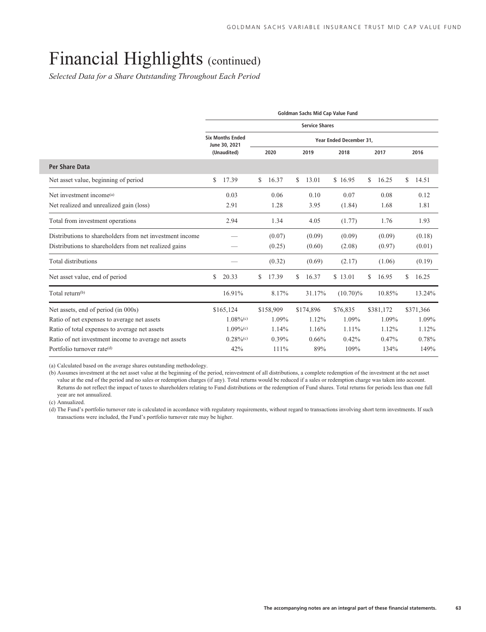*Selected Data for a Share Outstanding Throughout Each Period*

|                                                          | Goldman Sachs Mid Cap Value Fund |                                          |    |           |    |                       |                         |    |           |    |           |  |  |
|----------------------------------------------------------|----------------------------------|------------------------------------------|----|-----------|----|-----------------------|-------------------------|----|-----------|----|-----------|--|--|
|                                                          |                                  |                                          |    |           |    | <b>Service Shares</b> |                         |    |           |    |           |  |  |
|                                                          |                                  | <b>Six Months Ended</b><br>June 30, 2021 |    |           |    |                       | Year Ended December 31. |    |           |    |           |  |  |
|                                                          |                                  | (Unaudited)                              |    | 2020      |    | 2019                  | 2018                    |    | 2017      |    | 2016      |  |  |
| Per Share Data                                           |                                  |                                          |    |           |    |                       |                         |    |           |    |           |  |  |
| Net asset value, beginning of period                     | \$                               | 17.39                                    | S  | 16.37     | \$ | 13.01                 | \$16.95                 | \$ | 16.25     | \$ | 14.51     |  |  |
| Net investment income <sup>(a)</sup>                     |                                  | 0.03                                     |    | 0.06      |    | 0.10                  | 0.07                    |    | 0.08      |    | 0.12      |  |  |
| Net realized and unrealized gain (loss)                  |                                  | 2.91                                     |    | 1.28      |    | 3.95                  | (1.84)                  |    | 1.68      |    | 1.81      |  |  |
| Total from investment operations                         |                                  | 2.94                                     |    | 1.34      |    | 4.05                  | (1.77)                  |    | 1.76      |    | 1.93      |  |  |
| Distributions to shareholders from net investment income |                                  |                                          |    | (0.07)    |    | (0.09)                | (0.09)                  |    | (0.09)    |    | (0.18)    |  |  |
| Distributions to shareholders from net realized gains    |                                  |                                          |    | (0.25)    |    | (0.60)                | (2.08)                  |    | (0.97)    |    | (0.01)    |  |  |
| Total distributions                                      |                                  |                                          |    | (0.32)    |    | (0.69)                | (2.17)                  |    | (1.06)    |    | (0.19)    |  |  |
| Net asset value, end of period                           | \$                               | 20.33                                    | \$ | 17.39     | \$ | 16.37                 | \$13.01                 | \$ | 16.95     | S  | 16.25     |  |  |
| Total return <sup>(b)</sup>                              |                                  | 16.91%                                   |    | 8.17%     |    | 31.17%                | $(10.70)\%$             |    | 10.85%    |    | 13.24%    |  |  |
| Net assets, end of period (in 000s)                      |                                  | \$165,124                                |    | \$158,909 |    | \$174,896             | \$76,835                |    | \$381,172 |    | \$371,366 |  |  |
| Ratio of net expenses to average net assets              |                                  | $1.08\%$ <sup>(c)</sup>                  |    | 1.09%     |    | 1.12%                 | 1.09%                   |    | 1.09%     |    | 1.09%     |  |  |
| Ratio of total expenses to average net assets            |                                  | $1.09\%$ <sup>(c)</sup>                  |    | 1.14%     |    | 1.16%                 | 1.11%                   |    | 1.12%     |    | 1.12%     |  |  |
| Ratio of net investment income to average net assets     |                                  | $0.28\%$ <sup>(c)</sup>                  |    | $0.39\%$  |    | 0.66%                 | 0.42%                   |    | 0.47%     |    | 0.78%     |  |  |
| Portfolio turnover rate <sup>(d)</sup>                   |                                  | 42%                                      |    | 111%      |    | 89%                   | 109%                    |    | 134%      |    | 149%      |  |  |

(a) Calculated based on the average shares outstanding methodology.

(b) Assumes investment at the net asset value at the beginning of the period, reinvestment of all distributions, a complete redemption of the investment at the net asset value at the end of the period and no sales or redemption charges (if any). Total returns would be reduced if a sales or redemption charge was taken into account. Returns do not reflect the impact of taxes to shareholders relating to Fund distributions or the redemption of Fund shares. Total returns for periods less than one full year are not annualized.

(c) Annualized.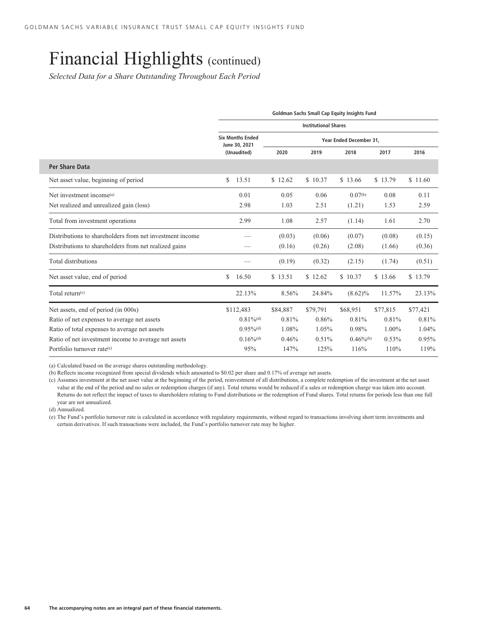*Selected Data for a Share Outstanding Throughout Each Period*

|                                                          | Goldman Sachs Small Cap Equity Insights Fund |          |                             |                         |          |          |  |  |  |  |  |  |  |
|----------------------------------------------------------|----------------------------------------------|----------|-----------------------------|-------------------------|----------|----------|--|--|--|--|--|--|--|
|                                                          |                                              |          | <b>Institutional Shares</b> |                         |          |          |  |  |  |  |  |  |  |
|                                                          | <b>Six Months Ended</b><br>June 30, 2021     |          |                             |                         |          |          |  |  |  |  |  |  |  |
|                                                          | (Unaudited)                                  | 2020     | 2019                        | 2018                    | 2017     | 2016     |  |  |  |  |  |  |  |
| Per Share Data                                           |                                              |          |                             |                         |          |          |  |  |  |  |  |  |  |
| Net asset value, beginning of period                     | 13.51<br>\$                                  | \$12.62  | \$10.37                     | \$13.66                 | \$13.79  | \$11.60  |  |  |  |  |  |  |  |
| Net investment income <sup>(a)</sup>                     | 0.01                                         | 0.05     | 0.06                        | $0.07^{(b)}$            | 0.08     | 0.11     |  |  |  |  |  |  |  |
| Net realized and unrealized gain (loss)                  | 2.98                                         | 1.03     | 2.51                        | (1.21)                  | 1.53     | 2.59     |  |  |  |  |  |  |  |
| Total from investment operations                         | 2.99                                         | 1.08     | 2.57                        | (1.14)                  | 1.61     | 2.70     |  |  |  |  |  |  |  |
| Distributions to shareholders from net investment income |                                              | (0.03)   | (0.06)                      | (0.07)                  | (0.08)   | (0.15)   |  |  |  |  |  |  |  |
| Distributions to shareholders from net realized gains    |                                              | (0.16)   | (0.26)                      | (2.08)                  | (1.66)   | (0.36)   |  |  |  |  |  |  |  |
| Total distributions                                      |                                              | (0.19)   | (0.32)                      | (2.15)                  | (1.74)   | (0.51)   |  |  |  |  |  |  |  |
| Net asset value, end of period                           | \$<br>16.50                                  | \$13.51  | \$12.62                     | \$10.37                 | \$13.66  | \$13.79  |  |  |  |  |  |  |  |
| Total return $(c)$                                       | 22.13%                                       | 8.56%    | 24.84%                      | $(8.62)\%$              | 11.57%   | 23.13%   |  |  |  |  |  |  |  |
| Net assets, end of period (in 000s)                      | \$112,483                                    | \$84,887 | \$79,791                    | \$68,951                | \$77,815 | \$77,421 |  |  |  |  |  |  |  |
| Ratio of net expenses to average net assets              | $0.81\%$ <sup>(d)</sup>                      | 0.81%    | 0.86%                       | 0.81%                   | 0.81%    | 0.81%    |  |  |  |  |  |  |  |
| Ratio of total expenses to average net assets            | $0.95\%$ <sup>(d)</sup>                      | 1.08%    | 1.05%                       | 0.98%                   | 1.00%    | 1.04%    |  |  |  |  |  |  |  |
| Ratio of net investment income to average net assets     | $0.16\%$ <sup>(d)</sup>                      | 0.46%    | 0.51%                       | $0.46\%$ <sup>(b)</sup> | 0.53%    | 0.95%    |  |  |  |  |  |  |  |
| Portfolio turnover rate <sup>(e)</sup>                   | 95%                                          | 147%     | 125%                        | 116%                    | 110%     | 119%     |  |  |  |  |  |  |  |

(a) Calculated based on the average shares outstanding methodology.

(b) Reflects income recognized from special dividends which amounted to \$0.02 per share and 0.17% of average net assets.

(c) Assumes investment at the net asset value at the beginning of the period, reinvestment of all distributions, a complete redemption of the investment at the net asset value at the end of the period and no sales or redemption charges (if any). Total returns would be reduced if a sales or redemption charge was taken into account. Returns do not reflect the impact of taxes to shareholders relating to Fund distributions or the redemption of Fund shares. Total returns for periods less than one full year are not annualized.

(d) Annualized.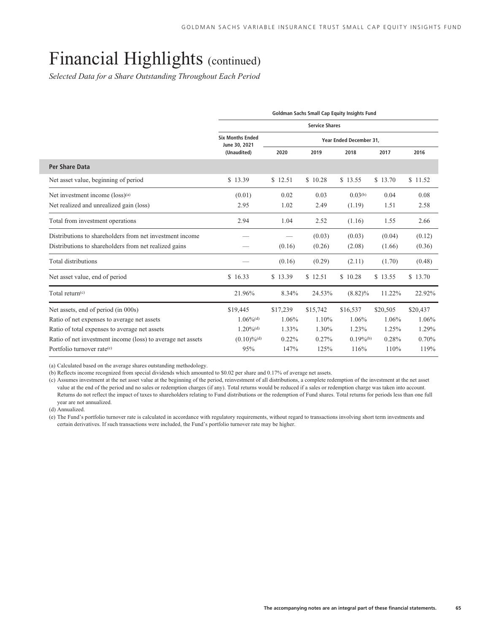*Selected Data for a Share Outstanding Throughout Each Period*

| Goldman Sachs Small Cap Equity Insights Fund                |                                          |          |                       |                         |          |          |  |  |  |  |
|-------------------------------------------------------------|------------------------------------------|----------|-----------------------|-------------------------|----------|----------|--|--|--|--|
|                                                             |                                          |          | <b>Service Shares</b> |                         |          |          |  |  |  |  |
|                                                             | <b>Six Months Ended</b><br>June 30, 2021 |          |                       | Year Ended December 31, |          |          |  |  |  |  |
|                                                             | (Unaudited)                              | 2020     | 2019                  | 2018                    | 2017     | 2016     |  |  |  |  |
| Per Share Data                                              |                                          |          |                       |                         |          |          |  |  |  |  |
| Net asset value, beginning of period                        | \$13.39                                  | \$12.51  | \$10.28               | \$13.55                 | \$13.70  | \$11.52  |  |  |  |  |
| Net investment income (loss) <sup>(a)</sup>                 | (0.01)                                   | 0.02     | 0.03                  | $0.03^{(b)}$            | 0.04     | 0.08     |  |  |  |  |
| Net realized and unrealized gain (loss)                     | 2.95                                     | 1.02     | 2.49                  | (1.19)                  | 1.51     | 2.58     |  |  |  |  |
| Total from investment operations                            | 2.94                                     | 1.04     | 2.52                  | (1.16)                  | 1.55     | 2.66     |  |  |  |  |
| Distributions to shareholders from net investment income    |                                          |          | (0.03)                | (0.03)                  | (0.04)   | (0.12)   |  |  |  |  |
| Distributions to shareholders from net realized gains       |                                          | (0.16)   | (0.26)                | (2.08)                  | (1.66)   | (0.36)   |  |  |  |  |
| Total distributions                                         |                                          | (0.16)   | (0.29)                | (2.11)                  | (1.70)   | (0.48)   |  |  |  |  |
| Net asset value, end of period                              | \$16.33                                  | \$13.39  | \$12.51               | \$10.28                 | \$13.55  | \$13.70  |  |  |  |  |
| Total return $(c)$                                          | 21.96%                                   | 8.34%    | 24.53%                | $(8.82)\%$              | 11.22%   | 22.92%   |  |  |  |  |
| Net assets, end of period (in 000s)                         | \$19,445                                 | \$17,239 | \$15,742              | \$16,537                | \$20,505 | \$20,437 |  |  |  |  |
| Ratio of net expenses to average net assets                 | $1.06\%$ <sup>(d)</sup>                  | 1.06%    | 1.10%                 | 1.06%                   | 1.06%    | 1.06%    |  |  |  |  |
| Ratio of total expenses to average net assets               | $1.20\%$ <sup>(d)</sup>                  | 1.33%    | 1.30%                 | 1.23%                   | 1.25%    | 1.29%    |  |  |  |  |
| Ratio of net investment income (loss) to average net assets | $(0.10) \%$ <sup>(d)</sup>               | 0.22%    | 0.27%                 | $0.19\%$ <sup>(b)</sup> | 0.28%    | 0.70%    |  |  |  |  |
| Portfolio turnover rate <sup>(e)</sup>                      | 95%                                      | 147%     | 125%                  | 116%                    | 110%     | 119%     |  |  |  |  |

(a) Calculated based on the average shares outstanding methodology.

(b) Reflects income recognized from special dividends which amounted to \$0.02 per share and 0.17% of average net assets.

(c) Assumes investment at the net asset value at the beginning of the period, reinvestment of all distributions, a complete redemption of the investment at the net asset value at the end of the period and no sales or redemption charges (if any). Total returns would be reduced if a sales or redemption charge was taken into account. Returns do not reflect the impact of taxes to shareholders relating to Fund distributions or the redemption of Fund shares. Total returns for periods less than one full year are not annualized.

(d) Annualized.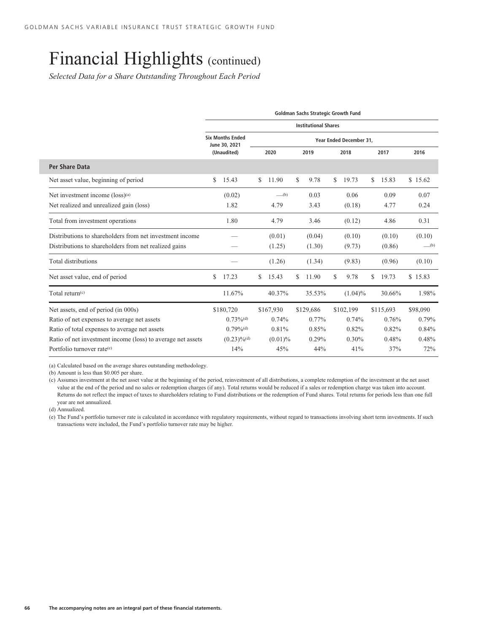*Selected Data for a Share Outstanding Throughout Each Period*

|                                                             | Goldman Sachs Strategic Growth Fund |                                          |    |                                |    |                             |    |                         |    |           |                                |  |  |
|-------------------------------------------------------------|-------------------------------------|------------------------------------------|----|--------------------------------|----|-----------------------------|----|-------------------------|----|-----------|--------------------------------|--|--|
|                                                             |                                     |                                          |    |                                |    | <b>Institutional Shares</b> |    |                         |    |           |                                |  |  |
|                                                             |                                     | <b>Six Months Ended</b><br>June 30, 2021 |    |                                |    |                             |    | Year Ended December 31, |    |           |                                |  |  |
|                                                             |                                     | (Unaudited)                              |    | 2020                           |    | 2019                        |    | 2018                    |    | 2017      | 2016                           |  |  |
| <b>Per Share Data</b>                                       |                                     |                                          |    |                                |    |                             |    |                         |    |           |                                |  |  |
| Net asset value, beginning of period                        | \$                                  | 15.43                                    | \$ | 11.90                          | \$ | 9.78                        | S. | 19.73                   | \$ | 15.83     | \$15.62                        |  |  |
| Net investment income (loss) <sup>(a)</sup>                 |                                     | (0.02)                                   |    | $\underline{\hspace{1cm}}$ (b) |    | 0.03                        |    | 0.06                    |    | 0.09      | 0.07                           |  |  |
| Net realized and unrealized gain (loss)                     |                                     | 1.82                                     |    | 4.79                           |    | 3.43                        |    | (0.18)                  |    | 4.77      | 0.24                           |  |  |
| Total from investment operations                            |                                     | 1.80                                     |    | 4.79                           |    | 3.46                        |    | (0.12)                  |    | 4.86      | 0.31                           |  |  |
| Distributions to shareholders from net investment income    |                                     |                                          |    | (0.01)                         |    | (0.04)                      |    | (0.10)                  |    | (0.10)    | (0.10)                         |  |  |
| Distributions to shareholders from net realized gains       |                                     |                                          |    | (1.25)                         |    | (1.30)                      |    | (9.73)                  |    | (0.86)    | $\underline{\hspace{1cm}}$ (b) |  |  |
| Total distributions                                         |                                     |                                          |    | (1.26)                         |    | (1.34)                      |    | (9.83)                  |    | (0.96)    | (0.10)                         |  |  |
| Net asset value, end of period                              | \$                                  | 17.23                                    | S  | 15.43                          | \$ | 11.90                       | \$ | 9.78                    | \$ | 19.73     | \$15.83                        |  |  |
| Total return $(c)$                                          |                                     | 11.67%                                   |    | 40.37%                         |    | 35.53%                      |    | $(1.04)\%$              |    | 30.66%    | 1.98%                          |  |  |
| Net assets, end of period (in 000s)                         |                                     | \$180,720                                |    | \$167,930                      |    | \$129,686                   |    | \$102,199               |    | \$115,693 | \$98,090                       |  |  |
| Ratio of net expenses to average net assets                 |                                     | $0.73\%$ <sup>(d)</sup>                  |    | 0.74%                          |    | 0.77%                       |    | 0.74%                   |    | 0.76%     | 0.79%                          |  |  |
| Ratio of total expenses to average net assets               |                                     | $0.79\%$ <sup>(d)</sup>                  |    | 0.81%                          |    | 0.85%                       |    | 0.82%                   |    | 0.82%     | 0.84%                          |  |  |
| Ratio of net investment income (loss) to average net assets |                                     | $(0.23)\%$ <sup>(d)</sup>                |    | $(0.01)\%$                     |    | $0.29\%$                    |    | $0.30\%$                |    | 0.48%     | 0.48%                          |  |  |
| Portfolio turnover rate <sup>(e)</sup>                      |                                     | 14%                                      |    | 45%                            |    | 44%                         |    | 41%                     |    | 37%       | 72%                            |  |  |

(a) Calculated based on the average shares outstanding methodology.

(b) Amount is less than \$0.005 per share.

(c) Assumes investment at the net asset value at the beginning of the period, reinvestment of all distributions, a complete redemption of the investment at the net asset value at the end of the period and no sales or redemption charges (if any). Total returns would be reduced if a sales or redemption charge was taken into account. Returns do not reflect the impact of taxes to shareholders relating to Fund distributions or the redemption of Fund shares. Total returns for periods less than one full year are not annualized.

(d) Annualized.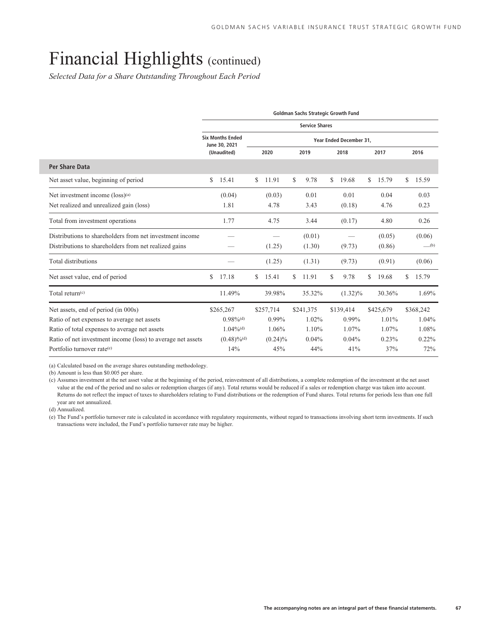*Selected Data for a Share Outstanding Throughout Each Period*

|                                                             |                                          |             |    | Goldman Sachs Strategic Growth Fund |                         |    |           |    |           |
|-------------------------------------------------------------|------------------------------------------|-------------|----|-------------------------------------|-------------------------|----|-----------|----|-----------|
|                                                             |                                          |             |    | <b>Service Shares</b>               |                         |    |           |    |           |
|                                                             | <b>Six Months Ended</b><br>June 30, 2021 |             |    |                                     | Year Ended December 31, |    |           |    |           |
|                                                             | (Unaudited)                              | 2020        |    | 2019                                | 2018                    |    | 2017      |    | 2016      |
| Per Share Data                                              |                                          |             |    |                                     |                         |    |           |    |           |
| Net asset value, beginning of period                        | \$<br>15.41                              | \$<br>11.91 | \$ | 9.78                                | \$<br>19.68             | \$ | 15.79     | \$ | 15.59     |
| Net investment income (loss) <sup>(a)</sup>                 | (0.04)                                   | (0.03)      |    | 0.01                                | 0.01                    |    | 0.04      |    | 0.03      |
| Net realized and unrealized gain (loss)                     | 1.81                                     | 4.78        |    | 3.43                                | (0.18)                  |    | 4.76      |    | 0.23      |
| Total from investment operations                            | 1.77                                     | 4.75        |    | 3.44                                | (0.17)                  |    | 4.80      |    | 0.26      |
| Distributions to shareholders from net investment income    |                                          |             |    | (0.01)                              |                         |    | (0.05)    |    | (0.06)    |
| Distributions to shareholders from net realized gains       |                                          | (1.25)      |    | (1.30)                              | (9.73)                  |    | (0.86)    |    | (b)       |
| Total distributions                                         |                                          | (1.25)      |    | (1.31)                              | (9.73)                  |    | (0.91)    |    | (0.06)    |
| Net asset value, end of period                              | \$<br>17.18                              | \$<br>15.41 | S. | 11.91                               | \$<br>9.78              | S  | 19.68     | S. | 15.79     |
| Total return $(c)$                                          | 11.49%                                   | 39.98%      |    | 35.32%                              | $(1.32)\%$              |    | 30.36%    |    | 1.69%     |
| Net assets, end of period (in 000s)                         | \$265,267                                | \$257,714   |    | \$241,375                           | \$139,414               |    | \$425,679 |    | \$368,242 |
| Ratio of net expenses to average net assets                 | $0.98\%$ <sup>(d)</sup>                  | 0.99%       |    | 1.02%                               | $0.99\%$                |    | 1.01%     |    | 1.04%     |
| Ratio of total expenses to average net assets               | $1.04\%$ <sup>(d)</sup>                  | 1.06%       |    | 1.10%                               | 1.07%                   |    | 1.07%     |    | 1.08%     |
| Ratio of net investment income (loss) to average net assets | $(0.48) \%$ <sup>(d)</sup>               | $(0.24)\%$  |    | 0.04%                               | 0.04%                   |    | 0.23%     |    | $0.22\%$  |
| Portfolio turnover rate <sup>(e)</sup>                      | 14%                                      | 45%         |    | 44%                                 | 41%                     |    | 37%       |    | 72%       |

(a) Calculated based on the average shares outstanding methodology.

(b) Amount is less than \$0.005 per share.

(c) Assumes investment at the net asset value at the beginning of the period, reinvestment of all distributions, a complete redemption of the investment at the net asset value at the end of the period and no sales or redemption charges (if any). Total returns would be reduced if a sales or redemption charge was taken into account. Returns do not reflect the impact of taxes to shareholders relating to Fund distributions or the redemption of Fund shares. Total returns for periods less than one full year are not annualized.

(d) Annualized.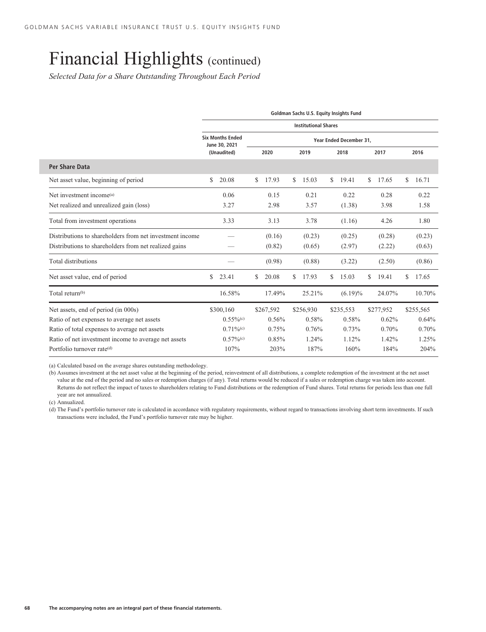*Selected Data for a Share Outstanding Throughout Each Period*

|                                                          | Goldman Sachs U.S. Equity Insights Fund |                                          |    |           |    |                             |    |                         |    |           |    |           |  |
|----------------------------------------------------------|-----------------------------------------|------------------------------------------|----|-----------|----|-----------------------------|----|-------------------------|----|-----------|----|-----------|--|
|                                                          |                                         |                                          |    |           |    | <b>Institutional Shares</b> |    |                         |    |           |    |           |  |
|                                                          |                                         | <b>Six Months Ended</b><br>June 30, 2021 |    |           |    |                             |    | Year Ended December 31, |    |           |    |           |  |
|                                                          |                                         | (Unaudited)                              |    | 2020      |    | 2019                        |    | 2018                    |    | 2017      |    | 2016      |  |
| Per Share Data                                           |                                         |                                          |    |           |    |                             |    |                         |    |           |    |           |  |
| Net asset value, beginning of period                     | \$                                      | 20.08                                    | \$ | 17.93     | S. | 15.03                       | \$ | 19.41                   | \$ | 17.65     | \$ | 16.71     |  |
| Net investment income <sup>(a)</sup>                     |                                         | 0.06                                     |    | 0.15      |    | 0.21                        |    | 0.22                    |    | 0.28      |    | 0.22      |  |
| Net realized and unrealized gain (loss)                  |                                         | 3.27                                     |    | 2.98      |    | 3.57                        |    | (1.38)                  |    | 3.98      |    | 1.58      |  |
| Total from investment operations                         |                                         | 3.33                                     |    | 3.13      |    | 3.78                        |    | (1.16)                  |    | 4.26      |    | 1.80      |  |
| Distributions to shareholders from net investment income |                                         |                                          |    | (0.16)    |    | (0.23)                      |    | (0.25)                  |    | (0.28)    |    | (0.23)    |  |
| Distributions to shareholders from net realized gains    |                                         |                                          |    | (0.82)    |    | (0.65)                      |    | (2.97)                  |    | (2.22)    |    | (0.63)    |  |
| Total distributions                                      |                                         |                                          |    | (0.98)    |    | (0.88)                      |    | (3.22)                  |    | (2.50)    |    | (0.86)    |  |
| Net asset value, end of period                           | \$                                      | 23.41                                    | \$ | 20.08     | S. | 17.93                       | S  | 15.03                   | \$ | 19.41     | S  | 17.65     |  |
| Total return <sup>(b)</sup>                              |                                         | 16.58%                                   |    | 17.49%    |    | 25.21%                      |    | $(6.19)\%$              |    | 24.07%    |    | 10.70%    |  |
| Net assets, end of period (in 000s)                      |                                         | \$300,160                                |    | \$267,592 |    | \$256,930                   |    | \$235,553               |    | \$277,952 |    | \$255,565 |  |
| Ratio of net expenses to average net assets              |                                         | $0.55\%$ <sup>(c)</sup>                  |    | 0.56%     |    | 0.58%                       |    | 0.58%                   |    | 0.62%     |    | 0.64%     |  |
| Ratio of total expenses to average net assets            |                                         | $0.71\%$ <sup>(c)</sup>                  |    | 0.75%     |    | 0.76%                       |    | 0.73%                   |    | 0.70%     |    | 0.70%     |  |
| Ratio of net investment income to average net assets     |                                         | $0.57\%$ <sup>(c)</sup>                  |    | 0.85%     |    | 1.24%                       |    | 1.12%                   |    | 1.42%     |    | 1.25%     |  |
| Portfolio turnover rate <sup>(d)</sup>                   |                                         | 107%                                     |    | 203%      |    | 187%                        |    | 160%                    |    | 184%      |    | 204%      |  |

(a) Calculated based on the average shares outstanding methodology.

(b) Assumes investment at the net asset value at the beginning of the period, reinvestment of all distributions, a complete redemption of the investment at the net asset value at the end of the period and no sales or redemption charges (if any). Total returns would be reduced if a sales or redemption charge was taken into account. Returns do not reflect the impact of taxes to shareholders relating to Fund distributions or the redemption of Fund shares. Total returns for periods less than one full year are not annualized.

(c) Annualized.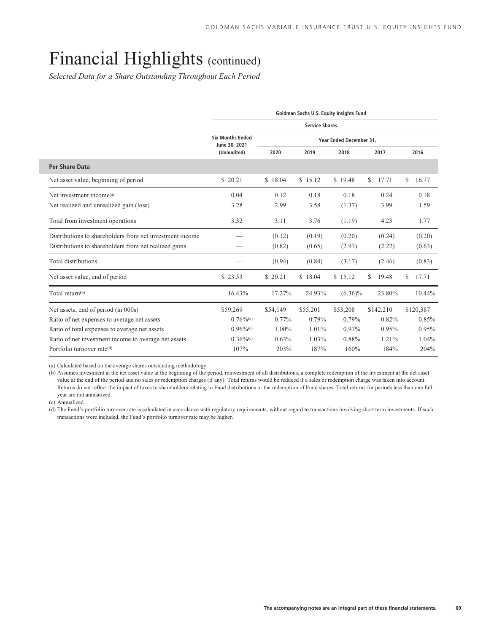*Selected Data for a Share Outstanding Throughout Each Period*

|                                                          | Goldman Sachs U.S. Equity Insights Fund  |          |                       |                         |             |    |           |  |  |  |  |  |
|----------------------------------------------------------|------------------------------------------|----------|-----------------------|-------------------------|-------------|----|-----------|--|--|--|--|--|
|                                                          |                                          |          | <b>Service Shares</b> |                         |             |    |           |  |  |  |  |  |
|                                                          | <b>Six Months Ended</b><br>June 30, 2021 |          |                       | Year Ended December 31, |             |    |           |  |  |  |  |  |
|                                                          | (Unaudited)                              | 2020     | 2019                  | 2018                    | 2017        |    | 2016      |  |  |  |  |  |
| <b>Per Share Data</b>                                    |                                          |          |                       |                         |             |    |           |  |  |  |  |  |
| Net asset value, beginning of period                     | \$20.21                                  | \$18.04  | \$15.12               | \$19.48                 | 17.71<br>\$ | \$ | 16.77     |  |  |  |  |  |
| Net investment income <sup>(a)</sup>                     | 0.04                                     | 0.12     | 0.18                  | 0.18                    | 0.24        |    | 0.18      |  |  |  |  |  |
| Net realized and unrealized gain (loss)                  | 3.28                                     | 2.99     | 3.58                  | (1.37)                  | 3.99        |    | 1.59      |  |  |  |  |  |
| Total from investment operations                         | 3.32                                     | 3.11     | 3.76                  | (1.19)                  | 4.23        |    | 1.77      |  |  |  |  |  |
| Distributions to shareholders from net investment income |                                          | (0.12)   | (0.19)                | (0.20)                  | (0.24)      |    | (0.20)    |  |  |  |  |  |
| Distributions to shareholders from net realized gains    |                                          | (0.82)   | (0.65)                | (2.97)                  | (2.22)      |    | (0.63)    |  |  |  |  |  |
| Total distributions                                      |                                          | (0.94)   | (0.84)                | (3.17)                  | (2.46)      |    | (0.83)    |  |  |  |  |  |
| Net asset value, end of period                           | \$23.53                                  | \$ 20.21 | \$18.04               | \$15.12                 | 19.48<br>\$ | \$ | 17.71     |  |  |  |  |  |
| Total return <sup>(b)</sup>                              | 16.43%                                   | 17.27%   | 24.93%                | $(6.36)\%$              | 23.80%      |    | 10.44%    |  |  |  |  |  |
| Net assets, end of period (in 000s)                      | \$59,269                                 | \$54,149 | \$55,201              | \$53,208                | \$142,210   |    | \$120,387 |  |  |  |  |  |
| Ratio of net expenses to average net assets              | $0.76\%$ <sup>(c)</sup>                  | $0.77\%$ | 0.79%                 | 0.79%                   | 0.82%       |    | 0.85%     |  |  |  |  |  |
| Ratio of total expenses to average net assets            | $0.96\%$ <sup>(c)</sup>                  | 1.00%    | 1.01%                 | 0.97%                   | 0.95%       |    | 0.95%     |  |  |  |  |  |
| Ratio of net investment income to average net assets     | $0.36\%$ <sup>(c)</sup>                  | 0.63%    | 1.03%                 | 0.88%                   | 1.21%       |    | 1.04%     |  |  |  |  |  |
| Portfolio turnover rate <sup>(d)</sup>                   | 107%                                     | 203%     | 187%                  | 160%                    | 184%        |    | 204%      |  |  |  |  |  |

(a) Calculated based on the average shares outstanding methodology.

(b) Assumes investment at the net asset value at the beginning of the period, reinvestment of all distributions, a complete redemption of the investment at the net asset value at the end of the period and no sales or redemption charges (if any). Total returns would be reduced if a sales or redemption charge was taken into account. Returns do not reflect the impact of taxes to shareholders relating to Fund distributions or the redemption of Fund shares. Total returns for periods less than one full year are not annualized.

(c) Annualized.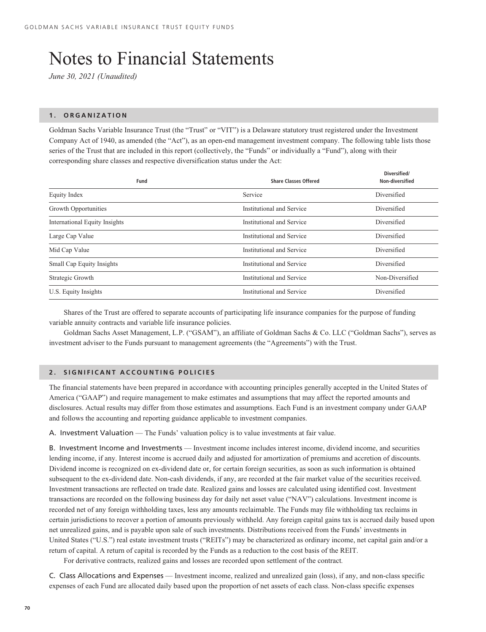### Notes to Financial Statements

*June 30, 2021 (Unaudited)*

#### **1. ORGANIZATION**

Goldman Sachs Variable Insurance Trust (the "Trust" or "VIT") is a Delaware statutory trust registered under the Investment Company Act of 1940, as amended (the "Act"), as an open-end management investment company. The following table lists those series of the Trust that are included in this report (collectively, the "Funds" or individually a "Fund"), along with their corresponding share classes and respective diversification status under the Act:

**Diversified/**

| Service<br>Diversified<br>Equity Index<br>Growth Opportunities<br>Institutional and Service<br>Diversified<br>Institutional and Service<br><b>International Equity Insights</b><br>Diversified<br>Large Cap Value<br>Institutional and Service<br>Diversified<br>Mid Cap Value<br>Institutional and Service<br>Diversified<br>Small Cap Equity Insights<br>Institutional and Service<br>Diversified<br>Institutional and Service<br>Non-Diversified<br>Strategic Growth<br>Institutional and Service<br>U.S. Equity Insights<br>Diversified | Fund | <b>Share Classes Offered</b> | Diversified/<br>Non-diversified |
|---------------------------------------------------------------------------------------------------------------------------------------------------------------------------------------------------------------------------------------------------------------------------------------------------------------------------------------------------------------------------------------------------------------------------------------------------------------------------------------------------------------------------------------------|------|------------------------------|---------------------------------|
|                                                                                                                                                                                                                                                                                                                                                                                                                                                                                                                                             |      |                              |                                 |
|                                                                                                                                                                                                                                                                                                                                                                                                                                                                                                                                             |      |                              |                                 |
|                                                                                                                                                                                                                                                                                                                                                                                                                                                                                                                                             |      |                              |                                 |
|                                                                                                                                                                                                                                                                                                                                                                                                                                                                                                                                             |      |                              |                                 |
|                                                                                                                                                                                                                                                                                                                                                                                                                                                                                                                                             |      |                              |                                 |
|                                                                                                                                                                                                                                                                                                                                                                                                                                                                                                                                             |      |                              |                                 |
|                                                                                                                                                                                                                                                                                                                                                                                                                                                                                                                                             |      |                              |                                 |
|                                                                                                                                                                                                                                                                                                                                                                                                                                                                                                                                             |      |                              |                                 |

Shares of the Trust are offered to separate accounts of participating life insurance companies for the purpose of funding variable annuity contracts and variable life insurance policies.

Goldman Sachs Asset Management, L.P. ("GSAM"), an affiliate of Goldman Sachs & Co. LLC ("Goldman Sachs"), serves as investment adviser to the Funds pursuant to management agreements (the "Agreements") with the Trust.

#### **2. SIGNIFICANT ACCOUNTING POLICIES**

The financial statements have been prepared in accordance with accounting principles generally accepted in the United States of America ("GAAP") and require management to make estimates and assumptions that may affect the reported amounts and disclosures. Actual results may differ from those estimates and assumptions. Each Fund is an investment company under GAAP and follows the accounting and reporting guidance applicable to investment companies.

A. Investment Valuation — The Funds' valuation policy is to value investments at fair value.

B. Investment Income and Investments — Investment income includes interest income, dividend income, and securities lending income, if any. Interest income is accrued daily and adjusted for amortization of premiums and accretion of discounts. Dividend income is recognized on ex-dividend date or, for certain foreign securities, as soon as such information is obtained subsequent to the ex-dividend date. Non-cash dividends, if any, are recorded at the fair market value of the securities received. Investment transactions are reflected on trade date. Realized gains and losses are calculated using identified cost. Investment transactions are recorded on the following business day for daily net asset value ("NAV") calculations. Investment income is recorded net of any foreign withholding taxes, less any amounts reclaimable. The Funds may file withholding tax reclaims in certain jurisdictions to recover a portion of amounts previously withheld. Any foreign capital gains tax is accrued daily based upon net unrealized gains, and is payable upon sale of such investments. Distributions received from the Funds' investments in United States ("U.S.") real estate investment trusts ("REITs") may be characterized as ordinary income, net capital gain and/or a return of capital. A return of capital is recorded by the Funds as a reduction to the cost basis of the REIT.

For derivative contracts, realized gains and losses are recorded upon settlement of the contract*.*

C. Class Allocations and Expenses — Investment income, realized and unrealized gain (loss), if any, and non-class specific expenses of each Fund are allocated daily based upon the proportion of net assets of each class. Non-class specific expenses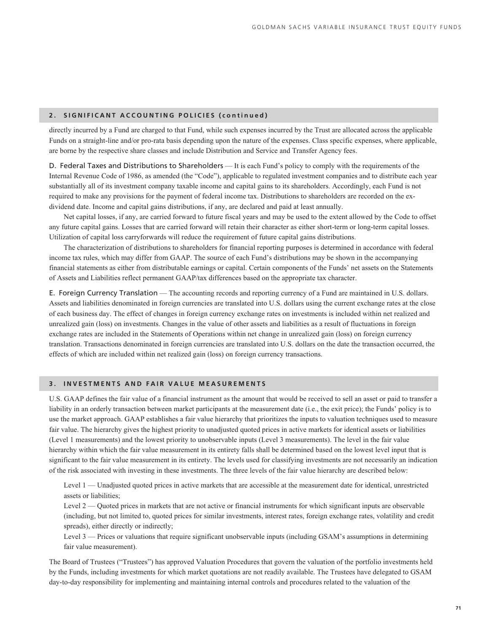# **2. SIGNIFICANT ACCOUNTING POLICIES (continued)**

directly incurred by a Fund are charged to that Fund, while such expenses incurred by the Trust are allocated across the applicable Funds on a straight-line and/or pro-rata basis depending upon the nature of the expenses. Class specific expenses, where applicable, are borne by the respective share classes and include Distribution and Service and Transfer Agency fees.

D. Federal Taxes and Distributions to Shareholders — It is each Fund's policy to comply with the requirements of the Internal Revenue Code of 1986, as amended (the "Code"), applicable to regulated investment companies and to distribute each year substantially all of its investment company taxable income and capital gains to its shareholders. Accordingly, each Fund is not required to make any provisions for the payment of federal income tax. Distributions to shareholders are recorded on the exdividend date. Income and capital gains distributions, if any, are declared and paid at least annually.

Net capital losses, if any, are carried forward to future fiscal years and may be used to the extent allowed by the Code to offset any future capital gains. Losses that are carried forward will retain their character as either short-term or long-term capital losses. Utilization of capital loss carryforwards will reduce the requirement of future capital gains distributions.

The characterization of distributions to shareholders for financial reporting purposes is determined in accordance with federal income tax rules, which may differ from GAAP. The source of each Fund's distributions may be shown in the accompanying financial statements as either from distributable earnings or capital. Certain components of the Funds' net assets on the Statements of Assets and Liabilities reflect permanent GAAP/tax differences based on the appropriate tax character.

E. Foreign Currency Translation — The accounting records and reporting currency of a Fund are maintained in U.S. dollars. Assets and liabilities denominated in foreign currencies are translated into U.S. dollars using the current exchange rates at the close of each business day. The effect of changes in foreign currency exchange rates on investments is included within net realized and unrealized gain (loss) on investments. Changes in the value of other assets and liabilities as a result of fluctuations in foreign exchange rates are included in the Statements of Operations within net change in unrealized gain (loss) on foreign currency translation. Transactions denominated in foreign currencies are translated into U.S. dollars on the date the transaction occurred, the effects of which are included within net realized gain (loss) on foreign currency transactions.

# **3. INVESTMENTS AND FAIR VALUE MEASUREMENTS**

U.S. GAAP defines the fair value of a financial instrument as the amount that would be received to sell an asset or paid to transfer a liability in an orderly transaction between market participants at the measurement date (i.e., the exit price); the Funds' policy is to use the market approach. GAAP establishes a fair value hierarchy that prioritizes the inputs to valuation techniques used to measure fair value. The hierarchy gives the highest priority to unadjusted quoted prices in active markets for identical assets or liabilities (Level 1 measurements) and the lowest priority to unobservable inputs (Level 3 measurements). The level in the fair value hierarchy within which the fair value measurement in its entirety falls shall be determined based on the lowest level input that is significant to the fair value measurement in its entirety. The levels used for classifying investments are not necessarily an indication of the risk associated with investing in these investments. The three levels of the fair value hierarchy are described below:

Level 1 — Unadjusted quoted prices in active markets that are accessible at the measurement date for identical, unrestricted assets or liabilities;

Level 2 — Quoted prices in markets that are not active or financial instruments for which significant inputs are observable (including, but not limited to, quoted prices for similar investments, interest rates, foreign exchange rates, volatility and credit spreads), either directly or indirectly;

Level 3 — Prices or valuations that require significant unobservable inputs (including GSAM's assumptions in determining fair value measurement).

The Board of Trustees ("Trustees") has approved Valuation Procedures that govern the valuation of the portfolio investments held by the Funds, including investments for which market quotations are not readily available. The Trustees have delegated to GSAM day-to-day responsibility for implementing and maintaining internal controls and procedures related to the valuation of the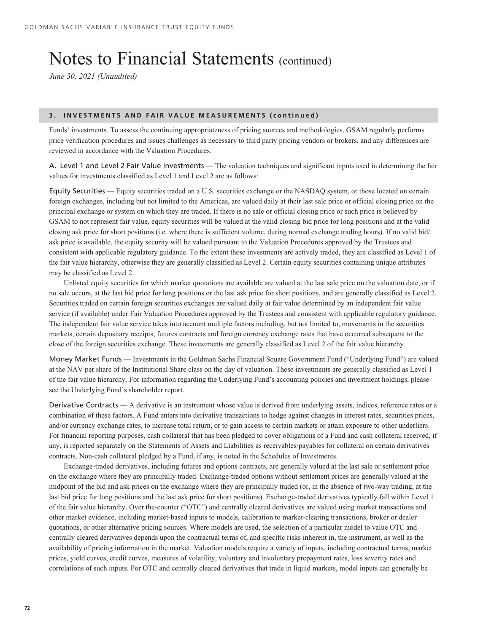*June 30, 2021 (Unaudited)*

# **3. INVESTMENTS AND FAIR VALUE MEASUREMENTS (continued)**

Funds' investments. To assess the continuing appropriateness of pricing sources and methodologies, GSAM regularly performs price verification procedures and issues challenges as necessary to third party pricing vendors or brokers, and any differences are reviewed in accordance with the Valuation Procedures.

A. Level 1 and Level 2 Fair Value Investments — The valuation techniques and significant inputs used in determining the fair values for investments classified as Level 1 and Level 2 are as follows:

Equity Securities — Equity securities traded on a U.S. securities exchange or the NASDAQ system, or those located on certain foreign exchanges, including but not limited to the Americas, are valued daily at their last sale price or official closing price on the principal exchange or system on which they are traded. If there is no sale or official closing price or such price is believed by GSAM to not represent fair value, equity securities will be valued at the valid closing bid price for long positions and at the valid closing ask price for short positions (i.e. where there is sufficient volume, during normal exchange trading hours). If no valid bid/ ask price is available, the equity security will be valued pursuant to the Valuation Procedures approved by the Trustees and consistent with applicable regulatory guidance. To the extent these investments are actively traded, they are classified as Level 1 of the fair value hierarchy, otherwise they are generally classified as Level 2. Certain equity securities containing unique attributes may be classified as Level 2.

Unlisted equity securities for which market quotations are available are valued at the last sale price on the valuation date, or if no sale occurs, at the last bid price for long positions or the last ask price for short positions, and are generally classified as Level 2. Securities traded on certain foreign securities exchanges are valued daily at fair value determined by an independent fair value service (if available) under Fair Valuation Procedures approved by the Trustees and consistent with applicable regulatory guidance. The independent fair value service takes into account multiple factors including, but not limited to, movements in the securities markets, certain depositary receipts, futures contracts and foreign currency exchange rates that have occurred subsequent to the close of the foreign securities exchange. These investments are generally classified as Level 2 of the fair value hierarchy.

Money Market Funds — Investments in the Goldman Sachs Financial Square Government Fund ("Underlying Fund") are valued at the NAV per share of the Institutional Share class on the day of valuation. These investments are generally classified as Level 1 of the fair value hierarchy. For information regarding the Underlying Fund's accounting policies and investment holdings, please see the Underlying Fund's shareholder report.

Derivative Contracts — A derivative is an instrument whose value is derived from underlying assets, indices, reference rates or a combination of these factors. A Fund enters into derivative transactions to hedge against changes in interest rates, securities prices, and/or currency exchange rates, to increase total return, or to gain access to certain markets or attain exposure to other underliers. For financial reporting purposes, cash collateral that has been pledged to cover obligations of a Fund and cash collateral received, if any, is reported separately on the Statements of Assets and Liabilities as receivables/payables for collateral on certain derivatives contracts. Non-cash collateral pledged by a Fund, if any, is noted in the Schedules of Investments.

Exchange-traded derivatives, including futures and options contracts, are generally valued at the last sale or settlement price on the exchange where they are principally traded. Exchange-traded options without settlement prices are generally valued at the midpoint of the bid and ask prices on the exchange where they are principally traded (or, in the absence of two-way trading, at the last bid price for long positions and the last ask price for short positions). Exchange-traded derivatives typically fall within Level 1 of the fair value hierarchy. Over the-counter ("OTC") and centrally cleared derivatives are valued using market transactions and other market evidence, including market-based inputs to models, calibration to market-clearing transactions, broker or dealer quotations, or other alternative pricing sources. Where models are used, the selection of a particular model to value OTC and centrally cleared derivatives depends upon the contractual terms of, and specific risks inherent in, the instrument, as well as the availability of pricing information in the market. Valuation models require a variety of inputs, including contractual terms, market prices, yield curves, credit curves, measures of volatility, voluntary and involuntary prepayment rates, loss severity rates and correlations of such inputs. For OTC and centrally cleared derivatives that trade in liquid markets, model inputs can generally be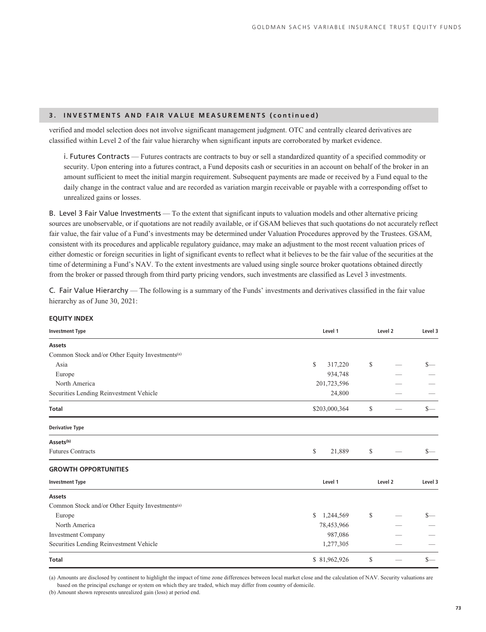# **3. INVESTMENTS AND FAIR VALUE MEASUREMENTS (continued)**

verified and model selection does not involve significant management judgment. OTC and centrally cleared derivatives are classified within Level 2 of the fair value hierarchy when significant inputs are corroborated by market evidence.

i. Futures Contracts — Futures contracts are contracts to buy or sell a standardized quantity of a specified commodity or security. Upon entering into a futures contract, a Fund deposits cash or securities in an account on behalf of the broker in an amount sufficient to meet the initial margin requirement. Subsequent payments are made or received by a Fund equal to the daily change in the contract value and are recorded as variation margin receivable or payable with a corresponding offset to unrealized gains or losses.

B. Level 3 Fair Value Investments — To the extent that significant inputs to valuation models and other alternative pricing sources are unobservable, or if quotations are not readily available, or if GSAM believes that such quotations do not accurately reflect fair value, the fair value of a Fund's investments may be determined under Valuation Procedures approved by the Trustees. GSAM, consistent with its procedures and applicable regulatory guidance, may make an adjustment to the most recent valuation prices of either domestic or foreign securities in light of significant events to reflect what it believes to be the fair value of the securities at the time of determining a Fund's NAV. To the extent investments are valued using single source broker quotations obtained directly from the broker or passed through from third party pricing vendors, such investments are classified as Level 3 investments.

C. Fair Value Hierarchy — The following is a summary of the Funds' investments and derivatives classified in the fair value hierarchy as of June 30, 2021:

| <b>EQUITY INDEX</b> |  |
|---------------------|--|
|---------------------|--|

| <b>Investment Type</b>                                      | Level 1         | Level 2 |         | Level 3 |
|-------------------------------------------------------------|-----------------|---------|---------|---------|
| <b>Assets</b>                                               |                 |         |         |         |
| Common Stock and/or Other Equity Investments <sup>(a)</sup> |                 |         |         |         |
| Asia                                                        | \$<br>317,220   | \$      |         | $S-$    |
| Europe                                                      | 934,748         |         |         |         |
| North America                                               | 201,723,596     |         |         |         |
| Securities Lending Reinvestment Vehicle                     | 24,800          |         |         |         |
| <b>Total</b>                                                | \$203,000,364   | \$      |         | $S-$    |
| <b>Derivative Type</b>                                      |                 |         |         |         |
| Assets <sup>(b)</sup>                                       |                 |         |         |         |
| <b>Futures Contracts</b>                                    | \$<br>21,889    | \$      |         | $S-$    |
| <b>GROWTH OPPORTUNITIES</b>                                 |                 |         |         |         |
| <b>Investment Type</b>                                      | Level 1         |         | Level 2 | Level 3 |
| Assets                                                      |                 |         |         |         |
| Common Stock and/or Other Equity Investments <sup>(a)</sup> |                 |         |         |         |
| Europe                                                      | 1,244,569<br>\$ | \$      |         | $S-$    |
| North America                                               | 78,453,966      |         |         |         |
| <b>Investment Company</b>                                   | 987,086         |         |         |         |
| Securities Lending Reinvestment Vehicle                     | 1,277,305       |         |         |         |
| <b>Total</b>                                                | \$81,962,926    | \$      |         | $S-$    |

(a) Amounts are disclosed by continent to highlight the impact of time zone differences between local market close and the calculation of NAV. Security valuations are based on the principal exchange or system on which they are traded, which may differ from country of domicile.

(b) Amount shown represents unrealized gain (loss) at period end.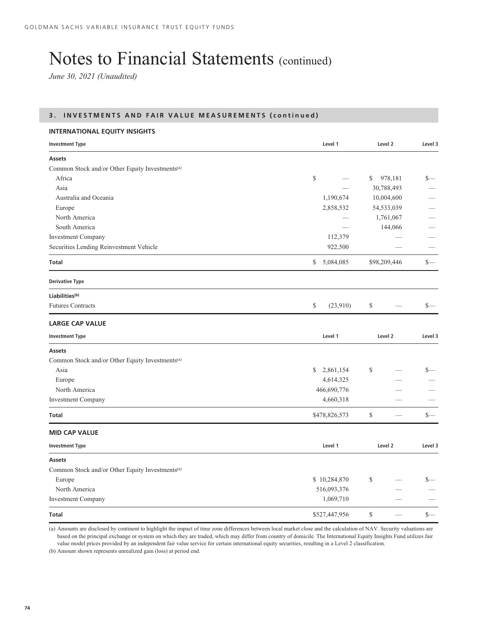*June 30, 2021 (Unaudited)*

# **3. INVESTMENTS AND FAIR VALUE MEASUREMENTS (continued)**

| <b>INTERNATIONAL EQUITY INSIGHTS</b>                        |                 |         |              |         |
|-------------------------------------------------------------|-----------------|---------|--------------|---------|
| <b>Investment Type</b>                                      | Level 1         | Level 2 |              | Level 3 |
| <b>Assets</b>                                               |                 |         |              |         |
| Common Stock and/or Other Equity Investments <sup>(a)</sup> |                 |         |              |         |
| Africa                                                      | \$              | \$      | 978,181      | $s-$    |
| Asia                                                        |                 |         | 30,788,493   |         |
| Australia and Oceania                                       | 1,190,674       |         | 10,004,600   |         |
| Europe                                                      | 2,858,532       |         | 54,533,039   |         |
| North America                                               |                 |         | 1,761,067    |         |
| South America                                               |                 |         | 144,066      |         |
| <b>Investment Company</b>                                   | 112,379         |         |              |         |
| Securities Lending Reinvestment Vehicle                     | 922,500         |         |              |         |
| Total                                                       | \$5,084,085     |         | \$98,209,446 | $s-$    |
| <b>Derivative Type</b>                                      |                 |         |              |         |
| Liabilities <sup>(b)</sup>                                  |                 |         |              |         |
| <b>Futures Contracts</b>                                    | \$<br>(23,910)  | \$      |              | $s-$    |
| <b>LARGE CAP VALUE</b>                                      |                 |         |              |         |
| <b>Investment Type</b>                                      | Level 1         | Level 2 |              | Level 3 |
| <b>Assets</b>                                               |                 |         |              |         |
| Common Stock and/or Other Equity Investments <sup>(a)</sup> |                 |         |              |         |
| Asia                                                        | 2,861,154<br>\$ | \$      |              | \$—     |
| Europe                                                      | 4,614,325       |         |              |         |
| North America                                               | 466,690,776     |         |              |         |
| <b>Investment Company</b>                                   | 4,660,318       |         |              |         |
| Total                                                       | \$478,826,573   | \$      |              | $s-$    |
| <b>MID CAP VALUE</b>                                        |                 |         |              |         |
| <b>Investment Type</b>                                      | Level 1         |         | Level 2      | Level 3 |
| Assets                                                      |                 |         |              |         |
| Common Stock and/or Other Equity Investments <sup>(a)</sup> |                 |         |              |         |
| Europe                                                      | \$10,284,870    | \$      |              | $s-$    |
| North America                                               | 516,093,376     |         |              |         |
| <b>Investment Company</b>                                   | 1,069,710       |         |              |         |
| Total                                                       | \$527,447,956   | \$      |              | $s-$    |

(a) Amounts are disclosed by continent to highlight the impact of time zone differences between local market close and the calculation of NAV. Security valuations are based on the principal exchange or system on which they are traded, which may differ from country of domicile. The International Equity Insights Fund utilizes fair value model prices provided by an independent fair value service for certain international equity securities, resulting in a Level 2 classification.

(b) Amount shown represents unrealized gain (loss) at period end.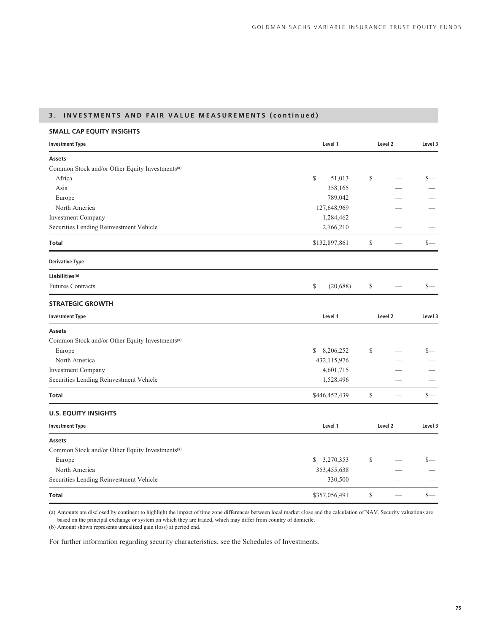# **3. INVESTMENTS AND FAIR VALUE MEASUREMENTS (continued)**

# **SMALL CAP EQUITY INSIGHTS**

| <b>Investment Type</b>                                      | Level 1                   | Level 2 |         | Level 3 |
|-------------------------------------------------------------|---------------------------|---------|---------|---------|
| <b>Assets</b>                                               |                           |         |         |         |
| Common Stock and/or Other Equity Investments <sup>(a)</sup> |                           |         |         |         |
| Africa                                                      | \$<br>51,013              | \$      |         | $S-$    |
| Asia                                                        | 358,165                   |         |         |         |
| Europe                                                      | 789,042                   |         |         |         |
| North America                                               | 127,648,969               |         |         |         |
| <b>Investment Company</b>                                   | 1,284,462                 |         |         |         |
| Securities Lending Reinvestment Vehicle                     | 2,766,210                 |         |         |         |
| Total                                                       | \$132,897,861             | \$      |         | \$—     |
| <b>Derivative Type</b>                                      |                           |         |         |         |
| Liabilities <sup>(b)</sup>                                  |                           |         |         |         |
| <b>Futures Contracts</b>                                    | \$<br>(20, 688)           | \$      |         | $_{-}$  |
| <b>STRATEGIC GROWTH</b>                                     |                           |         |         |         |
| <b>Investment Type</b>                                      | Level 1                   | Level 2 |         | Level 3 |
| Assets                                                      |                           |         |         |         |
| Common Stock and/or Other Equity Investments <sup>(a)</sup> |                           |         |         |         |
| Europe                                                      | 8,206,252<br>$\mathbb{S}$ | \$      |         | $s-$    |
| North America                                               | 432,115,976               |         |         |         |
| <b>Investment Company</b>                                   | 4,601,715                 |         |         |         |
| Securities Lending Reinvestment Vehicle                     | 1,528,496                 |         |         |         |
| Total                                                       | \$446,452,439             | \$      |         | $s-$    |
| <b>U.S. EQUITY INSIGHTS</b>                                 |                           |         |         |         |
| <b>Investment Type</b>                                      | Level 1                   |         | Level 2 | Level 3 |
| <b>Assets</b>                                               |                           |         |         |         |
| Common Stock and/or Other Equity Investments <sup>(a)</sup> |                           |         |         |         |
| Europe                                                      | 3,270,353<br>S.           | \$      |         | S—      |
| North America                                               | 353,455,638               |         |         |         |
| Securities Lending Reinvestment Vehicle                     | 330,500                   |         |         |         |
| Total                                                       | \$357,056,491             | \$      |         | $s-$    |

(a) Amounts are disclosed by continent to highlight the impact of time zone differences between local market close and the calculation of NAV. Security valuations are based on the principal exchange or system on which they are traded, which may differ from country of domicile.

(b) Amount shown represents unrealized gain (loss) at period end.

For further information regarding security characteristics, see the Schedules of Investments.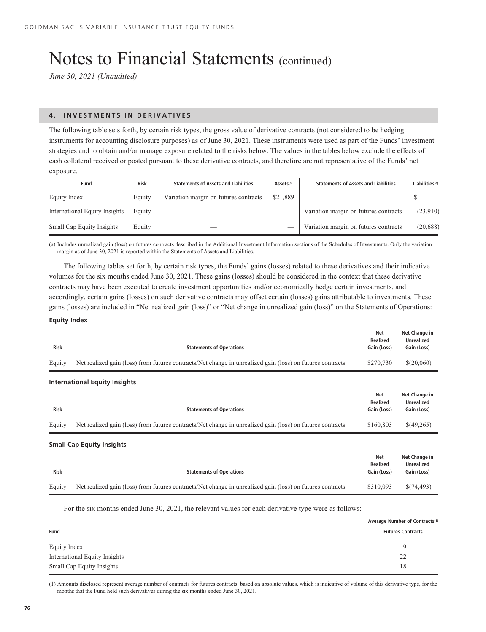*June 30, 2021 (Unaudited)*

# **4. INVESTMENTS IN DERIVATIVES**

The following table sets forth, by certain risk types, the gross value of derivative contracts (not considered to be hedging instruments for accounting disclosure purposes) as of June 30, 2021. These instruments were used as part of the Funds' investment strategies and to obtain and/or manage exposure related to the risks below. The values in the tables below exclude the effects of cash collateral received or posted pursuant to these derivative contracts, and therefore are not representative of the Funds' net exposure.

| Fund                          | <b>Risk</b> | <b>Statements of Assets and Liabilities</b> | Assets <sup>(a)</sup> | <b>Statements of Assets and Liabilities</b> | Liabilities <sup>(a)</sup> |
|-------------------------------|-------------|---------------------------------------------|-----------------------|---------------------------------------------|----------------------------|
| Equity Index                  | Equity      | Variation margin on futures contracts       | \$21,889              |                                             |                            |
| International Equity Insights | Equity      | _                                           |                       | Variation margin on futures contracts       | (23,910)                   |
| Small Cap Equity Insights     | Equity      | __                                          |                       | Variation margin on futures contracts       | (20, 688)                  |

(a) Includes unrealized gain (loss) on futures contracts described in the Additional Investment Information sections of the Schedules of Investments. Only the variation margin as of June 30, 2021 is reported within the Statements of Assets and Liabilities.

The following tables set forth, by certain risk types, the Funds' gains (losses) related to these derivatives and their indicative volumes for the six months ended June 30, 2021. These gains (losses) should be considered in the context that these derivative contracts may have been executed to create investment opportunities and/or economically hedge certain investments, and accordingly, certain gains (losses) on such derivative contracts may offset certain (losses) gains attributable to investments. These gains (losses) are included in "Net realized gain (loss)" or "Net change in unrealized gain (loss)" on the Statements of Operations:

# **Equity Index**

| <b>Risk</b> | <b>Statements of Operations</b>                                                                           | Net<br><b>Realized</b><br>Gain (Loss)        | Net Change in<br><b>Unrealized</b><br>Gain (Loss) |
|-------------|-----------------------------------------------------------------------------------------------------------|----------------------------------------------|---------------------------------------------------|
| Equity      | Net realized gain (loss) from futures contracts/Net change in unrealized gain (loss) on futures contracts | \$270,730                                    | \$(20,060)                                        |
|             | <b>International Equity Insights</b>                                                                      |                                              |                                                   |
| <b>Risk</b> | <b>Statements of Operations</b>                                                                           | <b>Net</b><br><b>Realized</b><br>Gain (Loss) | Net Change in<br><b>Unrealized</b><br>Gain (Loss) |
| Equity      | Net realized gain (loss) from futures contracts/Net change in unrealized gain (loss) on futures contracts | \$160,803                                    | \$(49,265)                                        |
|             | <b>Small Cap Equity Insights</b>                                                                          |                                              |                                                   |
| <b>Risk</b> | <b>Statements of Operations</b>                                                                           | <b>Net</b><br><b>Realized</b><br>Gain (Loss) | Net Change in<br><b>Unrealized</b><br>Gain (Loss) |
| Equity      | Net realized gain (loss) from futures contracts/Net change in unrealized gain (loss) on futures contracts | \$310,093                                    | \$(74,493)                                        |
|             |                                                                                                           |                                              |                                                   |

For the six months ended June 30, 2021, the relevant values for each derivative type were as follows:

|                               | Average Number of Contracts <sup>(1)</sup> |  |  |
|-------------------------------|--------------------------------------------|--|--|
| Fund                          | <b>Futures Contracts</b>                   |  |  |
| Equity Index                  | <b>y</b>                                   |  |  |
| International Equity Insights | 22                                         |  |  |
| Small Cap Equity Insights     | 18                                         |  |  |

(1) Amounts disclosed represent average number of contracts for futures contracts, based on absolute values, which is indicative of volume of this derivative type, for the months that the Fund held such derivatives during the six months ended June 30, 2021.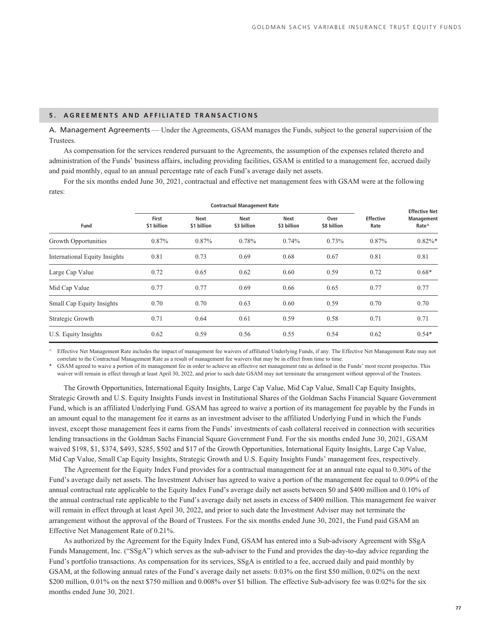# **5. AGREEMENTS AND AFFILIATED TRANSACTIONS**

A. Management Agreements — Under the Agreements, GSAM manages the Funds, subject to the general supervision of the Trustees.

As compensation for the services rendered pursuant to the Agreements, the assumption of the expenses related thereto and administration of the Funds' business affairs, including providing facilities, GSAM is entitled to a management fee, accrued daily and paid monthly, equal to an annual percentage rate of each Fund's average daily net assets.

For the six months ended June 30, 2021, contractual and effective net management fees with GSAM were at the following rates:

| <b>Contractual Management Rate</b> |                      |                     |                     |                            |                     | <b>Effective Net</b>     |                                                          |
|------------------------------------|----------------------|---------------------|---------------------|----------------------------|---------------------|--------------------------|----------------------------------------------------------|
| Fund                               | First<br>\$1 billion | Next<br>\$1 billion | Next<br>\$3 billion | <b>Next</b><br>\$3 billion | Over<br>\$8 billion | <b>Effective</b><br>Rate | <b>Management</b><br>Rate <sup><math>\wedge</math></sup> |
| Growth Opportunities               | 0.87%                | 0.87%               | 0.78%               | 0.74%                      | 0.73%               | 0.87%                    | $0.82\%$ *                                               |
| International Equity Insights      | 0.81                 | 0.73                | 0.69                | 0.68                       | 0.67                | 0.81                     | 0.81                                                     |
| Large Cap Value                    | 0.72                 | 0.65                | 0.62                | 0.60                       | 0.59                | 0.72                     | $0.68*$                                                  |
| Mid Cap Value                      | 0.77                 | 0.77                | 0.69                | 0.66                       | 0.65                | 0.77                     | 0.77                                                     |
| Small Cap Equity Insights          | 0.70                 | 0.70                | 0.63                | 0.60                       | 0.59                | 0.70                     | 0.70                                                     |
| Strategic Growth                   | 0.71                 | 0.64                | 0.61                | 0.59                       | 0.58                | 0.71                     | 0.71                                                     |
| U.S. Equity Insights               | 0.62                 | 0.59                | 0.56                | 0.55                       | 0.54                | 0.62                     | $0.54*$                                                  |

^ Effective Net Management Rate includes the impact of management fee waivers of affiliated Underlying Funds, if any. The Effective Net Management Rate may not correlate to the Contractual Management Rate as a result of management fee waivers that may be in effect from time to time.

GSAM agreed to waive a portion of its management fee in order to achieve an effective net management rate as defined in the Funds' most recent prospectus. This waiver will remain in effect through at least April 30, 2022, and prior to such date GSAM may not terminate the arrangement without approval of the Trustees.

The Growth Opportunities, International Equity Insights, Large Cap Value, Mid Cap Value, Small Cap Equity Insights, Strategic Growth and U.S. Equity Insights Funds invest in Institutional Shares of the Goldman Sachs Financial Square Government Fund, which is an affiliated Underlying Fund. GSAM has agreed to waive a portion of its management fee payable by the Funds in an amount equal to the management fee it earns as an investment adviser to the affiliated Underlying Fund in which the Funds invest, except those management fees it earns from the Funds' investments of cash collateral received in connection with securities lending transactions in the Goldman Sachs Financial Square Government Fund. For the six months ended June 30, 2021, GSAM waived \$198, \$1, \$374, \$493, \$285, \$502 and \$17 of the Growth Opportunities, International Equity Insights, Large Cap Value, Mid Cap Value, Small Cap Equity Insights, Strategic Growth and U.S. Equity Insights Funds' management fees, respectively.

The Agreement for the Equity Index Fund provides for a contractual management fee at an annual rate equal to 0.30% of the Fund's average daily net assets. The Investment Adviser has agreed to waive a portion of the management fee equal to 0.09% of the annual contractual rate applicable to the Equity Index Fund's average daily net assets between \$0 and \$400 million and 0.10% of the annual contractual rate applicable to the Fund's average daily net assets in excess of \$400 million. This management fee waiver will remain in effect through at least April 30, 2022, and prior to such date the Investment Adviser may not terminate the arrangement without the approval of the Board of Trustees. For the six months ended June 30, 2021, the Fund paid GSAM an Effective Net Management Rate of 0.21%.

As authorized by the Agreement for the Equity Index Fund, GSAM has entered into a Sub-advisory Agreement with SSgA Funds Management, Inc. ("SSgA") which serves as the sub-adviser to the Fund and provides the day-to-day advice regarding the Fund's portfolio transactions. As compensation for its services, SSgA is entitled to a fee, accrued daily and paid monthly by GSAM, at the following annual rates of the Fund's average daily net assets: 0.03% on the first \$50 million, 0.02% on the next \$200 million, 0.01% on the next \$750 million and 0.008% over \$1 billion. The effective Sub-advisory fee was 0.02% for the six months ended June 30, 2021.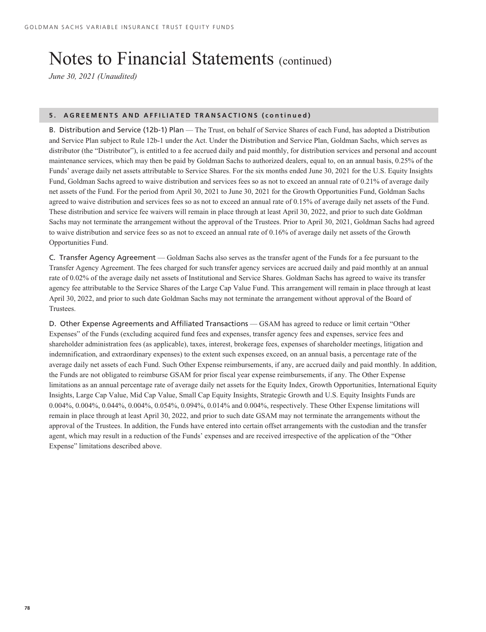*June 30, 2021 (Unaudited)*

# **5. AGREEMENTS AND AFFILIATED TRANSACTIONS (continued)**

B. Distribution and Service (12b-1) Plan — The Trust, on behalf of Service Shares of each Fund, has adopted a Distribution and Service Plan subject to Rule 12b-1 under the Act. Under the Distribution and Service Plan, Goldman Sachs, which serves as distributor (the "Distributor"), is entitled to a fee accrued daily and paid monthly, for distribution services and personal and account maintenance services, which may then be paid by Goldman Sachs to authorized dealers, equal to, on an annual basis, 0.25% of the Funds' average daily net assets attributable to Service Shares. For the six months ended June 30, 2021 for the U.S. Equity Insights Fund, Goldman Sachs agreed to waive distribution and services fees so as not to exceed an annual rate of 0.21% of average daily net assets of the Fund. For the period from April 30, 2021 to June 30, 2021 for the Growth Opportunities Fund, Goldman Sachs agreed to waive distribution and services fees so as not to exceed an annual rate of 0.15% of average daily net assets of the Fund. These distribution and service fee waivers will remain in place through at least April 30, 2022, and prior to such date Goldman Sachs may not terminate the arrangement without the approval of the Trustees. Prior to April 30, 2021, Goldman Sachs had agreed to waive distribution and service fees so as not to exceed an annual rate of 0.16% of average daily net assets of the Growth Opportunities Fund.

C. Transfer Agency Agreement — Goldman Sachs also serves as the transfer agent of the Funds for a fee pursuant to the Transfer Agency Agreement. The fees charged for such transfer agency services are accrued daily and paid monthly at an annual rate of 0.02% of the average daily net assets of Institutional and Service Shares. Goldman Sachs has agreed to waive its transfer agency fee attributable to the Service Shares of the Large Cap Value Fund. This arrangement will remain in place through at least April 30, 2022, and prior to such date Goldman Sachs may not terminate the arrangement without approval of the Board of Trustees.

D. Other Expense Agreements and Affiliated Transactions — GSAM has agreed to reduce or limit certain "Other Expenses" of the Funds (excluding acquired fund fees and expenses, transfer agency fees and expenses, service fees and shareholder administration fees (as applicable), taxes, interest, brokerage fees, expenses of shareholder meetings, litigation and indemnification, and extraordinary expenses) to the extent such expenses exceed, on an annual basis, a percentage rate of the average daily net assets of each Fund. Such Other Expense reimbursements, if any, are accrued daily and paid monthly. In addition, the Funds are not obligated to reimburse GSAM for prior fiscal year expense reimbursements, if any. The Other Expense limitations as an annual percentage rate of average daily net assets for the Equity Index, Growth Opportunities, International Equity Insights, Large Cap Value, Mid Cap Value, Small Cap Equity Insights, Strategic Growth and U.S. Equity Insights Funds are 0.004%, 0.004%, 0.044%, 0.004%, 0.054%, 0.094%, 0.014% and 0.004%, respectively. These Other Expense limitations will remain in place through at least April 30, 2022, and prior to such date GSAM may not terminate the arrangements without the approval of the Trustees. In addition, the Funds have entered into certain offset arrangements with the custodian and the transfer agent, which may result in a reduction of the Funds' expenses and are received irrespective of the application of the "Other Expense" limitations described above.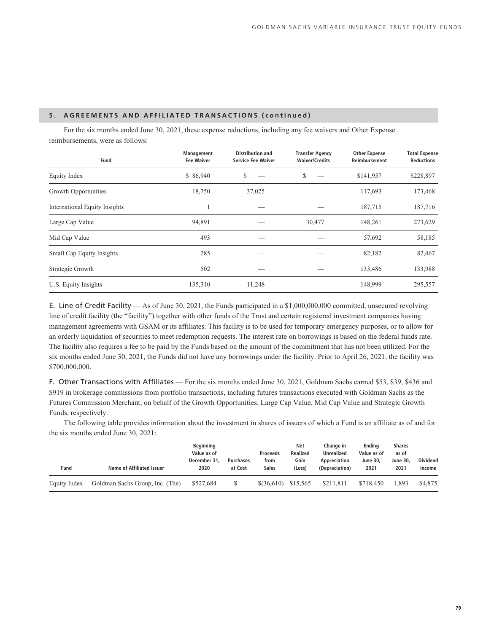# **5. AGREEMENTS AND AFFILIATED TRANSACTIONS (continued)**

For the six months ended June 30, 2021, these expense reductions, including any fee waivers and Other Expense reimbursements, were as follows:

| Fund                                 | Management<br><b>Fee Waiver</b> | <b>Distribution and</b><br><b>Service Fee Waiver</b> | <b>Transfer Agency</b><br><b>Waiver/Credits</b> | <b>Other Expense</b><br>Reimbursement | <b>Total Expense</b><br><b>Reductions</b> |
|--------------------------------------|---------------------------------|------------------------------------------------------|-------------------------------------------------|---------------------------------------|-------------------------------------------|
| Equity Index                         | \$86,940                        | \$                                                   | S                                               | \$141,957                             | \$228,897                                 |
| Growth Opportunities                 | 18,750                          | 37,025                                               |                                                 | 117,693                               | 173,468                                   |
| <b>International Equity Insights</b> |                                 |                                                      |                                                 | 187,715                               | 187,716                                   |
| Large Cap Value                      | 94,891                          |                                                      | 30,477                                          | 148,261                               | 273,629                                   |
| Mid Cap Value                        | 493                             |                                                      |                                                 | 57,692                                | 58,185                                    |
| Small Cap Equity Insights            | 285                             |                                                      |                                                 | 82,182                                | 82,467                                    |
| Strategic Growth                     | 502                             |                                                      |                                                 | 133,486                               | 133,988                                   |
| U.S. Equity Insights                 | 135,310                         | 11,248                                               |                                                 | 148,999                               | 295,557                                   |

E. Line of Credit Facility — As of June 30, 2021, the Funds participated in a \$1,000,000,000 committed, unsecured revolving line of credit facility (the "facility") together with other funds of the Trust and certain registered investment companies having management agreements with GSAM or its affiliates. This facility is to be used for temporary emergency purposes, or to allow for an orderly liquidation of securities to meet redemption requests. The interest rate on borrowings is based on the federal funds rate. The facility also requires a fee to be paid by the Funds based on the amount of the commitment that has not been utilized. For the six months ended June 30, 2021, the Funds did not have any borrowings under the facility. Prior to April 26, 2021, the facility was \$700,000,000.

F. Other Transactions with Affiliates — For the six months ended June 30, 2021, Goldman Sachs earned \$53, \$39, \$436 and \$919 in brokerage commissions from portfolio transactions, including futures transactions executed with Goldman Sachs as the Futures Commission Merchant, on behalf of the Growth Opportunities, Large Cap Value, Mid Cap Value and Strategic Growth Funds, respectively.

The following table provides information about the investment in shares of issuers of which a Fund is an affiliate as of and for the six months ended June 30, 2021:

| Fund         | Name of Affiliated Issuer       | <b>Beginning</b><br>Value as of<br>December 31,<br>2020 | <b>Purchases</b><br>at Cost | <b>Proceeds</b><br>from<br>Sales | Net<br><b>Realized</b><br>Gain<br>(Loss) | Change in<br>Unrealized<br>Appreciation<br>(Depreciation) | Endina<br>Value as of<br><b>June 30.</b><br>2021 | <b>Shares</b><br>as of<br><b>June 30.</b><br>2021 | <b>Dividend</b><br>Income |
|--------------|---------------------------------|---------------------------------------------------------|-----------------------------|----------------------------------|------------------------------------------|-----------------------------------------------------------|--------------------------------------------------|---------------------------------------------------|---------------------------|
| Equity Index | Goldman Sachs Group, Inc. (The) | \$527,684                                               | $S-$                        | $$$ $(36.610)$                   | \$15,565                                 | \$211.811                                                 | \$718,450                                        | .893                                              | \$4,875                   |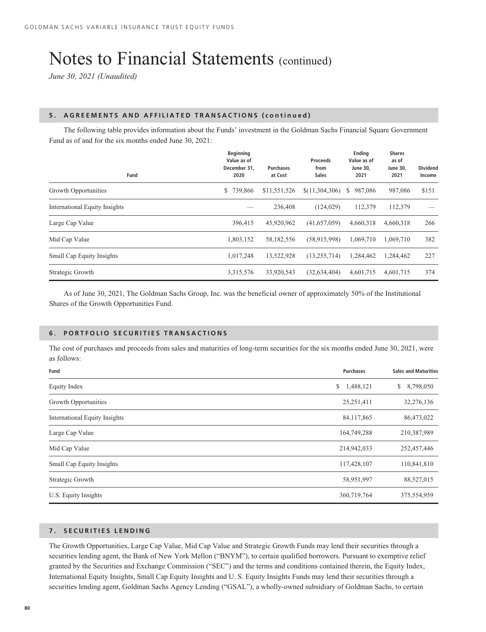*June 30, 2021 (Unaudited)*

### **5. AGREEMENTS AND AFFILIATED TRANSACTIONS (continued)**

The following table provides information about the Funds' investment in the Goldman Sachs Financial Square Government Fund as of and for the six months ended June 30, 2021:

| Fund                          | <b>Beginning</b><br>Value as of<br>December 31,<br>2020 | <b>Purchases</b><br>at Cost | <b>Proceeds</b><br>from<br><b>Sales</b> | Ending<br>Value as of<br><b>June 30,</b><br>2021 | <b>Shares</b><br>as of<br><b>June 30,</b><br>2021 | <b>Dividend</b><br>Income |
|-------------------------------|---------------------------------------------------------|-----------------------------|-----------------------------------------|--------------------------------------------------|---------------------------------------------------|---------------------------|
| Growth Opportunities          | 739,866<br>\$                                           | \$11,551,526                | \$(11,304,306)                          | 987.086<br>S.                                    | 987,086                                           | \$151                     |
| International Equity Insights |                                                         | 236,408                     | (124, 029)                              | 112,379                                          | 112,379                                           |                           |
| Large Cap Value               | 396,415                                                 | 45,920,962                  | (41,657,059)                            | 4,660,318                                        | 4.660.318                                         | 266                       |
| Mid Cap Value                 | 1,803,152                                               | 58,182,556                  | (58, 915, 998)                          | 1.069.710                                        | 1.069.710                                         | 382                       |
| Small Cap Equity Insights     | 1,017,248                                               | 13,522,928                  | (13, 255, 714)                          | 1,284,462                                        | 1,284,462                                         | 227                       |
| Strategic Growth              | 3,315,576                                               | 33,920,543                  | (32, 634, 404)                          | 4,601,715                                        | 4,601,715                                         | 374                       |

As of June 30, 2021, The Goldman Sachs Group, Inc. was the beneficial owner of approximately 50% of the Institutional Shares of the Growth Opportunities Fund.

# **6. PORTFOLIO SECURITIES TRANSACTIONS**

The cost of purchases and proceeds from sales and maturities of long-term securities for the six months ended June 30, 2021, were as follows:

| Fund                                 | <b>Purchases</b> | <b>Sales and Maturities</b> |
|--------------------------------------|------------------|-----------------------------|
| Equity Index                         | 1,488,121<br>\$  | 8,798,050<br>\$             |
| Growth Opportunities                 | 25,251,411       | 32,276,136                  |
| <b>International Equity Insights</b> | 84,117,865       | 86,473,022                  |
| Large Cap Value                      | 164,749,288      | 210,387,989                 |
| Mid Cap Value                        | 214,942,033      | 252,457,446                 |
| Small Cap Equity Insights            | 117,428,107      | 110,841,810                 |
| Strategic Growth                     | 58,951,997       | 88,527,015                  |
| U.S. Equity Insights                 | 360,719,764      | 375,554,959                 |

# **7. SECURITIES LENDING**

The Growth Opportunities, Large Cap Value, Mid Cap Value and Strategic Growth Funds may lend their securities through a securities lending agent, the Bank of New York Mellon ("BNYM"), to certain qualified borrowers. Pursuant to exemptive relief granted by the Securities and Exchange Commission ("SEC") and the terms and conditions contained therein, the Equity Index, International Equity Insights, Small Cap Equity Insights and U. S. Equity Insights Funds may lend their securities through a securities lending agent, Goldman Sachs Agency Lending ("GSAL"), a wholly-owned subsidiary of Goldman Sachs, to certain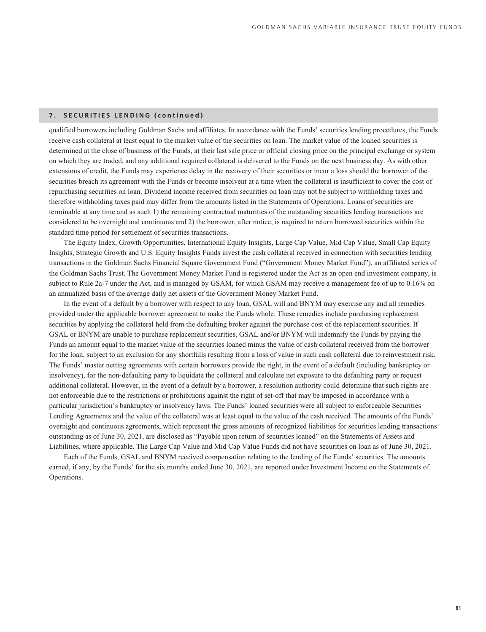# **7. SECURITIES LENDING (continued)**

qualified borrowers including Goldman Sachs and affiliates. In accordance with the Funds' securities lending procedures, the Funds receive cash collateral at least equal to the market value of the securities on loan. The market value of the loaned securities is determined at the close of business of the Funds, at their last sale price or official closing price on the principal exchange or system on which they are traded, and any additional required collateral is delivered to the Funds on the next business day. As with other extensions of credit, the Funds may experience delay in the recovery of their securities or incur a loss should the borrower of the securities breach its agreement with the Funds or become insolvent at a time when the collateral is insufficient to cover the cost of repurchasing securities on loan. Dividend income received from securities on loan may not be subject to withholding taxes and therefore withholding taxes paid may differ from the amounts listed in the Statements of Operations. Loans of securities are terminable at any time and as such 1) the remaining contractual maturities of the outstanding securities lending transactions are considered to be overnight and continuous and 2) the borrower, after notice, is required to return borrowed securities within the standard time period for settlement of securities transactions.

The Equity Index, Growth Opportunities, International Equity Insights, Large Cap Value, Mid Cap Value, Small Cap Equity Insights, Strategic Growth and U.S. Equity Insights Funds invest the cash collateral received in connection with securities lending transactions in the Goldman Sachs Financial Square Government Fund ("Government Money Market Fund"), an affiliated series of the Goldman Sachs Trust. The Government Money Market Fund is registered under the Act as an open end investment company, is subject to Rule 2a-7 under the Act, and is managed by GSAM, for which GSAM may receive a management fee of up to 0.16% on an annualized basis of the average daily net assets of the Government Money Market Fund.

In the event of a default by a borrower with respect to any loan, GSAL will and BNYM may exercise any and all remedies provided under the applicable borrower agreement to make the Funds whole. These remedies include purchasing replacement securities by applying the collateral held from the defaulting broker against the purchase cost of the replacement securities. If GSAL or BNYM are unable to purchase replacement securities, GSAL and/or BNYM will indemnify the Funds by paying the Funds an amount equal to the market value of the securities loaned minus the value of cash collateral received from the borrower for the loan, subject to an exclusion for any shortfalls resulting from a loss of value in such cash collateral due to reinvestment risk. The Funds' master netting agreements with certain borrowers provide the right, in the event of a default (including bankruptcy or insolvency), for the non-defaulting party to liquidate the collateral and calculate net exposure to the defaulting party or request additional collateral. However, in the event of a default by a borrower, a resolution authority could determine that such rights are not enforceable due to the restrictions or prohibitions against the right of set-off that may be imposed in accordance with a particular jurisdiction's bankruptcy or insolvency laws. The Funds' loaned securities were all subject to enforceable Securities Lending Agreements and the value of the collateral was at least equal to the value of the cash received. The amounts of the Funds' overnight and continuous agreements, which represent the gross amounts of recognized liabilities for securities lending transactions outstanding as of June 30, 2021, are disclosed as "Payable upon return of securities loaned" on the Statements of Assets and Liabilities, where applicable. The Large Cap Value and Mid Cap Value Funds did not have securities on loan as of June 30, 2021.

Each of the Funds, GSAL and BNYM received compensation relating to the lending of the Funds' securities. The amounts earned, if any, by the Funds' for the six months ended June 30, 2021, are reported under Investment Income on the Statements of Operations.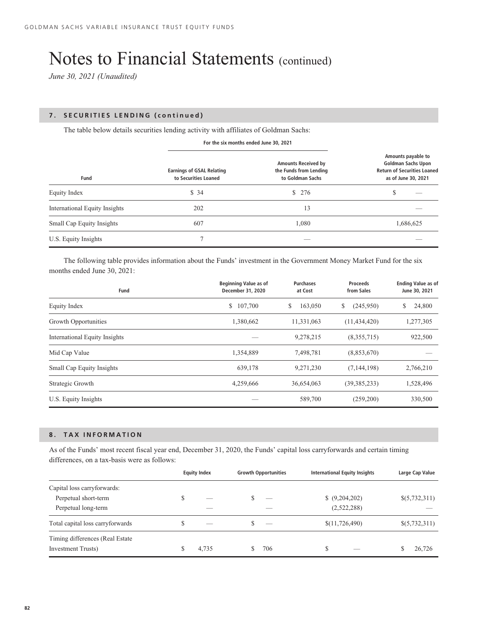*June 30, 2021 (Unaudited)*

# **7. SECURITIES LENDING (continued)**

The table below details securities lending activity with affiliates of Goldman Sachs:

**For the six months ended June 30, 2021**

| Fund                          | <b>Earnings of GSAL Relating</b><br>to Securities Loaned | <b>Amounts Received by</b><br>the Funds from Lending<br>to Goldman Sachs | Amounts payable to<br><b>Goldman Sachs Upon</b><br><b>Return of Securities Loaned</b><br>as of June 30, 2021 |
|-------------------------------|----------------------------------------------------------|--------------------------------------------------------------------------|--------------------------------------------------------------------------------------------------------------|
| Equity Index                  | \$34                                                     | \$276                                                                    | \$                                                                                                           |
| International Equity Insights | 202                                                      | 13                                                                       |                                                                                                              |
| Small Cap Equity Insights     | 607                                                      | 1,080                                                                    | 1,686,625                                                                                                    |
| U.S. Equity Insights          |                                                          |                                                                          |                                                                                                              |

The following table provides information about the Funds' investment in the Government Money Market Fund for the six months ended June 30, 2021:

| Fund                          | <b>Beginning Value as of</b><br>December 31, 2020 | <b>Purchases</b><br>at Cost | <b>Proceeds</b><br>from Sales | <b>Ending Value as of</b><br>June 30, 2021 |
|-------------------------------|---------------------------------------------------|-----------------------------|-------------------------------|--------------------------------------------|
| Equity Index                  | 107,700<br>S.                                     | 163,050<br>\$               | \$<br>(245,950)               | 24,800<br>\$                               |
| Growth Opportunities          | 1,380,662                                         | 11,331,063                  | (11, 434, 420)                | 1,277,305                                  |
| International Equity Insights |                                                   | 9,278,215                   | (8,355,715)                   | 922,500                                    |
| Mid Cap Value                 | 1,354,889                                         | 7,498,781                   | (8,853,670)                   |                                            |
| Small Cap Equity Insights     | 639,178                                           | 9,271,230                   | (7, 144, 198)                 | 2,766,210                                  |
| Strategic Growth              | 4,259,666                                         | 36,654,063                  | (39, 385, 233)                | 1,528,496                                  |
| U.S. Equity Insights          |                                                   | 589,700                     | (259,200)                     | 330,500                                    |

# **8. TAX INFORMATION**

As of the Funds' most recent fiscal year end, December 31, 2020, the Funds' capital loss carryforwards and certain timing differences, on a tax-basis were as follows:

|                                                                |    | <b>Equity Index</b>      | <b>Growth Opportunities</b>   | <b>International Equity Insights</b> | Large Cap Value |
|----------------------------------------------------------------|----|--------------------------|-------------------------------|--------------------------------------|-----------------|
| Capital loss carryforwards:<br>Perpetual short-term            | S  | ___                      | $\overline{\phantom{a}}$      | $$$ $(9,204,202)$                    | \$(5,732,311)   |
| Perpetual long-term                                            |    |                          | _                             | (2,522,288)                          |                 |
| Total capital loss carryforwards                               | \$ | $\overline{\phantom{a}}$ | Ж<br>$\overline{\phantom{a}}$ | \$(11,726,490)                       | \$(5,732,311)   |
| Timing differences (Real Estate)<br><b>Investment Trusts</b> ) |    | 4,735                    | 706<br>S                      | S<br>$\overline{\phantom{a}}$        | 26,726          |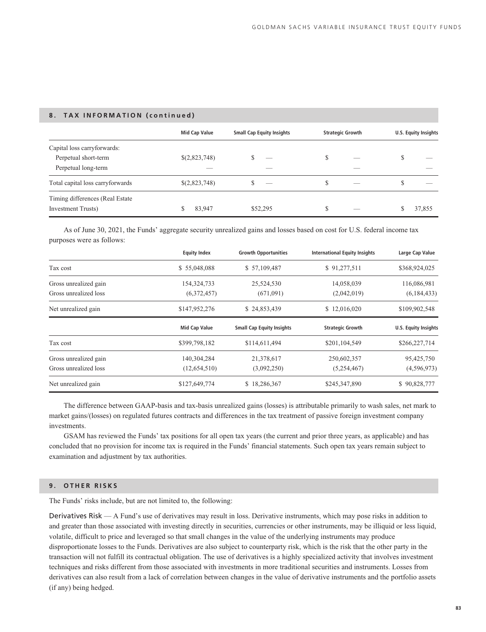# **8. TAX INFORMATION (continued)**

|                                  | <b>Mid Cap Value</b> | <b>Small Cap Equity Insights</b> | <b>Strategic Growth</b> |     |   | <b>U.S. Equity Insights</b> |
|----------------------------------|----------------------|----------------------------------|-------------------------|-----|---|-----------------------------|
| Capital loss carryforwards:      |                      |                                  |                         |     |   |                             |
| Perpetual short-term             | \$(2,823,748)        | $\overline{\phantom{a}}$         | S                       | $-$ | S | ___                         |
| Perpetual long-term              |                      | __                               |                         |     |   |                             |
| Total capital loss carryforwards | \$(2,823,748)        | $\overline{\phantom{a}}$         | S                       | _   | S | _                           |
| Timing differences (Real Estate) |                      |                                  |                         |     |   |                             |
| <b>Investment Trusts</b> )       | 83,947               | \$52,295                         | S                       | __  |   | 37,855                      |

As of June 30, 2021, the Funds' aggregate security unrealized gains and losses based on cost for U.S. federal income tax purposes were as follows:

|                       | <b>Equity Index</b>  | <b>Growth Opportunities</b>      | <b>International Equity Insights</b> | Large Cap Value             |
|-----------------------|----------------------|----------------------------------|--------------------------------------|-----------------------------|
| Tax cost              | \$55,048,088         | \$57,109,487                     | \$91,277,511                         | \$368,924,025               |
| Gross unrealized gain | 154, 324, 733        | 25,524,530                       | 14,058,039                           | 116,086,981                 |
| Gross unrealized loss | (6,372,457)          | (671,091)                        | (2,042,019)                          | (6, 184, 433)               |
| Net unrealized gain   | \$147,952,276        | \$24,853,439                     | \$12,016,020                         | \$109,902,548               |
|                       | <b>Mid Cap Value</b> | <b>Small Cap Equity Insights</b> | <b>Strategic Growth</b>              | <b>U.S. Equity Insights</b> |
| Tax cost              | \$399,798,182        | \$114,611,494                    | \$201,104,549                        | \$266,227,714               |
| Gross unrealized gain | 140,304,284          | 21,378,617                       | 250,602,357                          | 95,425,750                  |
| Gross unrealized loss | (12,654,510)         | (3,092,250)                      | (5,254,467)                          | (4,596,973)                 |
| Net unrealized gain   | \$127,649,774        | \$18,286,367                     | \$245,347,890                        | \$90,828,777                |

The difference between GAAP-basis and tax-basis unrealized gains (losses) is attributable primarily to wash sales, net mark to market gains/(losses) on regulated futures contracts and differences in the tax treatment of passive foreign investment company investments.

GSAM has reviewed the Funds' tax positions for all open tax years (the current and prior three years, as applicable) and has concluded that no provision for income tax is required in the Funds' financial statements. Such open tax years remain subject to examination and adjustment by tax authorities.

# **9. OTHER RISKS**

The Funds' risks include, but are not limited to, the following:

Derivatives Risk — A Fund's use of derivatives may result in loss. Derivative instruments, which may pose risks in addition to and greater than those associated with investing directly in securities, currencies or other instruments, may be illiquid or less liquid, volatile, difficult to price and leveraged so that small changes in the value of the underlying instruments may produce disproportionate losses to the Funds. Derivatives are also subject to counterparty risk, which is the risk that the other party in the transaction will not fulfill its contractual obligation. The use of derivatives is a highly specialized activity that involves investment techniques and risks different from those associated with investments in more traditional securities and instruments. Losses from derivatives can also result from a lack of correlation between changes in the value of derivative instruments and the portfolio assets (if any) being hedged.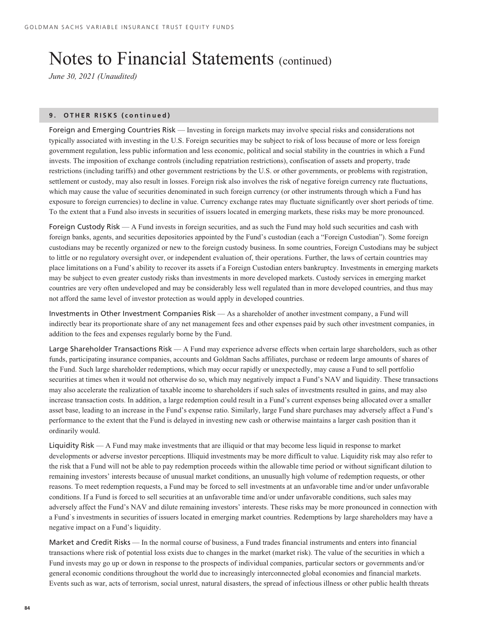*June 30, 2021 (Unaudited)*

# **9. OTHER RISKS (continued)**

Foreign and Emerging Countries Risk — Investing in foreign markets may involve special risks and considerations not typically associated with investing in the U.S. Foreign securities may be subject to risk of loss because of more or less foreign government regulation, less public information and less economic, political and social stability in the countries in which a Fund invests. The imposition of exchange controls (including repatriation restrictions), confiscation of assets and property, trade restrictions (including tariffs) and other government restrictions by the U.S. or other governments, or problems with registration, settlement or custody, may also result in losses. Foreign risk also involves the risk of negative foreign currency rate fluctuations, which may cause the value of securities denominated in such foreign currency (or other instruments through which a Fund has exposure to foreign currencies) to decline in value. Currency exchange rates may fluctuate significantly over short periods of time. To the extent that a Fund also invests in securities of issuers located in emerging markets, these risks may be more pronounced.

Foreign Custody Risk — A Fund invests in foreign securities, and as such the Fund may hold such securities and cash with foreign banks, agents, and securities depositories appointed by the Fund's custodian (each a "Foreign Custodian"). Some foreign custodians may be recently organized or new to the foreign custody business. In some countries, Foreign Custodians may be subject to little or no regulatory oversight over, or independent evaluation of, their operations. Further, the laws of certain countries may place limitations on a Fund's ability to recover its assets if a Foreign Custodian enters bankruptcy. Investments in emerging markets may be subject to even greater custody risks than investments in more developed markets. Custody services in emerging market countries are very often undeveloped and may be considerably less well regulated than in more developed countries, and thus may not afford the same level of investor protection as would apply in developed countries.

Investments in Other Investment Companies Risk — As a shareholder of another investment company, a Fund will indirectly bear its proportionate share of any net management fees and other expenses paid by such other investment companies, in addition to the fees and expenses regularly borne by the Fund.

Large Shareholder Transactions Risk — A Fund may experience adverse effects when certain large shareholders, such as other funds, participating insurance companies, accounts and Goldman Sachs affiliates, purchase or redeem large amounts of shares of the Fund. Such large shareholder redemptions, which may occur rapidly or unexpectedly, may cause a Fund to sell portfolio securities at times when it would not otherwise do so, which may negatively impact a Fund's NAV and liquidity. These transactions may also accelerate the realization of taxable income to shareholders if such sales of investments resulted in gains, and may also increase transaction costs. In addition, a large redemption could result in a Fund's current expenses being allocated over a smaller asset base, leading to an increase in the Fund's expense ratio. Similarly, large Fund share purchases may adversely affect a Fund's performance to the extent that the Fund is delayed in investing new cash or otherwise maintains a larger cash position than it ordinarily would.

Liquidity Risk — A Fund may make investments that are illiquid or that may become less liquid in response to market developments or adverse investor perceptions. Illiquid investments may be more difficult to value. Liquidity risk may also refer to the risk that a Fund will not be able to pay redemption proceeds within the allowable time period or without significant dilution to remaining investors' interests because of unusual market conditions, an unusually high volume of redemption requests, or other reasons. To meet redemption requests, a Fund may be forced to sell investments at an unfavorable time and/or under unfavorable conditions. If a Fund is forced to sell securities at an unfavorable time and/or under unfavorable conditions, such sales may adversely affect the Fund's NAV and dilute remaining investors' interests. These risks may be more pronounced in connection with a Fund`s investments in securities of issuers located in emerging market countries. Redemptions by large shareholders may have a negative impact on a Fund's liquidity.

Market and Credit Risks — In the normal course of business, a Fund trades financial instruments and enters into financial transactions where risk of potential loss exists due to changes in the market (market risk). The value of the securities in which a Fund invests may go up or down in response to the prospects of individual companies, particular sectors or governments and/or general economic conditions throughout the world due to increasingly interconnected global economies and financial markets. Events such as war, acts of terrorism, social unrest, natural disasters, the spread of infectious illness or other public health threats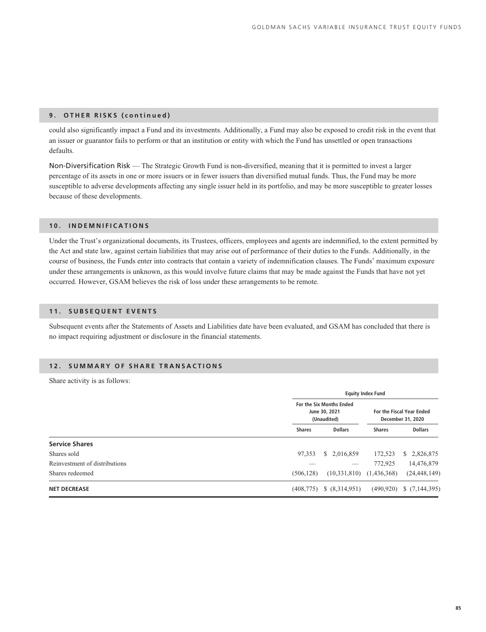# **9. OTHER RISKS (continued)**

could also significantly impact a Fund and its investments. Additionally, a Fund may also be exposed to credit risk in the event that an issuer or guarantor fails to perform or that an institution or entity with which the Fund has unsettled or open transactions defaults.

Non-Diversification Risk — The Strategic Growth Fund is non-diversified, meaning that it is permitted to invest a larger percentage of its assets in one or more issuers or in fewer issuers than diversified mutual funds. Thus, the Fund may be more susceptible to adverse developments affecting any single issuer held in its portfolio, and may be more susceptible to greater losses because of these developments.

# **10. INDEMNIFICATIONS**

Under the Trust's organizational documents, its Trustees, officers, employees and agents are indemnified, to the extent permitted by the Act and state law, against certain liabilities that may arise out of performance of their duties to the Funds. Additionally, in the course of business, the Funds enter into contracts that contain a variety of indemnification clauses. The Funds' maximum exposure under these arrangements is unknown, as this would involve future claims that may be made against the Funds that have not yet occurred. However, GSAM believes the risk of loss under these arrangements to be remote.

# **11. SUBSEQUENT EVENTS**

Subsequent events after the Statements of Assets and Liabilities date have been evaluated, and GSAM has concluded that there is no impact requiring adjustment or disclosure in the financial statements.

# **12. SUMMARY OF SHARE TRANSACTIONS**

Share activity is as follows:

|                               |               | <b>Equity Index Fund</b>                                 |               |                                                |  |  |
|-------------------------------|---------------|----------------------------------------------------------|---------------|------------------------------------------------|--|--|
|                               |               | For the Six Months Ended<br>June 30, 2021<br>(Unaudited) |               | For the Fiscal Year Ended<br>December 31, 2020 |  |  |
|                               | <b>Shares</b> | <b>Dollars</b>                                           | <b>Shares</b> | <b>Dollars</b>                                 |  |  |
| <b>Service Shares</b>         |               |                                                          |               |                                                |  |  |
| Shares sold                   | 97,353        | \$2,016,859                                              | 172,523       | 2,826,875<br>S.                                |  |  |
| Reinvestment of distributions |               | __                                                       | 772,925       | 14,476,879                                     |  |  |
| Shares redeemed               | (506, 128)    | (10,331,810)                                             | (1,436,368)   | (24, 448, 149)                                 |  |  |
| <b>NET DECREASE</b>           | (408, 775)    | \$ (8,314,951)                                           | (490, 920)    | \$(7,144,395)                                  |  |  |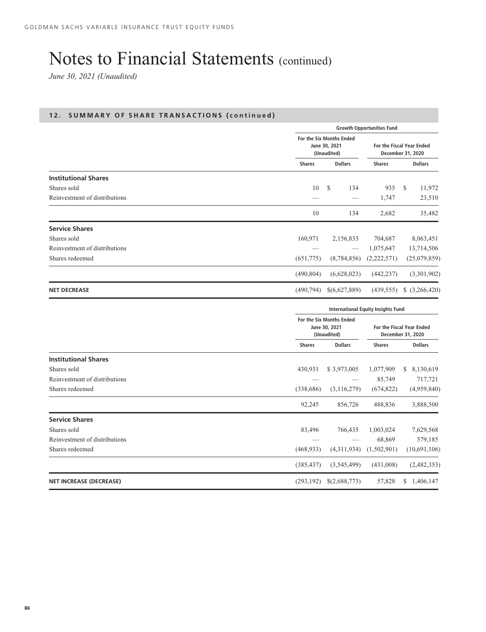*June 30, 2021 (Unaudited)*

|                               |               | <b>Growth Opportunities Fund</b>                         |               |                                                |  |
|-------------------------------|---------------|----------------------------------------------------------|---------------|------------------------------------------------|--|
|                               |               | For the Six Months Ended<br>June 30, 2021<br>(Unaudited) |               | For the Fiscal Year Ended<br>December 31, 2020 |  |
|                               | <b>Shares</b> | <b>Dollars</b>                                           | <b>Shares</b> | <b>Dollars</b>                                 |  |
| <b>Institutional Shares</b>   |               |                                                          |               |                                                |  |
| Shares sold                   | 10            | <sup>\$</sup><br>134                                     | 935           | <sup>\$</sup><br>11,972                        |  |
| Reinvestment of distributions |               |                                                          | 1,747         | 23,510                                         |  |
|                               | 10            | 134                                                      | 2,682         | 35,482                                         |  |
| <b>Service Shares</b>         |               |                                                          |               |                                                |  |
| Shares sold                   | 160,971       | 2,156,833                                                | 704,687       | 8,063,451                                      |  |
| Reinvestment of distributions |               | $\hspace{0.1mm}-\hspace{0.1mm}$                          | 1,075,647     | 13,714,506                                     |  |
| Shares redeemed               | (651,775)     | (8,784,856)                                              | (2,222,571)   | (25,079,859)                                   |  |
|                               | (490, 804)    | (6,628,023)                                              | (442, 237)    | (3,301,902)                                    |  |
| <b>NET DECREASE</b>           | (490, 794)    | \$(6,627,889)                                            | (439, 555)    | $$$ $(3,266,420)$                              |  |

|                                |               | <b>International Equity Insights Fund</b>                |               |                                                |  |
|--------------------------------|---------------|----------------------------------------------------------|---------------|------------------------------------------------|--|
|                                |               | For the Six Months Ended<br>June 30, 2021<br>(Unaudited) |               | For the Fiscal Year Ended<br>December 31, 2020 |  |
|                                | <b>Shares</b> | <b>Dollars</b>                                           | <b>Shares</b> | <b>Dollars</b>                                 |  |
| <b>Institutional Shares</b>    |               |                                                          |               |                                                |  |
| Shares sold                    | 430,931       | \$3,973,005                                              | 1,077,909     | 8,130,619<br>\$                                |  |
| Reinvestment of distributions  |               |                                                          | 85,749        | 717,721                                        |  |
| Shares redeemed                | (338, 686)    | (3, 116, 279)                                            | (674, 822)    | (4,959,840)                                    |  |
|                                | 92,245        | 856,726                                                  | 488,836       | 3,888,500                                      |  |
| <b>Service Shares</b>          |               |                                                          |               |                                                |  |
| Shares sold                    | 83,496        | 766,435                                                  | 1,003,024     | 7,629,568                                      |  |
| Reinvestment of distributions  |               |                                                          | 68,869        | 579,185                                        |  |
| Shares redeemed                | (468, 933)    | (4,311,934)                                              | (1,502,901)   | (10,691,106)                                   |  |
|                                | (385, 437)    | (3,545,499)                                              | (431,008)     | (2,482,353)                                    |  |
| <b>NET INCREASE (DECREASE)</b> | (293, 192)    | \$(2,688,773)                                            | 57,828        | \$<br>1,406,147                                |  |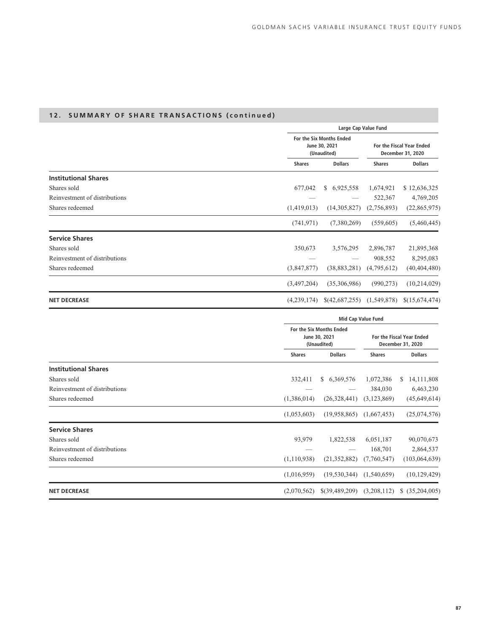|                               |               | Large Cap Value Fund                                     |               |                                                |  |
|-------------------------------|---------------|----------------------------------------------------------|---------------|------------------------------------------------|--|
|                               |               | For the Six Months Ended<br>June 30, 2021<br>(Unaudited) |               | For the Fiscal Year Ended<br>December 31, 2020 |  |
|                               | <b>Shares</b> | <b>Dollars</b>                                           | <b>Shares</b> | <b>Dollars</b>                                 |  |
| <b>Institutional Shares</b>   |               |                                                          |               |                                                |  |
| Shares sold                   | 677,042       | 6,925,558<br>S.                                          | 1,674,921     | \$12,636,325                                   |  |
| Reinvestment of distributions |               |                                                          | 522,367       | 4,769,205                                      |  |
| Shares redeemed               | (1,419,013)   | (14,305,827)                                             | (2,756,893)   | (22,865,975)                                   |  |
|                               | (741, 971)    | (7,380,269)                                              | (559,605)     | (5,460,445)                                    |  |
| <b>Service Shares</b>         |               |                                                          |               |                                                |  |
| Shares sold                   | 350,673       | 3,576,295                                                | 2,896,787     | 21,895,368                                     |  |
| Reinvestment of distributions |               |                                                          | 908,552       | 8,295,083                                      |  |
| Shares redeemed               | (3,847,877)   | (38, 883, 281)                                           | (4,795,612)   | (40, 404, 480)                                 |  |
|                               | (3,497,204)   | (35,306,986)                                             | (990, 273)    | (10, 214, 029)                                 |  |
| <b>NET DECREASE</b>           | (4,239,174)   | \$(42,687,255)                                           | (1,549,878)   | \$(15,674,474)                                 |  |

|                               |               | <b>Mid Cap Value Fund</b>                                |               |                                                |  |
|-------------------------------|---------------|----------------------------------------------------------|---------------|------------------------------------------------|--|
|                               |               | For the Six Months Ended<br>June 30, 2021<br>(Unaudited) |               | For the Fiscal Year Ended<br>December 31, 2020 |  |
|                               | <b>Shares</b> | <b>Dollars</b>                                           | <b>Shares</b> | <b>Dollars</b>                                 |  |
| <b>Institutional Shares</b>   |               |                                                          |               |                                                |  |
| Shares sold                   | 332,411       | \$6,369,576                                              | 1,072,386     | 14, 111, 808<br>\$                             |  |
| Reinvestment of distributions |               |                                                          | 384,030       | 6,463,230                                      |  |
| Shares redeemed               | (1,386,014)   | (26,328,441)                                             | (3,123,869)   | (45, 649, 614)                                 |  |
|                               | (1,053,603)   | (19,958,865)                                             | (1,667,453)   | (25,074,576)                                   |  |
| <b>Service Shares</b>         |               |                                                          |               |                                                |  |
| Shares sold                   | 93,979        | 1,822,538                                                | 6,051,187     | 90,070,673                                     |  |
| Reinvestment of distributions |               |                                                          | 168,701       | 2,864,537                                      |  |
| Shares redeemed               | (1,110,938)   | (21, 352, 882)                                           | (7,760,547)   | (103, 064, 639)                                |  |
|                               | (1,016,959)   | (19, 530, 344)                                           | (1,540,659)   | (10, 129, 429)                                 |  |
| <b>NET DECREASE</b>           | (2,070,562)   | \$(39,489,209)                                           | (3,208,112)   | \$(35,204,005)                                 |  |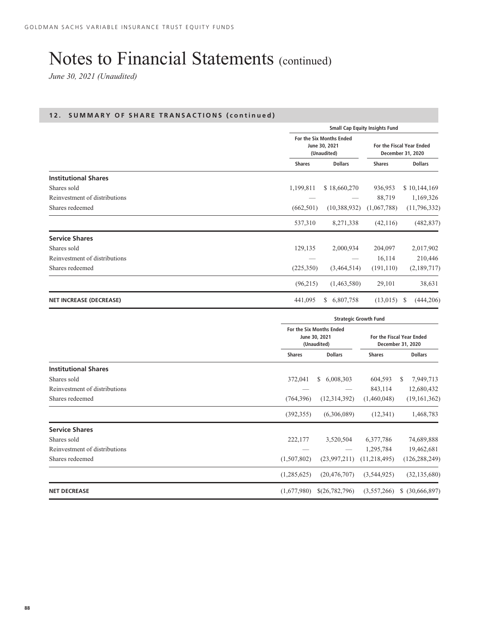*June 30, 2021 (Unaudited)*

|                                |               | <b>Small Cap Equity Insights Fund</b>                    |               |                                                |  |
|--------------------------------|---------------|----------------------------------------------------------|---------------|------------------------------------------------|--|
|                                |               | For the Six Months Ended<br>June 30, 2021<br>(Unaudited) |               | For the Fiscal Year Ended<br>December 31, 2020 |  |
|                                | <b>Shares</b> | <b>Dollars</b>                                           | <b>Shares</b> | <b>Dollars</b>                                 |  |
| <b>Institutional Shares</b>    |               |                                                          |               |                                                |  |
| Shares sold                    | 1,199,811     | \$18,660,270                                             | 936,953       | \$10,144,169                                   |  |
| Reinvestment of distributions  |               |                                                          | 88,719        | 1,169,326                                      |  |
| Shares redeemed                | (662, 501)    | (10,388,932)                                             | (1,067,788)   | (11,796,332)                                   |  |
|                                | 537,310       | 8,271,338                                                | (42, 116)     | (482, 837)                                     |  |
| <b>Service Shares</b>          |               |                                                          |               |                                                |  |
| Shares sold                    | 129,135       | 2,000,934                                                | 204,097       | 2,017,902                                      |  |
| Reinvestment of distributions  |               |                                                          | 16,114        | 210,446                                        |  |
| Shares redeemed                | (225,350)     | (3,464,514)                                              | (191, 110)    | (2,189,717)                                    |  |
|                                | (96,215)      | (1,463,580)                                              | 29,101        | 38,631                                         |  |
| <b>NET INCREASE (DECREASE)</b> | 441,095       | 6,807,758<br>S.                                          | (13,015)      | <sup>\$</sup><br>(444, 206)                    |  |

|                               |               | <b>Strategic Growth Fund</b>                             |                |                                                |  |
|-------------------------------|---------------|----------------------------------------------------------|----------------|------------------------------------------------|--|
|                               |               | For the Six Months Ended<br>June 30, 2021<br>(Unaudited) |                | For the Fiscal Year Ended<br>December 31, 2020 |  |
|                               | <b>Shares</b> | <b>Dollars</b>                                           | <b>Shares</b>  | <b>Dollars</b>                                 |  |
| <b>Institutional Shares</b>   |               |                                                          |                |                                                |  |
| Shares sold                   | 372,041       | 6,008,303<br>S.                                          | 604,593        | 7,949,713<br>S                                 |  |
| Reinvestment of distributions |               |                                                          | 843,114        | 12,680,432                                     |  |
| Shares redeemed               | (764, 396)    | (12,314,392)                                             | (1,460,048)    | (19, 161, 362)                                 |  |
|                               | (392, 355)    | (6,306,089)                                              | (12, 341)      | 1,468,783                                      |  |
| <b>Service Shares</b>         |               |                                                          |                |                                                |  |
| Shares sold                   | 222,177       | 3,520,504                                                | 6,377,786      | 74,689,888                                     |  |
| Reinvestment of distributions |               |                                                          | 1,295,784      | 19,462,681                                     |  |
| Shares redeemed               | (1,507,802)   | (23,997,211)                                             | (11, 218, 495) | (126, 288, 249)                                |  |
|                               | (1,285,625)   | (20, 476, 707)                                           | (3,544,925)    | (32, 135, 680)                                 |  |
| <b>NET DECREASE</b>           | (1,677,980)   | \$(26,782,796)                                           | (3,557,266)    | \$ (30,666,897)                                |  |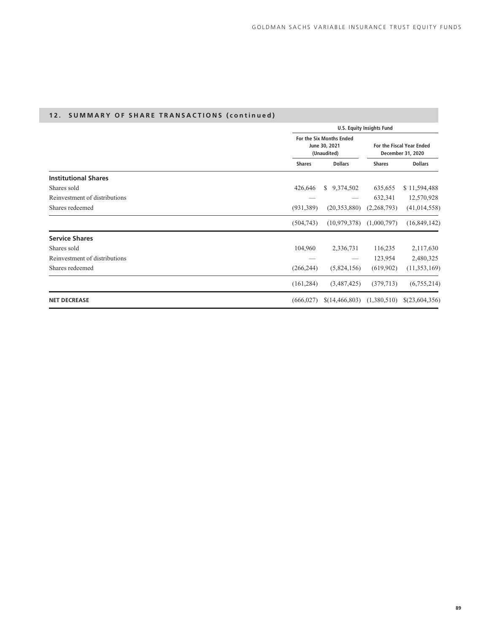|                               |               |                                                          | <b>U.S. Equity Insights Fund</b> |                                                |
|-------------------------------|---------------|----------------------------------------------------------|----------------------------------|------------------------------------------------|
|                               |               | For the Six Months Ended<br>June 30, 2021<br>(Unaudited) |                                  | For the Fiscal Year Ended<br>December 31, 2020 |
|                               | <b>Shares</b> | <b>Dollars</b>                                           | <b>Shares</b>                    | <b>Dollars</b>                                 |
| <b>Institutional Shares</b>   |               |                                                          |                                  |                                                |
| Shares sold                   | 426,646       | \$9,374,502                                              | 635,655                          | \$11,594,488                                   |
| Reinvestment of distributions |               |                                                          | 632,341                          | 12,570,928                                     |
| Shares redeemed               | (931, 389)    | (20, 353, 880)                                           | (2,268,793)                      | (41, 014, 558)                                 |
|                               | (504, 743)    | (10, 979, 378)                                           | (1,000,797)                      | (16,849,142)                                   |
| <b>Service Shares</b>         |               |                                                          |                                  |                                                |
| Shares sold                   | 104,960       | 2,336,731                                                | 116,235                          | 2,117,630                                      |
| Reinvestment of distributions |               |                                                          | 123,954                          | 2,480,325                                      |
| Shares redeemed               | (266, 244)    | (5,824,156)                                              | (619,902)                        | (11, 353, 169)                                 |
|                               | (161, 284)    | (3,487,425)                                              | (379, 713)                       | (6,755,214)                                    |
| <b>NET DECREASE</b>           | (666, 027)    | \$(14, 466, 803)                                         | (1,380,510)                      | \$(23,604,356)                                 |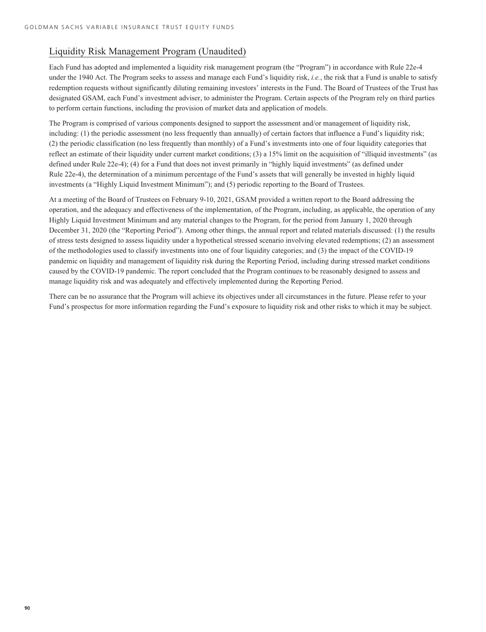# Liquidity Risk Management Program (Unaudited)

Each Fund has adopted and implemented a liquidity risk management program (the "Program") in accordance with Rule 22e-4 under the 1940 Act. The Program seeks to assess and manage each Fund's liquidity risk, *i.e.*, the risk that a Fund is unable to satisfy redemption requests without significantly diluting remaining investors' interests in the Fund. The Board of Trustees of the Trust has designated GSAM, each Fund's investment adviser, to administer the Program. Certain aspects of the Program rely on third parties to perform certain functions, including the provision of market data and application of models.

The Program is comprised of various components designed to support the assessment and/or management of liquidity risk, including: (1) the periodic assessment (no less frequently than annually) of certain factors that influence a Fund's liquidity risk; (2) the periodic classification (no less frequently than monthly) of a Fund's investments into one of four liquidity categories that reflect an estimate of their liquidity under current market conditions; (3) a 15% limit on the acquisition of "illiquid investments" (as defined under Rule 22e-4); (4) for a Fund that does not invest primarily in "highly liquid investments" (as defined under Rule 22e-4), the determination of a minimum percentage of the Fund's assets that will generally be invested in highly liquid investments (a "Highly Liquid Investment Minimum"); and (5) periodic reporting to the Board of Trustees.

At a meeting of the Board of Trustees on February 9-10, 2021, GSAM provided a written report to the Board addressing the operation, and the adequacy and effectiveness of the implementation, of the Program, including, as applicable, the operation of any Highly Liquid Investment Minimum and any material changes to the Program, for the period from January 1, 2020 through December 31, 2020 (the "Reporting Period"). Among other things, the annual report and related materials discussed: (1) the results of stress tests designed to assess liquidity under a hypothetical stressed scenario involving elevated redemptions; (2) an assessment of the methodologies used to classify investments into one of four liquidity categories; and (3) the impact of the COVID-19 pandemic on liquidity and management of liquidity risk during the Reporting Period, including during stressed market conditions caused by the COVID-19 pandemic. The report concluded that the Program continues to be reasonably designed to assess and manage liquidity risk and was adequately and effectively implemented during the Reporting Period.

There can be no assurance that the Program will achieve its objectives under all circumstances in the future. Please refer to your Fund's prospectus for more information regarding the Fund's exposure to liquidity risk and other risks to which it may be subject.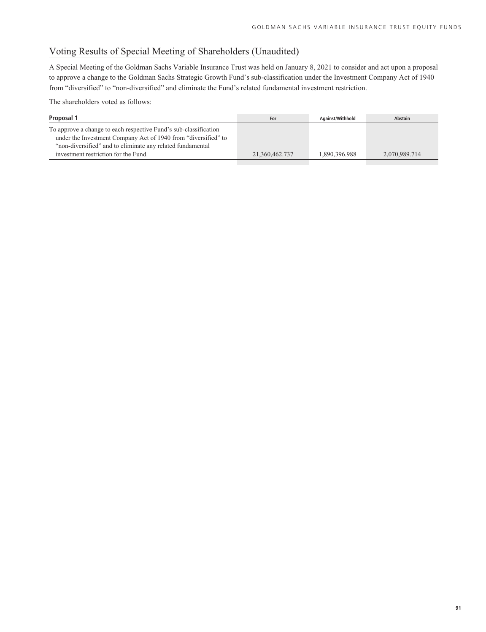# Voting Results of Special Meeting of Shareholders (Unaudited)

A Special Meeting of the Goldman Sachs Variable Insurance Trust was held on January 8, 2021 to consider and act upon a proposal to approve a change to the Goldman Sachs Strategic Growth Fund's sub-classification under the Investment Company Act of 1940 from "diversified" to "non-diversified" and eliminate the Fund's related fundamental investment restriction.

The shareholders voted as follows:

| Proposal 1                                                                                                                                                                                                                               | For            | Against/Withhold | <b>Abstain</b> |
|------------------------------------------------------------------------------------------------------------------------------------------------------------------------------------------------------------------------------------------|----------------|------------------|----------------|
| To approve a change to each respective Fund's sub-classification<br>under the Investment Company Act of 1940 from "diversified" to<br>"non-diversified" and to eliminate any related fundamental<br>investment restriction for the Fund. | 21.360.462.737 | 1.890.396.988    | 2.070.989.714  |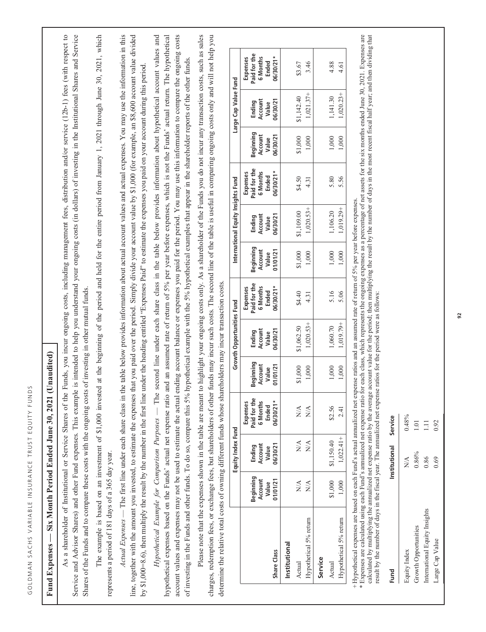| $\overline{\mathbf{a}}$<br>1  |
|-------------------------------|
|                               |
| I<br>١                        |
| Z                             |
|                               |
| j<br>١                        |
|                               |
| $\Box$                        |
|                               |
|                               |
|                               |
| ł                             |
|                               |
| í<br>).                       |
|                               |
| C<br>ን                        |
| ш                             |
|                               |
|                               |
| I                             |
| ţ<br>ĭ                        |
|                               |
| ۰                             |
|                               |
| $\circ$                       |
| ł                             |
|                               |
| í.<br>t<br>ı                  |
|                               |
| $\overline{\phantom{a}}$<br>J |
|                               |
|                               |
|                               |
| 1                             |
| $\Omega$                      |
|                               |
| f<br>)<br>ì                   |
| $\epsilon$                    |
|                               |
| ١                             |
|                               |
|                               |
| j                             |
|                               |
| ц<br>ı                        |
| J<br>ï                        |
|                               |
| c<br>J                        |
| 1                             |
|                               |
|                               |
| $\epsilon$                    |
|                               |
|                               |
|                               |
|                               |
|                               |
| $\mathbf{C}$<br>1             |
|                               |
|                               |
| $\overline{\phantom{a}}$<br>J |
|                               |
| ł                             |
| $\overline{\mathbf{a}}$<br>Ĭ. |
|                               |
|                               |
|                               |
|                               |
|                               |
|                               |
| ś                             |
| ١                             |
|                               |
| j                             |
| $\frac{c}{1}$                 |
| $\rm ^{\circ}$                |

# Fund Expenses - Six Month Period Ended June 30, 2021 (Unaudited) **Fund Expenses — Six Month Period Ended June 30, 2021 (Unaudited)**

As a shareholder of Institutional or Service Shares of the Funds, you incur ongoing costs, including management fees, distribution and/or service (12b-1) fees (with respect to Service and Advisor Shares) and other Fund expenses. This example is intended to help you understand your ongoing costs (in dollars) of investing in the Institutional Shares and Service As a shareholder of Institutional or Service Shares of the Funds, you incur ongoing costs, including management fees, distribution and/or service (12b-1) fees (with respect to Service and Advisor Shares) and other Fund expenses. This example is intended to help you understand your ongoing costs (in dollars) of investing in the Institutional Shares and Service Shares of the Funds and to compare these costs with the ongoing costs of investing in other mutual funds. Shares of the Funds and to compare these costs with the ongoing costs of investing in other mutual funds.

The example is based on an investment of \$1,000 invested at the beginning of the period and held for the entire period from January 1, 2021 through June 30, 2021, which The example is based on an investment of \$1,000 invested at the beginning of the period and held for the entire period from January 1, 2021 through June 30, 2021, which represents a period of 181 days of a 365 day year. represents a period of 181 days of a 365 day year.

Actual Expenses — The first line under each share class in the table below provides information about actual account values and actual expenses. You may use the information in this *Actual Expenses* — The first line under each share class in the table below provides information about actual account values and actual expenses. You may use the information in this line, together with the amount you invested, to estimate the expenses that you paid over the period. Simply divide your account value by \$1,000 (for example, an \$8,600 account value divided line, together with the amount you invested, to estimate the expenses that you paid over the period. Simply divide your account value by \$1,000 (for example, an \$8,600 account value divided by \$1,000=8.6), then multiply the result by the number in the first line under the heading entitled "Expenses Paid" to estimate the expenses you paid on your account during this period. by \$1,000=8.6), then multiply the result by the number in the first line under the heading entitled "Expenses Paid" to estimate the expenses you paid on your account during this period.

Hypothetical Example for Comparison Purposes — The second line under each share class in the table below provides information about hypothetical account values and hypothetical expenses based on the Funds' actual net expense ratio and an assumed rate of return of 5% per year before expenses, which is not the Funds' actual return. The hypothetical account values and expenses may not be used to estimate the actual ending account balance or expenses you paid for the period. You may use this information to compare the ongoing costs *Hypothetical Example for Comparison Purposes* — The second line under each share class in the table below provides information about hypothetical account values and hypothetical expenses based on the Funds' actual net expense ratio and an assumed rate of return of 5% per year before expenses, which is not the Funds' actual return. The hypothetical account values and expenses may not be used to estimate the actual ending account balance or expenses you paid for the period. You may use this information to compare the ongoing costs of investing in the Funds and other funds. To do so, compare this 5% hypothetical example with the 5% hypothetical examples that appear in the shareholder reports of the other funds. of investing in the Funds and other funds. To do so, compare this 5% hypothetical example with the 5% hypothetical examples that appear in the shareholder reports of the other funds.

Please note that the expenses shown in the table are meant to highlight your ongoing costs only. As a shareholder of the Funds you do not incur any transaction costs, such as sales Please note that the expenses shown in the table are meant to highlight your ongoing costs only. As a shareholder of the Funds you do not incur any transaction costs, such as sales charges, redemption fees, or exchange fees, but shareholders of other funds may incur such costs. The second line of the table is useful in comparing ongoing costs only and will not help you charges, redemption fees, or exchange fees, but shareholders of other funds may incur such costs. The second line of the table is useful in comparing ongoing costs only and will not help you determine the relative total costs of owning different funds whose shareholders may incur transaction costs. determine the relative total costs of owning different funds whose shareholders may incur transaction costs.

|                        |                                           | Equity Index Fund                   |                                                          |                                           | <b>Growth Opportunities Fund</b>       |                                                               |                                           | nternational Equity Insights Fund      |                                                              |                                           | arge Cap Value Fund                    |                                                             |
|------------------------|-------------------------------------------|-------------------------------------|----------------------------------------------------------|-------------------------------------------|----------------------------------------|---------------------------------------------------------------|-------------------------------------------|----------------------------------------|--------------------------------------------------------------|-------------------------------------------|----------------------------------------|-------------------------------------------------------------|
| Share Class            | Beginning<br>Account<br>Value<br>01/01/21 | Ending<br>Account<br>Value<br>Value | Expenses<br>Paid for th<br>6 Months<br>Ended<br>06/30/21 | seginning<br>01/01/21<br>Account<br>Value | 06/30/21<br>Ending<br>Account<br>Value | Expenses<br>Paid for the<br>6 Months<br>Ended<br>$-10030021*$ | Beginning<br>Account<br>Value<br>11/01/21 | 06/30/21<br>Ending<br>Account<br>Value | Expenses<br>Paid for the<br>$06/30/21*$<br>6 Months<br>Ended | Beginning<br>Account<br>Value<br>06/30/21 | Ending<br>Account<br>Value<br>06/30/21 | Expenses<br>Paid for the<br>$6/30/21*$<br>6 Months<br>Ended |
| Institutional          |                                           |                                     |                                                          |                                           |                                        |                                                               |                                           |                                        |                                                              |                                           |                                        |                                                             |
| Actual                 | $\frac{\triangleleft}{\triangle}$         | $\sum_{i=1}^{n}$                    | $\stackrel{\triangle}{\geq}$                             |                                           | 1,062.50                               | \$4.40                                                        | \$1,000                                   | 1,109.00                               | \$4.50                                                       | \$1,000                                   | 1,142.40                               | \$3.67                                                      |
| Hypothetical 5% return | $\frac{\triangleleft}{\triangle}$         | $\frac{\lambda}{\lambda}$           | $\mathbb{N}\mathbb{A}$                                   |                                           | $1,020.53+$                            | 4.31                                                          | 1,000                                     | $1,020.53+$                            | 4.31                                                         | 1,000                                     | $1,021.37+$                            | 3.46                                                        |
| Service                |                                           |                                     |                                                          |                                           |                                        |                                                               |                                           |                                        |                                                              |                                           |                                        |                                                             |
| Actual                 | \$1,000                                   | \$1,150.40                          | \$2.56                                                   |                                           | ,060.70                                | 5.16                                                          | 1,000                                     | ,106.20                                | 5.80                                                         | 1,000                                     | ,141.30                                | 4.88                                                        |
| Hypothetical 5% return | 1,000                                     | $1,022.41+$                         | 2.41                                                     | 000                                       | $,019.79+$                             | 5.06                                                          | 000.1                                     | $,019.29+$                             | 5.56                                                         | 000                                       | $,020.23+$                             | 4.61                                                        |

+ Hypothetical expenses are based on each Fund's actual annualized net expense ratios and an assumed rate of return of 5% per year before expenses.

Hypothetical expenses are based on each Fund's actual annualized net expense ratios and an assumed rate of return of 5% per year before expenses.<br>Expenses are calculated using each Fund's annualized net expense ratio for e \* Expenses are calculated using each Fund's annualized net expense ratio for each class, which represents the ongoing expenses as a percentage of net assets for the six months ended June 30, 2021. Expenses are calculated by multiplying the annualized net expense ratio by the average account value for the period; then multiplying the result by the number of days in the most recent fiscal half year; and then dividing that result by the number of days in the fiscal year. The annualized net expense ratios for the period were as follows: result by the number of days in the fiscal year. The annualized net expense ratios for the period were as follows:

| Fund                          | Institutional Service |       |
|-------------------------------|-----------------------|-------|
| Equity Index                  | $\overline{N}$ A      | 0.48% |
| Growth Opportunities          | 0.86%                 | 1.01  |
| international Equity Insights | 0.86                  | $\Xi$ |
| Large Cap Value               | 0.69                  | 0.92  |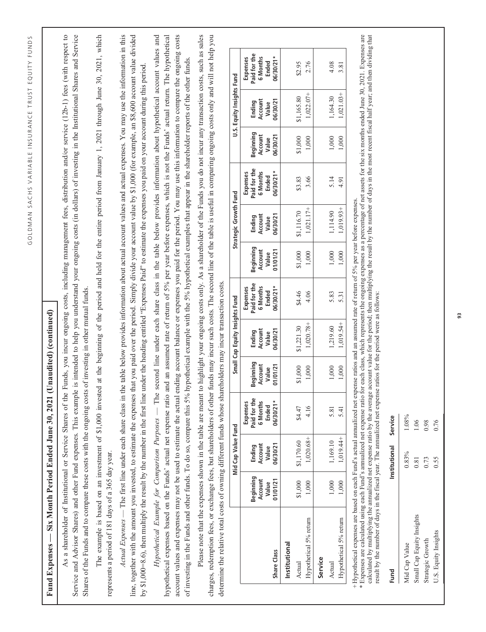| $\bigl($                                                       | ١<br>l<br>١<br>J<br>t<br>J                    |
|----------------------------------------------------------------|-----------------------------------------------|
|                                                                | ŀ<br>$\overline{\phantom{a}}$<br>I.<br>t<br>ı |
| Ï                                                              | I<br>í<br>J<br>Ĺ<br>ł                         |
| I<br>I                                                         | Ĺ<br>ı<br>J<br>Ĺ<br>١<br>).<br>ï              |
| t                                                              | Ù<br>í<br>ë<br>ł<br>ı<br>J                    |
|                                                                | Ć<br>J<br>í<br>b                              |
| $\mathbf{C}$<br>Ï                                              | ١<br>ţ<br>١<br>í                              |
| $\iota$<br>$\overline{\phantom{a}}$<br>$\overline{\mathbf{a}}$ | ç<br>I<br>j<br>).<br>r<br>J                   |

# Fund Expenses — Six Month Period Ended June 30, 2021 (Unaudited) (continued) Fund Expenses — Six Month Period Ended June 30, 2021 (Unaudited) (continued)

As a shareholder of Institutional or Service Shares of the Funds, you incur ongoing costs, including management fees, distribution and/or service (12b-1) fees (with respect to Service and Advisor Shares) and other Fund expenses. This example is intended to help you understand your ongoing costs (in dollars) of investing in the Institutional Shares and Service As a shareholder of Institutional or Service Shares of the Funds, you incur ongoing costs, including management fees, distribution and/or service (12b-1) fees (with respect to Service and Advisor Shares) and other Fund expenses. This example is intended to help you understand your ongoing costs (in dollars) of investing in the Institutional Shares and Service Shares of the Funds and to compare these costs with the ongoing costs of investing in other mutual funds. Shares of the Funds and to compare these costs with the ongoing costs of investing in other mutual funds.

The example is based on an investment of \$1,000 invested at the beginning of the period and held for the entire period from January 1, 2021 through June 30, 2021, which The example is based on an investment of \$1,000 invested at the beginning of the period and held for the entire period from January 1, 2021 through June 30, 2021, which represents a period of 181 days of a 365 day year. represents a period of 181 days of a 365 day year. Actual Expenses -- The first line under each share class in the table below provides information about actual account values and actual expenses. You may use the information in this *Actual Expenses* — The first line under each share class in the table below provides information about actual account values and actual expenses. You may use the information in this line, together with the amount you invested, to estimate the expenses that you paid over the period. Simply divide your account value by \$1,000 (for example, an \$8,600 account value divided line, together with the amount you invested, to estimate the expenses that you paid over the period. Simply divide your account value by \$1,000 (for example, an \$8,600 account value divided by \$1,000=8.6), then multiply the result by the number in the first line under the heading entitled "Expenses Paid" to estimate the expenses you paid on your account during this period. by \$1,000=8.6), then multiply the result by the number in the first line under the heading entitled "Expenses Paid" to estimate the expenses you paid on your account during this period.

Hypothetical Example for Comparison Purposes — The second line under each share class in the table below provides information about hypothetical account values and hypothetical expenses based on the Funds' actual net expense ratio and an assumed rate of return of 5% per year before expenses, which is not the Funds' actual return. The hypothetical account values and expenses may not be used to estimate the actual ending account balance or expenses you paid for the period. You may use this information to compare the ongoing costs *Hypothetical Example for Comparison Purposes* — The second line under each share class in the table below provides information about hypothetical account values and hypothetical expenses based on the Funds' actual net expense ratio and an assumed rate of return of 5% per year before expenses, which is not the Funds' actual return. The hypothetical account values and expenses may not be used to estimate the actual ending account balance or expenses you paid for the period. You may use this information to compare the ongoing costs of investing in the Funds and other funds. To do so, compare this 5% hypothetical example with the 5% hypothetical examples that appear in the shareholder reports of the other funds. of investing in the Funds and other funds. To do so, compare this 5% hypothetical example with the 5% hypothetical examples that appear in the shareholder reports of the other funds.

Please note that the expenses shown in the table are meant to highlight your ongoing costs only. As a shareholder of the Funds you do not incur any transaction costs, such as sales Please note that the expenses shown in the table are meant to highlight your ongoing costs only. As a shareholder of the Funds you do not incur any transaction costs, such as sales charges, redemption fees, or exchange fees, but shareholders of other funds may incur such costs. The second line of the table is useful in comparing ongoing costs only and will not help you charges, redemption fees, or exchange fees, but shareholders of other funds may incur such costs. The second line of the table is useful in comparing ongoing costs only and will not help you determine the relative total costs of owning different funds whose shareholders may incur transaction costs. determine the relative total costs of owning different funds whose shareholders may incur transaction costs.

|                        |                                           | Mid Cap Value Fund                     |                                                                        |                                           | Small Cap Equity Insights Fund         |                                                             |                                          | Strategic Growth Fund                  |                                                           |                                           | U.S. Equity Insights Fund              |                                                             |
|------------------------|-------------------------------------------|----------------------------------------|------------------------------------------------------------------------|-------------------------------------------|----------------------------------------|-------------------------------------------------------------|------------------------------------------|----------------------------------------|-----------------------------------------------------------|-------------------------------------------|----------------------------------------|-------------------------------------------------------------|
| Share Class            | Beginning<br>01/01/21<br>Account<br>Value | Ending<br>Account<br>Value<br>06/30/21 | Expenses<br>Paid for th<br><b>6 Months</b><br><b>Ended</b><br>06/30/21 | seginning<br>Account<br>Value<br>01/01/21 | 06/30/21<br>Ending<br>Account<br>Value | Expenses<br>Paid for the<br>6 Months<br>Ended<br>$-1003007$ | 3eginning<br>Account<br>Value<br>1/01/21 | 06/30/21<br>Ending<br>Account<br>Value | Expenses<br>Paid for the<br>6 Months<br>Ended<br>12/08/90 | Beginning<br>Account<br>Value<br>06/30/21 | Ending<br>Account<br>Value<br>06/30/21 | Expenses<br>Paid for the<br>6 Months<br>Ended<br>$6/30/21*$ |
| Institutional          |                                           |                                        |                                                                        |                                           |                                        |                                                             |                                          |                                        |                                                           |                                           |                                        |                                                             |
| Actual                 | \$1,000                                   | \$1,170.60                             | \$4.47                                                                 |                                           | \$1,221.30                             | \$4.46                                                      | \$1,000                                  | 1,116.70                               | \$3.83                                                    | \$1,000                                   | 1,165.80                               | \$2.95                                                      |
| Hypothetical 5% return | 1,000                                     | 1,020.68+                              | 4.16                                                                   |                                           | $1,020.78+$                            | 4.06                                                        | 1,000                                    | $1,021.17+$                            | 3.66                                                      | 1,000                                     | $1,022.07+$                            | 2.76                                                        |
| Service                |                                           |                                        |                                                                        |                                           |                                        |                                                             |                                          |                                        |                                                           |                                           |                                        |                                                             |
| <b>Actual</b>          | 1,000                                     | 1,169.10                               | 5.81                                                                   |                                           | ,219.60                                | 5.83                                                        | 1,000                                    | ,114.90                                | 5.14                                                      | 1,000                                     | ,164.30                                | 4.08                                                        |
| Hypothetical 5% return | 1,000                                     | 1,019.44+                              | 5.41                                                                   | $000$ .                                   | $,019.54+$                             | 5.31                                                        | 1,000                                    | $,019.93+$                             | 4.91                                                      | 1,000                                     | $,021.03+$                             | 3.81                                                        |

+ Hypothetical expenses are based on each Fund's actual annualized net expense ratios and an assumed rate of return of 5% per year before expenses.

Hypothetical expenses are based on each Fund's actual annualized net expense ratios and an assumed rate of return of 5% per year before expenses.<br>Expenses are calculated using each Fund's annualized net expense ratio for e \* Expenses are calculated using each Fund's annualized net expense ratio for each class, which represents the ongoing expenses as a percentage of net assets for the six months ended June 30, 2021. Expenses are calculated by multiplying the annualized net expense ratio by the average account value for the period; then multiplying the result by the number of days in the most recent fiscal half year; and then dividing that result by the number of days in the fiscal year. The annualized net expense ratios for the period were as follows: result by the number of days in the fiscal year. The annualized net expense ratios for the period were as follows:

| Fund                      | nstitutional Service |       |  |
|---------------------------|----------------------|-------|--|
| Mid Cap Value             | 0.83%                | 1.08% |  |
| Small Cap Equity Insights | 0.81                 | 1.06  |  |
| Strategic Growth          | 0.73                 | 0.98  |  |
| U.S. Equity Insights      | 0.55                 | 0.76  |  |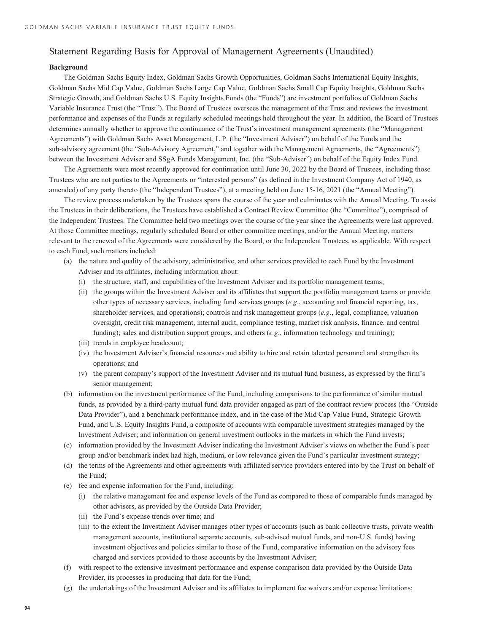# **Background**

The Goldman Sachs Equity Index, Goldman Sachs Growth Opportunities, Goldman Sachs International Equity Insights, Goldman Sachs Mid Cap Value, Goldman Sachs Large Cap Value, Goldman Sachs Small Cap Equity Insights, Goldman Sachs Strategic Growth, and Goldman Sachs U.S. Equity Insights Funds (the "Funds") are investment portfolios of Goldman Sachs Variable Insurance Trust (the "Trust"). The Board of Trustees oversees the management of the Trust and reviews the investment performance and expenses of the Funds at regularly scheduled meetings held throughout the year. In addition, the Board of Trustees determines annually whether to approve the continuance of the Trust's investment management agreements (the "Management Agreements") with Goldman Sachs Asset Management, L.P. (the "Investment Adviser") on behalf of the Funds and the sub-advisory agreement (the "Sub-Advisory Agreement," and together with the Management Agreements, the "Agreements") between the Investment Adviser and SSgA Funds Management, Inc. (the "Sub-Adviser") on behalf of the Equity Index Fund.

The Agreements were most recently approved for continuation until June 30, 2022 by the Board of Trustees, including those Trustees who are not parties to the Agreements or "interested persons" (as defined in the Investment Company Act of 1940, as amended) of any party thereto (the "Independent Trustees"), at a meeting held on June 15-16, 2021 (the "Annual Meeting").

The review process undertaken by the Trustees spans the course of the year and culminates with the Annual Meeting. To assist the Trustees in their deliberations, the Trustees have established a Contract Review Committee (the "Committee"), comprised of the Independent Trustees. The Committee held two meetings over the course of the year since the Agreements were last approved. At those Committee meetings, regularly scheduled Board or other committee meetings, and/or the Annual Meeting, matters relevant to the renewal of the Agreements were considered by the Board, or the Independent Trustees, as applicable. With respect to each Fund, such matters included:

- (a) the nature and quality of the advisory, administrative, and other services provided to each Fund by the Investment Adviser and its affiliates, including information about:
	- (i) the structure, staff, and capabilities of the Investment Adviser and its portfolio management teams;
	- (ii) the groups within the Investment Adviser and its affiliates that support the portfolio management teams or provide other types of necessary services, including fund services groups (*e.g*., accounting and financial reporting, tax, shareholder services, and operations); controls and risk management groups (*e.g*., legal, compliance, valuation oversight, credit risk management, internal audit, compliance testing, market risk analysis, finance, and central funding); sales and distribution support groups, and others (*e.g*., information technology and training);
	- (iii) trends in employee headcount;
	- (iv) the Investment Adviser's financial resources and ability to hire and retain talented personnel and strengthen its operations; and
	- (v) the parent company's support of the Investment Adviser and its mutual fund business, as expressed by the firm's senior management;
- (b) information on the investment performance of the Fund, including comparisons to the performance of similar mutual funds, as provided by a third-party mutual fund data provider engaged as part of the contract review process (the "Outside Data Provider"), and a benchmark performance index, and in the case of the Mid Cap Value Fund, Strategic Growth Fund, and U.S. Equity Insights Fund, a composite of accounts with comparable investment strategies managed by the Investment Adviser; and information on general investment outlooks in the markets in which the Fund invests;
- (c) information provided by the Investment Adviser indicating the Investment Adviser's views on whether the Fund's peer group and/or benchmark index had high, medium, or low relevance given the Fund's particular investment strategy;
- (d) the terms of the Agreements and other agreements with affiliated service providers entered into by the Trust on behalf of the Fund;
- (e) fee and expense information for the Fund, including:
	- (i) the relative management fee and expense levels of the Fund as compared to those of comparable funds managed by other advisers, as provided by the Outside Data Provider;
	- (ii) the Fund's expense trends over time; and
	- (iii) to the extent the Investment Adviser manages other types of accounts (such as bank collective trusts, private wealth management accounts, institutional separate accounts, sub-advised mutual funds, and non-U.S. funds) having investment objectives and policies similar to those of the Fund, comparative information on the advisory fees charged and services provided to those accounts by the Investment Adviser;
- (f) with respect to the extensive investment performance and expense comparison data provided by the Outside Data Provider, its processes in producing that data for the Fund;
- (g) the undertakings of the Investment Adviser and its affiliates to implement fee waivers and/or expense limitations;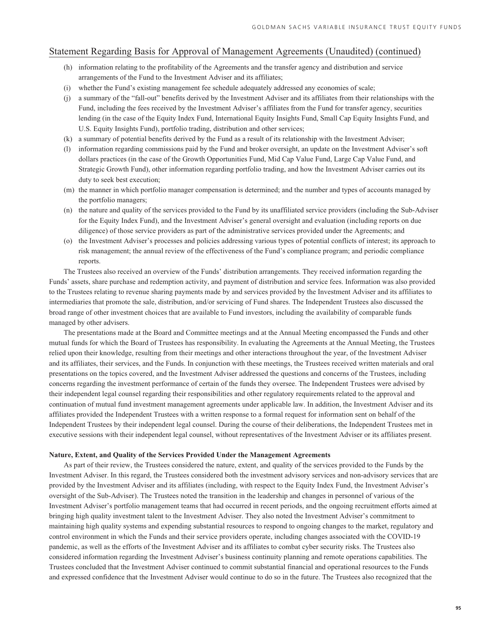- (h) information relating to the profitability of the Agreements and the transfer agency and distribution and service arrangements of the Fund to the Investment Adviser and its affiliates;
- (i) whether the Fund's existing management fee schedule adequately addressed any economies of scale;
- (j) a summary of the "fall-out" benefits derived by the Investment Adviser and its affiliates from their relationships with the Fund, including the fees received by the Investment Adviser's affiliates from the Fund for transfer agency, securities lending (in the case of the Equity Index Fund, International Equity Insights Fund, Small Cap Equity Insights Fund, and U.S. Equity Insights Fund), portfolio trading, distribution and other services;
- (k) a summary of potential benefits derived by the Fund as a result of its relationship with the Investment Adviser;
- (l) information regarding commissions paid by the Fund and broker oversight, an update on the Investment Adviser's soft dollars practices (in the case of the Growth Opportunities Fund, Mid Cap Value Fund, Large Cap Value Fund, and Strategic Growth Fund), other information regarding portfolio trading, and how the Investment Adviser carries out its duty to seek best execution;
- (m) the manner in which portfolio manager compensation is determined; and the number and types of accounts managed by the portfolio managers;
- (n) the nature and quality of the services provided to the Fund by its unaffiliated service providers (including the Sub-Adviser for the Equity Index Fund), and the Investment Adviser's general oversight and evaluation (including reports on due diligence) of those service providers as part of the administrative services provided under the Agreements; and
- (o) the Investment Adviser's processes and policies addressing various types of potential conflicts of interest; its approach to risk management; the annual review of the effectiveness of the Fund's compliance program; and periodic compliance reports.

The Trustees also received an overview of the Funds' distribution arrangements. They received information regarding the Funds' assets, share purchase and redemption activity, and payment of distribution and service fees. Information was also provided to the Trustees relating to revenue sharing payments made by and services provided by the Investment Adviser and its affiliates to intermediaries that promote the sale, distribution, and/or servicing of Fund shares. The Independent Trustees also discussed the broad range of other investment choices that are available to Fund investors, including the availability of comparable funds managed by other advisers.

The presentations made at the Board and Committee meetings and at the Annual Meeting encompassed the Funds and other mutual funds for which the Board of Trustees has responsibility. In evaluating the Agreements at the Annual Meeting, the Trustees relied upon their knowledge, resulting from their meetings and other interactions throughout the year, of the Investment Adviser and its affiliates, their services, and the Funds. In conjunction with these meetings, the Trustees received written materials and oral presentations on the topics covered, and the Investment Adviser addressed the questions and concerns of the Trustees, including concerns regarding the investment performance of certain of the funds they oversee. The Independent Trustees were advised by their independent legal counsel regarding their responsibilities and other regulatory requirements related to the approval and continuation of mutual fund investment management agreements under applicable law. In addition, the Investment Adviser and its affiliates provided the Independent Trustees with a written response to a formal request for information sent on behalf of the Independent Trustees by their independent legal counsel. During the course of their deliberations, the Independent Trustees met in executive sessions with their independent legal counsel, without representatives of the Investment Adviser or its affiliates present.

### **Nature, Extent, and Quality of the Services Provided Under the Management Agreements**

As part of their review, the Trustees considered the nature, extent, and quality of the services provided to the Funds by the Investment Adviser. In this regard, the Trustees considered both the investment advisory services and non-advisory services that are provided by the Investment Adviser and its affiliates (including, with respect to the Equity Index Fund, the Investment Adviser's oversight of the Sub-Adviser). The Trustees noted the transition in the leadership and changes in personnel of various of the Investment Adviser's portfolio management teams that had occurred in recent periods, and the ongoing recruitment efforts aimed at bringing high quality investment talent to the Investment Adviser. They also noted the Investment Adviser's commitment to maintaining high quality systems and expending substantial resources to respond to ongoing changes to the market, regulatory and control environment in which the Funds and their service providers operate, including changes associated with the COVID-19 pandemic, as well as the efforts of the Investment Adviser and its affiliates to combat cyber security risks. The Trustees also considered information regarding the Investment Adviser's business continuity planning and remote operations capabilities. The Trustees concluded that the Investment Adviser continued to commit substantial financial and operational resources to the Funds and expressed confidence that the Investment Adviser would continue to do so in the future. The Trustees also recognized that the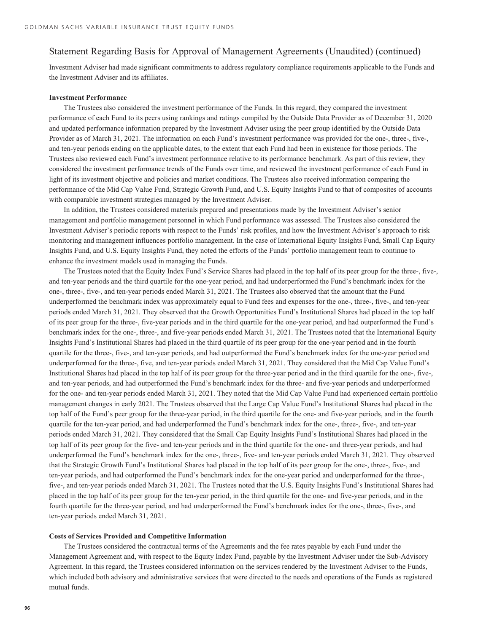Investment Adviser had made significant commitments to address regulatory compliance requirements applicable to the Funds and the Investment Adviser and its affiliates.

## **Investment Performance**

The Trustees also considered the investment performance of the Funds. In this regard, they compared the investment performance of each Fund to its peers using rankings and ratings compiled by the Outside Data Provider as of December 31, 2020 and updated performance information prepared by the Investment Adviser using the peer group identified by the Outside Data Provider as of March 31, 2021. The information on each Fund's investment performance was provided for the one-, three-, five-, and ten-year periods ending on the applicable dates, to the extent that each Fund had been in existence for those periods. The Trustees also reviewed each Fund's investment performance relative to its performance benchmark. As part of this review, they considered the investment performance trends of the Funds over time, and reviewed the investment performance of each Fund in light of its investment objective and policies and market conditions. The Trustees also received information comparing the performance of the Mid Cap Value Fund, Strategic Growth Fund, and U.S. Equity Insights Fund to that of composites of accounts with comparable investment strategies managed by the Investment Adviser.

In addition, the Trustees considered materials prepared and presentations made by the Investment Adviser's senior management and portfolio management personnel in which Fund performance was assessed. The Trustees also considered the Investment Adviser's periodic reports with respect to the Funds' risk profiles, and how the Investment Adviser's approach to risk monitoring and management influences portfolio management. In the case of International Equity Insights Fund, Small Cap Equity Insights Fund, and U.S. Equity Insights Fund, they noted the efforts of the Funds' portfolio management team to continue to enhance the investment models used in managing the Funds.

The Trustees noted that the Equity Index Fund's Service Shares had placed in the top half of its peer group for the three-, five-, and ten-year periods and the third quartile for the one-year period, and had underperformed the Fund's benchmark index for the one-, three-, five-, and ten-year periods ended March 31, 2021. The Trustees also observed that the amount that the Fund underperformed the benchmark index was approximately equal to Fund fees and expenses for the one-, three-, five-, and ten-year periods ended March 31, 2021. They observed that the Growth Opportunities Fund's Institutional Shares had placed in the top half of its peer group for the three-, five-year periods and in the third quartile for the one-year period, and had outperformed the Fund's benchmark index for the one-, three-, and five-year periods ended March 31, 2021. The Trustees noted that the International Equity Insights Fund's Institutional Shares had placed in the third quartile of its peer group for the one-year period and in the fourth quartile for the three-, five-, and ten-year periods, and had outperformed the Fund's benchmark index for the one-year period and underperformed for the three-, five, and ten-year periods ended March 31, 2021. They considered that the Mid Cap Value Fund's Institutional Shares had placed in the top half of its peer group for the three-year period and in the third quartile for the one-, five-, and ten-year periods, and had outperformed the Fund's benchmark index for the three- and five-year periods and underperformed for the one- and ten-year periods ended March 31, 2021. They noted that the Mid Cap Value Fund had experienced certain portfolio management changes in early 2021. The Trustees observed that the Large Cap Value Fund's Institutional Shares had placed in the top half of the Fund's peer group for the three-year period, in the third quartile for the one- and five-year periods, and in the fourth quartile for the ten-year period, and had underperformed the Fund's benchmark index for the one-, three-, five-, and ten-year periods ended March 31, 2021. They considered that the Small Cap Equity Insights Fund's Institutional Shares had placed in the top half of its peer group for the five- and ten-year periods and in the third quartile for the one- and three-year periods, and had underperformed the Fund's benchmark index for the one-, three-, five- and ten-year periods ended March 31, 2021. They observed that the Strategic Growth Fund's Institutional Shares had placed in the top half of its peer group for the one-, three-, five-, and ten-year periods, and had outperformed the Fund's benchmark index for the one-year period and underperformed for the three-, five-, and ten-year periods ended March 31, 2021. The Trustees noted that the U.S. Equity Insights Fund's Institutional Shares had placed in the top half of its peer group for the ten-year period, in the third quartile for the one- and five-year periods, and in the fourth quartile for the three-year period, and had underperformed the Fund's benchmark index for the one-, three-, five-, and ten-year periods ended March 31, 2021.

### **Costs of Services Provided and Competitive Information**

The Trustees considered the contractual terms of the Agreements and the fee rates payable by each Fund under the Management Agreement and, with respect to the Equity Index Fund, payable by the Investment Adviser under the Sub-Advisory Agreement. In this regard, the Trustees considered information on the services rendered by the Investment Adviser to the Funds, which included both advisory and administrative services that were directed to the needs and operations of the Funds as registered mutual funds.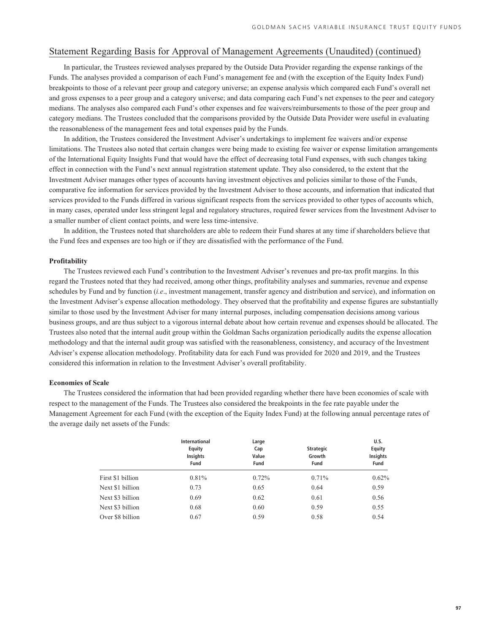In particular, the Trustees reviewed analyses prepared by the Outside Data Provider regarding the expense rankings of the Funds. The analyses provided a comparison of each Fund's management fee and (with the exception of the Equity Index Fund) breakpoints to those of a relevant peer group and category universe; an expense analysis which compared each Fund's overall net and gross expenses to a peer group and a category universe; and data comparing each Fund's net expenses to the peer and category medians. The analyses also compared each Fund's other expenses and fee waivers/reimbursements to those of the peer group and category medians. The Trustees concluded that the comparisons provided by the Outside Data Provider were useful in evaluating the reasonableness of the management fees and total expenses paid by the Funds.

In addition, the Trustees considered the Investment Adviser's undertakings to implement fee waivers and/or expense limitations. The Trustees also noted that certain changes were being made to existing fee waiver or expense limitation arrangements of the International Equity Insights Fund that would have the effect of decreasing total Fund expenses, with such changes taking effect in connection with the Fund's next annual registration statement update. They also considered, to the extent that the Investment Adviser manages other types of accounts having investment objectives and policies similar to those of the Funds, comparative fee information for services provided by the Investment Adviser to those accounts, and information that indicated that services provided to the Funds differed in various significant respects from the services provided to other types of accounts which, in many cases, operated under less stringent legal and regulatory structures, required fewer services from the Investment Adviser to a smaller number of client contact points, and were less time-intensive.

In addition, the Trustees noted that shareholders are able to redeem their Fund shares at any time if shareholders believe that the Fund fees and expenses are too high or if they are dissatisfied with the performance of the Fund.

### **Profitability**

The Trustees reviewed each Fund's contribution to the Investment Adviser's revenues and pre-tax profit margins. In this regard the Trustees noted that they had received, among other things, profitability analyses and summaries, revenue and expense schedules by Fund and by function (*i.e*., investment management, transfer agency and distribution and service), and information on the Investment Adviser's expense allocation methodology. They observed that the profitability and expense figures are substantially similar to those used by the Investment Adviser for many internal purposes, including compensation decisions among various business groups, and are thus subject to a vigorous internal debate about how certain revenue and expenses should be allocated. The Trustees also noted that the internal audit group within the Goldman Sachs organization periodically audits the expense allocation methodology and that the internal audit group was satisfied with the reasonableness, consistency, and accuracy of the Investment Adviser's expense allocation methodology. Profitability data for each Fund was provided for 2020 and 2019, and the Trustees considered this information in relation to the Investment Adviser's overall profitability.

### **Economies of Scale**

The Trustees considered the information that had been provided regarding whether there have been economies of scale with respect to the management of the Funds. The Trustees also considered the breakpoints in the fee rate payable under the Management Agreement for each Fund (with the exception of the Equity Index Fund) at the following annual percentage rates of the average daily net assets of the Funds:

|                   | International<br>Equity<br><b>Insights</b><br>Fund | Large<br>Cap<br>Value<br>Fund | <b>Strategic</b><br>Growth<br>Fund | U.S.<br><b>Equity</b><br>Insights<br>Fund |
|-------------------|----------------------------------------------------|-------------------------------|------------------------------------|-------------------------------------------|
| First \$1 billion | $0.81\%$                                           | $0.72\%$                      | $0.71\%$                           | 0.62%                                     |
| Next \$1 billion  | 0.73                                               | 0.65                          | 0.64                               | 0.59                                      |
| Next \$3 billion  | 0.69                                               | 0.62                          | 0.61                               | 0.56                                      |
| Next \$3 billion  | 0.68                                               | 0.60                          | 0.59                               | 0.55                                      |
| Over \$8 billion  | 0.67                                               | 0.59                          | 0.58                               | 0.54                                      |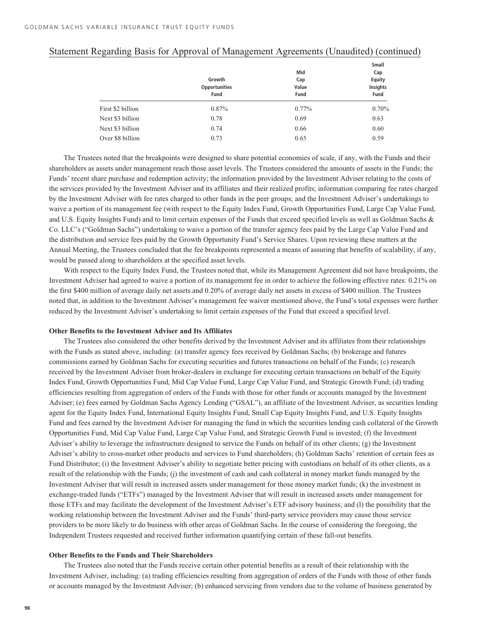|                   |                      |          | Small    |
|-------------------|----------------------|----------|----------|
|                   |                      | Mid      | Cap      |
|                   | Growth               | Cap      | Equity   |
|                   | <b>Opportunities</b> | Value    | Insights |
|                   | Fund                 | Fund     | Fund     |
| First \$2 billion | 0.87%                | $0.77\%$ | 0.70%    |
| Next \$3 billion  | 0.78                 | 0.69     | 0.63     |
| Next \$3 billion  | 0.74                 | 0.66     | 0.60     |
| Over \$8 billion  | 0.73                 | 0.65     | 0.59     |

The Trustees noted that the breakpoints were designed to share potential economies of scale, if any, with the Funds and their shareholders as assets under management reach those asset levels. The Trustees considered the amounts of assets in the Funds; the Funds' recent share purchase and redemption activity; the information provided by the Investment Adviser relating to the costs of the services provided by the Investment Adviser and its affiliates and their realized profits; information comparing fee rates charged by the Investment Adviser with fee rates charged to other funds in the peer groups; and the Investment Adviser's undertakings to waive a portion of its management fee (with respect to the Equity Index Fund, Growth Opportunities Fund, Large Cap Value Fund, and U.S. Equity Insights Fund) and to limit certain expenses of the Funds that exceed specified levels as well as Goldman Sachs & Co. LLC's ("Goldman Sachs") undertaking to waive a portion of the transfer agency fees paid by the Large Cap Value Fund and the distribution and service fees paid by the Growth Opportunity Fund's Service Shares. Upon reviewing these matters at the Annual Meeting, the Trustees concluded that the fee breakpoints represented a means of assuring that benefits of scalability, if any, would be passed along to shareholders at the specified asset levels.

With respect to the Equity Index Fund, the Trustees noted that, while its Management Agreement did not have breakpoints, the Investment Adviser had agreed to waive a portion of its management fee in order to achieve the following effective rates: 0.21% on the first \$400 million of average daily net assets and 0.20% of average daily net assets in excess of \$400 million. The Trustees noted that, in addition to the Investment Adviser's management fee waiver mentioned above, the Fund's total expenses were further reduced by the Investment Adviser's undertaking to limit certain expenses of the Fund that exceed a specified level.

### **Other Benefits to the Investment Adviser and Its Affiliates**

The Trustees also considered the other benefits derived by the Investment Adviser and its affiliates from their relationships with the Funds as stated above, including: (a) transfer agency fees received by Goldman Sachs; (b) brokerage and futures commissions earned by Goldman Sachs for executing securities and futures transactions on behalf of the Funds; (c) research received by the Investment Adviser from broker-dealers in exchange for executing certain transactions on behalf of the Equity Index Fund, Growth Opportunities Fund, Mid Cap Value Fund, Large Cap Value Fund, and Strategic Growth Fund; (d) trading efficiencies resulting from aggregation of orders of the Funds with those for other funds or accounts managed by the Investment Adviser; (e) fees earned by Goldman Sachs Agency Lending ("GSAL"), an affiliate of the Investment Adviser, as securities lending agent for the Equity Index Fund, International Equity Insights Fund, Small Cap Equity Insights Fund, and U.S. Equity Insights Fund and fees earned by the Investment Adviser for managing the fund in which the securities lending cash collateral of the Growth Opportunities Fund, Mid Cap Value Fund, Large Cap Value Fund, and Strategic Growth Fund is invested; (f) the Investment Adviser's ability to leverage the infrastructure designed to service the Funds on behalf of its other clients; (g) the Investment Adviser's ability to cross-market other products and services to Fund shareholders; (h) Goldman Sachs' retention of certain fees as Fund Distributor; (i) the Investment Adviser's ability to negotiate better pricing with custodians on behalf of its other clients, as a result of the relationship with the Funds; (j) the investment of cash and cash collateral in money market funds managed by the Investment Adviser that will result in increased assets under management for those money market funds; (k) the investment in exchange-traded funds ("ETFs") managed by the Investment Adviser that will result in increased assets under management for those ETFs and may facilitate the development of the Investment Adviser's ETF advisory business; and (l) the possibility that the working relationship between the Investment Adviser and the Funds' third-party service providers may cause those service providers to be more likely to do business with other areas of Goldman Sachs. In the course of considering the foregoing, the Independent Trustees requested and received further information quantifying certain of these fall-out benefits.

### **Other Benefits to the Funds and Their Shareholders**

The Trustees also noted that the Funds receive certain other potential benefits as a result of their relationship with the Investment Adviser, including: (a) trading efficiencies resulting from aggregation of orders of the Funds with those of other funds or accounts managed by the Investment Adviser; (b) enhanced servicing from vendors due to the volume of business generated by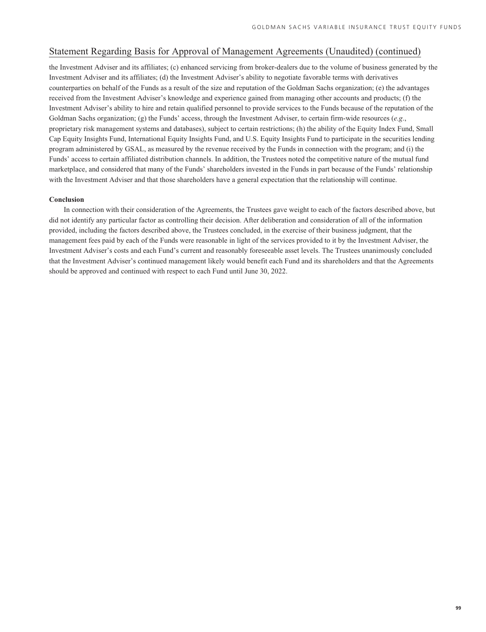the Investment Adviser and its affiliates; (c) enhanced servicing from broker-dealers due to the volume of business generated by the Investment Adviser and its affiliates; (d) the Investment Adviser's ability to negotiate favorable terms with derivatives counterparties on behalf of the Funds as a result of the size and reputation of the Goldman Sachs organization; (e) the advantages received from the Investment Adviser's knowledge and experience gained from managing other accounts and products; (f) the Investment Adviser's ability to hire and retain qualified personnel to provide services to the Funds because of the reputation of the Goldman Sachs organization; (g) the Funds' access, through the Investment Adviser, to certain firm-wide resources (*e.g*., proprietary risk management systems and databases), subject to certain restrictions; (h) the ability of the Equity Index Fund, Small Cap Equity Insights Fund, International Equity Insights Fund, and U.S. Equity Insights Fund to participate in the securities lending program administered by GSAL, as measured by the revenue received by the Funds in connection with the program; and (i) the Funds' access to certain affiliated distribution channels. In addition, the Trustees noted the competitive nature of the mutual fund marketplace, and considered that many of the Funds' shareholders invested in the Funds in part because of the Funds' relationship with the Investment Adviser and that those shareholders have a general expectation that the relationship will continue.

### **Conclusion**

In connection with their consideration of the Agreements, the Trustees gave weight to each of the factors described above, but did not identify any particular factor as controlling their decision. After deliberation and consideration of all of the information provided, including the factors described above, the Trustees concluded, in the exercise of their business judgment, that the management fees paid by each of the Funds were reasonable in light of the services provided to it by the Investment Adviser, the Investment Adviser's costs and each Fund's current and reasonably foreseeable asset levels. The Trustees unanimously concluded that the Investment Adviser's continued management likely would benefit each Fund and its shareholders and that the Agreements should be approved and continued with respect to each Fund until June 30, 2022.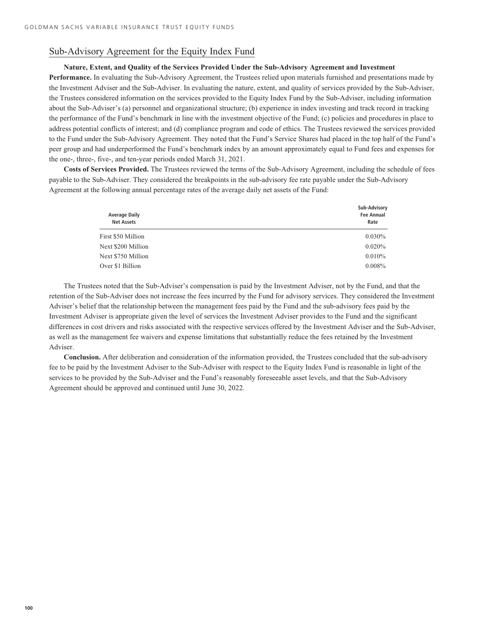# Sub-Advisory Agreement for the Equity Index Fund

# **Nature, Extent, and Quality of the Services Provided Under the Sub-Advisory Agreement and Investment**

**Performance.** In evaluating the Sub-Advisory Agreement, the Trustees relied upon materials furnished and presentations made by the Investment Adviser and the Sub-Adviser. In evaluating the nature, extent, and quality of services provided by the Sub-Adviser, the Trustees considered information on the services provided to the Equity Index Fund by the Sub-Adviser, including information about the Sub-Adviser's (a) personnel and organizational structure; (b) experience in index investing and track record in tracking the performance of the Fund's benchmark in line with the investment objective of the Fund; (c) policies and procedures in place to address potential conflicts of interest; and (d) compliance program and code of ethics. The Trustees reviewed the services provided to the Fund under the Sub-Advisory Agreement. They noted that the Fund's Service Shares had placed in the top half of the Fund's peer group and had underperformed the Fund's benchmark index by an amount approximately equal to Fund fees and expenses for the one-, three-, five-, and ten-year periods ended March 31, 2021.

**Costs of Services Provided.** The Trustees reviewed the terms of the Sub-Advisory Agreement, including the schedule of fees payable to the Sub-Adviser. They considered the breakpoints in the sub-advisory fee rate payable under the Sub-Advisory Agreement at the following annual percentage rates of the average daily net assets of the Fund:

| Sub-Advisory<br><b>Fee Annual</b><br>Rate |
|-------------------------------------------|
| $0.030\%$                                 |
| 0.020%                                    |
| 0.010%                                    |
| $0.008\%$                                 |
|                                           |

The Trustees noted that the Sub-Adviser's compensation is paid by the Investment Adviser, not by the Fund, and that the retention of the Sub-Adviser does not increase the fees incurred by the Fund for advisory services. They considered the Investment Adviser's belief that the relationship between the management fees paid by the Fund and the sub-advisory fees paid by the Investment Adviser is appropriate given the level of services the Investment Adviser provides to the Fund and the significant differences in cost drivers and risks associated with the respective services offered by the Investment Adviser and the Sub-Adviser, as well as the management fee waivers and expense limitations that substantially reduce the fees retained by the Investment Adviser.

**Conclusion.** After deliberation and consideration of the information provided, the Trustees concluded that the sub-advisory fee to be paid by the Investment Adviser to the Sub-Adviser with respect to the Equity Index Fund is reasonable in light of the services to be provided by the Sub-Adviser and the Fund's reasonably foreseeable asset levels, and that the Sub-Advisory Agreement should be approved and continued until June 30, 2022.